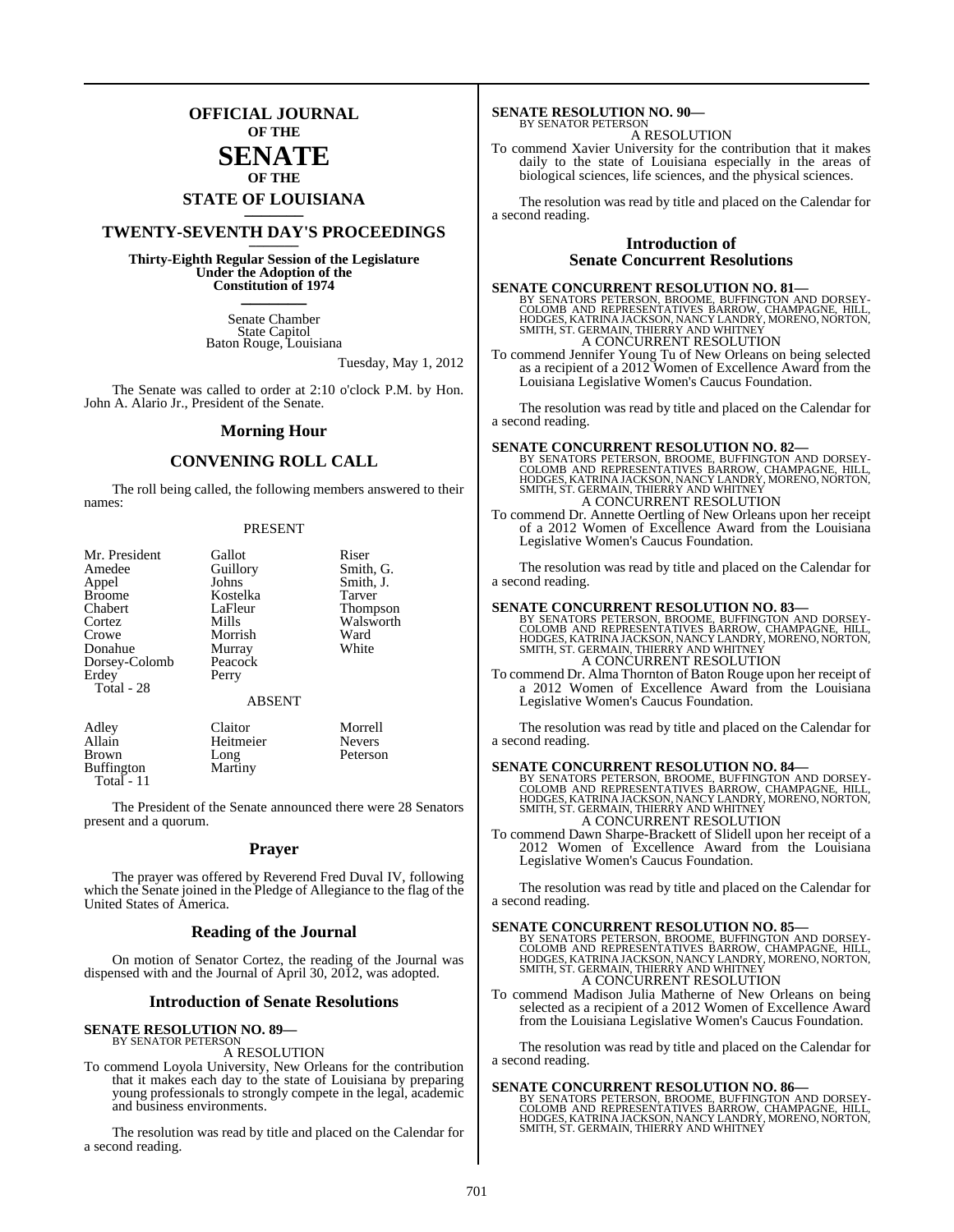## **OFFICIAL JOURNAL OF THE**

## **SENATE OF THE**

# **STATE OF LOUISIANA \_\_\_\_\_\_\_**

## **TWENTY-SEVENTH DAY'S PROCEEDINGS \_\_\_\_\_\_\_**

**Thirty-Eighth Regular Session of the Legislature Under the Adoption of the Constitution of 1974 \_\_\_\_\_\_\_**

> Senate Chamber State Capitol Baton Rouge, Louisiana

> > Tuesday, May 1, 2012

The Senate was called to order at 2:10 o'clock P.M. by Hon. John A. Alario Jr., President of the Senate.

#### **Morning Hour**

### **CONVENING ROLL CALL**

The roll being called, the following members answered to their names:

#### PRESENT

| Mr. President | Gallot        | Riser           |
|---------------|---------------|-----------------|
| Amedee        | Guillory      | Smith, G.       |
| Appel         | Johns         | Smith, J.       |
| <b>Broome</b> | Kostelka      | Tarver          |
| Chabert       | LaFleur       | <b>Thompson</b> |
| Cortez        | Mills         | Walsworth       |
| Crowe         | Morrish       | Ward            |
| Donahue       | Murray        | White           |
| Dorsey-Colomb | Peacock       |                 |
| Erdey         | Perry         |                 |
| Total - 28    |               |                 |
|               | <b>ABSENT</b> |                 |
| Adley         | Claitor       | Morrell         |
| Allain        | Heitmeier     | <b>Nevers</b>   |
|               |               |                 |

Brown Long Peterson<br>Buffington Martiny

Buffington Total - 11

The President of the Senate announced there were 28 Senators present and a quorum.

#### **Prayer**

The prayer was offered by Reverend Fred Duval IV, following which the Senate joined in the Pledge of Allegiance to the flag of the United States of America.

#### **Reading of the Journal**

On motion of Senator Cortez, the reading of the Journal was dispensed with and the Journal of April 30, 2012, was adopted.

#### **Introduction of Senate Resolutions**

#### **SENATE RESOLUTION NO. 89—**

#### BY SENATOR PETERSON A RESOLUTION

To commend Loyola University, New Orleans for the contribution that it makes each day to the state of Louisiana by preparing young professionals to strongly compete in the legal, academic and business environments.

The resolution was read by title and placed on the Calendar for a second reading.

#### **SENATE RESOLUTION NO. 90—** BY SENATOR PETERSON

A RESOLUTION

To commend Xavier University for the contribution that it makes daily to the state of Louisiana especially in the areas of biological sciences, life sciences, and the physical sciences.

The resolution was read by title and placed on the Calendar for a second reading.

#### **Introduction of Senate Concurrent Resolutions**

#### **SENATE CONCURRENT RESOLUTION NO. 81—**

BY SENATORS PETERSON, BROOME, BUFFINGTON AND DORSEY-COLOMB AND REPRESENTATIVES BARROW, CHAMPAGNE, HILL,<br>HODGES, KATRINA JACKSON, NANCY LANDRY, MORENO, NORTON,<br>HODGES, KATRINA JACKSON, NANCY LANDRY, MORENO, NORTON,<br>SMITH, S

To commend Jennifer Young Tu of New Orleans on being selected as a recipient of a 2012 Women of Excellence Award from the Louisiana Legislative Women's Caucus Foundation.

The resolution was read by title and placed on the Calendar for a second reading.

#### **SENATE CONCURRENT RESOLUTION NO. 82—**

BY SENATORS PETERSON, BROOME, BUFFINGTON AND DORSEY-<br>COLOMB AND REPRESENTATIVES BARROW, CHAMPAGNE, HILL,<br>HODGES, KATRINA JACKSON, NANCY LANDRY, MORENO, NORTON,<br>SMITH, ST. GERMAIN, THIERRY AND WHITNEY A CONCURRENT RESOLUTION

To commend Dr. Annette Oertling of New Orleans upon her receipt of a 2012 Women of Excellence Award from the Louisiana Legislative Women's Caucus Foundation.

The resolution was read by title and placed on the Calendar for a second reading.

**SENATE CONCURRENT RESOLUTION NO. 83—**

BY SENATORS PETERSON, BROOME, BUFFINGTON AND DORSEY-COLOMB AND REPRESENTATIVES BARROW, CHAMPAGNE, HILL,<br>HODGES, KATRINA JACKSON, NANCY LANDRY, MORENO, NORTON,<br>HODGES, KATRINA JACKSON, NANCY LANDRY, MORENO, NORTON,<br>SMITH, S

To commend Dr. Alma Thornton of Baton Rouge upon her receipt of a 2012 Women of Excellence Award from the Louisiana Legislative Women's Caucus Foundation.

The resolution was read by title and placed on the Calendar for a second reading.

SENATE CONCURRENT RESOLUTION NO. 84<br>BY SENATORS PETERSON, BROOME, BUFFINGTON AND DORSEY-COLOMB AND REPRESENTATIVES BARROW, CHAMPAGNE, HILL,<br>HODGES, KATRINA JACKSON, NANCY LANDRY, MORENO, NORTON,<br>SMITH, ST. GERMAIN, THIERRY A CONCURRENT RESOLUTION

To commend Dawn Sharpe-Brackett of Slidell upon her receipt of a 2012 Women of Excellence Award from the Louisiana Legislative Women's Caucus Foundation.

The resolution was read by title and placed on the Calendar for a second reading.

#### **SENATE CONCURRENT RESOLUTION NO. 85—**

BY SENATORS PETERSON, BROOME, BUFFINGTON AND DORSEY-<br>COLOMB AND REPRESENTATIVES BARROW, CHAMPAGNE, HILL,<br>HODGES, KATRINA JACKSON, NANCY LANDRY, MORENO, NORTON,<br>SMITH, ST. GERMAIN, THIERRY AND WHITNEY A CONCURRENT RESOLUTION

To commend Madison Julia Matherne of New Orleans on being selected as a recipient of a 2012 Women of Excellence Award from the Louisiana Legislative Women's Caucus Foundation.

The resolution was read by title and placed on the Calendar for a second reading.

#### **SENATE CONCURRENT RESOLUTION NO. 86—**

BY SENATORS PETERSON, BROOME, BUFFINGTON AND DORSEY-<br>COLOMB AND REPRESENTATIVES BARROW, CHAMPAGNE, HILL,<br>HODGES, KATRINA JACKSON, NANCY LANDRY, MORENO, NORTON,<br>SMITH, ST. GERMAIN, THIERRY AND WHITNEY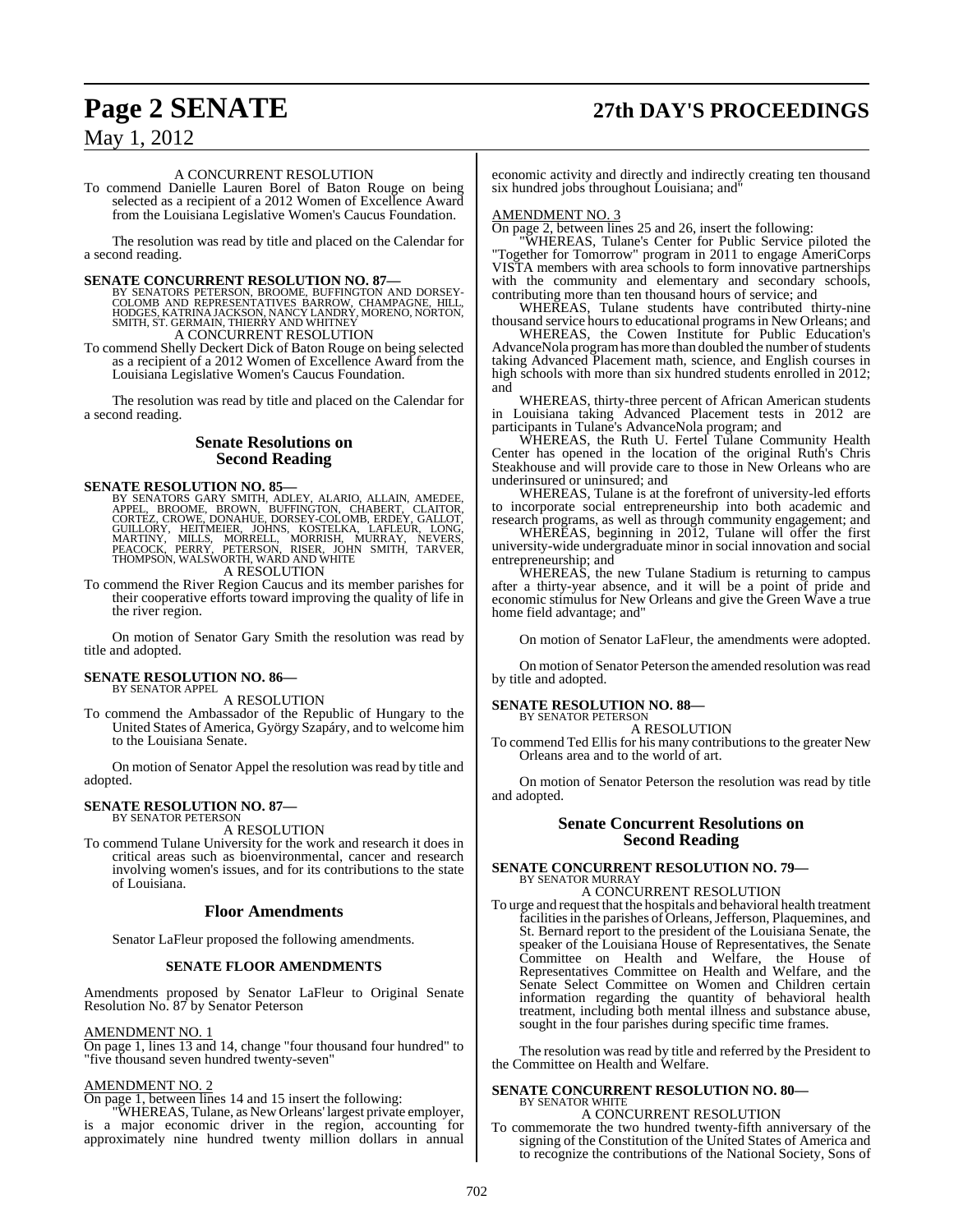# **Page 2 SENATE 27th DAY'S PROCEEDINGS**

## May 1, 2012

#### A CONCURRENT RESOLUTION

To commend Danielle Lauren Borel of Baton Rouge on being selected as a recipient of a 2012 Women of Excellence Award from the Louisiana Legislative Women's Caucus Foundation.

The resolution was read by title and placed on the Calendar for a second reading.

SENATE CONCURRENT RESOLUTION NO. 87—BY SENATORS PETERSON, BROOME, BUFFINGTON AND DORSEY-COLOMB AND HORE SARROW, CHAMPAGNE, HILL, HOOGES, KATRINA JACKSON, NANCY LANDRY, MORENO, NORTON, SMITH, ST. GERMAIN, THIERRY AND WHITNE

A CONCURRENT RESOLUTION

To commend Shelly Deckert Dick of Baton Rouge on being selected as a recipient of a 2012 Women of Excellence Award from the Louisiana Legislative Women's Caucus Foundation.

The resolution was read by title and placed on the Calendar for a second reading.

#### **Senate Resolutions on Second Reading**

SENATE RESOLUTION NO. 85—<br>BY SENATORS GARY SMITH, ADLEY, ALARIO, ALLAIN, AMEDEE, BROOME, BROWE, DROWE, DENETINGTON, CHABERT, CLAITOR,<br>CORTEZ, CROWE, DONAHUE, DORSEY-COLOMB, ERDEY, GALLOT,<br>GUILLORY, HEITMEIER, JOHNS, KOSTEL A RESOLUTION

To commend the River Region Caucus and its member parishes for their cooperative efforts toward improving the quality of life in the river region.

On motion of Senator Gary Smith the resolution was read by title and adopted.

#### **SENATE RESOLUTION NO. 86—** BY SENATOR APPEL

A RESOLUTION

To commend the Ambassador of the Republic of Hungary to the United States of America, György Szapáry, and to welcome him to the Louisiana Senate.

On motion of Senator Appel the resolution wasread by title and adopted.

## **SENATE RESOLUTION NO. 87—** BY SENATOR PETERSON

A RESOLUTION

To commend Tulane University for the work and research it does in critical areas such as bioenvironmental, cancer and research involving women's issues, and for its contributions to the state of Louisiana.

#### **Floor Amendments**

Senator LaFleur proposed the following amendments.

#### **SENATE FLOOR AMENDMENTS**

Amendments proposed by Senator LaFleur to Original Senate Resolution No. 87 by Senator Peterson

#### AMENDMENT NO. 1

On page 1, lines 13 and 14, change "four thousand four hundred" to "five thousand seven hundred twenty-seven"

## AMENDMENT NO. 2

On page 1, between lines 14 and 15 insert the following:

"WHEREAS, Tulane, as New Orleans' largest private employer, is a major economic driver in the region, accounting for approximately nine hundred twenty million dollars in annual economic activity and directly and indirectly creating ten thousand six hundred jobs throughout Louisiana; and"

#### AMENDMENT NO. 3

On page 2, between lines 25 and 26, insert the following:

"WHEREAS, Tulane's Center for Public Service piloted the "Together for Tomorrow" program in 2011 to engage AmeriCorps VISTA members with area schools to form innovative partnerships with the community and elementary and secondary schools, contributing more than ten thousand hours of service; and

WHEREAS, Tulane students have contributed thirty-nine thousand service hours to educational programs in New Orleans; and

WHEREAS, the Cowen Institute for Public Education's AdvanceNola program has more than doubled the number of students taking Advanced Placement math, science, and English courses in high schools with more than six hundred students enrolled in 2012; and

WHEREAS, thirty-three percent of African American students in Louisiana taking Advanced Placement tests in 2012 are participants in Tulane's AdvanceNola program; and

WHEREAS, the Ruth U. Fertel Tulane Community Health Center has opened in the location of the original Ruth's Chris Steakhouse and will provide care to those in New Orleans who are underinsured or uninsured; and

WHEREAS, Tulane is at the forefront of university-led efforts to incorporate social entrepreneurship into both academic and research programs, as well as through community engagement; and

WHEREAS, beginning in 2012, Tulane will offer the first university-wide undergraduate minor in social innovation and social entrepreneurship; and

WHEREAS, the new Tulane Stadium is returning to campus after a thirty-year absence, and it will be a point of pride and economic stimulus for New Orleans and give the Green Wave a true home field advantage; and"

On motion of Senator LaFleur, the amendments were adopted.

On motion of Senator Peterson the amended resolution was read by title and adopted.

#### **SENATE RESOLUTION NO. 88—**

BY SENATOR PETERSON A RESOLUTION

To commend Ted Ellis for his many contributions to the greater New Orleans area and to the world of art.

On motion of Senator Peterson the resolution was read by title and adopted.

#### **Senate Concurrent Resolutions on Second Reading**

## **SENATE CONCURRENT RESOLUTION NO. 79—** BY SENATOR MURRAY A CONCURRENT RESOLUTION

To urge and request that the hospitals and behavioral health treatment facilities in the parishes of Orleans, Jefferson, Plaquemines, and St. Bernard report to the president of the Louisiana Senate, the speaker of the Louisiana House of Representatives, the Senate Committee on Health and Welfare, the House of Representatives Committee on Health and Welfare, and the Senate Select Committee on Women and Children certain information regarding the quantity of behavioral health treatment, including both mental illness and substance abuse, sought in the four parishes during specific time frames.

The resolution was read by title and referred by the President to the Committee on Health and Welfare.

#### **SENATE CONCURRENT RESOLUTION NO. 80—** BY SENATOR WHITE

A CONCURRENT RESOLUTION

To commemorate the two hundred twenty-fifth anniversary of the signing of the Constitution of the United States of America and to recognize the contributions of the National Society, Sons of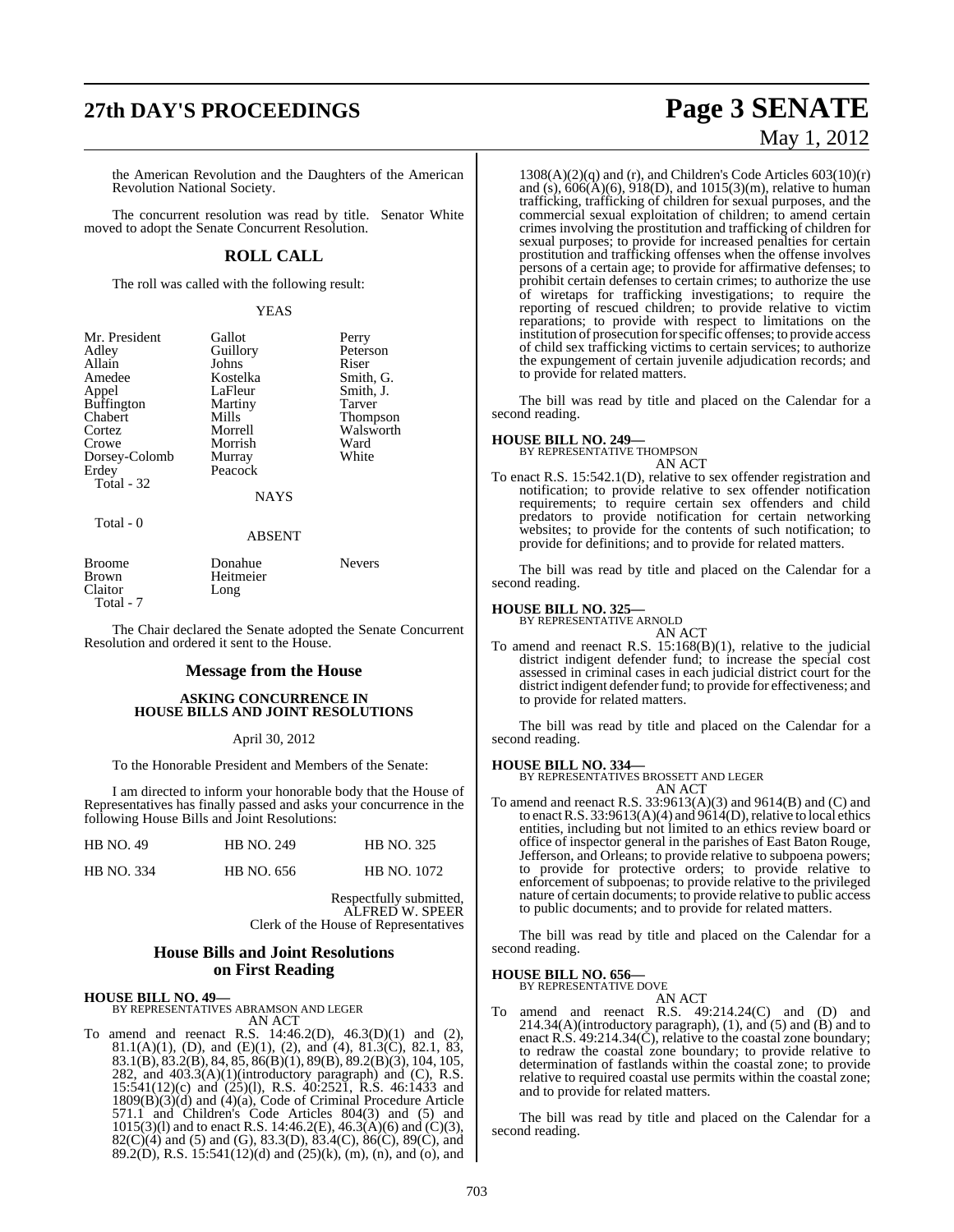# **27th DAY'S PROCEEDINGS Page 3 SENATE**

the American Revolution and the Daughters of the American Revolution National Society.

The concurrent resolution was read by title. Senator White moved to adopt the Senate Concurrent Resolution.

### **ROLL CALL**

The roll was called with the following result:

YEAS

| Mr. President<br>Adley<br>Allain<br>Amedee<br>Appel<br><b>Buffington</b><br>Chabert<br>Cortez<br>Crowe<br>Dorsey-Colomb<br>Erdey<br>Total - 32 | Gallot<br>Guillory<br>Johns<br>Kostelka<br>LaFleur<br>Martiny<br>Mills<br>Morrell<br>Morrish<br>Murray<br>Peacock | Perry<br>Peterson<br>Riser<br>Smith, G.<br>Smith, J.<br>Tarver<br><b>Thompson</b><br>Walsworth<br>Ward<br>White |
|------------------------------------------------------------------------------------------------------------------------------------------------|-------------------------------------------------------------------------------------------------------------------|-----------------------------------------------------------------------------------------------------------------|
|                                                                                                                                                | <b>NAYS</b>                                                                                                       |                                                                                                                 |
| Total - 0                                                                                                                                      |                                                                                                                   |                                                                                                                 |

#### ABSENT

| Broome    | Donahue   | <b>Nevers</b> |
|-----------|-----------|---------------|
| Brown     | Heitmeier |               |
| Claitor   | Long      |               |
| Total - 7 |           |               |

The Chair declared the Senate adopted the Senate Concurrent Resolution and ordered it sent to the House.

#### **Message from the House**

#### **ASKING CONCURRENCE IN HOUSE BILLS AND JOINT RESOLUTIONS**

#### April 30, 2012

To the Honorable President and Members of the Senate:

I am directed to inform your honorable body that the House of Representatives has finally passed and asks your concurrence in the following House Bills and Joint Resolutions:

| <b>HB NO. 49</b>  | <b>HB NO. 249</b> | <b>HB NO. 325</b>  |
|-------------------|-------------------|--------------------|
| <b>HB NO. 334</b> | <b>HB</b> NO. 656 | <b>HB NO. 1072</b> |

Respectfully submitted, ALFRED W. SPEER Clerk of the House of Representatives

#### **House Bills and Joint Resolutions on First Reading**

#### **HOUSE BILL NO. 49—** BY REPRESENTATIVES ABRAMSON AND LEGER

AN ACT

To amend and reenact R.S. 14:46.2(D), 46.3(D)(1) and (2), 81.1(A)(1), (D), and (E)(1), (2), and (4), 81.3(C), 82.1, 83, 83.1(B), 83.2(B), 84, 85, 86(B)(1), 89(B), 89.2(B)(3), 104, 105, 282, and 403.3(A)(1)(introductory paragraph) and (C), R.S. 15:541(12)(c) and (25)(l), R.S. 40:2521, R.S. 46:1433 and 1809(B)(3)(d) and (4)(a), Code of Criminal Procedure Article 571.1 and Children's Code Articles 804(3) and (5) and 1015(3)(l) and to enact R.S. 14:46.2(E), 46.3(A)(6) and (C)(3), 82(C)(4) and (5) and (G), 83.3(D), 83.4(C), 86(C), 89(C), and 89.2(D), R.S. 15:541(12)(d) and (25)(k), (m), (n), and (o), and

# May 1, 2012

1308(A)(2)(q) and (r), and Children's Code Articles 603(10)(r) and (s),  $606(A)(6)$ ,  $918(D)$ , and  $1015(3)(m)$ , relative to human trafficking, trafficking of children for sexual purposes, and the commercial sexual exploitation of children; to amend certain crimes involving the prostitution and trafficking of children for sexual purposes; to provide for increased penalties for certain prostitution and trafficking offenses when the offense involves persons of a certain age; to provide for affirmative defenses; to prohibit certain defenses to certain crimes; to authorize the use of wiretaps for trafficking investigations; to require the reporting of rescued children; to provide relative to victim reparations; to provide with respect to limitations on the institution of prosecution forspecific offenses; to provide access of child sex trafficking victims to certain services; to authorize the expungement of certain juvenile adjudication records; and to provide for related matters.

The bill was read by title and placed on the Calendar for a second reading.

#### **HOUSE BILL NO. 249—**

BY REPRESENTATIVE THOMPSON

- AN ACT To enact R.S. 15:542.1(D), relative to sex offender registration and notification; to provide relative to sex offender notification
	- requirements; to require certain sex offenders and child predators to provide notification for certain networking websites; to provide for the contents of such notification; to provide for definitions; and to provide for related matters.

The bill was read by title and placed on the Calendar for a second reading.

## **HOUSE BILL NO. 325—** BY REPRESENTATIVE ARNOLD

AN ACT

To amend and reenact R.S. 15:168(B)(1), relative to the judicial district indigent defender fund; to increase the special cost assessed in criminal cases in each judicial district court for the district indigent defender fund; to provide for effectiveness; and to provide for related matters.

The bill was read by title and placed on the Calendar for a second reading.

**HOUSE BILL NO. 334—** BY REPRESENTATIVES BROSSETT AND LEGER AN ACT

To amend and reenact R.S. 33:9613(A)(3) and 9614(B) and (C) and to enact R.S. 33:9613(A)(4) and  $9614(D)$ , relative to local ethics entities, including but not limited to an ethics review board or office of inspector general in the parishes of East Baton Rouge, Jefferson, and Orleans; to provide relative to subpoena powers; to provide for protective orders; to provide relative to enforcement of subpoenas; to provide relative to the privileged nature of certain documents; to provide relative to public access to public documents; and to provide for related matters.

The bill was read by title and placed on the Calendar for a second reading.

## **HOUSE BILL NO. 656—** BY REPRESENTATIVE DOVE

AN ACT

To amend and reenact R.S. 49:214.24(C) and (D) and 214.34(A)(introductory paragraph), (1), and (5) and (B) and to enact R.S. 49:214.34(C), relative to the coastal zone boundary; to redraw the coastal zone boundary; to provide relative to determination of fastlands within the coastal zone; to provide relative to required coastal use permits within the coastal zone; and to provide for related matters.

The bill was read by title and placed on the Calendar for a second reading.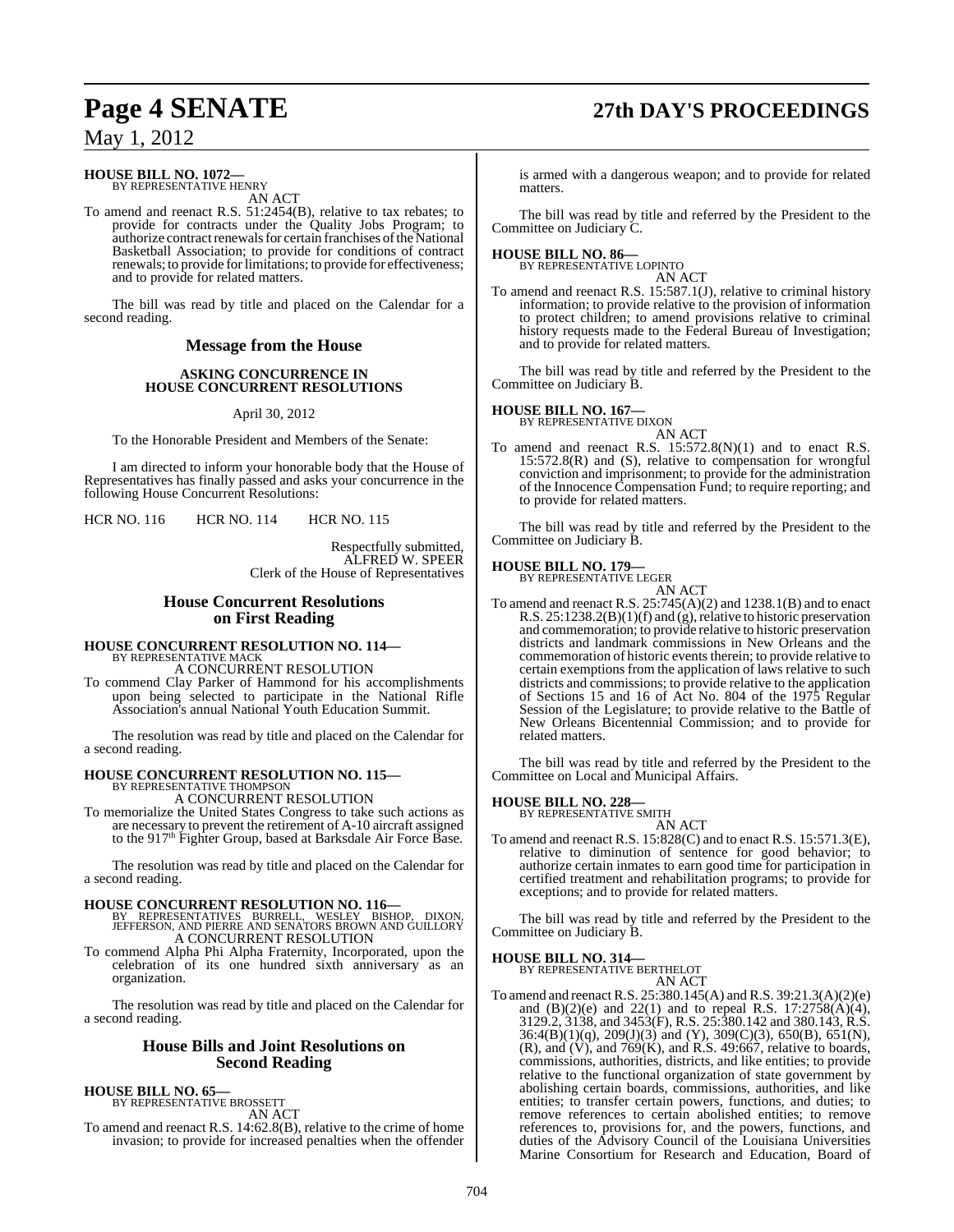# **Page 4 SENATE 27th DAY'S PROCEEDINGS**

May 1, 2012

## **HOUSE BILL NO. 1072—** BY REPRESENTATIVE HENRY

AN ACT

To amend and reenact R.S. 51:2454(B), relative to tax rebates; to provide for contracts under the Quality Jobs Program; to authorize contract renewals for certain franchises of the National Basketball Association; to provide for conditions of contract renewals; to provide for limitations; to provide for effectiveness; and to provide for related matters.

The bill was read by title and placed on the Calendar for a second reading.

#### **Message from the House**

#### **ASKING CONCURRENCE IN HOUSE CONCURRENT RESOLUTIONS**

April 30, 2012

To the Honorable President and Members of the Senate:

I am directed to inform your honorable body that the House of Representatives has finally passed and asks your concurrence in the following House Concurrent Resolutions:

HCR NO. 116 HCR NO. 114 HCR NO. 115

Respectfully submitted, ALFRED W. SPEER Clerk of the House of Representatives

#### **House Concurrent Resolutions on First Reading**

# **HOUSE CONCURRENT RESOLUTION NO. 114—** BY REPRESENTATIVE MACK

A CONCURRENT RESOLUTION

To commend Clay Parker of Hammond for his accomplishments upon being selected to participate in the National Rifle Association's annual National Youth Education Summit.

The resolution was read by title and placed on the Calendar for a second reading.

#### **HOUSE CONCURRENT RESOLUTION NO. 115—** BY REPRESENTATIVE THOMPSON

A CONCURRENT RESOLUTION

To memorialize the United States Congress to take such actions as are necessary to prevent the retirement of A-10 aircraft assigned to the 917<sup>th</sup> Fighter Group, based at Barksdale Air Force Base.

The resolution was read by title and placed on the Calendar for a second reading.

**HOUSE CONCURRENT RESOLUTION NO. 116—** BY REPRESENTATIVES BURRELL, WESLEY BISHOP, DIXON, JEFFERSON, AND PIERRE AND SENATORS BROWN AND GUILLORY A CONCURRENT RESOLUTION

To commend Alpha Phi Alpha Fraternity, Incorporated, upon the celebration of its one hundred sixth anniversary as an organization.

The resolution was read by title and placed on the Calendar for a second reading.

#### **House Bills and Joint Resolutions on Second Reading**

**HOUSE BILL NO. 65—** BY REPRESENTATIVE BROSSETT

AN ACT

To amend and reenact R.S. 14:62.8(B), relative to the crime of home invasion; to provide for increased penalties when the offender

is armed with a dangerous weapon; and to provide for related matters.

The bill was read by title and referred by the President to the Committee on Judiciary C.

## **HOUSE BILL NO. 86—** BY REPRESENTATIVE LOPINTO

AN ACT

To amend and reenact R.S. 15:587.1(J), relative to criminal history information; to provide relative to the provision of information to protect children; to amend provisions relative to criminal history requests made to the Federal Bureau of Investigation; and to provide for related matters.

The bill was read by title and referred by the President to the Committee on Judiciary B.

#### **HOUSE BILL NO. 167—**

BY REPRESENTATIVE DIXON

AN ACT To amend and reenact R.S. 15:572.8(N)(1) and to enact R.S. 15:572.8(R) and (S), relative to compensation for wrongful conviction and imprisonment; to provide for the administration of the Innocence Compensation Fund; to require reporting; and to provide for related matters.

The bill was read by title and referred by the President to the Committee on Judiciary B.

#### **HOUSE BILL NO. 179—**

BY REPRESENTATIVE LEGER AN ACT

To amend and reenact R.S. 25:745(A)(2) and 1238.1(B) and to enact R.S. 25:1238.2(B)(1)(f) and (g), relative to historic preservation and commemoration; to provide relative to historic preservation districts and landmark commissions in New Orleans and the commemoration of historic events therein; to provide relative to certain exemptions from the application of laws relative to such districts and commissions; to provide relative to the application of Sections 15 and 16 of Act No. 804 of the 1975 Regular Session of the Legislature; to provide relative to the Battle of New Orleans Bicentennial Commission; and to provide for related matters.

The bill was read by title and referred by the President to the Committee on Local and Municipal Affairs.

## **HOUSE BILL NO. 228—** BY REPRESENTATIVE SMITH

AN ACT To amend and reenact R.S. 15:828(C) and to enact R.S. 15:571.3(E), relative to diminution of sentence for good behavior; to authorize certain inmates to earn good time for participation in certified treatment and rehabilitation programs; to provide for

The bill was read by title and referred by the President to the Committee on Judiciary B.

exceptions; and to provide for related matters.

**HOUSE BILL NO. 314—** BY REPRESENTATIVE BERTHELOT

AN ACT

To amend and reenact R.S. 25:380.145(A) and R.S. 39:21.3(A)(2)(e) and  $(B)(2)(e)$  and  $22(1)$  and to repeal R.S.  $17:2758(A)(4)$ , 3129.2, 3138, and 3453(F), R.S. 25:380.142 and 380.143, R.S.  $36:4(B)(1)(q)$ ,  $209(J)(3)$  and (Y),  $309(C)(3)$ ,  $650(B)$ ,  $651(N)$ ,  $(R)$ , and  $(V)$ , and  $769(K)$ , and  $R.S. 49:667$ , relative to boards, commissions, authorities, districts, and like entities; to provide relative to the functional organization of state government by abolishing certain boards, commissions, authorities, and like entities; to transfer certain powers, functions, and duties; to remove references to certain abolished entities; to remove references to, provisions for, and the powers, functions, and duties of the Advisory Council of the Louisiana Universities Marine Consortium for Research and Education, Board of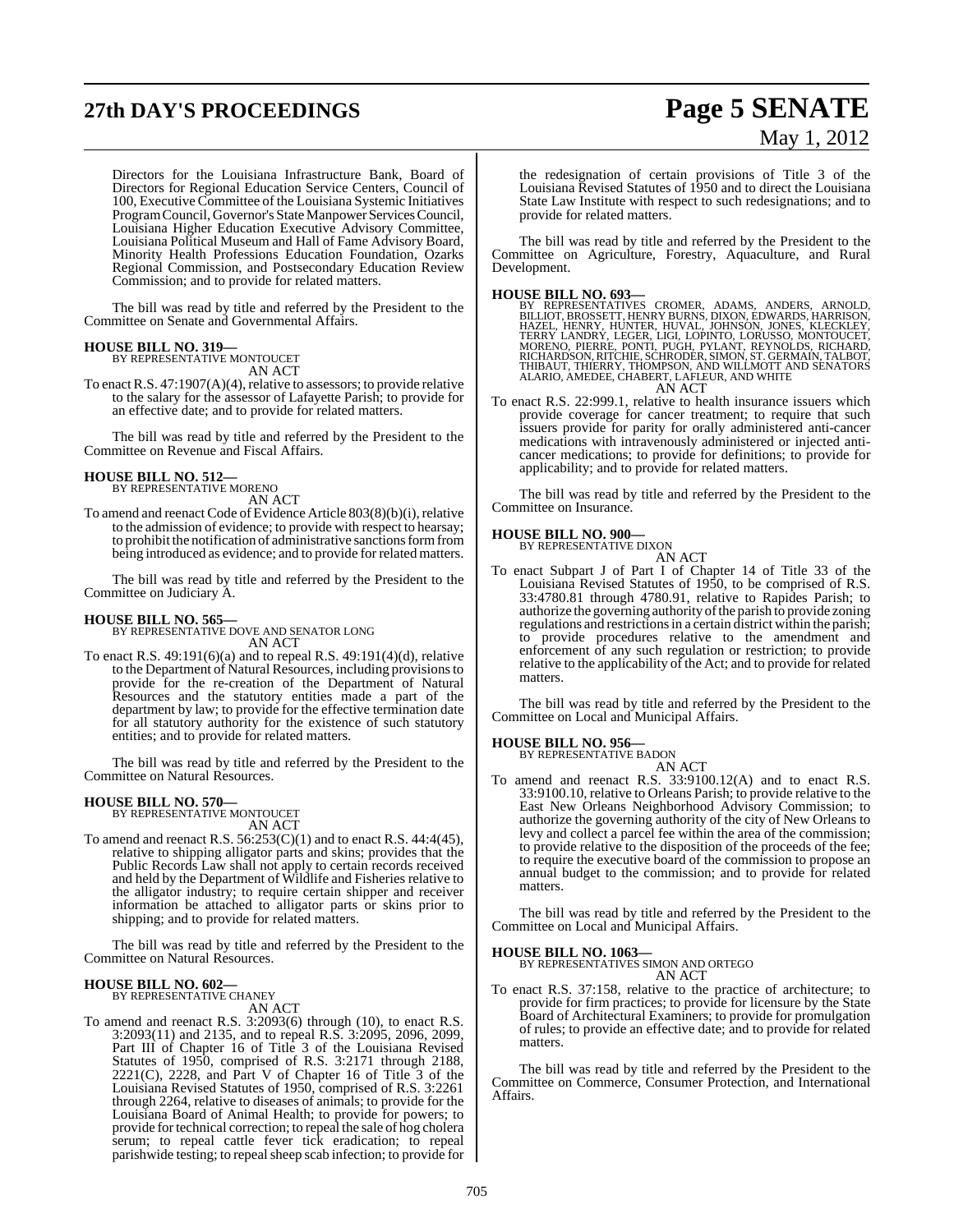# **27th DAY'S PROCEEDINGS Page 5 SENATE**

# May 1, 2012

Directors for the Louisiana Infrastructure Bank, Board of Directors for Regional Education Service Centers, Council of 100, Executive Committee of the Louisiana Systemic Initiatives ProgramCouncil, Governor's StateManpower Services Council, Louisiana Higher Education Executive Advisory Committee, Louisiana Political Museum and Hall of Fame Advisory Board, Minority Health Professions Education Foundation, Ozarks Regional Commission, and Postsecondary Education Review Commission; and to provide for related matters.

The bill was read by title and referred by the President to the Committee on Senate and Governmental Affairs.

#### **HOUSE BILL NO. 319—**

BY REPRESENTATIVE MONTOUCET AN ACT

To enactR.S. 47:1907(A)(4), relative to assessors; to provide relative to the salary for the assessor of Lafayette Parish; to provide for an effective date; and to provide for related matters.

The bill was read by title and referred by the President to the Committee on Revenue and Fiscal Affairs.

#### **HOUSE BILL NO. 512—**

BY REPRESENTATIVE MORENO AN ACT

To amend and reenact Code of Evidence Article 803(8)(b)(i), relative to the admission of evidence; to provide with respect to hearsay; to prohibit the notification of administrative sanctions form from being introduced as evidence; and to provide for related matters.

The bill was read by title and referred by the President to the Committee on Judiciary A.

#### **HOUSE BILL NO. 565—**

BY REPRESENTATIVE DOVE AND SENATOR LONG AN ACT

To enact R.S. 49:191(6)(a) and to repeal R.S. 49:191(4)(d), relative to the Department of Natural Resources, including provisionsto provide for the re-creation of the Department of Natural Resources and the statutory entities made a part of the department by law; to provide for the effective termination date for all statutory authority for the existence of such statutory entities; and to provide for related matters.

The bill was read by title and referred by the President to the Committee on Natural Resources.

## **HOUSE BILL NO. 570—** BY REPRESENTATIVE MONTOUCET

AN ACT

To amend and reenact R.S. 56:253(C)(1) and to enact R.S. 44:4(45), relative to shipping alligator parts and skins; provides that the Public Records Law shall not apply to certain records received and held by the Department of Wildlife and Fisheries relative to the alligator industry; to require certain shipper and receiver information be attached to alligator parts or skins prior to shipping; and to provide for related matters.

The bill was read by title and referred by the President to the Committee on Natural Resources.

#### **HOUSE BILL NO. 602—**

BY REPRESENTATIVE CHANEY AN ACT

To amend and reenact R.S. 3:2093(6) through (10), to enact R.S. 3:2093(11) and 2135, and to repeal R.S. 3:2095, 2096, 2099, Part III of Chapter 16 of Title 3 of the Louisiana Revised Statutes of 1950, comprised of R.S. 3:2171 through 2188,  $2221(C)$ ,  $2228$ , and Part V of Chapter 16 of Title  $3$  of the Louisiana Revised Statutes of 1950, comprised of R.S. 3:2261 through 2264, relative to diseases of animals; to provide for the Louisiana Board of Animal Health; to provide for powers; to provide for technical correction; to repeal the sale of hog cholera serum; to repeal cattle fever tick eradication; to repeal parishwide testing; to repealsheep scab infection; to provide for

the redesignation of certain provisions of Title 3 of the Louisiana Revised Statutes of 1950 and to direct the Louisiana State Law Institute with respect to such redesignations; and to provide for related matters.

The bill was read by title and referred by the President to the Committee on Agriculture, Forestry, Aquaculture, and Rural Development.

#### **HOUSE BILL NO. 693—**

BY REPRESENTATIVES CROMER, ADAMS, ANDERS, ARNOLD,<br>BILLIOT,BROSSETT,HENRYBURNS,DIXON,EDWARDS,HARRISON,<br>HAZEL, HENRY,HUNTER,HUVAL,JOHNSON,JONES,HARRISON,<br>TERRY LANDRY,LEGER,LIGI,LOPINTO,LORUSSO,MONTOUCET,<br>MORENO,PIERRE,PONTI AN ACT

To enact R.S. 22:999.1, relative to health insurance issuers which provide coverage for cancer treatment; to require that such issuers provide for parity for orally administered anti-cancer medications with intravenously administered or injected anticancer medications; to provide for definitions; to provide for applicability; and to provide for related matters.

The bill was read by title and referred by the President to the Committee on Insurance.

## **HOUSE BILL NO. 900—** BY REPRESENTATIVE DIXON

AN ACT

To enact Subpart J of Part I of Chapter 14 of Title 33 of the Louisiana Revised Statutes of 1950, to be comprised of R.S. 33:4780.81 through 4780.91, relative to Rapides Parish; to authorize the governing authority of the parish to provide zoning regulations and restrictions in a certain district within the parish; to provide procedures relative to the amendment and enforcement of any such regulation or restriction; to provide relative to the applicability of the Act; and to provide for related matters.

The bill was read by title and referred by the President to the Committee on Local and Municipal Affairs.

# **HOUSE BILL NO. 956—** BY REPRESENTATIVE BADON

AN ACT

To amend and reenact R.S. 33:9100.12(A) and to enact R.S. 33:9100.10, relative to Orleans Parish; to provide relative to the East New Orleans Neighborhood Advisory Commission; to authorize the governing authority of the city of New Orleans to levy and collect a parcel fee within the area of the commission; to provide relative to the disposition of the proceeds of the fee; to require the executive board of the commission to propose an annual budget to the commission; and to provide for related matters.

The bill was read by title and referred by the President to the Committee on Local and Municipal Affairs.

#### **HOUSE BILL NO. 1063—**

BY REPRESENTATIVES SIMON AND ORTEGO AN ACT

To enact R.S. 37:158, relative to the practice of architecture; to provide for firm practices; to provide for licensure by the State Board of Architectural Examiners; to provide for promulgation of rules; to provide an effective date; and to provide for related matters.

The bill was read by title and referred by the President to the Committee on Commerce, Consumer Protection, and International Affairs.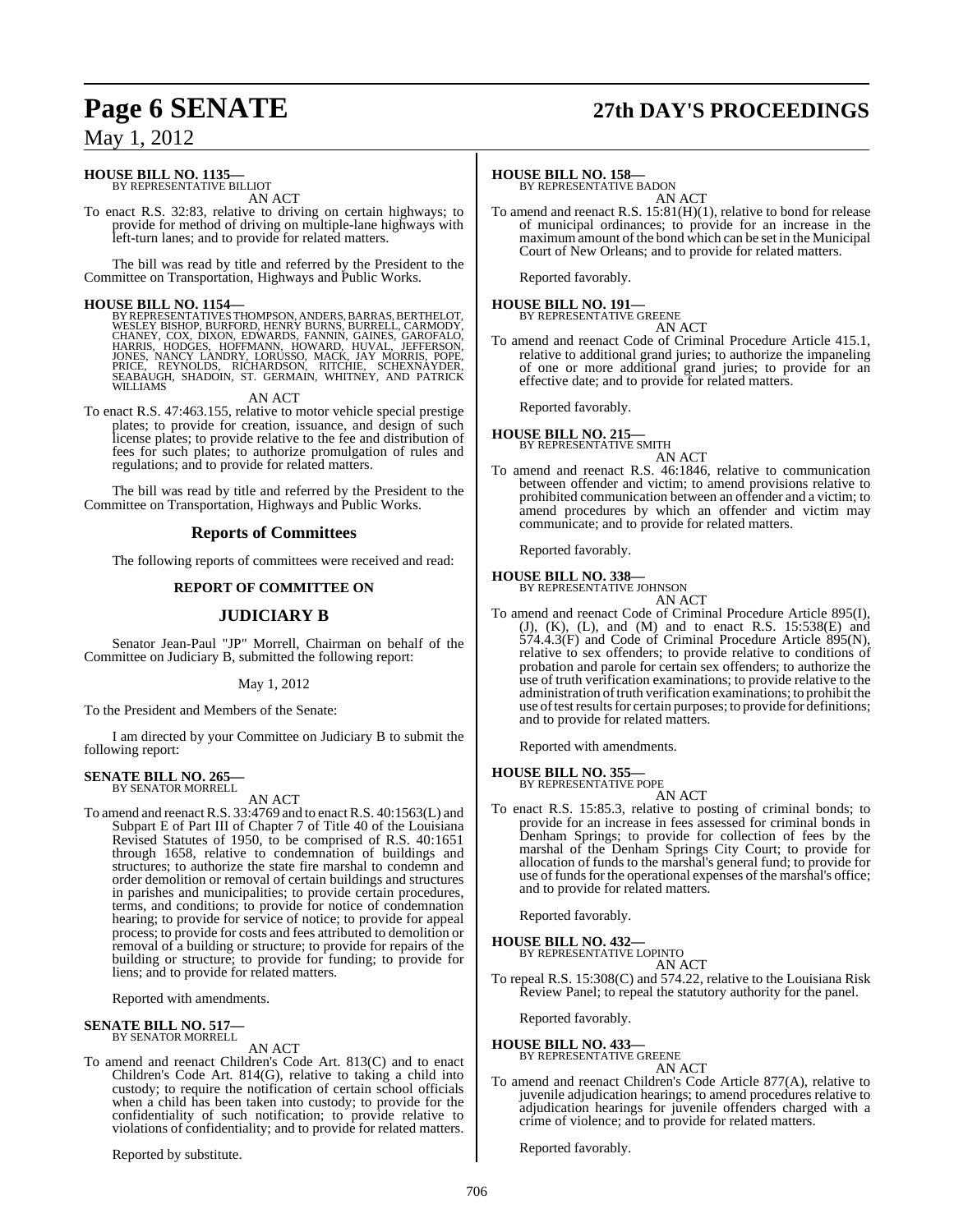# **Page 6 SENATE 27th DAY'S PROCEEDINGS**

## May 1, 2012

#### **HOUSE BILL NO. 1135—** BY REPRESENTATIVE BILLIOT

AN ACT

To enact R.S. 32:83, relative to driving on certain highways; to provide for method of driving on multiple-lane highways with left-turn lanes; and to provide for related matters.

The bill was read by title and referred by the President to the Committee on Transportation, Highways and Public Works.

**HOUSE BILL NO. 1154—**<br>BY REPRESENTATIVES THOMPSON, ANDERS, BARRAS, BERTHELOT,<br>WESLEY BISHOP, BURFORD, HENRY BURNS, BURRELL, CARMODY,<br>CHANEY, COX, DIXON, EDWARDS, FANNIN, GAINES, GAROFALO,<br>HARRIS, HODGES, HOFFMANN, HOWARD,

AN ACT

To enact R.S. 47:463.155, relative to motor vehicle special prestige plates; to provide for creation, issuance, and design of such license plates; to provide relative to the fee and distribution of fees for such plates; to authorize promulgation of rules and regulations; and to provide for related matters.

The bill was read by title and referred by the President to the Committee on Transportation, Highways and Public Works.

#### **Reports of Committees**

The following reports of committees were received and read:

#### **REPORT OF COMMITTEE ON**

### **JUDICIARY B**

Senator Jean-Paul "JP" Morrell, Chairman on behalf of the Committee on Judiciary B, submitted the following report:

#### May 1, 2012

To the President and Members of the Senate:

I am directed by your Committee on Judiciary B to submit the following report:

#### **SENATE BILL NO. 265—** BY SENATOR MORRELL

AN ACT

To amend and reenact R.S. 33:4769 and to enact R.S. 40:1563(L) and Subpart E of Part III of Chapter 7 of Title 40 of the Louisiana Revised Statutes of 1950, to be comprised of R.S. 40:1651 through 1658, relative to condemnation of buildings and structures; to authorize the state fire marshal to condemn and order demolition or removal of certain buildings and structures in parishes and municipalities; to provide certain procedures, terms, and conditions; to provide for notice of condemnation hearing; to provide for service of notice; to provide for appeal process; to provide for costs and fees attributed to demolition or removal of a building or structure; to provide for repairs of the building or structure; to provide for funding; to provide for liens; and to provide for related matters.

Reported with amendments.

**SENATE BILL NO. 517—** BY SENATOR MORRELL

#### AN ACT

To amend and reenact Children's Code Art. 813(C) and to enact Children's Code Art. 814(G), relative to taking a child into custody; to require the notification of certain school officials when a child has been taken into custody; to provide for the confidentiality of such notification; to provide relative to violations of confidentiality; and to provide for related matters.

Reported by substitute.

#### **HOUSE BILL NO. 158—**

BY REPRESENTATIVE BADON

AN ACT To amend and reenact R.S. 15:81(H)(1), relative to bond for release of municipal ordinances; to provide for an increase in the maximum amount of the bond which can be set in the Municipal Court of New Orleans; and to provide for related matters.

Reported favorably.

## **HOUSE BILL NO. 191—** BY REPRESENTATIVE GREENE

AN ACT

To amend and reenact Code of Criminal Procedure Article 415.1, relative to additional grand juries; to authorize the impaneling of one or more additional grand juries; to provide for an effective date; and to provide for related matters.

Reported favorably.

#### **HOUSE BILL NO. 215—** BY REPRESENTATIVE SMITH

AN ACT

To amend and reenact R.S. 46:1846, relative to communication between offender and victim; to amend provisions relative to prohibited communication between an offender and a victim; to amend procedures by which an offender and victim may communicate; and to provide for related matters.

Reported favorably.

## **HOUSE BILL NO. 338—** BY REPRESENTATIVE JOHNSON

AN ACT

To amend and reenact Code of Criminal Procedure Article 895(I), (J), (K), (L), and (M) and to enact R.S. 15:538(E) and 574.4.3(F) and Code of Criminal Procedure Article 895(N), relative to sex offenders; to provide relative to conditions of probation and parole for certain sex offenders; to authorize the use of truth verification examinations; to provide relative to the administration of truth verification examinations; to prohibit the use of test results for certain purposes; to provide for definitions; and to provide for related matters.

Reported with amendments.

**HOUSE BILL NO. 355—** BY REPRESENTATIVE POPE

AN ACT

To enact R.S. 15:85.3, relative to posting of criminal bonds; to provide for an increase in fees assessed for criminal bonds in Denham Springs; to provide for collection of fees by the marshal of the Denham Springs City Court; to provide for allocation of funds to the marshal's general fund; to provide for use of funds for the operational expenses of the marshal's office; and to provide for related matters.

Reported favorably.

## **HOUSE BILL NO. 432—** BY REPRESENTATIVE LOPINTO

AN ACT

To repeal R.S. 15:308(C) and 574.22, relative to the Louisiana Risk Review Panel; to repeal the statutory authority for the panel.

Reported favorably.

## **HOUSE BILL NO. 433—** BY REPRESENTATIVE GREENE

AN ACT

To amend and reenact Children's Code Article 877(A), relative to juvenile adjudication hearings; to amend procedures relative to adjudication hearings for juvenile offenders charged with a crime of violence; and to provide for related matters.

Reported favorably.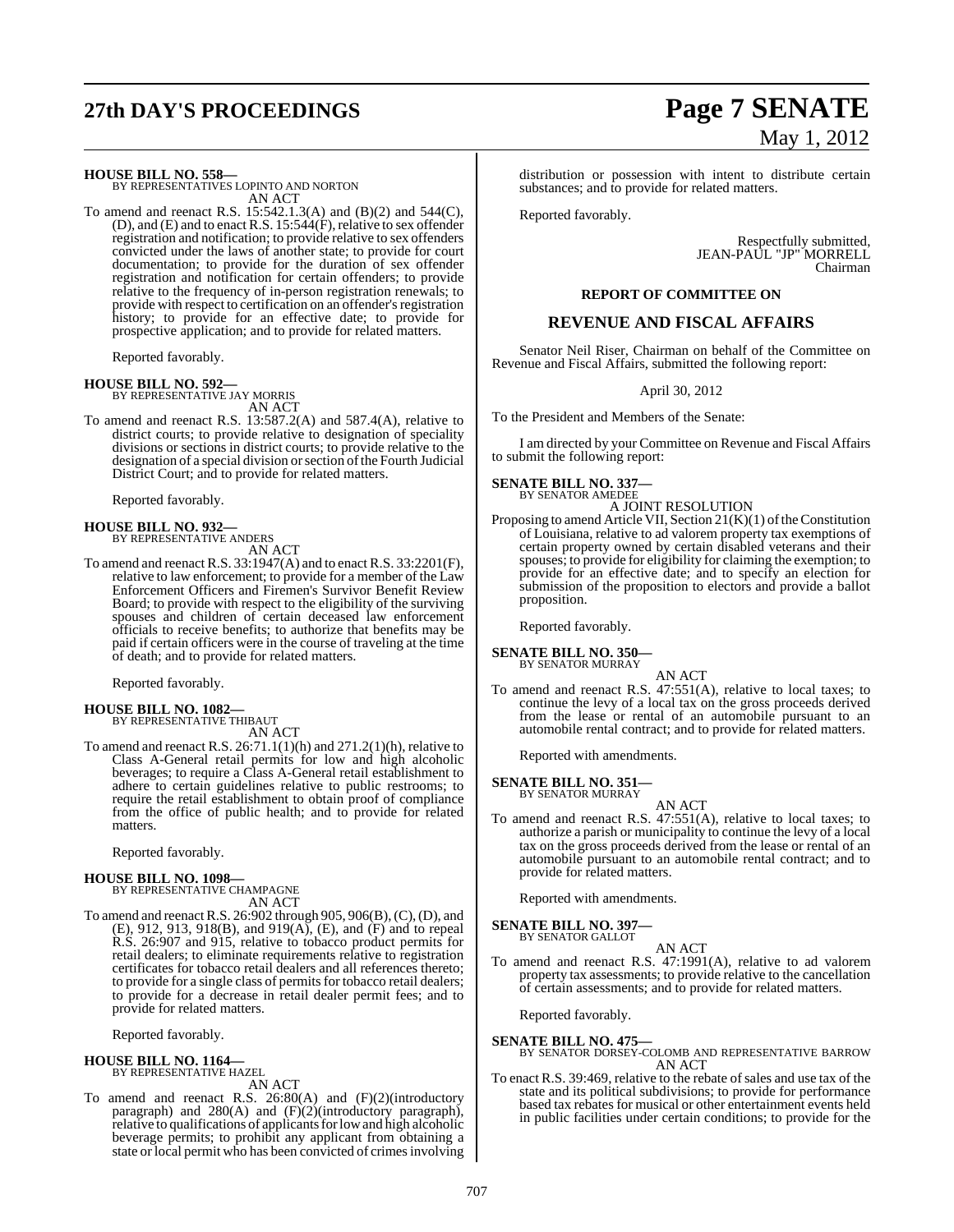# **27th DAY'S PROCEEDINGS Page 7 SENATE**

#### **HOUSE BILL NO. 558—**

BY REPRESENTATIVES LOPINTO AND NORTON AN ACT

To amend and reenact R.S. 15:542.1.3(A) and (B)(2) and 544(C), (D), and (E) and to enact R.S. 15:544(F), relative to sex offender registration and notification; to provide relative to sex offenders convicted under the laws of another state; to provide for court documentation; to provide for the duration of sex offender registration and notification for certain offenders; to provide relative to the frequency of in-person registration renewals; to provide with respect to certification on an offender's registration history; to provide for an effective date; to provide for prospective application; and to provide for related matters.

Reported favorably.

#### **HOUSE BILL NO. 592—**

BY REPRESENTATIVE JAY MORRIS AN ACT

To amend and reenact R.S. 13:587.2(A) and 587.4(A), relative to district courts; to provide relative to designation of speciality divisions or sections in district courts; to provide relative to the designation of a special division or section of the Fourth Judicial District Court; and to provide for related matters.

Reported favorably.

#### **HOUSE BILL NO. 932—** BY REPRESENTATIVE ANDERS

AN ACT

To amend and reenact R.S. 33:1947(A) and to enact R.S. 33:2201(F), relative to law enforcement; to provide for a member of the Law Enforcement Officers and Firemen's Survivor Benefit Review Board; to provide with respect to the eligibility of the surviving spouses and children of certain deceased law enforcement officials to receive benefits; to authorize that benefits may be paid if certain officers were in the course of traveling at the time of death; and to provide for related matters.

Reported favorably.

**HOUSE BILL NO. 1082—** BY REPRESENTATIVE THIBAUT AN ACT

To amend and reenact R.S.  $26:71.1(1)(h)$  and  $271.2(1)(h)$ , relative to Class A-General retail permits for low and high alcoholic beverages; to require a Class A-General retail establishment to adhere to certain guidelines relative to public restrooms; to require the retail establishment to obtain proof of compliance from the office of public health; and to provide for related matters.

Reported favorably.

#### **HOUSE BILL NO. 1098—**

BY REPRESENTATIVE CHAMPAGNE AN ACT

To amend and reenactR.S. 26:902 through 905, 906(B),(C),(D), and (E), 912, 913, 918(B), and 919(A), (E), and (F) and to repeal R.S. 26:907 and 915, relative to tobacco product permits for retail dealers; to eliminate requirements relative to registration certificates for tobacco retail dealers and all references thereto; to provide for a single class of permits for tobacco retail dealers; to provide for a decrease in retail dealer permit fees; and to provide for related matters.

Reported favorably.

## **HOUSE BILL NO. 1164—** BY REPRESENTATIVE HAZEL

AN ACT

To amend and reenact R.S. 26:80(A) and (F)(2)(introductory paragraph) and 280(A) and (F)(2)(introductory paragraph), relative to qualifications of applicants for low and high alcoholic beverage permits; to prohibit any applicant from obtaining a state or local permit who has been convicted of crimes involving

# May 1, 2012

distribution or possession with intent to distribute certain substances; and to provide for related matters.

Reported favorably.

Respectfully submitted, JEAN-PAUL "JP" MORRELL Chairman

#### **REPORT OF COMMITTEE ON**

### **REVENUE AND FISCAL AFFAIRS**

Senator Neil Riser, Chairman on behalf of the Committee on Revenue and Fiscal Affairs, submitted the following report:

April 30, 2012

To the President and Members of the Senate:

I am directed by your Committee on Revenue and Fiscal Affairs to submit the following report:

#### **SENATE BILL NO. 337—** BY SENATOR AMEDEE

A JOINT RESOLUTION

Proposing to amend Article VII, Section  $21(K)(1)$  of the Constitution of Louisiana, relative to ad valorem property tax exemptions of certain property owned by certain disabled veterans and their spouses; to provide for eligibility for claiming the exemption; to provide for an effective date; and to specify an election for submission of the proposition to electors and provide a ballot proposition.

Reported favorably.

#### **SENATE BILL NO. 350—** BY SENATOR MURRAY

AN ACT

To amend and reenact R.S. 47:551(A), relative to local taxes; to continue the levy of a local tax on the gross proceeds derived from the lease or rental of an automobile pursuant to an automobile rental contract; and to provide for related matters.

Reported with amendments.

#### **SENATE BILL NO. 351—** BY SENATOR MURRAY

AN ACT To amend and reenact R.S. 47:551(A), relative to local taxes; to authorize a parish or municipality to continue the levy of a local tax on the gross proceeds derived from the lease or rental of an automobile pursuant to an automobile rental contract; and to provide for related matters.

Reported with amendments.

#### **SENATE BILL NO. 397** BY SENATOR GALLOT

AN ACT

To amend and reenact R.S. 47:1991(A), relative to ad valorem property tax assessments; to provide relative to the cancellation of certain assessments; and to provide for related matters.

Reported favorably.

**SENATE BILL NO. 475—** BY SENATOR DORSEY-COLOMB AND REPRESENTATIVE BARROW AN ACT

To enact R.S. 39:469, relative to the rebate of sales and use tax of the state and its political subdivisions; to provide for performance based tax rebates for musical or other entertainment events held in public facilities under certain conditions; to provide for the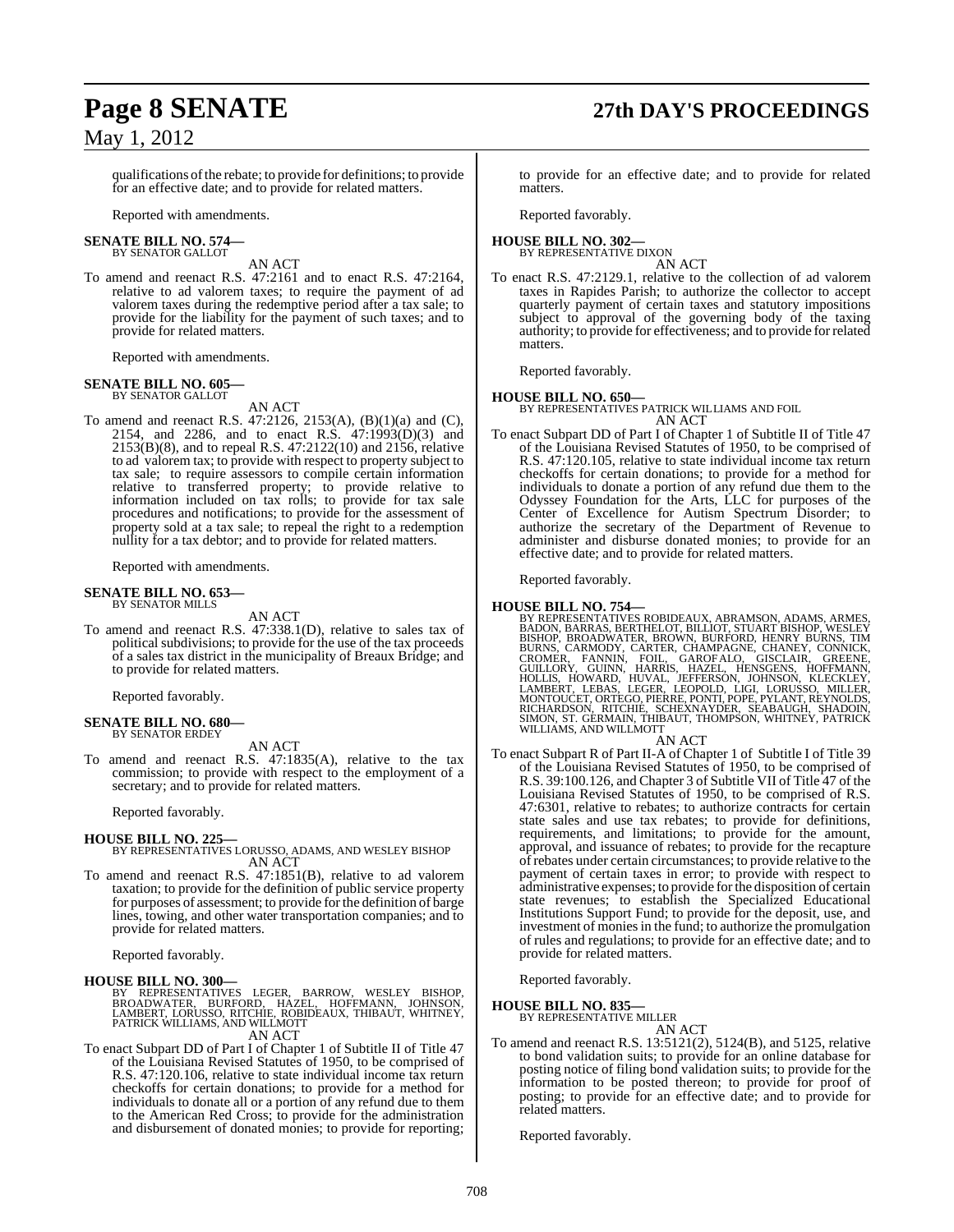# **Page 8 SENATE 27th DAY'S PROCEEDINGS**

qualifications of the rebate; to provide for definitions; to provide for an effective date; and to provide for related matters.

Reported with amendments.

#### **SENATE BILL NO. 574—** BY SENATOR GALLOT

AN ACT

To amend and reenact R.S. 47:2161 and to enact R.S. 47:2164, relative to ad valorem taxes; to require the payment of ad valorem taxes during the redemptive period after a tax sale; to provide for the liability for the payment of such taxes; and to provide for related matters.

Reported with amendments.

## **SENATE BILL NO. 605—** BY SENATOR GALLOT

AN ACT

To amend and reenact R.S. 47:2126, 2153(A), (B)(1)(a) and (C), 2154, and 2286, and to enact R.S. 47:1993(D)(3) and 2153(B)(8), and to repeal R.S. 47:2122(10) and 2156, relative to ad valorem tax; to provide with respect to property subject to tax sale; to require assessors to compile certain information relative to transferred property; to provide relative to information included on tax rolls; to provide for tax sale procedures and notifications; to provide for the assessment of property sold at a tax sale; to repeal the right to a redemption nullity for a tax debtor; and to provide for related matters.

Reported with amendments.

# **SENATE BILL NO. 653—** BY SENATOR MILLS

AN ACT

To amend and reenact R.S. 47:338.1(D), relative to sales tax of political subdivisions; to provide for the use of the tax proceeds of a sales tax district in the municipality of Breaux Bridge; and to provide for related matters.

Reported favorably.

#### **SENATE BILL NO. 680—** BY SENATOR ERDEY

AN ACT

To amend and reenact R.S. 47:1835(A), relative to the tax commission; to provide with respect to the employment of a secretary; and to provide for related matters.

Reported favorably.

#### **HOUSE BILL NO. 225—**

BY REPRESENTATIVES LORUSSO, ADAMS, AND WESLEY BISHOP AN ACT

To amend and reenact R.S. 47:1851(B), relative to ad valorem taxation; to provide for the definition of public service property for purposes of assessment; to provide forthe definition of barge lines, towing, and other water transportation companies; and to provide for related matters.

Reported favorably.

#### **HOUSE BILL NO. 300—**

BY REPRESENTATIVES LEGER, BARROW, WESLEY BISHOP,<br>BROADWATER, BURFORD, HAZEL, HOFFMANN, JOHNSON,<br>LAMBERT,LORUSSO,RITCHIE,ROBIDEAUX,THIBAUT,WHITNEY,<br>PATRICKWILLIAMS,ANDWILLMOTT AN ACT

- To enact Subpart DD of Part I of Chapter 1 of Subtitle II of Title 47
- of the Louisiana Revised Statutes of 1950, to be comprised of R.S. 47:120.106, relative to state individual income tax return checkoffs for certain donations; to provide for a method for individuals to donate all or a portion of any refund due to them to the American Red Cross; to provide for the administration and disbursement of donated monies; to provide for reporting;

to provide for an effective date; and to provide for related matters.

Reported favorably.

#### **HOUSE BILL NO. 302—** BY REPRESENTATIVE DIXON

AN ACT

To enact R.S. 47:2129.1, relative to the collection of ad valorem taxes in Rapides Parish; to authorize the collector to accept quarterly payment of certain taxes and statutory impositions subject to approval of the governing body of the taxing authority; to provide for effectiveness; and to provide forrelated matters.

Reported favorably.

#### **HOUSE BILL NO. 650—**

BY REPRESENTATIVES PATRICK WILLIAMS AND FOIL AN ACT

To enact Subpart DD of Part I of Chapter 1 of Subtitle II of Title 47 of the Louisiana Revised Statutes of 1950, to be comprised of R.S. 47:120.105, relative to state individual income tax return checkoffs for certain donations; to provide for a method for individuals to donate a portion of any refund due them to the Odyssey Foundation for the Arts, LLC for purposes of the Center of Excellence for Autism Spectrum Disorder; to authorize the secretary of the Department of Revenue to administer and disburse donated monies; to provide for an effective date; and to provide for related matters.

Reported favorably.

HOUSE BILL NO. 754—<br>BY REPRESENTATIVES ROBIDEAUX, ABRAMSON, ADAMS, ARMES, BADON, BARRAS, BERTHELOT, BILLIOT, STUART BISHOP, WESLEY<br>BISHOP, BROADWATER, BROWN, BURFORD, HENRY BURNS, TIM<br>BURNS, CARMODY, CARTER, CHAMPAGNE, CHA WILLIAMS, AND WILLMOTT

### AN ACT

To enact Subpart R of Part II-A of Chapter 1 of Subtitle I of Title 39 of the Louisiana Revised Statutes of 1950, to be comprised of R.S. 39:100.126, and Chapter 3 of Subtitle VII of Title 47 of the Louisiana Revised Statutes of 1950, to be comprised of R.S. 47:6301, relative to rebates; to authorize contracts for certain state sales and use tax rebates; to provide for definitions, requirements, and limitations; to provide for the amount, approval, and issuance of rebates; to provide for the recapture of rebates under certain circumstances; to provide relative to the payment of certain taxes in error; to provide with respect to administrative expenses; to provide forthe disposition of certain state revenues; to establish the Specialized Educational Institutions Support Fund; to provide for the deposit, use, and investment of monies in the fund; to authorize the promulgation of rules and regulations; to provide for an effective date; and to provide for related matters.

Reported favorably.

#### **HOUSE BILL NO. 835—** BY REPRESENTATIVE MILLER

AN ACT

To amend and reenact R.S. 13:5121(2), 5124(B), and 5125, relative to bond validation suits; to provide for an online database for posting notice of filing bond validation suits; to provide for the information to be posted thereon; to provide for proof of posting; to provide for an effective date; and to provide for related matters.

Reported favorably.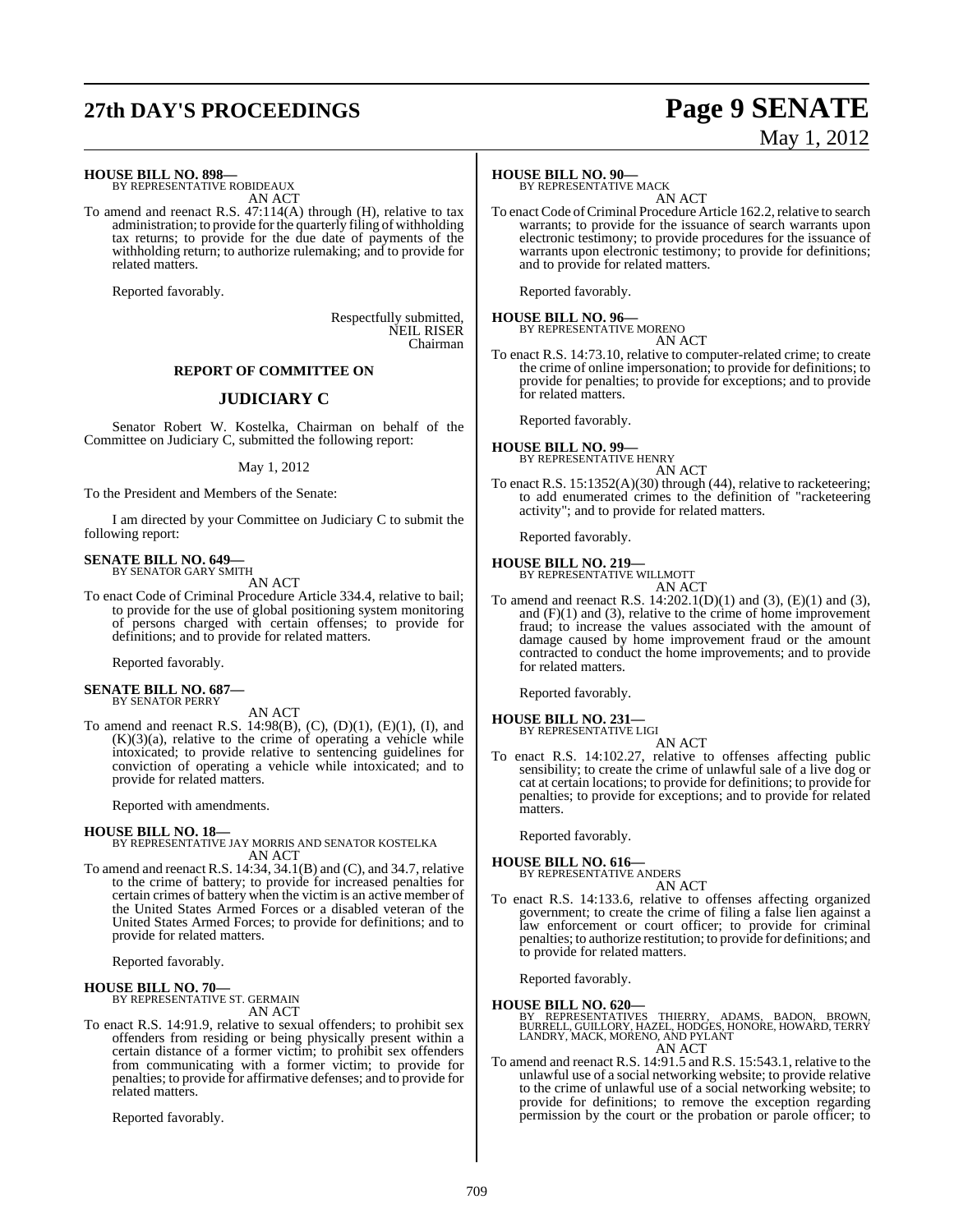# **27th DAY'S PROCEEDINGS Page 9 SENATE**

# May 1, 2012

#### **HOUSE BILL NO. 898—**

BY REPRESENTATIVE ROBIDEAUX AN ACT

To amend and reenact R.S. 47:114(A) through (H), relative to tax administration; to provide forthe quarterly filing of withholding tax returns; to provide for the due date of payments of the withholding return; to authorize rulemaking; and to provide for related matters.

Reported favorably.

Respectfully submitted, NEIL RISER Chairman

#### **REPORT OF COMMITTEE ON**

#### **JUDICIARY C**

Senator Robert W. Kostelka, Chairman on behalf of the Committee on Judiciary C, submitted the following report:

#### May 1, 2012

To the President and Members of the Senate:

I am directed by your Committee on Judiciary C to submit the following report:

#### **SENATE BILL NO. 649—** BY SENATOR GARY SMITH

AN ACT

To enact Code of Criminal Procedure Article 334.4, relative to bail; to provide for the use of global positioning system monitoring of persons charged with certain offenses; to provide for definitions; and to provide for related matters.

Reported favorably.

#### **SENATE BILL NO. 687—** BY SENATOR PERRY

AN ACT

To amend and reenact R.S. 14:98(B),  $(C)$ ,  $(D)(1)$ ,  $(E)(1)$ ,  $(I)$ , and  $(K)(3)(a)$ , relative to the crime of operating a vehicle while intoxicated; to provide relative to sentencing guidelines for conviction of operating a vehicle while intoxicated; and to provide for related matters.

Reported with amendments.

#### **HOUSE BILL NO. 18—**

BY REPRESENTATIVE JAY MORRIS AND SENATOR KOSTELKA AN ACT

To amend and reenact R.S. 14:34, 34.1(B) and (C), and 34.7, relative to the crime of battery; to provide for increased penalties for certain crimes of battery when the victim is an active member of the United States Armed Forces or a disabled veteran of the United States Armed Forces; to provide for definitions; and to provide for related matters.

Reported favorably.

**HOUSE BILL NO. 70—** BY REPRESENTATIVE ST. GERMAIN AN ACT

To enact R.S. 14:91.9, relative to sexual offenders; to prohibit sex offenders from residing or being physically present within a certain distance of a former victim; to prohibit sex offenders from communicating with a former victim; to provide for penalties; to provide for affirmative defenses; and to provide for related matters.

Reported favorably.

## **HOUSE BILL NO. 90—**

BY REPRESENTATIVE MACK AN ACT

To enact Code of Criminal Procedure Article 162.2, relative to search warrants; to provide for the issuance of search warrants upon electronic testimony; to provide procedures for the issuance of warrants upon electronic testimony; to provide for definitions; and to provide for related matters.

Reported favorably.

## **HOUSE BILL NO. 96—** BY REPRESENTATIVE MORENO

AN ACT

To enact R.S. 14:73.10, relative to computer-related crime; to create the crime of online impersonation; to provide for definitions; to provide for penalties; to provide for exceptions; and to provide for related matters.

Reported favorably.

#### **HOUSE BILL NO. 99—** BY REPRESENTATIVE HENRY

AN ACT

To enact R.S. 15:1352(A)(30) through (44), relative to racketeering; to add enumerated crimes to the definition of "racketeering activity"; and to provide for related matters.

Reported favorably.

## **HOUSE BILL NO. 219—** BY REPRESENTATIVE WILLMOTT

AN ACT

To amend and reenact R.S. 14:202.1(D)(1) and (3), (E)(1) and (3), and  $(F)(1)$  and  $(3)$ , relative to the crime of home improvement fraud; to increase the values associated with the amount of damage caused by home improvement fraud or the amount contracted to conduct the home improvements; and to provide for related matters.

Reported favorably.

#### **HOUSE BILL NO. 231—** BY REPRESENTATIVE LIGI

AN ACT

To enact R.S. 14:102.27, relative to offenses affecting public sensibility; to create the crime of unlawful sale of a live dog or cat at certain locations; to provide for definitions; to provide for penalties; to provide for exceptions; and to provide for related matters.

Reported favorably.

## **HOUSE BILL NO. 616—**

BY REPRESENTATIVE ANDERS AN ACT

To enact R.S. 14:133.6, relative to offenses affecting organized government; to create the crime of filing a false lien against a law enforcement or court officer; to provide for criminal penalties; to authorize restitution; to provide for definitions; and to provide for related matters.

Reported favorably.

**HOUSE BILL NO. 620—**<br>BY REPRESENTATIVES THIERRY, ADAMS, BADON, BROWN,<br>BURRELL, GUILLORY, HAZEL, HODGES, HONORE, HOWARD, TERRY<br>LANDRY, MACK, MORENO, AND PYLANT AN ACT

To amend and reenact R.S. 14:91.5 and R.S. 15:543.1, relative to the unlawful use of a social networking website; to provide relative to the crime of unlawful use of a social networking website; to provide for definitions; to remove the exception regarding permission by the court or the probation or parole officer; to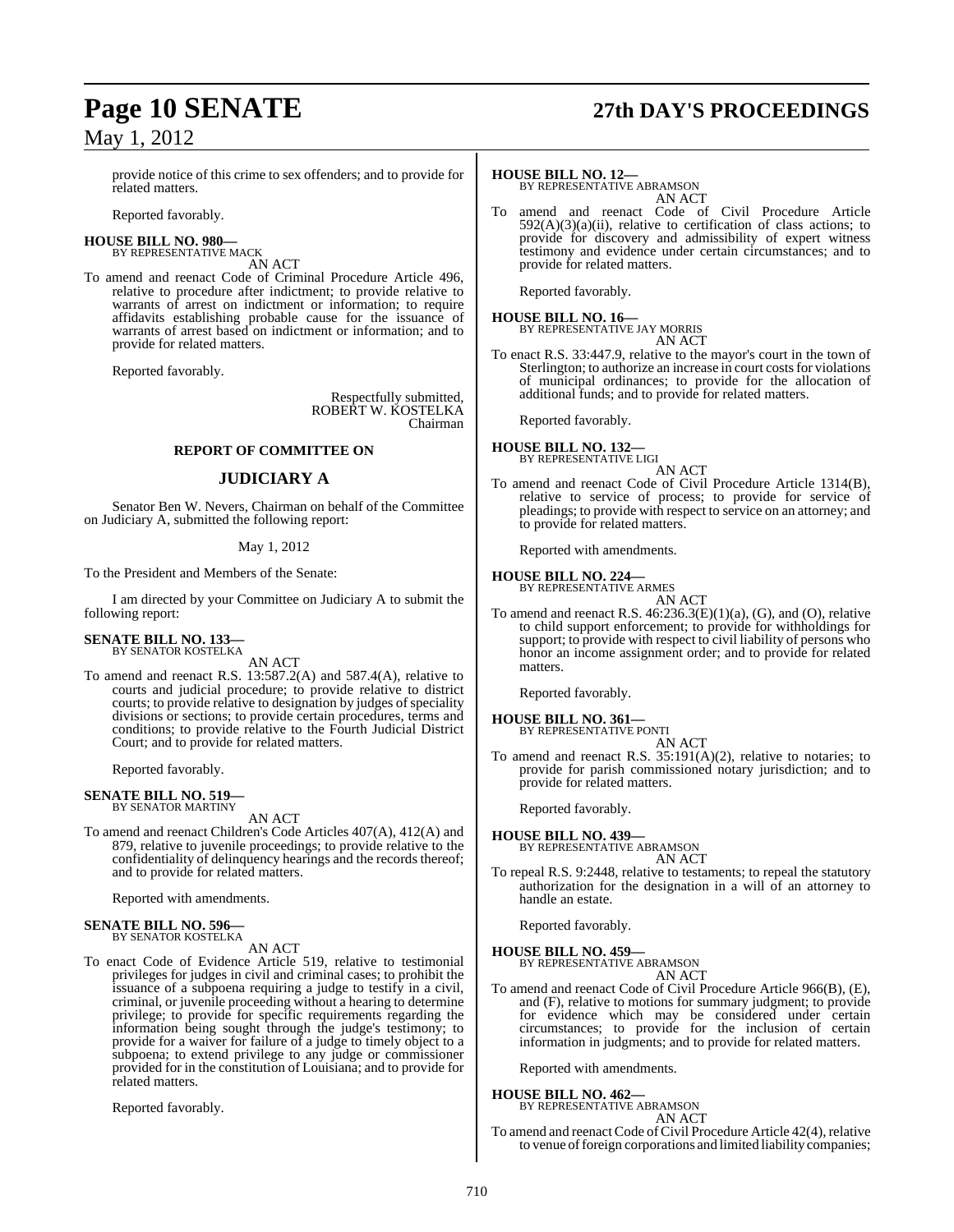#### provide notice of this crime to sex offenders; and to provide for related matters.

Reported favorably.

#### **HOUSE BILL NO. 980—** BY REPRESENTATIVE MACK

AN ACT

To amend and reenact Code of Criminal Procedure Article 496, relative to procedure after indictment; to provide relative to warrants of arrest on indictment or information; to require affidavits establishing probable cause for the issuance of warrants of arrest based on indictment or information; and to provide for related matters.

Reported favorably.

Respectfully submitted, ROBERT W. KOSTELKA Chairman

#### **REPORT OF COMMITTEE ON**

#### **JUDICIARY A**

Senator Ben W. Nevers, Chairman on behalf of the Committee on Judiciary A, submitted the following report:

#### May 1, 2012

To the President and Members of the Senate:

I am directed by your Committee on Judiciary A to submit the following report:

#### **SENATE BILL NO. 133—** BY SENATOR KOSTELKA

AN ACT

To amend and reenact R.S. 13:587.2(A) and 587.4(A), relative to courts and judicial procedure; to provide relative to district courts; to provide relative to designation by judges of speciality divisions or sections; to provide certain procedures, terms and conditions; to provide relative to the Fourth Judicial District Court; and to provide for related matters.

Reported favorably.

#### **SENATE BILL NO. 519—** BY SENATOR MARTINY

#### AN ACT

To amend and reenact Children's Code Articles 407(A), 412(A) and 879, relative to juvenile proceedings; to provide relative to the confidentiality of delinquency hearings and the records thereof; and to provide for related matters.

Reported with amendments.

#### **SENATE BILL NO. 596—** BY SENATOR KOSTELKA

#### AN ACT

To enact Code of Evidence Article 519, relative to testimonial privileges for judges in civil and criminal cases; to prohibit the issuance of a subpoena requiring a judge to testify in a civil, criminal, or juvenile proceeding without a hearing to determine privilege; to provide for specific requirements regarding the information being sought through the judge's testimony; to provide for a waiver for failure of a judge to timely object to a subpoena; to extend privilege to any judge or commissioner provided for in the constitution of Louisiana; and to provide for related matters.

Reported favorably.

# **Page 10 SENATE 27th DAY'S PROCEEDINGS**

#### **HOUSE BILL NO. 12—**

BY REPRESENTATIVE ABRAMSON AN ACT

To amend and reenact Code of Civil Procedure Article  $592(A)(3)(a)(ii)$ , relative to certification of class actions; to provide for discovery and admissibility of expert witness testimony and evidence under certain circumstances; and to provide for related matters.

Reported favorably.

## **HOUSE BILL NO. 16—** BY REPRESENTATIVE JAY MORRIS

AN ACT

To enact R.S. 33:447.9, relative to the mayor's court in the town of Sterlington; to authorize an increase in court costs for violations of municipal ordinances; to provide for the allocation of additional funds; and to provide for related matters.

Reported favorably.

#### **HOUSE BILL NO. 132—** BY REPRESENTATIVE LIGI

AN ACT

To amend and reenact Code of Civil Procedure Article 1314(B), relative to service of process; to provide for service of pleadings; to provide with respect to service on an attorney; and to provide for related matters.

Reported with amendments.

## **HOUSE BILL NO. 224—** BY REPRESENTATIVE ARMES

AN ACT

To amend and reenact R.S.  $46:236.3(E)(1)(a)$ , (G), and (O), relative to child support enforcement; to provide for withholdings for support; to provide with respect to civil liability of persons who honor an income assignment order; and to provide for related matters.

Reported favorably.

### **HOUSE BILL NO. 361—**

BY REPRESENTATIVE PONTI AN ACT

To amend and reenact R.S. 35:191(A)(2), relative to notaries; to provide for parish commissioned notary jurisdiction; and to provide for related matters.

Reported favorably.

#### **HOUSE BILL NO. 439—**

BY REPRESENTATIVE ABRAMSON AN ACT

To repeal R.S. 9:2448, relative to testaments; to repeal the statutory authorization for the designation in a will of an attorney to handle an estate.

Reported favorably.

**HOUSE BILL NO. 459—** BY REPRESENTATIVE ABRAMSON

AN ACT

To amend and reenact Code of Civil Procedure Article 966(B), (E), and (F), relative to motions for summary judgment; to provide for evidence which may be considered under certain circumstances; to provide for the inclusion of certain information in judgments; and to provide for related matters.

Reported with amendments.

## **HOUSE BILL NO. 462—** BY REPRESENTATIVE ABRAMSON

AN ACT

To amend and reenact Code of Civil Procedure Article 42(4), relative to venue of foreign corporations and limited liability companies;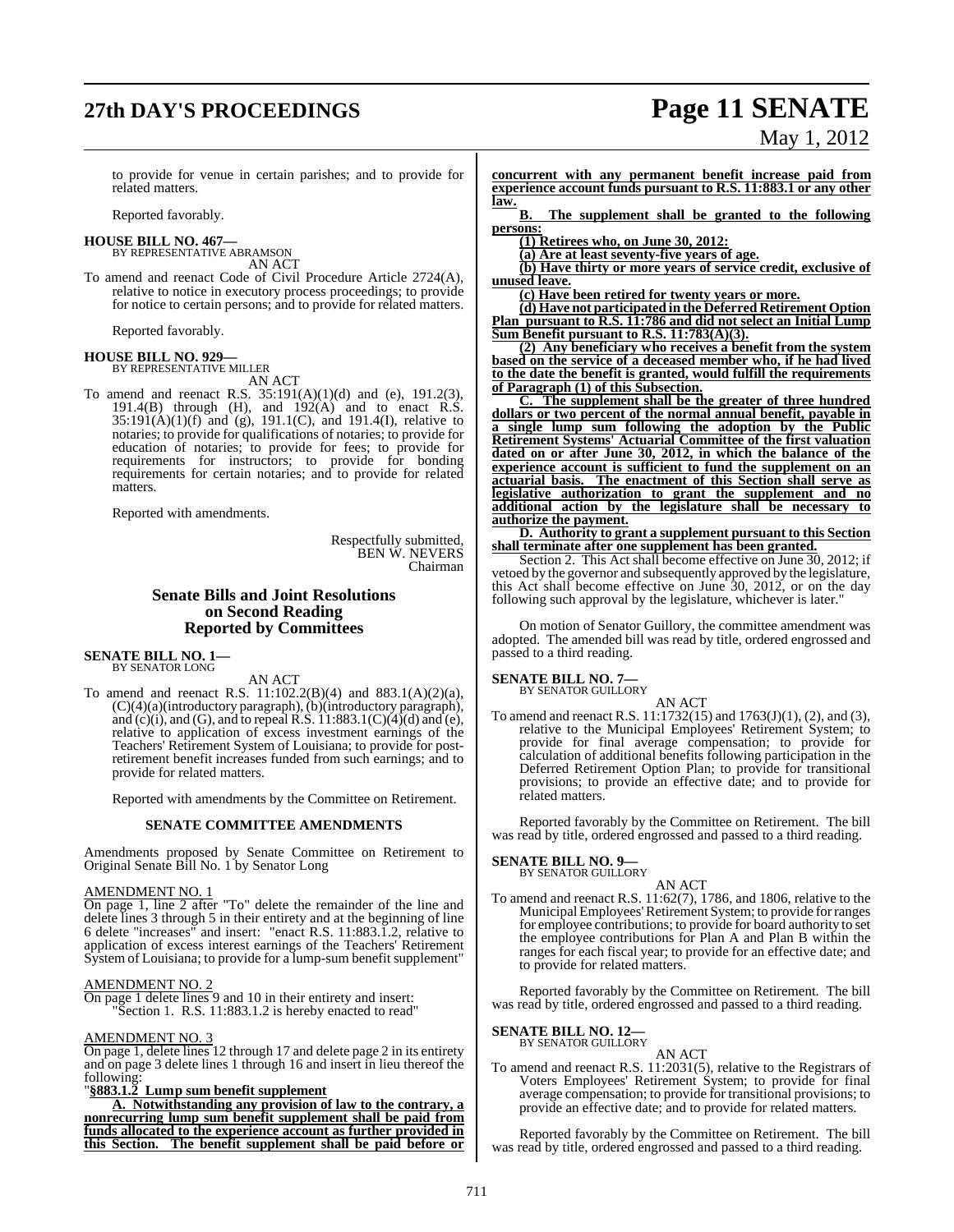# **27th DAY'S PROCEEDINGS Page 11 SENATE** May 1, 2012

to provide for venue in certain parishes; and to provide for related matters.

Reported favorably.

#### **HOUSE BILL NO. 467—** BY REPRESENTATIVE ABRAMSON

AN ACT

To amend and reenact Code of Civil Procedure Article 2724(A), relative to notice in executory process proceedings; to provide for notice to certain persons; and to provide for related matters.

Reported favorably.

#### **HOUSE BILL NO. 929—** BY REPRESENTATIVE MILLER

AN ACT

To amend and reenact R.S. 35:191(A)(1)(d) and (e), 191.2(3), 191.4(B) through (H), and  $192(A)$  and to enact R.S.  $35:191(A)(1)(f)$  and  $(g)$ , 191.1(C), and 191.4(I), relative to notaries; to provide for qualifications of notaries; to provide for education of notaries; to provide for fees; to provide for requirements for instructors; to provide for bonding requirements for certain notaries; and to provide for related matters.

Reported with amendments.

Respectfully submitted, BEN W. NEVERS Chairman

### **Senate Bills and Joint Resolutions on Second Reading Reported by Committees**

**SENATE BILL NO. 1—** BY SENATOR LONG

AN ACT

To amend and reenact R.S. 11:102.2(B)(4) and 883.1(A)(2)(a), (C)(4)(a)(introductory paragraph), (b)(introductory paragraph), and (c)(i), and (G), and to repeal R.S.  $11:883.1(C)(4)(d)$  and (e), relative to application of excess investment earnings of the Teachers' Retirement System of Louisiana; to provide for postretirement benefit increases funded from such earnings; and to provide for related matters.

Reported with amendments by the Committee on Retirement.

#### **SENATE COMMITTEE AMENDMENTS**

Amendments proposed by Senate Committee on Retirement to Original Senate Bill No. 1 by Senator Long

#### AMENDMENT NO. 1

On page 1, line 2 after "To" delete the remainder of the line and delete lines 3 through 5 in their entirety and at the beginning of line 6 delete "increases" and insert: "enact R.S. 11:883.1.2, relative to application of excess interest earnings of the Teachers' Retirement System of Louisiana; to provide for a lump-sum benefit supplement"

#### AMENDMENT NO. 2

On page 1 delete lines 9 and 10 in their entirety and insert: "Section 1. R.S. 11:883.1.2 is hereby enacted to read"

#### AMENDMENT NO. 3

On page 1, delete lines 12 through 17 and delete page 2 in its entirety and on page 3 delete lines 1 through 16 and insert in lieu thereof the following:

#### "**§883.1.2 Lump sum benefit supplement**

**A. Notwithstanding any provision of law to the contrary, a nonrecurring lump sum benefit supplement shall be paid from funds allocated to the experience account as further provided in this Section. The benefit supplement shall be paid before or**

**concurrent with any permanent benefit increase paid from experience account funds pursuant to R.S. 11:883.1 or any other law.**

**B. The supplement shall be granted to the following persons:**

**(1) Retirees who, on June 30, 2012:**

**(a) Are at least seventy-five years of age.**

**(b) Have thirty or more years of service credit, exclusive of unused leave.**

**(c) Have been retired for twenty years or more.**

**(d) Have not participated in the Deferred Retirement Option Plan pursuant to R.S. 11:786 and did not select an Initial Lump Sum Benefit pursuant to R.S. 11:783(A)(3).**

**(2) Any beneficiary who receives a benefit from the system based on the service of a deceased member who, if he had lived to the date the benefit is granted, would fulfill the requirements of Paragraph (1) of this Subsection.**

**C. The supplement shall be the greater of three hundred dollars or two percent of the normal annual benefit, payable in a single lump sum following the adoption by the Public Retirement Systems' Actuarial Committee of the first valuation dated on or after June 30, 2012, in which the balance of the experience account is sufficient to fund the supplement on an actuarial basis. The enactment of this Section shall serve as legislative authorization to grant the supplement and no additional action by the legislature shall be necessary to authorize the payment.**

#### **D. Authority to grant a supplement pursuant to this Section shall terminate after one supplement has been granted.**

Section 2. This Act shall become effective on June 30, 2012; if vetoed by the governor and subsequently approved by the legislature, this Act shall become effective on June 30, 2012, or on the day following such approval by the legislature, whichever is later."

On motion of Senator Guillory, the committee amendment was adopted. The amended bill was read by title, ordered engrossed and passed to a third reading.

## **SENATE BILL NO. 7—**<br>BY SENATOR GUILLORY

AN ACT To amend and reenact R.S. 11:1732(15) and 1763(J)(1), (2), and (3), relative to the Municipal Employees' Retirement System; to provide for final average compensation; to provide for calculation of additional benefits following participation in the Deferred Retirement Option Plan; to provide for transitional provisions; to provide an effective date; and to provide for related matters.

Reported favorably by the Committee on Retirement. The bill was read by title, ordered engrossed and passed to a third reading.

## **SENATE BILL NO. 9—**<br>BY SENATOR GUILLORY

- AN ACT
- To amend and reenact R.S. 11:62(7), 1786, and 1806, relative to the MunicipalEmployees'Retirement System; to provide forranges for employee contributions; to provide for board authority to set the employee contributions for Plan A and Plan B within the ranges for each fiscal year; to provide for an effective date; and to provide for related matters.

Reported favorably by the Committee on Retirement. The bill was read by title, ordered engrossed and passed to a third reading.

#### **SENATE BILL NO. 12—** BY SENATOR GUILLORY

AN ACT

To amend and reenact R.S. 11:2031(5), relative to the Registrars of Voters Employees' Retirement System; to provide for final average compensation; to provide for transitional provisions; to provide an effective date; and to provide for related matters.

Reported favorably by the Committee on Retirement. The bill was read by title, ordered engrossed and passed to a third reading.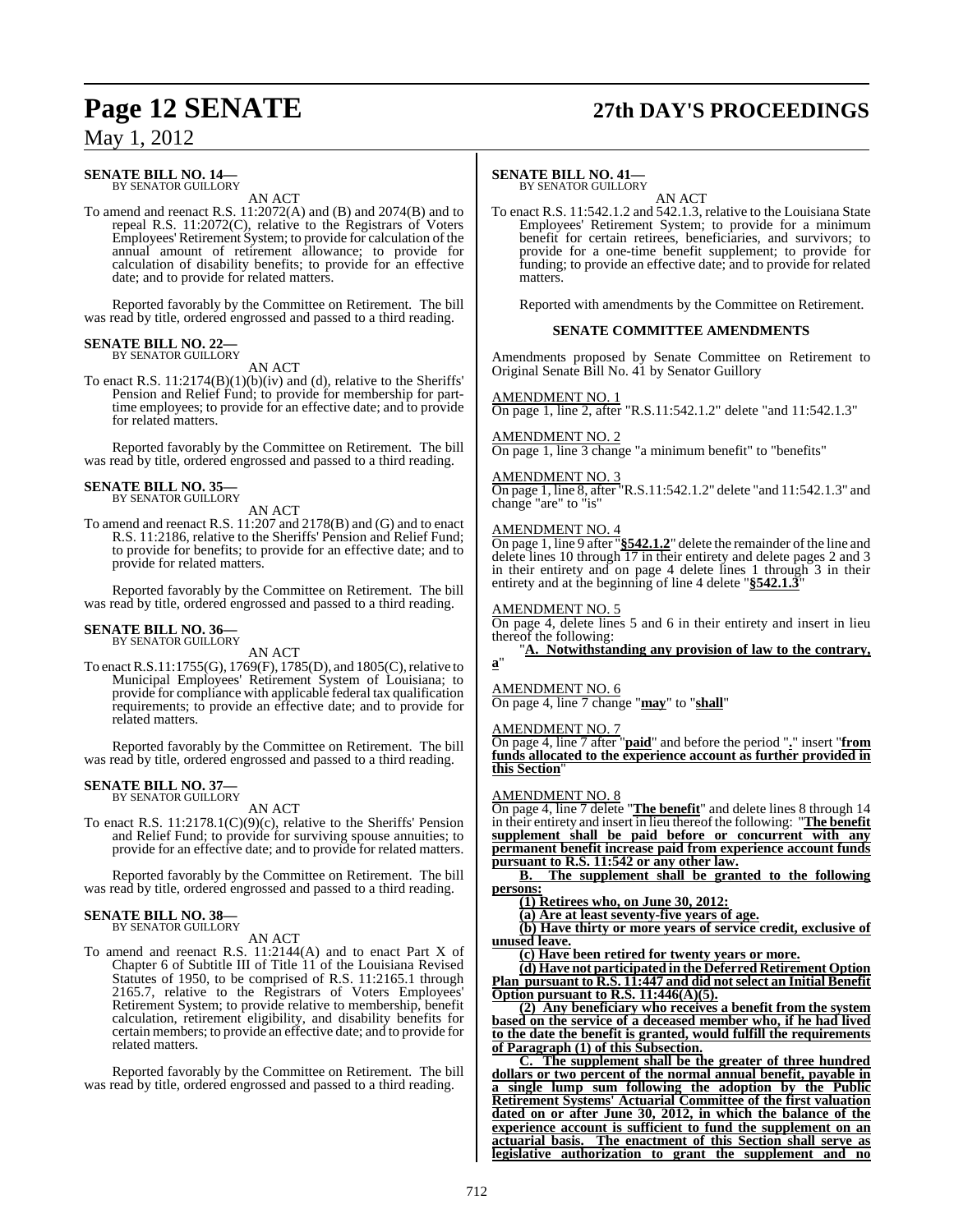# **Page 12 SENATE 27th DAY'S PROCEEDINGS**

## May 1, 2012

## **SENATE BILL NO. 14—**<br>BY SENATOR GUILLORY

AN ACT

To amend and reenact R.S. 11:2072(A) and (B) and 2074(B) and to repeal R.S. 11:2072(C), relative to the Registrars of Voters Employees' Retirement System; to provide for calculation of the annual amount of retirement allowance; to provide for calculation of disability benefits; to provide for an effective date; and to provide for related matters.

Reported favorably by the Committee on Retirement. The bill was read by title, ordered engrossed and passed to a third reading.

#### **SENATE BILL NO. 22—** BY SENATOR GUILLORY

AN ACT

To enact R.S. 11:2174(B)(1)(b)(iv) and (d), relative to the Sheriffs' Pension and Relief Fund; to provide for membership for parttime employees; to provide for an effective date; and to provide for related matters.

Reported favorably by the Committee on Retirement. The bill was read by title, ordered engrossed and passed to a third reading.

# **SENATE BILL NO. 35—**<br>BY SENATOR GUILLORY

AN ACT

To amend and reenact R.S. 11:207 and 2178(B) and (G) and to enact R.S. 11:2186, relative to the Sheriffs' Pension and Relief Fund; to provide for benefits; to provide for an effective date; and to provide for related matters.

Reported favorably by the Committee on Retirement. The bill was read by title, ordered engrossed and passed to a third reading.

## **SENATE BILL NO. 36—**<br>BY SENATOR GUILLORY

AN ACT

To enactR.S.11:1755(G), 1769(F), 1785(D), and 1805(C),relative to Municipal Employees' Retirement System of Louisiana; to provide for compliance with applicable federal tax qualification requirements; to provide an effective date; and to provide for related matters.

Reported favorably by the Committee on Retirement. The bill was read by title, ordered engrossed and passed to a third reading.

## **SENATE BILL NO. 37—**<br>BY SENATOR GUILLORY

AN ACT

To enact R.S. 11:2178.1(C)(9)(c), relative to the Sheriffs' Pension and Relief Fund; to provide for surviving spouse annuities; to provide for an effective date; and to provide for related matters.

Reported favorably by the Committee on Retirement. The bill was read by title, ordered engrossed and passed to a third reading.

#### **SENATE BILL NO. 38—** BY SENATOR GUILLORY

AN ACT

To amend and reenact R.S. 11:2144(A) and to enact Part X of Chapter 6 of Subtitle III of Title 11 of the Louisiana Revised Statutes of 1950, to be comprised of R.S. 11:2165.1 through 2165.7, relative to the Registrars of Voters Employees' Retirement System; to provide relative to membership, benefit calculation, retirement eligibility, and disability benefits for certain members; to provide an effective date; and to provide for related matters.

Reported favorably by the Committee on Retirement. The bill was read by title, ordered engrossed and passed to a third reading.

#### **SENATE BILL NO. 41—**

BY SENATOR GUILLORY

AN ACT To enact R.S. 11:542.1.2 and 542.1.3, relative to the Louisiana State Employees' Retirement System; to provide for a minimum benefit for certain retirees, beneficiaries, and survivors; to provide for a one-time benefit supplement; to provide for funding; to provide an effective date; and to provide for related matters.

Reported with amendments by the Committee on Retirement.

#### **SENATE COMMITTEE AMENDMENTS**

Amendments proposed by Senate Committee on Retirement to Original Senate Bill No. 41 by Senator Guillory

AMENDMENT NO. 1 On page 1, line 2, after "R.S.11:542.1.2" delete "and 11:542.1.3"

AMENDMENT NO. 2

On page 1, line 3 change "a minimum benefit" to "benefits"

#### AMENDMENT NO. 3

On page 1, line 8, after "R.S.11:542.1.2" delete "and 11:542.1.3" and change "are" to "is"

#### AMENDMENT NO. 4

On page 1, line 9 after "**§542.1.2**" delete the remainder ofthe line and delete lines 10 through 17 in their entirety and delete pages 2 and 3 in their entirety and on page 4 delete lines 1 through 3 in their entirety and at the beginning of line 4 delete "**§542.1.3**"

#### AMENDMENT NO. 5

On page 4, delete lines 5 and 6 in their entirety and insert in lieu thereof the following:

"**A. Notwithstanding any provision of law to the contrary, a**"

#### AMENDMENT NO. 6

On page 4, line 7 change "**may**" to "**shall**"

#### AMENDMENT NO. 7

On page 4, line 7 after "**paid**" and before the period "**.**" insert "**from funds allocated to the experience account as further provided in this Section**"

#### AMENDMENT NO. 8

On page 4, line 7 delete "**The benefit**" and delete lines 8 through 14 in their entirety and insert in lieu thereof the following: "**The benefit supplement shall be paid before or concurrent with any permanent benefit increase paid from experience account funds pursuant to R.S. 11:542 or any other law.**

**B. The supplement shall be granted to the following persons:**

**(1) Retirees who, on June 30, 2012:**

**(a) Are at least seventy-five years of age.**

**(b) Have thirty or more years of service credit, exclusive of unused leave.**

**(c) Have been retired for twenty years or more.**

**(d) Have not participated in the Deferred Retirement Option Plan pursuant to R.S. 11:447 and did not select an Initial Benefit Option pursuant to R.S. 11:446(A)(5).**

**(2) Any beneficiary who receives a benefit from the system based on the service of a deceased member who, if he had lived to the date the benefit is granted, would fulfill the requirements of Paragraph (1) of this Subsection.**

**C. The supplement shall be the greater of three hundred dollars or two percent of the normal annual benefit, payable in a single lump sum following the adoption by the Public Retirement Systems' Actuarial Committee of the first valuation dated on or after June 30, 2012, in which the balance of the experience account is sufficient to fund the supplement on an actuarial basis. The enactment of this Section shall serve as legislative authorization to grant the supplement and no**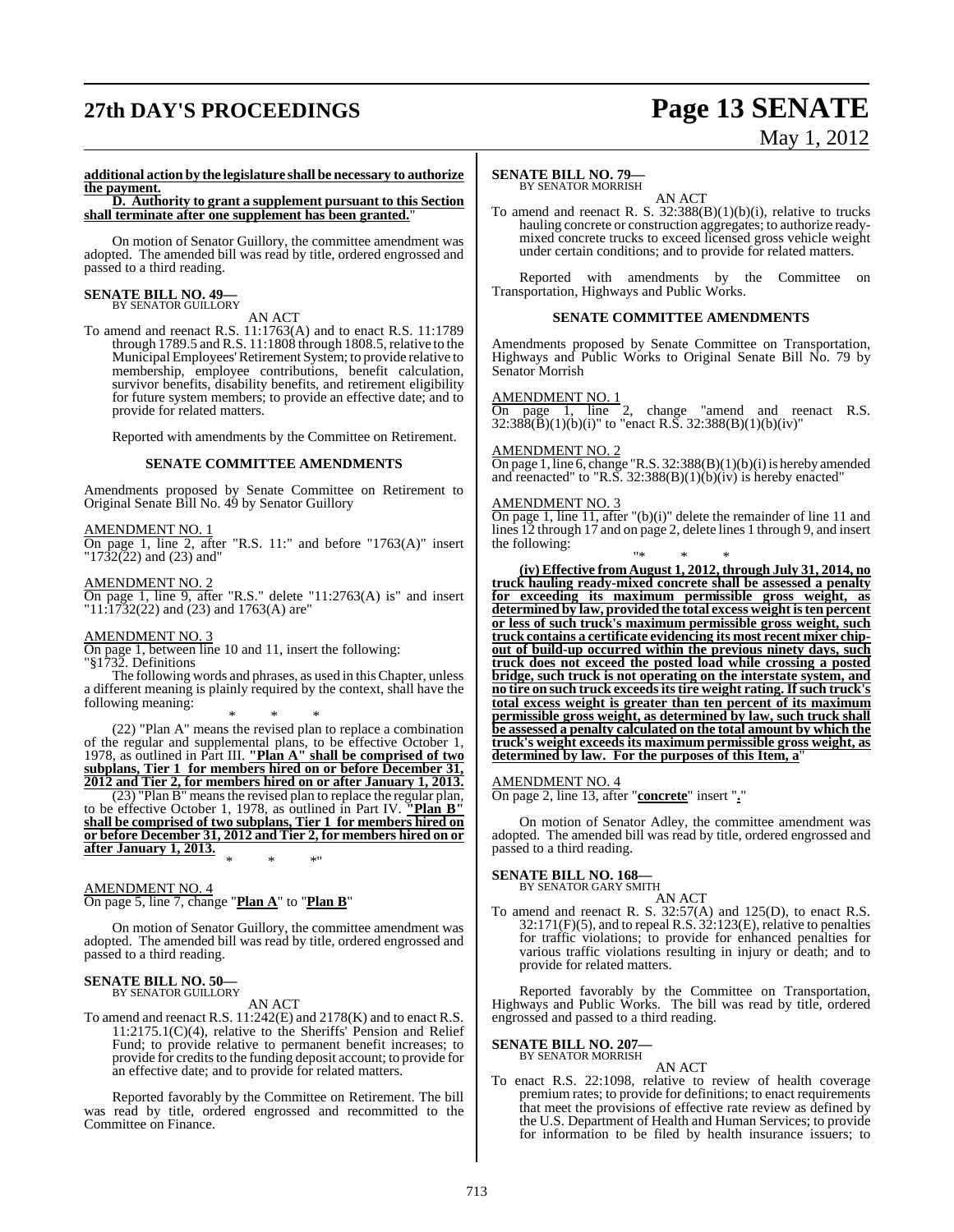# **27th DAY'S PROCEEDINGS Page 13 SENATE**

# May 1, 2012

#### **additional action by the legislature shall be necessary to authorize the payment.**

**D. Authority to grant a supplement pursuant to this Section shall terminate after one supplement has been granted.**"

On motion of Senator Guillory, the committee amendment was adopted. The amended bill was read by title, ordered engrossed and passed to a third reading.

#### **SENATE BILL NO. 49—** BY SENATOR GUILLORY

### AN ACT

To amend and reenact R.S. 11:1763(A) and to enact R.S. 11:1789 through 1789.5 and R.S. 11:1808 through 1808.5,relative to the Municipal Employees'Retirement System; to provide relative to membership, employee contributions, benefit calculation, survivor benefits, disability benefits, and retirement eligibility for future system members; to provide an effective date; and to provide for related matters.

Reported with amendments by the Committee on Retirement.

#### **SENATE COMMITTEE AMENDMENTS**

Amendments proposed by Senate Committee on Retirement to Original Senate Bill No. 49 by Senator Guillory

#### AMENDMENT NO. 1

 $\overline{\text{On page 1, line 2, after "R.S. 11:" and before "1763(A)" insert}}$  $"1732(22)$  and (23) and"

#### AMENDMENT NO. 2

On page 1, line 9, after "R.S." delete "11:2763(A) is" and insert "11:1732(22) and (23) and 1763(A) are"

#### AMENDMENT NO. 3

On page 1, between line 10 and 11, insert the following: "§1732. Definitions

The following words and phrases, as used in thisChapter, unless a different meaning is plainly required by the context, shall have the following meaning:

\* \* \* (22) "Plan A" means the revised plan to replace a combination of the regular and supplemental plans, to be effective October 1, 1978, as outlined in Part III. **"Plan A" shall be comprised of two subplans, Tier 1 for members hired on or before December 31, 2012 and Tier 2, for members hired on or after January 1, 2013.**

(23) "Plan B" means the revised plan to replace the regular plan, to be effective October 1, 1978, as outlined in Part IV. **"Plan B" shall be comprised of two subplans, Tier 1 for members hired on or before December 31, 2012 and Tier 2, for members hired on or after January 1, 2013.** \* \* \*"

#### AMENDMENT NO. 4 On page 5, line 7, change "**Plan A**" to "**Plan B**"

On motion of Senator Guillory, the committee amendment was adopted. The amended bill was read by title, ordered engrossed and passed to a third reading.

#### **SENATE BILL NO. 50—** BY SENATOR GUILLORY

#### AN ACT

To amend and reenact R.S. 11:242(E) and 2178(K) and to enact R.S. 11:2175.1(C)(4), relative to the Sheriffs' Pension and Relief Fund; to provide relative to permanent benefit increases; to provide for credits to the funding deposit account; to provide for an effective date; and to provide for related matters.

Reported favorably by the Committee on Retirement. The bill was read by title, ordered engrossed and recommitted to the Committee on Finance.

#### **SENATE BILL NO. 79—** BY SENATOR MORRISH

## AN ACT

To amend and reenact R. S.  $32:388(B)(1)(b)(i)$ , relative to trucks hauling concrete or construction aggregates; to authorize readymixed concrete trucks to exceed licensed gross vehicle weight under certain conditions; and to provide for related matters.

Reported with amendments by the Committee on Transportation, Highways and Public Works.

#### **SENATE COMMITTEE AMENDMENTS**

Amendments proposed by Senate Committee on Transportation, Highways and Public Works to Original Senate Bill No. 79 by Senator Morrish

#### AMENDMENT NO. 1

On page 1, line 2, change "amend and reenact R.S.  $32:388(B)(1)(b)(i)$ " to "enact R.S.  $32:388(B)(1)(b)(iv)$ "

#### <u>AMENDMENT NO. 2</u>

On page 1, line 6, change "R.S.  $32:388(B)(1)(b)(i)$  is hereby amended and reenacted" to "R.S.  $32:388(B)(1)(b)(iv)$  is hereby enacted"

#### AMENDMENT NO. 3

On page 1, line 11, after  $\lq(b)(i)$ " delete the remainder of line 11 and lines 12 through 17 and on page 2, delete lines 1 through 9, and insert the following:

"\* \* \* **(iv) Effective from August 1, 2012, through July 31, 2014, no truck hauling ready-mixed concrete shall be assessed a penalty for exceeding its maximum permissible gross weight, as determined by law, provided the total excess weight isten percent or less of such truck's maximum permissible gross weight, such truck contains a certificate evidencing its most recent mixer chipout of build-up occurred within the previous ninety days, such truck does not exceed the posted load while crossing a posted bridge, such truck is not operating on the interstate system, and no tire on such truck exceedsitstire weight rating.Ifsuch truck's total excess weight is greater than ten percent of its maximum permissible gross weight, as determined by law, such truck shall be assessed a penalty calculated on the total amount by which the truck's weight exceeds its maximum permissible gross weight, as determined by law. For the purposes of this Item, a**"

#### AMENDMENT NO. 4

On page 2, line 13, after "**concrete**" insert "**.**"

On motion of Senator Adley, the committee amendment was adopted. The amended bill was read by title, ordered engrossed and passed to a third reading.

#### **SENATE BILL NO. 168—**

BY SENATOR GARY SMITH

AN ACT To amend and reenact R. S. 32:57(A) and 125(D), to enact R.S. 32:171(F)(5), and to repeal R.S. 32:123(E), relative to penalties for traffic violations; to provide for enhanced penalties for various traffic violations resulting in injury or death; and to provide for related matters.

Reported favorably by the Committee on Transportation, Highways and Public Works. The bill was read by title, ordered engrossed and passed to a third reading.

## **SENATE BILL NO. 207—** BY SENATOR MORRISH

AN ACT

To enact R.S. 22:1098, relative to review of health coverage premium rates; to provide for definitions; to enact requirements that meet the provisions of effective rate review as defined by the U.S. Department of Health and Human Services; to provide for information to be filed by health insurance issuers; to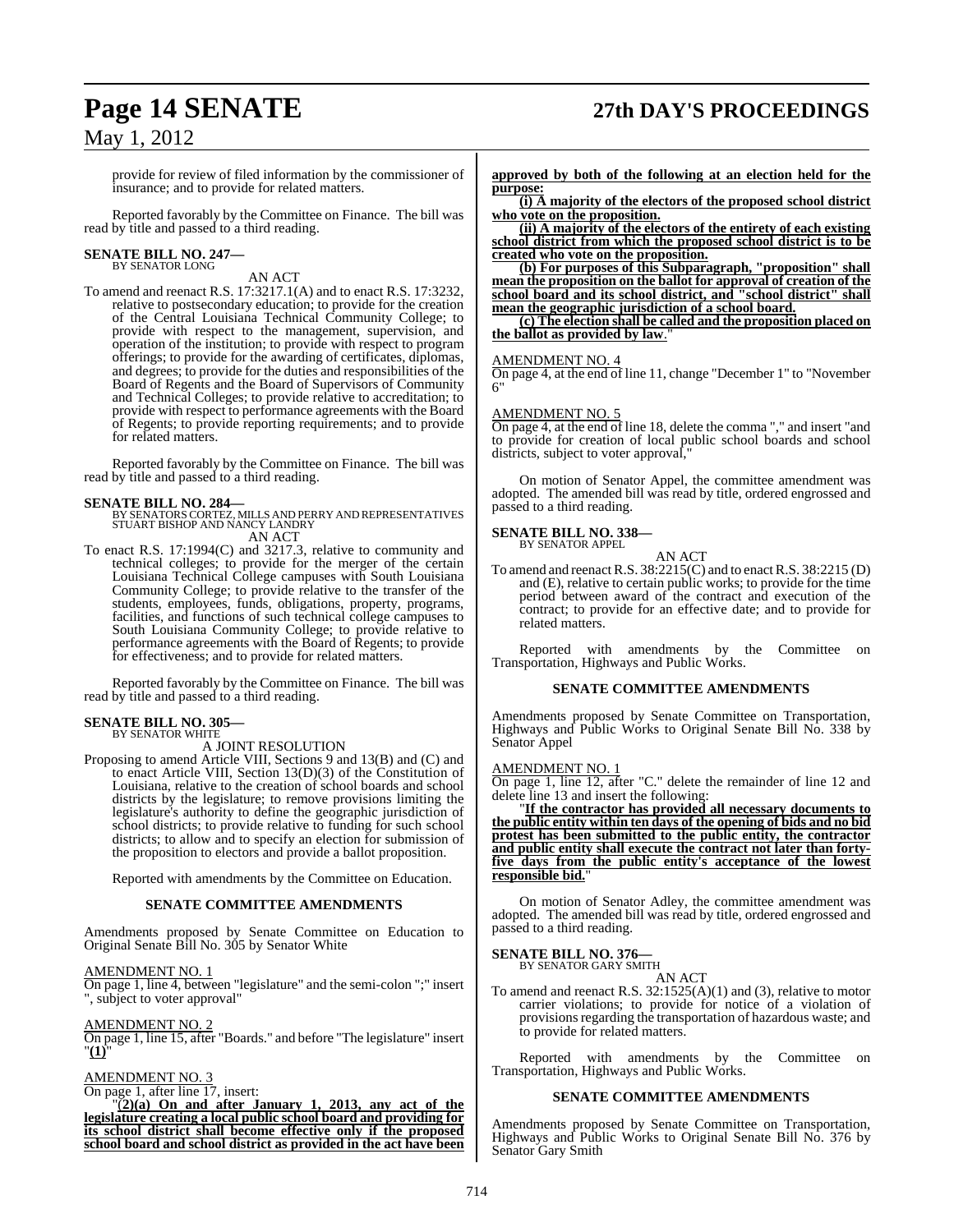## **Page 14 SENATE 27th DAY'S PROCEEDINGS**

## May 1, 2012

provide for review of filed information by the commissioner of insurance; and to provide for related matters.

Reported favorably by the Committee on Finance. The bill was read by title and passed to a third reading.

#### **SENATE BILL NO. 247—** BY SENATOR LONG

AN ACT

To amend and reenact R.S. 17:3217.1(A) and to enact R.S. 17:3232, relative to postsecondary education; to provide for the creation of the Central Louisiana Technical Community College; to provide with respect to the management, supervision, and operation of the institution; to provide with respect to program offerings; to provide for the awarding of certificates, diplomas, and degrees; to provide for the duties and responsibilities of the Board of Regents and the Board of Supervisors of Community and Technical Colleges; to provide relative to accreditation; to provide with respect to performance agreements with the Board of Regents; to provide reporting requirements; and to provide for related matters.

Reported favorably by the Committee on Finance. The bill was read by title and passed to a third reading.

**SENATE BILL NO. 284—** BY SENATORS CORTEZ, MILLS AND PERRY AND REPRESENTATIVES STUART BISHOP AND NANCY LANDRY AN ACT

To enact R.S. 17:1994(C) and 3217.3, relative to community and technical colleges; to provide for the merger of the certain Louisiana Technical College campuses with South Louisiana Community College; to provide relative to the transfer of the students, employees, funds, obligations, property, programs, facilities, and functions of such technical college campuses to South Louisiana Community College; to provide relative to performance agreements with the Board of Regents; to provide for effectiveness; and to provide for related matters.

Reported favorably by the Committee on Finance. The bill was read by title and passed to a third reading.

#### **SENATE BILL NO. 305—** BY SENATOR WHITE

A JOINT RESOLUTION

Proposing to amend Article VIII, Sections 9 and 13(B) and (C) and to enact Article VIII, Section 13(D)(3) of the Constitution of Louisiana, relative to the creation of school boards and school districts by the legislature; to remove provisions limiting the legislature's authority to define the geographic jurisdiction of school districts; to provide relative to funding for such school districts; to allow and to specify an election for submission of the proposition to electors and provide a ballot proposition.

Reported with amendments by the Committee on Education.

#### **SENATE COMMITTEE AMENDMENTS**

Amendments proposed by Senate Committee on Education to Original Senate Bill No. 305 by Senator White

AMENDMENT NO. 1

On page 1, line 4, between "legislature" and the semi-colon ";" insert ", subject to voter approval"

#### AMENDMENT NO. 2

On page 1, line 15, after "Boards." and before "The legislature" insert "**(1)**"

AMENDMENT NO. 3

On page 1, after line 17, insert:

"(**2)(a) On and after January 1, 2013, any act of the legislature creating a local public school board and providing for its school district shall become effective only if the proposed school board and school district as provided in the act have been** **approved by both of the following at an election held for the purpose:**

**(i) A majority of the electors of the proposed school district who vote on the proposition.**

**(ii) A majority of the electors of the entirety of each existing school district from which the proposed school district is to be created who vote on the proposition.**

**(b) For purposes of this Subparagraph, "proposition" shall mean the proposition on the ballot for approval of creation of the school board and its school district, and "school district" shall mean the geographic jurisdiction of a school board.**

**(c) The election shall be called and the proposition placed on the ballot as provided by law**."

#### AMENDMENT NO. 4

On page 4, at the end of line 11, change "December 1" to "November 6"

#### AMENDMENT NO. 5

On page 4, at the end of line 18, delete the comma "," and insert "and to provide for creation of local public school boards and school districts, subject to voter approval,

On motion of Senator Appel, the committee amendment was adopted. The amended bill was read by title, ordered engrossed and passed to a third reading.

#### **SENATE BILL NO. 338—** BY SENATOR APPEL

AN ACT To amend and reenactR.S. 38:2215(C) and to enactR.S. 38:2215 (D) and  $(E)$ , relative to certain public works; to provide for the time period between award of the contract and execution of the contract; to provide for an effective date; and to provide for related matters.

Reported with amendments by the Committee on Transportation, Highways and Public Works.

#### **SENATE COMMITTEE AMENDMENTS**

Amendments proposed by Senate Committee on Transportation, Highways and Public Works to Original Senate Bill No. 338 by Senator Appel

#### AMENDMENT NO. 1

On page 1, line 12, after "C." delete the remainder of line 12 and delete line 13 and insert the following:

"**If the contractor has provided all necessary documents to the public entity within ten days of the opening of bids and no bid protest has been submitted to the public entity, the contractor and public entity shall execute the contract not later than fortyfive days from the public entity's acceptance of the lowest responsible bid.**"

On motion of Senator Adley, the committee amendment was adopted. The amended bill was read by title, ordered engrossed and passed to a third reading.

#### **SENATE BILL NO. 376—**

BY SENATOR GARY SMITH AN ACT

To amend and reenact R.S. 32:1525(A)(1) and (3), relative to motor carrier violations; to provide for notice of a violation of provisions regarding the transportation of hazardous waste; and to provide for related matters.

Reported with amendments by the Committee on Transportation, Highways and Public Works.

#### **SENATE COMMITTEE AMENDMENTS**

Amendments proposed by Senate Committee on Transportation, Highways and Public Works to Original Senate Bill No. 376 by Senator Gary Smith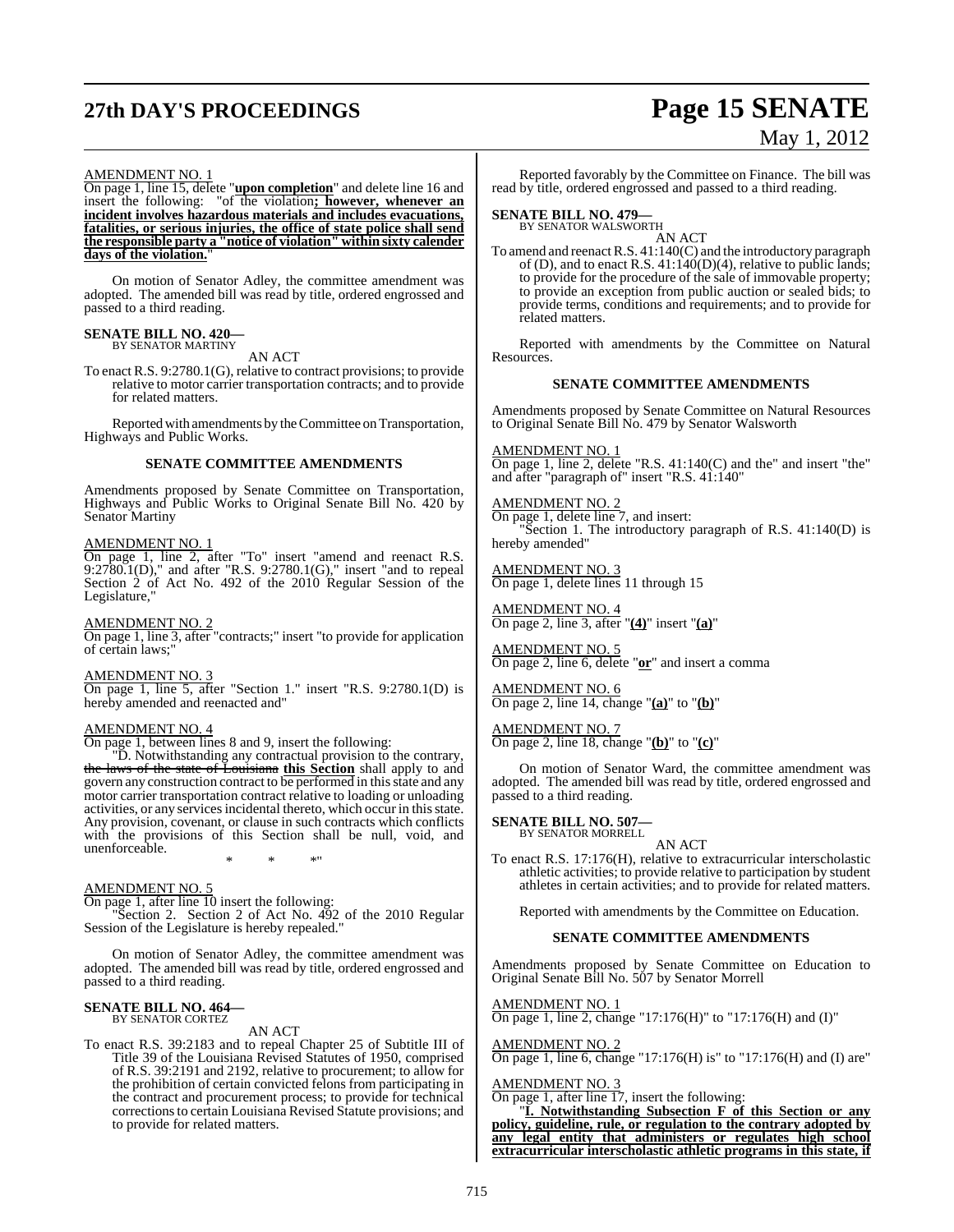# **27th DAY'S PROCEEDINGS Page 15 SENATE**

# May 1, 2012

#### AMENDMENT NO. 1

On page 1, line 15, delete "**upon completion**" and delete line 16 and insert the following: "of the violation**; however, whenever an incident involves hazardous materials and includes evacuations, fatalities, or serious injuries, the office of state police shall send the responsible party a "notice of violation" within sixty calender days of the violation.**"

On motion of Senator Adley, the committee amendment was adopted. The amended bill was read by title, ordered engrossed and passed to a third reading.

## **SENATE BILL NO. 420—** BY SENATOR MARTINY

AN ACT

To enact R.S. 9:2780.1(G), relative to contract provisions; to provide relative to motor carrier transportation contracts; and to provide for related matters.

Reported with amendments by the Committee on Transportation, Highways and Public Works.

#### **SENATE COMMITTEE AMENDMENTS**

Amendments proposed by Senate Committee on Transportation, Highways and Public Works to Original Senate Bill No. 420 by Senator Martiny

#### AMENDMENT NO. 1

On page 1, line 2, after "To" insert "amend and reenact R.S. 9:2780.1(D)," and after "R.S. 9:2780.1(G)," insert "and to repeal Section 2 of Act No. 492 of the 2010 Regular Session of the Legislature,"

#### AMENDMENT NO. 2

On page 1, line 3, after "contracts;" insert "to provide for application of certain laws;"

#### AMENDMENT NO. 3

On page 1, line 5, after "Section 1." insert "R.S. 9:2780.1(D) is hereby amended and reenacted and"

#### AMENDMENT NO. 4

On page 1, between lines 8 and 9, insert the following:

"D. Notwithstanding any contractual provision to the contrary, the laws of the state of Louisiana **this Section** shall apply to and govern any construction contract to be performed in this state and any motor carrier transportation contract relative to loading or unloading activities, or any services incidental thereto, which occur in this state. Any provision, covenant, or clause in such contracts which conflicts with the provisions of this Section shall be null, void, and unenforceable.

\* \* \*"

#### AMENDMENT NO. 5

On page 1, after line 10 insert the following:

"Section 2. Section 2 of Act No. 492 of the 2010 Regular Session of the Legislature is hereby repealed."

On motion of Senator Adley, the committee amendment was adopted. The amended bill was read by title, ordered engrossed and passed to a third reading.

## **SENATE BILL NO. 464—** BY SENATOR CORTEZ

AN ACT

To enact R.S. 39:2183 and to repeal Chapter 25 of Subtitle III of Title 39 of the Louisiana Revised Statutes of 1950, comprised of R.S. 39:2191 and 2192, relative to procurement; to allow for the prohibition of certain convicted felons from participating in the contract and procurement process; to provide for technical correctionsto certain Louisiana Revised Statute provisions; and to provide for related matters.

Reported favorably by the Committee on Finance. The bill was read by title, ordered engrossed and passed to a third reading.

## **SENATE BILL NO. 479—** BY SENATOR WALSWORTH

AN ACT

To amend and reenactR.S. 41:140(C) and the introductory paragraph of (D), and to enact R.S. 41:140(D)(4), relative to public lands; to provide for the procedure of the sale of immovable property; to provide an exception from public auction or sealed bids; to provide terms, conditions and requirements; and to provide for related matters.

Reported with amendments by the Committee on Natural Resources.

#### **SENATE COMMITTEE AMENDMENTS**

Amendments proposed by Senate Committee on Natural Resources to Original Senate Bill No. 479 by Senator Walsworth

AMENDMENT NO. 1 On page 1, line 2, delete "R.S. 41:140(C) and the" and insert "the" and after "paragraph of" insert "R.S. 41:140"

AMENDMENT NO. 2 On page 1, delete line 7, and insert: "Section 1. The introductory paragraph of R.S. 41:140(D) is hereby amended"

AMENDMENT NO. 3 On page 1, delete lines 11 through 15

AMENDMENT NO. 4 On page 2, line 3, after "**(4)**" insert "**(a)**"

AMENDMENT NO. 5 On page 2, line 6, delete "**or**" and insert a comma

AMENDMENT NO. 6 On page 2, line 14, change "**(a)**" to "**(b)**"

AMENDMENT NO. 7 On page 2, line 18, change "**(b)**" to "**(c)**"

On motion of Senator Ward, the committee amendment was adopted. The amended bill was read by title, ordered engrossed and passed to a third reading.

# **SENATE BILL NO. 507—** BY SENATOR MORRELL

AN ACT

To enact R.S. 17:176(H), relative to extracurricular interscholastic athletic activities; to provide relative to participation by student athletes in certain activities; and to provide for related matters.

Reported with amendments by the Committee on Education.

#### **SENATE COMMITTEE AMENDMENTS**

Amendments proposed by Senate Committee on Education to Original Senate Bill No. 507 by Senator Morrell

#### AMENDMENT NO. 1

On page 1, line 2, change "17:176(H)" to "17:176(H) and (I)"

#### AMENDMENT NO. 2

On page 1, line 6, change "17:176(H) is" to "17:176(H) and (I) are"

#### AMENDMENT NO. 3

On page 1, after line 17, insert the following:

"**I. Notwithstanding Subsection F of this Section or any policy, guideline, rule, or regulation to the contrary adopted by any legal entity that administers or regulates high school extracurricular interscholastic athletic programs in this state, if**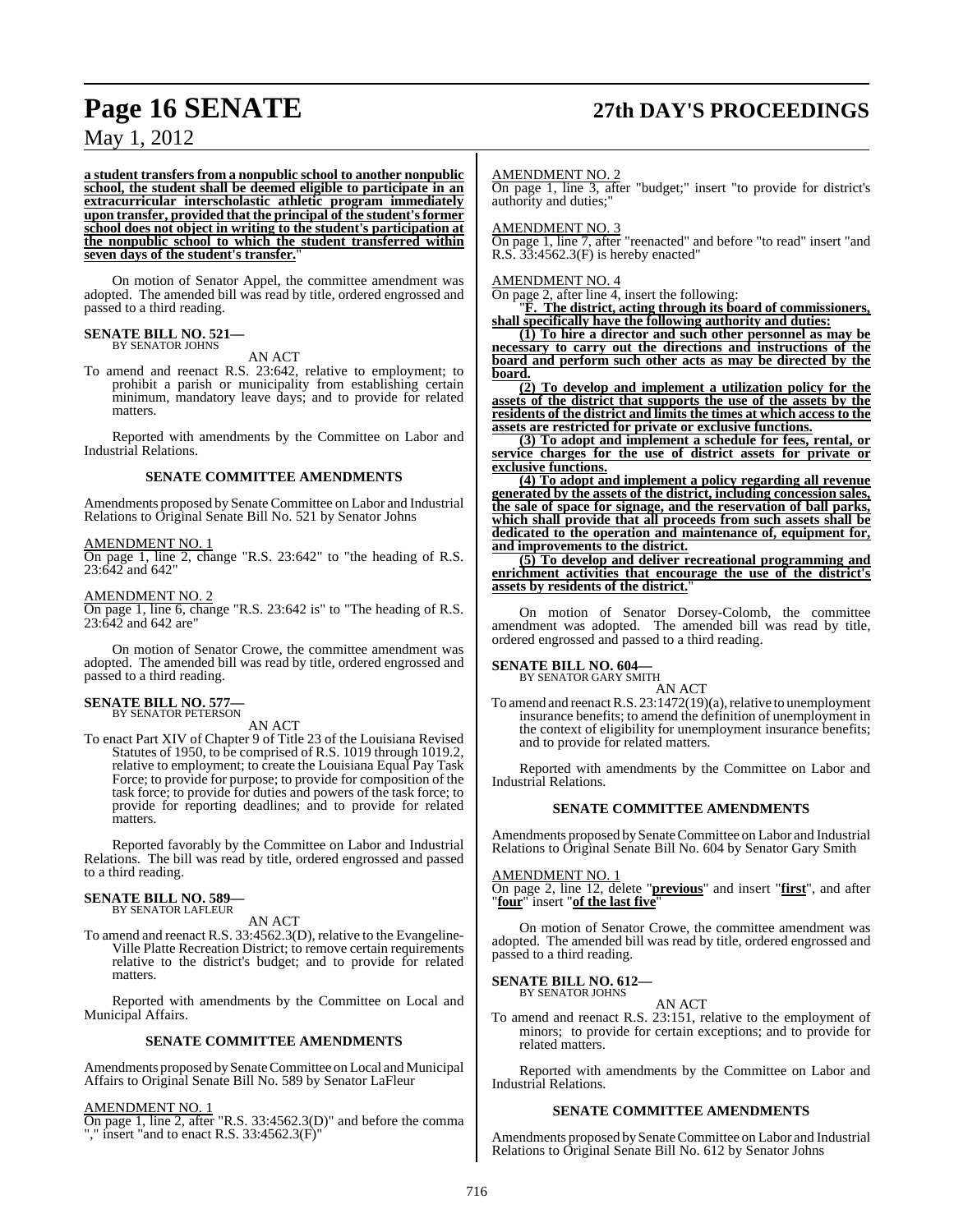# **Page 16 SENATE 27th DAY'S PROCEEDINGS**

## May 1, 2012

**a student transfers from a nonpublic school to another nonpublic school, the student shall be deemed eligible to participate in an extracurricular interscholastic athletic program immediately upon transfer, provided that the principal of the student'sformer school does not object in writing to the student's participation at the nonpublic school to which the student transferred within seven days of the student's transfer.**"

On motion of Senator Appel, the committee amendment was adopted. The amended bill was read by title, ordered engrossed and passed to a third reading.

## **SENATE BILL NO. 521—** BY SENATOR JOHNS

AN ACT

To amend and reenact R.S. 23:642, relative to employment; to prohibit a parish or municipality from establishing certain minimum, mandatory leave days; and to provide for related matters.

Reported with amendments by the Committee on Labor and Industrial Relations.

#### **SENATE COMMITTEE AMENDMENTS**

Amendments proposed by Senate Committee on Labor and Industrial Relations to Original Senate Bill No. 521 by Senator Johns

#### AMENDMENT NO. 1

On page 1, line 2, change "R.S. 23:642" to "the heading of R.S. 23:642 and 642"

AMENDMENT NO. 2 On page 1, line 6, change "R.S. 23:642 is" to "The heading of R.S. 23:642 and 642 are"

On motion of Senator Crowe, the committee amendment was adopted. The amended bill was read by title, ordered engrossed and passed to a third reading.

#### **SENATE BILL NO. 577** BY SENATOR PETERSON

AN ACT

To enact Part XIV of Chapter 9 of Title 23 of the Louisiana Revised Statutes of 1950, to be comprised of R.S. 1019 through 1019.2, relative to employment; to create the Louisiana Equal Pay Task Force; to provide for purpose; to provide for composition of the task force; to provide for duties and powers of the task force; to provide for reporting deadlines; and to provide for related matters.

Reported favorably by the Committee on Labor and Industrial Relations. The bill was read by title, ordered engrossed and passed to a third reading.

#### **SENATE BILL NO. 589—** BY SENATOR LAFLEUR

AN ACT

To amend and reenact R.S. 33:4562.3(D), relative to the Evangeline-Ville Platte Recreation District; to remove certain requirements relative to the district's budget; and to provide for related matters.

Reported with amendments by the Committee on Local and Municipal Affairs.

#### **SENATE COMMITTEE AMENDMENTS**

Amendments proposed by Senate Committee on Local and Municipal Affairs to Original Senate Bill No. 589 by Senator LaFleur

#### AMENDMENT NO. 1

On page 1, line 2, after "R.S. 33:4562.3(D)" and before the comma "," insert "and to enact R.S. 33:4562.3(F)"

#### AMENDMENT NO. 2

On page 1, line 3, after "budget;" insert "to provide for district's authority and duties;"

#### AMENDMENT NO. 3

On page 1, line 7, after "reenacted" and before "to read" insert "and R.S. 33:4562.3(F) is hereby enacted"

#### AMENDMENT NO. 4

On page 2, after line 4, insert the following:

"**F. The district, acting through its board of commissioners, shall specifically have the following authority and duties:**

**(1) To hire a director and such other personnel as may be necessary to carry out the directions and instructions of the board and perform such other acts as may be directed by the board.**

**(2) To develop and implement a utilization policy for the assets of the district that supports the use of the assets by the residents of the district and limits the times at which access to the assets are restricted for private or exclusive functions.**

**(3) To adopt and implement a schedule for fees, rental, or service charges for the use of district assets for private or exclusive functions.**

**(4) To adopt and implement a policy regarding all revenue generated by the assets of the district, including concession sales, the sale of space for signage, and the reservation of ball parks, which shall provide that all proceeds from such assets shall be dedicated to the operation and maintenance of, equipment for, and improvements to the district.**

**(5) To develop and deliver recreational programming and enrichment activities that encourage the use of the district's assets by residents of the district.**"

On motion of Senator Dorsey-Colomb, the committee amendment was adopted. The amended bill was read by title, ordered engrossed and passed to a third reading.

#### **SENATE BILL NO. 604—**

BY SENATOR GARY SMITH

and to provide for related matters.

AN ACT To amend and reenact R.S. 23:1472(19)(a), relative to unemployment insurance benefits; to amend the definition of unemployment in the context of eligibility for unemployment insurance benefits;

Reported with amendments by the Committee on Labor and Industrial Relations.

#### **SENATE COMMITTEE AMENDMENTS**

Amendments proposed by Senate Committee on Labor and Industrial Relations to Original Senate Bill No. 604 by Senator Gary Smith

#### AMENDMENT NO. 1

On page 2, line 12, delete "**previous**" and insert "**first**", and after "**four**" insert "**of the last five**"

On motion of Senator Crowe, the committee amendment was adopted. The amended bill was read by title, ordered engrossed and passed to a third reading.

#### **SENATE BILL NO. 612—** BY SENATOR JOHNS

#### AN ACT

To amend and reenact R.S. 23:151, relative to the employment of minors; to provide for certain exceptions; and to provide for related matters.

Reported with amendments by the Committee on Labor and Industrial Relations.

#### **SENATE COMMITTEE AMENDMENTS**

Amendments proposed by Senate Committee on Labor and Industrial Relations to Original Senate Bill No. 612 by Senator Johns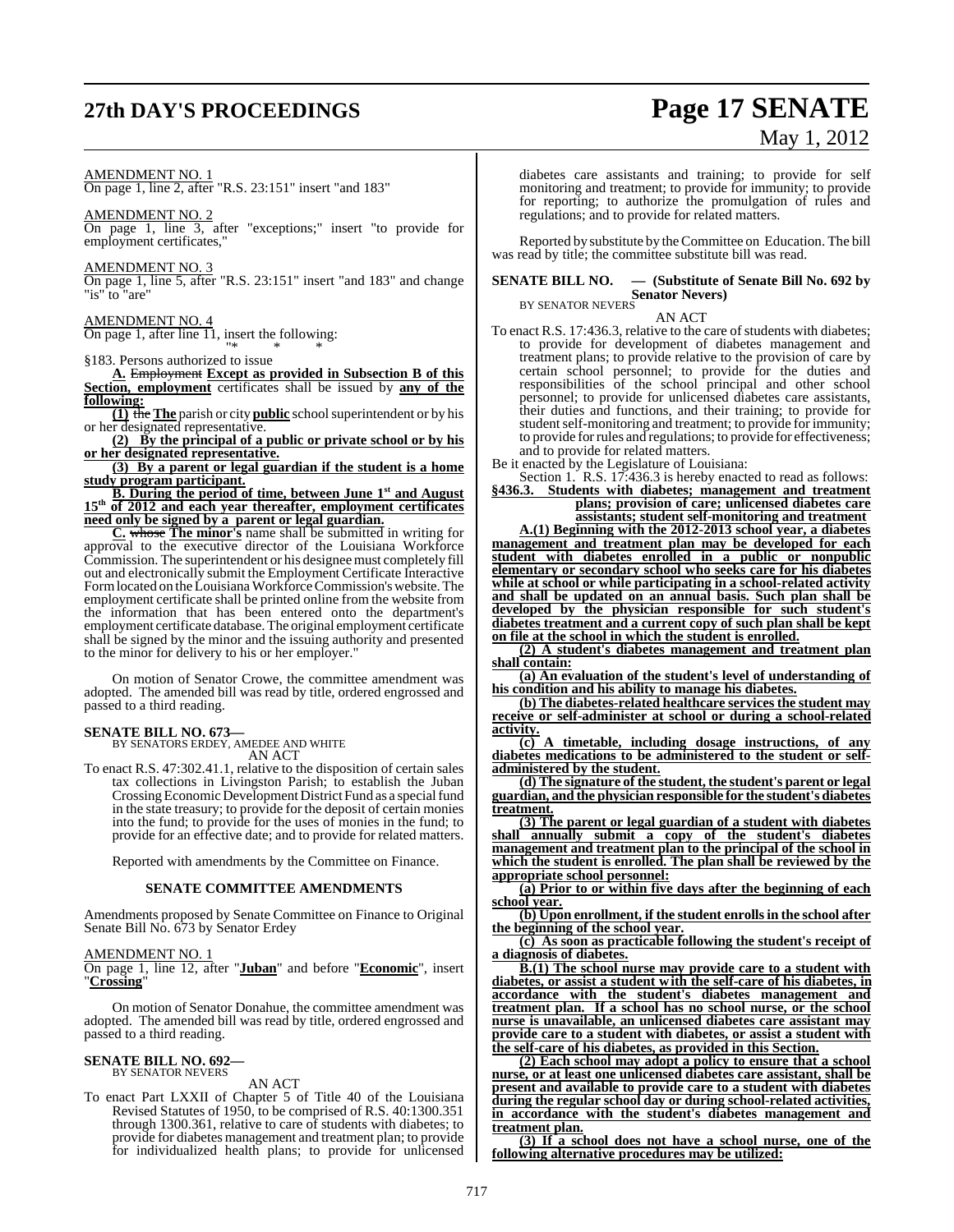## **27th DAY'S PROCEEDINGS Page 17 SENATE**

# May 1, 2012

AMENDMENT NO. 1

On page 1, line 2, after "R.S. 23:151" insert "and 183"

AMENDMENT NO. 2

On page 1, line 3, after "exceptions;" insert "to provide for employment certificates,"

AMENDMENT NO. 3

On page 1, line 5, after "R.S. 23:151" insert "and 183" and change "is" to "are"

AMENDMENT NO. 4

On page 1, after line  $\overline{11}$ , insert the following: "\* \* \*

§183. Persons authorized to issue

**A.** Employment **Except as provided in Subsection B of this Section, employment** certificates shall be issued by **any of the following:**

**(1)** the **The** parish or city **public** schoolsuperintendent or by his or her designated representative.

**(2) By the principal of a public or private school or by his or her designated representative.**

**(3) By a parent or legal guardian if the student is a home study program participant.**

**B. During the period of time, between June 1st and August 15th of 2012 and each year thereafter, employment certificates need only be signed by a parent or legal guardian.**

**C.** whose **The minor's** name shall be submitted in writing for approval to the executive director of the Louisiana Workforce Commission. The superintendent or his designeemust completely fill out and electronically submit the Employment Certificate Interactive Form located on the Louisiana Workforce Commission's website. The employment certificate shall be printed online from the website from the information that has been entered onto the department's employment certificate database. The original employment certificate shall be signed by the minor and the issuing authority and presented to the minor for delivery to his or her employer."

On motion of Senator Crowe, the committee amendment was adopted. The amended bill was read by title, ordered engrossed and passed to a third reading.

**SENATE BILL NO. 673—** BY SENATORS ERDEY, AMEDEE AND WHITE AN ACT

To enact R.S. 47:302.41.1, relative to the disposition of certain sales tax collections in Livingston Parish; to establish the Juban Crossing Economic Development District Fund as a special fund in the state treasury; to provide for the deposit of certain monies into the fund; to provide for the uses of monies in the fund; to provide for an effective date; and to provide for related matters.

Reported with amendments by the Committee on Finance.

#### **SENATE COMMITTEE AMENDMENTS**

Amendments proposed by Senate Committee on Finance to Original Senate Bill No. 673 by Senator Erdey

AMENDMENT NO. 1

On page 1, line 12, after "**Juban**" and before "**Economic**", insert "**Crossing**"

On motion of Senator Donahue, the committee amendment was adopted. The amended bill was read by title, ordered engrossed and passed to a third reading.

#### **SENATE BILL NO. 692—** BY SENATOR NEVERS

AN ACT

To enact Part LXXII of Chapter 5 of Title 40 of the Louisiana Revised Statutes of 1950, to be comprised of R.S. 40:1300.351 through 1300.361, relative to care of students with diabetes; to provide for diabetes management and treatment plan; to provide for individualized health plans; to provide for unlicensed

diabetes care assistants and training; to provide for self monitoring and treatment; to provide for immunity; to provide for reporting; to authorize the promulgation of rules and regulations; and to provide for related matters.

Reported by substitute by theCommittee on Education. The bill was read by title; the committee substitute bill was read.

## **SENATE BILL NO. — (Substitute of Senate Bill No. 692 by Senator Nevers**)<br>BY SENATOR NEVERS

AN ACT

To enact R.S. 17:436.3, relative to the care of students with diabetes; to provide for development of diabetes management and treatment plans; to provide relative to the provision of care by certain school personnel; to provide for the duties and responsibilities of the school principal and other school personnel; to provide for unlicensed diabetes care assistants, their duties and functions, and their training; to provide for student self-monitoring and treatment; to provide for immunity; to provide for rules and regulations; to provide for effectiveness; and to provide for related matters.

Be it enacted by the Legislature of Louisiana:

Section 1. R.S. 17:436.3 is hereby enacted to read as follows: **§436.3. Students with diabetes; management and treatment plans; provision of care; unlicensed diabetes care**

**assistants; student self-monitoring and treatment**

**A.(1) Beginning with the 2012-2013 school year, a diabetes management and treatment plan may be developed for each student with diabetes enrolled in a public or nonpublic elementary or secondary school who seeks care for his diabetes while at school or while participating in a school-related activity and shall be updated on an annual basis. Such plan shall be developed by the physician responsible for such student's diabetes treatment and a current copy of such plan shall be kept on file at the school in which the student is enrolled.**

**(2) A student's diabetes management and treatment plan shall contain:**

**(a) An evaluation of the student's level of understanding of his condition and his ability to manage his diabetes.**

**(b) The diabetes-related healthcare services the student may receive or self-administer at school or during a school-related activity.**

**(c) A timetable, including dosage instructions, of any diabetes medications to be administered to the student or selfadministered by the student.**

**(d) The signature of the student, the student's parent or legal guardian, and the physician responsible for the student's diabetes treatment.**

**(3) The parent or legal guardian of a student with diabetes shall annually submit a copy of the student's diabetes management and treatment plan to the principal of the school in which the student is enrolled. The plan shall be reviewed by the appropriate school personnel:**

**(a) Prior to or within five days after the beginning of each school year.**

**(b) Upon enrollment, if the student enrollsin the school after the beginning of the school year.**

**(c) As soon as practicable following the student's receipt of a diagnosis of diabetes.**

**B.(1) The school nurse may provide care to a student with diabetes, or assist a student with the self-care of his diabetes, in accordance with the student's diabetes management and treatment plan. If a school has no school nurse, or the school nurse is unavailable, an unlicensed diabetes care assistant may provide care to a student with diabetes, or assist a student with the self-care of his diabetes, as provided in this Section.**

**(2) Each school may adopt a policy to ensure that a school nurse, or at least one unlicensed diabetes care assistant, shall be present and available to provide care to a student with diabetes during the regular school day or during school-related activities, in accordance with the student's diabetes management and treatment plan.**

**(3) If a school does not have a school nurse, one of the following alternative procedures may be utilized:**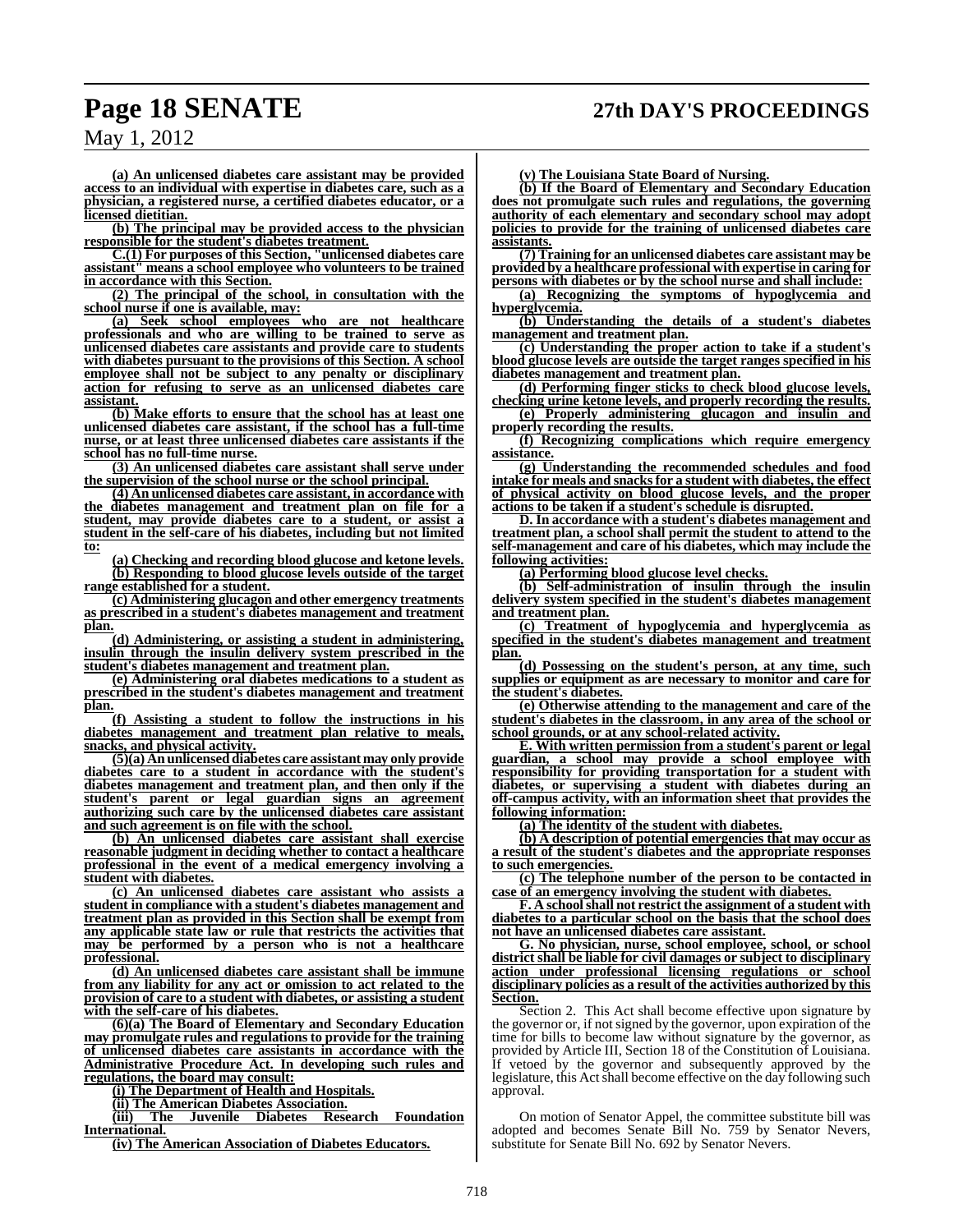**(a) An unlicensed diabetes care assistant may be provided access to an individual with expertise in diabetes care, such as a physician, a registered nurse, a certified diabetes educator, or a licensed dietitian.**

**(b) The principal may be provided access to the physician responsible for the student's diabetes treatment.**

**C.(1) For purposes of this Section, "unlicensed diabetes care assistant" means a school employee who volunteers to be trained in accordance with this Section.**

**(2) The principal of the school, in consultation with the school nurse if one is available, may:**

**(a) Seek school employees who are not healthcare professionals and who are willing to be trained to serve as unlicensed diabetes care assistants and provide care to students with diabetes pursuant to the provisions of this Section. A school employee shall not be subject to any penalty or disciplinary action for refusing to serve as an unlicensed diabetes care assistant.**

**(b) Make efforts to ensure that the school has at least one unlicensed diabetes care assistant, if the school has a full-time nurse, or at least three unlicensed diabetes care assistants if the school has no full-time nurse.**

**(3) An unlicensed diabetes care assistant shall serve under the supervision of the school nurse or the school principal.**

**(4) An unlicensed diabetes care assistant, in accordance with the diabetes management and treatment plan on file for a student, may provide diabetes care to a student, or assist a student in the self-care of his diabetes, including but not limited to:**

**(a) Checking and recording blood glucose and ketone levels. (b) Responding to blood glucose levels outside of the target range established for a student.**

**(c) Administering glucagon and other emergency treatments as prescribed in a student's diabetes management and treatment plan.**

**(d) Administering, or assisting a student in administering, insulin through the insulin delivery system prescribed in the student's diabetes management and treatment plan.**

**(e) Administering oral diabetes medications to a student as prescribed in the student's diabetes management and treatment plan.**

**(f) Assisting a student to follow the instructions in his diabetes management and treatment plan relative to meals, snacks, and physical activity.**

**(5)(a) An unlicensed diabetes care assistant may only provide diabetes care to a student in accordance with the student's diabetes management and treatment plan, and then only if the student's parent or legal guardian signs an agreement authorizing such care by the unlicensed diabetes care assistant and such agreement is on file with the school.**

**(b) An unlicensed diabetes care assistant shall exercise reasonable judgment in deciding whether to contact a healthcare professional in the event of a medical emergency involving a student with diabetes.**

**(c) An unlicensed diabetes care assistant who assists a student in compliance with a student's diabetes management and treatment plan as provided in this Section shall be exempt from any applicable state law or rule that restricts the activities that may be performed by a person who is not a healthcare professional.**

**(d) An unlicensed diabetes care assistant shall be immune from any liability for any act or omission to act related to the provision of care to a student with diabetes, or assisting a student with the self-care of his diabetes.**

**(6)(a) The Board of Elementary and Secondary Education may promulgate rules and regulations to provide for the training of unlicensed diabetes care assistants in accordance with the Administrative Procedure Act. In developing such rules and regulations, the board may consult:**

**(i) The Department of Health and Hospitals.**

**(ii) The American Diabetes Association.**

**(iii) The Juvenile Diabetes Research Foundation International.**

**(iv) The American Association of Diabetes Educators.**

**(v) The Louisiana State Board of Nursing.**

**(b) If the Board of Elementary and Secondary Education does not promulgate such rules and regulations, the governing authority of each elementary and secondary school may adopt policies to provide for the training of unlicensed diabetes care assistants.**

**(7) Training for an unlicensed diabetes care assistant may be provided by a healthcare professional with expertise in caring for persons with diabetes or by the school nurse and shall include:**

**(a) Recognizing the symptoms of hypoglycemia and hyperglycemia.**

**(b) Understanding the details of a student's diabetes management and treatment plan.**

**(c) Understanding the proper action to take if a student's blood glucose levels are outside the target ranges specified in his diabetes management and treatment plan.**

**(d) Performing finger sticks to check blood glucose levels, checking urine ketone levels, and properly recording the results. (e) Properly administering glucagon and insulin and**

**properly recording the results. (f) Recognizing complications which require emergency**

**assistance.**

**(g) Understanding the recommended schedules and food intake for meals and snacksfor a student with diabetes, the effect of physical activity on blood glucose levels, and the proper actions to be taken if a student's schedule is disrupted.**

**D. In accordance with a student's diabetes management and treatment plan, a school shall permit the student to attend to the self-management and care of his diabetes, which may include the following activities:**

**(a) Performing blood glucose level checks.**

**(b) Self-administration of insulin through the insulin delivery system specified in the student's diabetes management and treatment plan.**

**(c) Treatment of hypoglycemia and hyperglycemia as specified in the student's diabetes management and treatment plan.**

**(d) Possessing on the student's person, at any time, such supplies or equipment as are necessary to monitor and care for the student's diabetes.**

**(e) Otherwise attending to the management and care of the student's diabetes in the classroom, in any area of the school or school grounds, or at any school-related activity.**

**E. With written permission from a student's parent or legal guardian, a school may provide a school employee with responsibility for providing transportation for a student with diabetes, or supervising a student with diabetes during an off-campus activity, with an information sheet that provides the following information:**

**(a) The identity of the student with diabetes.**

**(b) A description of potential emergencies that may occur as a result of the student's diabetes and the appropriate responses to such emergencies.**

**(c) The telephone number of the person to be contacted in case of an emergency involving the student with diabetes.**

**F. A schoolshall not restrict the assignment of a student with diabetes to a particular school on the basis that the school does not have an unlicensed diabetes care assistant.**

**G. No physician, nurse, school employee, school, or school district shall be liable for civil damages or subject to disciplinary action under professional licensing regulations or school disciplinary policies as a result of the activities authorized by this Section.**

Section 2. This Act shall become effective upon signature by the governor or, if notsigned by the governor, upon expiration of the time for bills to become law without signature by the governor, as provided by Article III, Section 18 of the Constitution of Louisiana. If vetoed by the governor and subsequently approved by the legislature, this Act shall become effective on the day following such approval.

On motion of Senator Appel, the committee substitute bill was adopted and becomes Senate Bill No. 759 by Senator Nevers, substitute for Senate Bill No. 692 by Senator Nevers.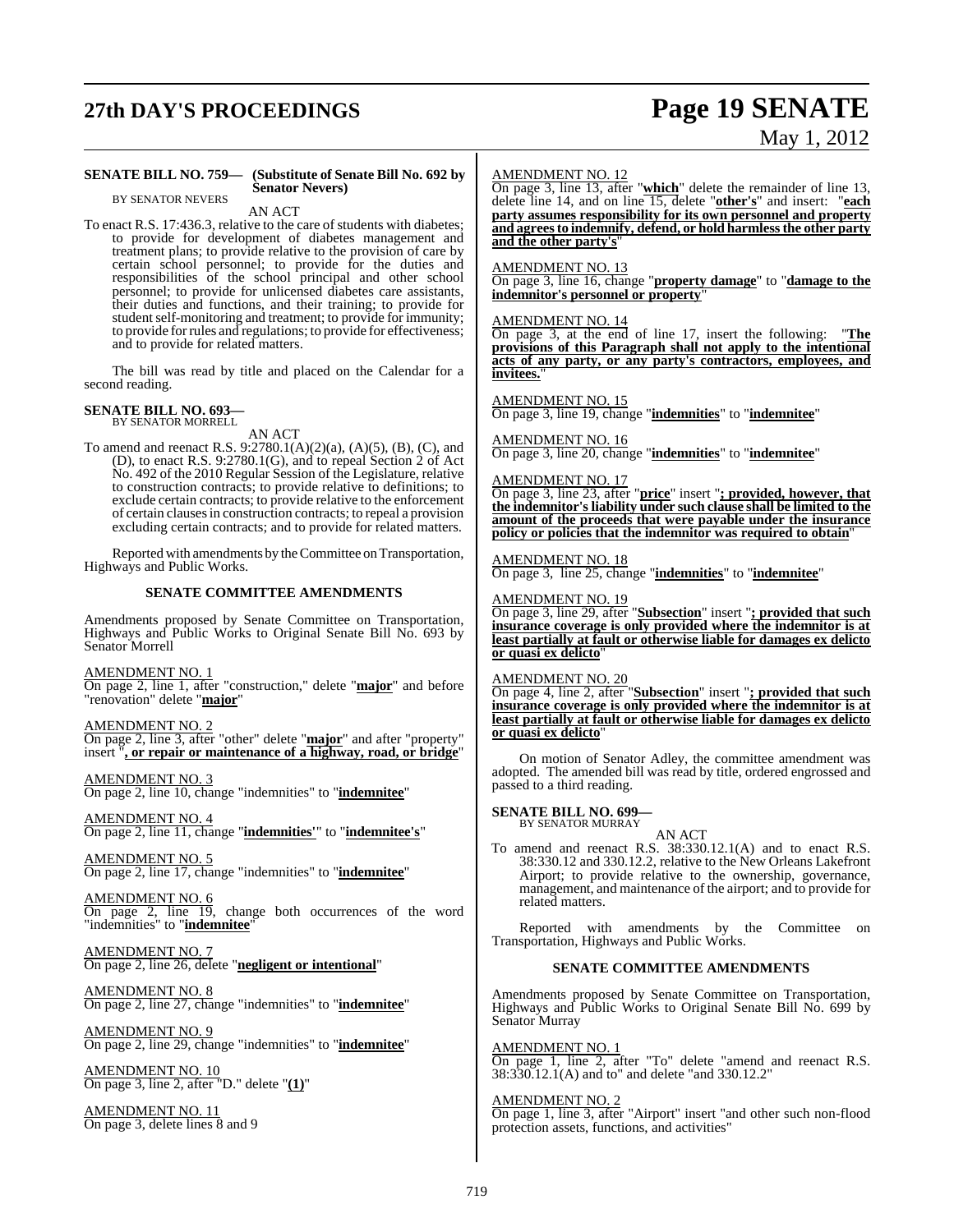# **27th DAY'S PROCEEDINGS Page 19 SENATE**

BY SENATOR NEVERS

**SENATE BILL NO. 759— (Substitute of Senate Bill No. 692 by Senator Nevers)**

# May 1, 2012

#### AN ACT To enact R.S. 17:436.3, relative to the care of students with diabetes: to provide for development of diabetes management and treatment plans; to provide relative to the provision of care by certain school personnel; to provide for the duties and responsibilities of the school principal and other school personnel; to provide for unlicensed diabetes care assistants, their duties and functions, and their training; to provide for student self-monitoring and treatment; to provide for immunity; to provide forrules and regulations; to provide for effectiveness; and to provide for related matters. The bill was read by title and placed on the Calendar for a second reading. **SENATE BILL NO. 693** BY SENATOR MORRELL AN ACT To amend and reenact R.S. 9:2780.1(A)(2)(a), (A)(5), (B), (C), and (D), to enact R.S. 9:2780.1(G), and to repeal Section 2 of Act No. 492 of the 2010 Regular Session of the Legislature, relative to construction contracts; to provide relative to definitions; to exclude certain contracts; to provide relative to the enforcement of certain clausesin construction contracts; to repeal a provision excluding certain contracts; and to provide for related matters. Reported with amendments by the Committee on Transportation, Highways and Public Works. **SENATE COMMITTEE AMENDMENTS** Amendments proposed by Senate Committee on Transportation, Highways and Public Works to Original Senate Bill No. 693 by Senator Morrell AMENDMENT NO. 1 On page 2, line 1, after "construction," delete "**major**" and before "renovation" delete "**major**" AMENDMENT NO. 2 On page 2, line 3, after "other" delete "**major**" and after "property" insert "**, or repair or maintenance of a highway, road, or bridge**" AMENDMENT NO. 3 On page 2, line 10, change "indemnities" to "**indemnitee**" AMENDMENT NO. 4 On page 2, line 11, change "**indemnities'**" to "**indemnitee's**" AMENDMENT NO. 5 On page 2, line 17, change "indemnities" to "**indemnitee**" AMENDMENT NO. 6 On page 2, line 19, change both occurrences of the word "indemnities" to "**indemnitee**" AMENDMENT NO. 7 On page 2, line 26, delete "**negligent or intentional**" AMENDMENT NO. 8 On page 2, line 27, change "indemnities" to "**indemnitee**" AMENDMENT NO. 9 On page 2, line 29, change "indemnities" to "**indemnitee**" **and the other party's**" AMENDMENT NO. 13 AMENDMENT NO. 14 **invitees.**" AMENDMENT NO. 15 AMENDMENT NO. 16 AMENDMENT NO. 17 AMENDMENT NO. 18 AMENDMENT NO. 19 **or quasi ex delicto**" AMENDMENT NO. 20 **or quasi ex delicto**" passed to a third reading. **SENATE BILL NO. 699—** BY SENATOR MURRAY related matters. Senator Murray

AMENDMENT NO. 10 On page 3, line 2, after "D." delete "**(1)**"

AMENDMENT NO. 11 On page 3, delete lines 8 and 9

#### AMENDMENT NO. 12

On page 3, line 13, after "**which**" delete the remainder of line 13, delete line 14, and on line 15, delete "**other's**" and insert: "**each party assumes responsibility for its own personnel and property and agreesto indemnify, defend, or hold harmlessthe other party**

On page 3, line 16, change "**property damage**" to "**damage to the indemnitor's personnel or property**"

On page 3, at the end of line 17, insert the following: "**The provisions of this Paragraph shall not apply to the intentional acts of any party, or any party's contractors, employees, and**

On page 3, line 19, change "**indemnities**" to "**indemnitee**"

On page 3, line 20, change "**indemnities**" to "**indemnitee**"

On page 3, line 23, after "**price**" insert "**; provided, however, that the indemnitor's liability under such clause shall be limited to the amount of the proceeds that were payable under the insurance policy or policies that the indemnitor was required to obtain**"

On page 3, line 25, change "**indemnities**" to "**indemnitee**"

On page 3, line 29, after "**Subsection**" insert "**; provided that such insurance coverage is only provided where the indemnitor is at least partially at fault or otherwise liable for damages ex delicto**

On page 4, line 2, after "**Subsection**" insert "**; provided that such insurance coverage is only provided where the indemnitor is at least partially at fault or otherwise liable for damages ex delicto**

On motion of Senator Adley, the committee amendment was adopted. The amended bill was read by title, ordered engrossed and

AN ACT

To amend and reenact R.S. 38:330.12.1(A) and to enact R.S. 38:330.12 and 330.12.2, relative to the New Orleans Lakefront Airport; to provide relative to the ownership, governance, management, and maintenance of the airport; and to provide for

Reported with amendments by the Committee on Transportation, Highways and Public Works.

#### **SENATE COMMITTEE AMENDMENTS**

Amendments proposed by Senate Committee on Transportation, Highways and Public Works to Original Senate Bill No. 699 by

AMENDMENT NO. 1

On page 1, line 2, after "To" delete "amend and reenact R.S. 38:330.12.1(A) and to" and delete "and 330.12.2"

#### AMENDMENT NO. 2

On page 1, line 3, after "Airport" insert "and other such non-flood protection assets, functions, and activities"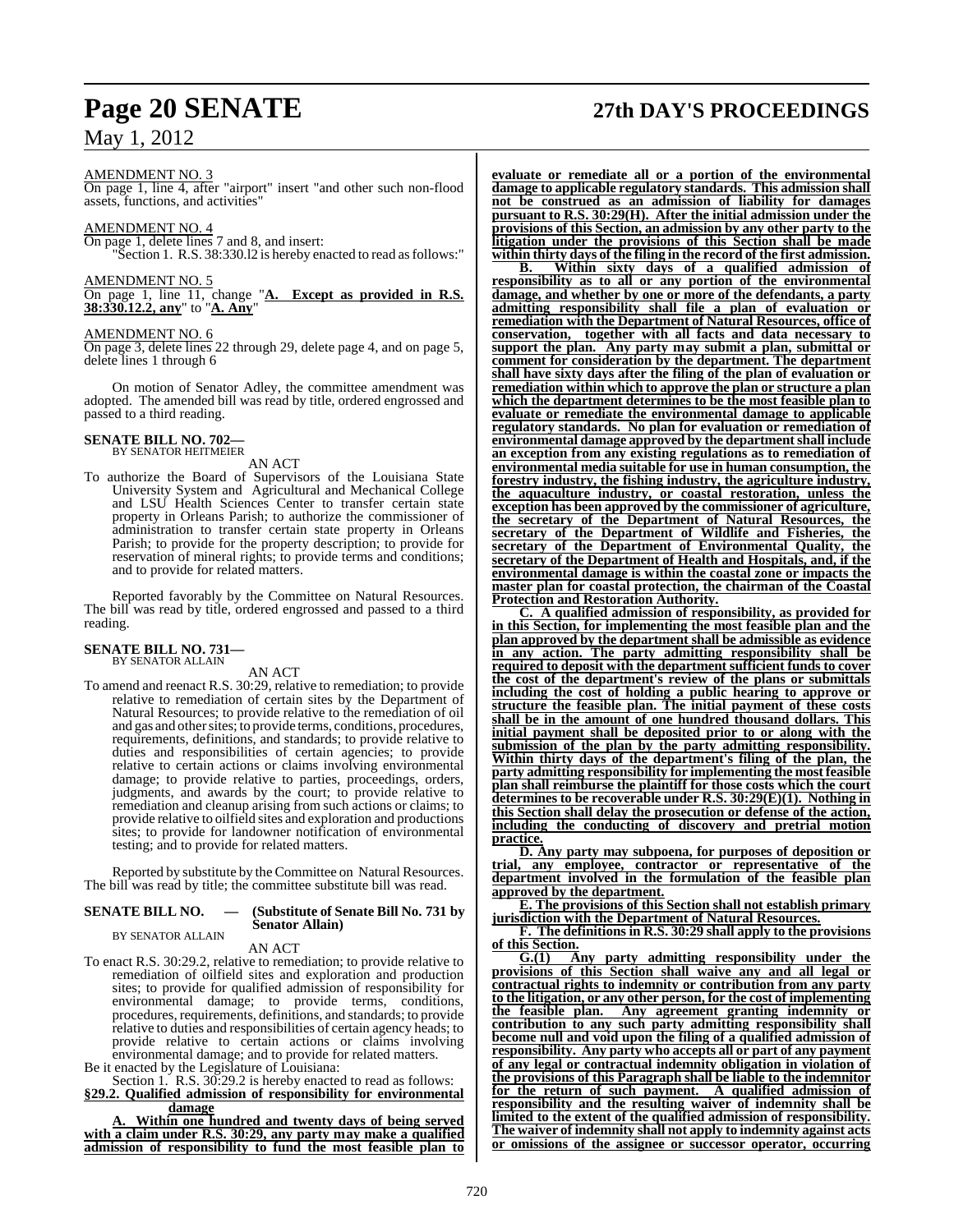## AMENDMENT NO. 3

On page 1, line 4, after "airport" insert "and other such non-flood assets, functions, and activities"

#### AMENDMENT NO. 4

On page 1, delete lines 7 and 8, and insert:

"Section 1. R.S. 38:330.l2 is hereby enacted to read as follows:"

AMENDMENT NO. 5

On page 1, line 11, change "**A. Except as provided in R.S. 38:330.12.2, any**" to "**A. Any**"

#### AMENDMENT NO. 6

On page 3, delete lines 22 through 29, delete page 4, and on page 5, delete lines 1 through 6

On motion of Senator Adley, the committee amendment was adopted. The amended bill was read by title, ordered engrossed and passed to a third reading.

## **SENATE BILL NO. 702—** BY SENATOR HEITMEIER

AN ACT

To authorize the Board of Supervisors of the Louisiana State University System and Agricultural and Mechanical College and LSU Health Sciences Center to transfer certain state property in Orleans Parish; to authorize the commissioner of administration to transfer certain state property in Orleans Parish; to provide for the property description; to provide for reservation of mineral rights; to provide terms and conditions; and to provide for related matters.

Reported favorably by the Committee on Natural Resources. The bill was read by title, ordered engrossed and passed to a third reading.

#### **SENATE BILL NO. 731—** BY SENATOR ALLAIN

### AN ACT

To amend and reenact R.S. 30:29, relative to remediation; to provide relative to remediation of certain sites by the Department of Natural Resources; to provide relative to the remediation of oil and gas and other sites; to provide terms, conditions, procedures, requirements, definitions, and standards; to provide relative to duties and responsibilities of certain agencies; to provide relative to certain actions or claims involving environmental damage; to provide relative to parties, proceedings, orders, judgments, and awards by the court; to provide relative to remediation and cleanup arising from such actions or claims; to provide relative to oilfield sites and exploration and productions sites; to provide for landowner notification of environmental testing; and to provide for related matters.

Reported by substitute by the Committee on Natural Resources. The bill was read by title; the committee substitute bill was read.

#### **SENATE BILL NO. — (Substitute of Senate Bill No. 731 by Senator Allain)** BY SENATOR ALLAIN

AN ACT

To enact R.S. 30:29.2, relative to remediation; to provide relative to remediation of oilfield sites and exploration and production sites; to provide for qualified admission of responsibility for environmental damage; to provide terms, conditions, procedures, requirements, definitions, and standards; to provide relative to duties and responsibilities of certain agency heads; to provide relative to certain actions or claims involving environmental damage; and to provide for related matters.

Be it enacted by the Legislature of Louisiana:

Section 1. R.S. 30:29.2 is hereby enacted to read as follows: **§29.2. Qualified admission of responsibility for environmental damage**

**A. Within one hundred and twenty days of being served with a claim under R.S. 30:29, any party may make a qualified admission of responsibility to fund the most feasible plan to**

## **Page 20 SENATE 27th DAY'S PROCEEDINGS**

**evaluate or remediate all or a portion of the environmental damage to applicable regulatory standards. This admission shall not be construed as an admission of liability for damages pursuant to R.S. 30:29(H). After the initial admission under the provisions of this Section, an admission by any other party to the litigation under the provisions of this Section shall be made within thirty days of the filing in the record of the first admission.**

**B. Within sixty days of a qualified admission of responsibility as to all or any portion of the environmental damage, and whether by one or more of the defendants, a party admitting responsibility shall file a plan of evaluation or remediation with the Department of Natural Resources, office of conservation, together with all facts and data necessary to support the plan. Any party may submit a plan, submittal or comment for consideration by the department. The department shall have sixty days after the filing of the plan of evaluation or remediation within which to approve the plan or structure a plan which the department determines to be the most feasible plan to evaluate or remediate the environmental damage to applicable regulatory standards. No plan for evaluation or remediation of environmental damage approved by the departmentshall include an exception from any existing regulations as to remediation of environmental media suitable for use in human consumption, the forestry industry, the fishing industry, the agriculture industry, the aquaculture industry, or coastal restoration, unless the exception has been approved by the commissioner of agriculture, the secretary of the Department of Natural Resources, the secretary of the Department of Wildlife and Fisheries, the secretary of the Department of Environmental Quality, the secretary of the Department of Health and Hospitals, and, if the environmental damage is within the coastal zone or impacts the master plan for coastal protection, the chairman of the Coastal Protection and Restoration Authority.**

**C. A qualified admission of responsibility, as provided for in this Section, for implementing the most feasible plan and the plan approved by the department shall be admissible as evidence in any action. The party admitting responsibility shall be required to deposit with the department sufficient funds to cover the cost of the department's review of the plans or submittals including the cost of holding a public hearing to approve or structure the feasible plan. The initial payment of these costs shall be in the amount of one hundred thousand dollars. This initial payment shall be deposited prior to or along with the submission of the plan by the party admitting responsibility. Within thirty days of the department's filing of the plan, the party admitting responsibility for implementing the most feasible plan shall reimburse the plaintiff for those costs which the court determines to be recoverable under R.S. 30:29(E)(1). Nothing in this Section shall delay the prosecution or defense of the action, including the conducting of discovery and pretrial motion practice.**

**D. Any party may subpoena, for purposes of deposition or trial, any employee, contractor or representative of the department involved in the formulation of the feasible plan approved by the department.**

**E. The provisions of this Section shall not establish primary jurisdiction with the Department of Natural Resources.**

**F. The definitions in R.S. 30:29 shall apply to the provisions of this Section.**

**G.(1) Any party admitting responsibility under the provisions of this Section shall waive any and all legal or contractual rights to indemnity or contribution from any party to the litigation, or any other person, for the cost of implementing the feasible plan. Any agreement granting indemnity or contribution to any such party admitting responsibility shall become null and void upon the filing of a qualified admission of responsibility. Any party who accepts all or part of any payment of any legal or contractual indemnity obligation in violation of the provisions of this Paragraph shall be liable to the indemnitor for the return of such payment. A qualified admission of responsibility and the resulting waiver of indemnity shall be limited to the extent of the qualified admission of responsibility. The waiver of indemnity shall not apply to indemnity against acts or omissions of the assignee or successor operator, occurring**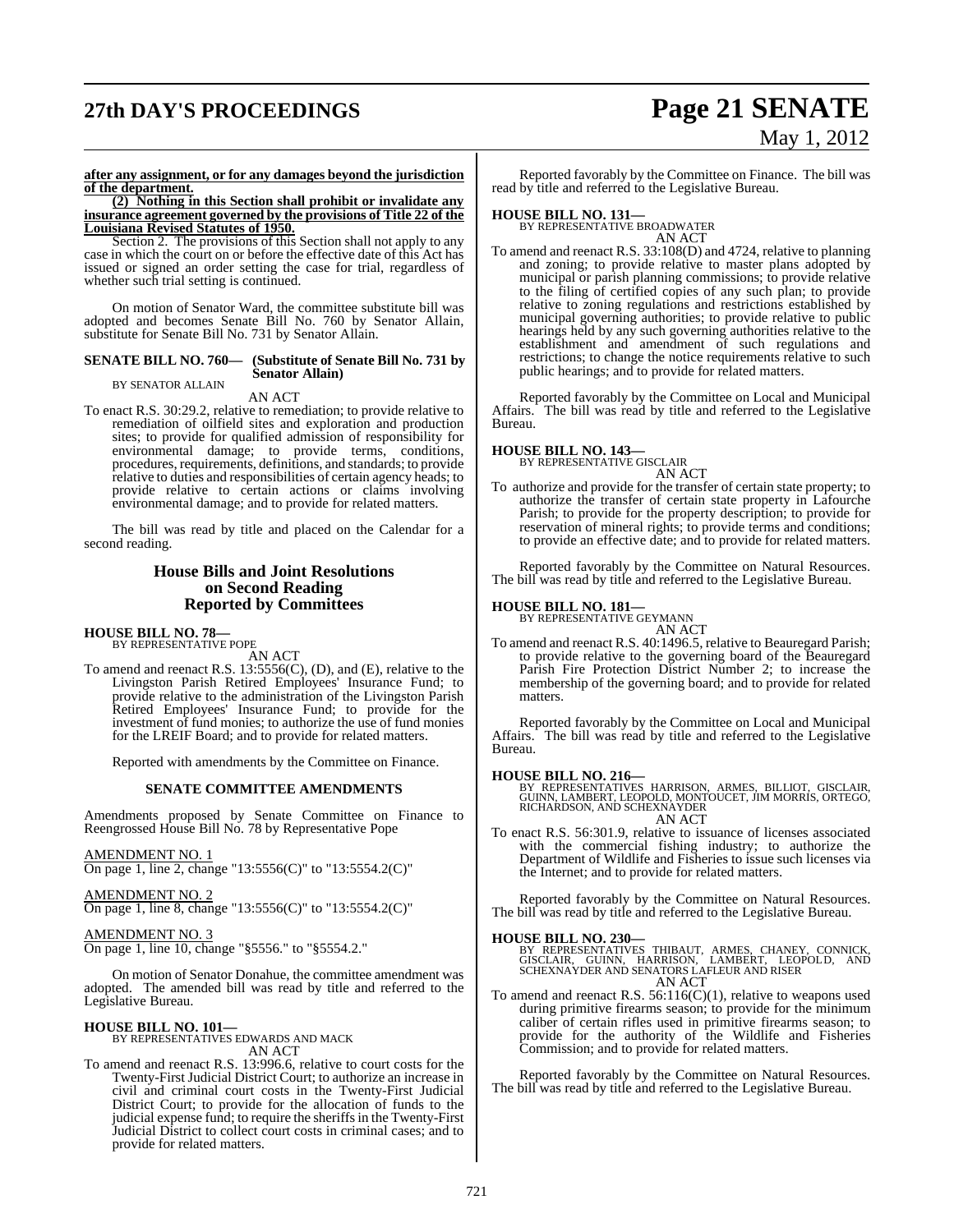# **27th DAY'S PROCEEDINGS Page 21 SENATE**

# May 1, 2012

#### **after any assignment, or for any damages beyond the jurisdiction of the department.**

**(2) Nothing in this Section shall prohibit or invalidate any insurance agreement governed by the provisions of Title 22 of the Louisiana Revised Statutes of 1950.**

Section 2. The provisions of this Section shall not apply to any case in which the court on or before the effective date of this Act has issued or signed an order setting the case for trial, regardless of whether such trial setting is continued.

On motion of Senator Ward, the committee substitute bill was adopted and becomes Senate Bill No. 760 by Senator Allain, substitute for Senate Bill No. 731 by Senator Allain.

#### **SENATE BILL NO. 760— (Substitute of Senate Bill No. 731 by Senator Allain)** BY SENATOR ALLAIN

#### AN ACT

To enact R.S. 30:29.2, relative to remediation; to provide relative to remediation of oilfield sites and exploration and production sites; to provide for qualified admission of responsibility for environmental damage; to provide terms, conditions, procedures, requirements, definitions, and standards; to provide relative to duties and responsibilities of certain agency heads; to provide relative to certain actions or claims involving environmental damage; and to provide for related matters.

The bill was read by title and placed on the Calendar for a second reading.

### **House Bills and Joint Resolutions on Second Reading Reported by Committees**

## **HOUSE BILL NO. 78—** BY REPRESENTATIVE POPE

AN ACT

To amend and reenact R.S. 13:5556(C), (D), and (E), relative to the Livingston Parish Retired Employees' Insurance Fund; to provide relative to the administration of the Livingston Parish Retired Employees' Insurance Fund; to provide for the investment of fund monies; to authorize the use of fund monies for the LREIF Board; and to provide for related matters.

Reported with amendments by the Committee on Finance.

#### **SENATE COMMITTEE AMENDMENTS**

Amendments proposed by Senate Committee on Finance to Reengrossed House Bill No. 78 by Representative Pope

#### AMENDMENT NO. 1

On page 1, line 2, change "13:5556(C)" to "13:5554.2(C)"

AMENDMENT NO. 2

On page 1, line 8, change "13:5556(C)" to "13:5554.2(C)"

#### AMENDMENT NO. 3

On page 1, line 10, change "§5556." to "§5554.2."

On motion of Senator Donahue, the committee amendment was adopted. The amended bill was read by title and referred to the Legislative Bureau.

**HOUSE BILL NO. 101—** BY REPRESENTATIVES EDWARDS AND MACK AN ACT

To amend and reenact R.S. 13:996.6, relative to court costs for the Twenty-First Judicial District Court; to authorize an increase in civil and criminal court costs in the Twenty-First Judicial District Court; to provide for the allocation of funds to the judicial expense fund; to require the sheriffs in the Twenty-First Judicial District to collect court costs in criminal cases; and to provide for related matters.

Reported favorably by the Committee on Finance. The bill was read by title and referred to the Legislative Bureau.

**HOUSE BILL NO. 131—** BY REPRESENTATIVE BROADWATER

AN ACT

To amend and reenact R.S. 33:108(D) and 4724, relative to planning and zoning; to provide relative to master plans adopted by municipal or parish planning commissions; to provide relative to the filing of certified copies of any such plan; to provide relative to zoning regulations and restrictions established by municipal governing authorities; to provide relative to public hearings held by any such governing authorities relative to the establishment and amendment of such regulations and restrictions; to change the notice requirements relative to such public hearings; and to provide for related matters.

Reported favorably by the Committee on Local and Municipal Affairs. The bill was read by title and referred to the Legislative Bureau.

## **HOUSE BILL NO. 143—** BY REPRESENTATIVE GISCLAIR

AN ACT

To authorize and provide for the transfer of certain state property; to authorize the transfer of certain state property in Lafourche Parish; to provide for the property description; to provide for reservation of mineral rights; to provide terms and conditions; to provide an effective date; and to provide for related matters.

Reported favorably by the Committee on Natural Resources. The bill was read by title and referred to the Legislative Bureau.

## **HOUSE BILL NO. 181—** BY REPRESENTATIVE GEYMANN

AN ACT

To amend and reenact R.S. 40:1496.5, relative to Beauregard Parish; to provide relative to the governing board of the Beauregard Parish Fire Protection District Number 2; to increase the membership of the governing board; and to provide for related matters.

Reported favorably by the Committee on Local and Municipal Affairs. The bill was read by title and referred to the Legislative Bureau.

**HOUSE BILL NO. 216—** BY REPRESENTATIVES HARRISON, ARMES, BILLIOT, GISCLAIR, GUINN, LAMBERT, LEOPOLD, MONTOUCET, JIM MORRIS, ORTEGO, RICHARDSON, AND SCHEXNAYDER AN ACT

To enact R.S. 56:301.9, relative to issuance of licenses associated with the commercial fishing industry; to authorize the Department of Wildlife and Fisheries to issue such licenses via the Internet; and to provide for related matters.

Reported favorably by the Committee on Natural Resources. The bill was read by title and referred to the Legislative Bureau.

**HOUSE BILL NO. 230—** BY REPRESENTATIVES THIBAUT, ARMES, CHANEY, CONNICK, GISCLAIR, GUINN, HARRISON, LAMBERT, LEOPOLD, AND SCHEXNAYDER AND SENATORS LAFLEUR AND RISER AN ACT

To amend and reenact R.S. 56:116(C)(1), relative to weapons used during primitive firearms season; to provide for the minimum caliber of certain rifles used in primitive firearms season; to provide for the authority of the Wildlife and Fisheries Commission; and to provide for related matters.

Reported favorably by the Committee on Natural Resources. The bill was read by title and referred to the Legislative Bureau.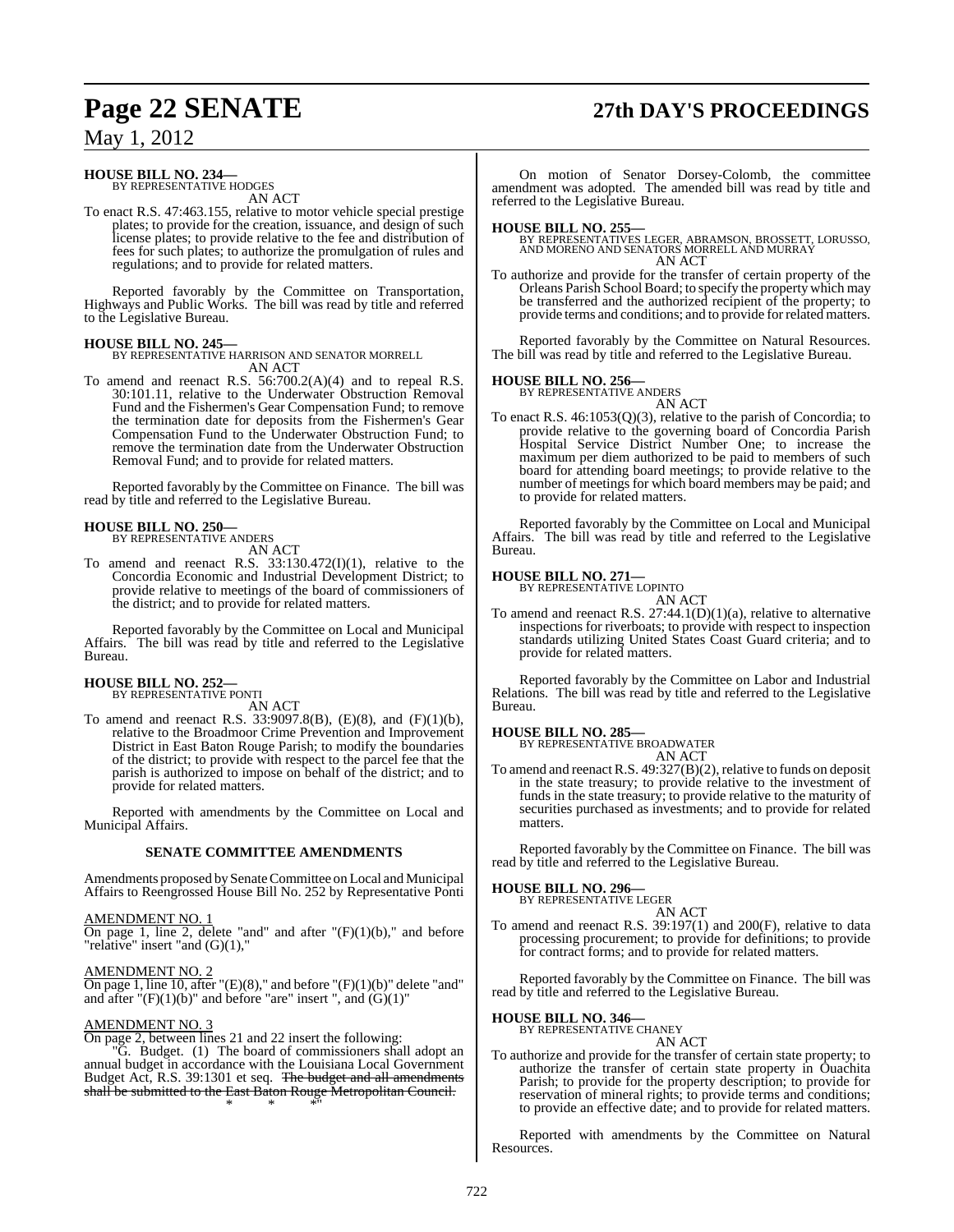# **Page 22 SENATE 27th DAY'S PROCEEDINGS**

## May 1, 2012

## **HOUSE BILL NO. 234—** BY REPRESENTATIVE HODGES

AN ACT

To enact R.S. 47:463.155, relative to motor vehicle special prestige plates; to provide for the creation, issuance, and design of such license plates; to provide relative to the fee and distribution of fees for such plates; to authorize the promulgation of rules and regulations; and to provide for related matters.

Reported favorably by the Committee on Transportation, Highways and Public Works. The bill was read by title and referred to the Legislative Bureau.

**HOUSE BILL NO. 245—** BY REPRESENTATIVE HARRISON AND SENATOR MORRELL AN ACT

To amend and reenact R.S. 56:700.2(A)(4) and to repeal R.S. 30:101.11, relative to the Underwater Obstruction Removal Fund and the Fishermen's Gear Compensation Fund; to remove the termination date for deposits from the Fishermen's Gear Compensation Fund to the Underwater Obstruction Fund; to remove the termination date from the Underwater Obstruction Removal Fund; and to provide for related matters.

Reported favorably by the Committee on Finance. The bill was read by title and referred to the Legislative Bureau.

## **HOUSE BILL NO. 250—** BY REPRESENTATIVE ANDERS

AN ACT

To amend and reenact R.S. 33:130.472(I)(1), relative to the Concordia Economic and Industrial Development District; to provide relative to meetings of the board of commissioners of the district; and to provide for related matters.

Reported favorably by the Committee on Local and Municipal Affairs. The bill was read by title and referred to the Legislative Bureau.

## **HOUSE BILL NO. 252—** BY REPRESENTATIVE PONTI

AN ACT

To amend and reenact R.S.  $33:9097.8(B)$ , (E)(8), and (F)(1)(b), relative to the Broadmoor Crime Prevention and Improvement District in East Baton Rouge Parish; to modify the boundaries of the district; to provide with respect to the parcel fee that the parish is authorized to impose on behalf of the district; and to provide for related matters.

Reported with amendments by the Committee on Local and Municipal Affairs.

#### **SENATE COMMITTEE AMENDMENTS**

Amendments proposed by Senate Committee on Local and Municipal Affairs to Reengrossed House Bill No. 252 by Representative Ponti

#### AMENDMENT NO. 1

On page 1, line 2, delete "and" and after  $"(\mathrm{F})(1)(\mathrm{b})$ ," and before "relative" insert "and (G)(1),"

#### AMENDMENT NO. 2

On page 1, line 10, after "(E)(8)," and before "(F)(1)(b)" delete "and" and after  $\sqrt{T}$ (F)(1)(b)" and before "are" insert ", and (G)(1)"

#### AMENDMENT NO. 3

On page 2, between lines 21 and 22 insert the following:

"G. Budget. (1) The board of commissioners shall adopt an annual budget in accordance with the Louisiana Local Government Budget Act, R.S. 39:1301 et seq. The budget and all amendments shall be submitted to the East Baton Rouge Metropolitan Council. \* \* \*"

On motion of Senator Dorsey-Colomb, the committee amendment was adopted. The amended bill was read by title and referred to the Legislative Bureau.

**HOUSE BILL NO. 255—** BY REPRESENTATIVES LEGER, ABRAMSON, BROSSETT, LORUSSO, AND MORENO AND SENATORS MORRELL AND MURRAY AN ACT

To authorize and provide for the transfer of certain property of the Orleans Parish School Board; to specify the property which may be transferred and the authorized recipient of the property; to provide terms and conditions; and to provide for related matters.

Reported favorably by the Committee on Natural Resources. The bill was read by title and referred to the Legislative Bureau.

#### **HOUSE BILL NO. 256—**

BY REPRESENTATIVE ANDERS AN ACT

To enact R.S. 46:1053(Q)(3), relative to the parish of Concordia; to provide relative to the governing board of Concordia Parish Hospital Service District Number One; to increase the maximum per diem authorized to be paid to members of such board for attending board meetings; to provide relative to the number of meetings for which board members may be paid; and to provide for related matters.

Reported favorably by the Committee on Local and Municipal Affairs. The bill was read by title and referred to the Legislative Bureau.

## **HOUSE BILL NO. 271—** BY REPRESENTATIVE LOPINTO

AN ACT

To amend and reenact R.S. 27:44.1(D)(1)(a), relative to alternative inspections for riverboats; to provide with respect to inspection standards utilizing United States Coast Guard criteria; and to provide for related matters.

Reported favorably by the Committee on Labor and Industrial Relations. The bill was read by title and referred to the Legislative Bureau.

**HOUSE BILL NO. 285—** BY REPRESENTATIVE BROADWATER AN ACT

To amend and reenact R.S. 49:327(B)(2), relative to funds on deposit in the state treasury; to provide relative to the investment of funds in the state treasury; to provide relative to the maturity of securities purchased as investments; and to provide for related matters.

Reported favorably by the Committee on Finance. The bill was read by title and referred to the Legislative Bureau.

## **HOUSE BILL NO. 296—** BY REPRESENTATIVE LEGER

AN ACT

To amend and reenact R.S. 39:197(1) and 200(F), relative to data processing procurement; to provide for definitions; to provide for contract forms; and to provide for related matters.

Reported favorably by the Committee on Finance. The bill was read by title and referred to the Legislative Bureau.

#### **HOUSE BILL NO. 346—**

BY REPRESENTATIVE CHANEY AN ACT

To authorize and provide for the transfer of certain state property; to authorize the transfer of certain state property in Ouachita Parish; to provide for the property description; to provide for reservation of mineral rights; to provide terms and conditions; to provide an effective date; and to provide for related matters.

Reported with amendments by the Committee on Natural Resources.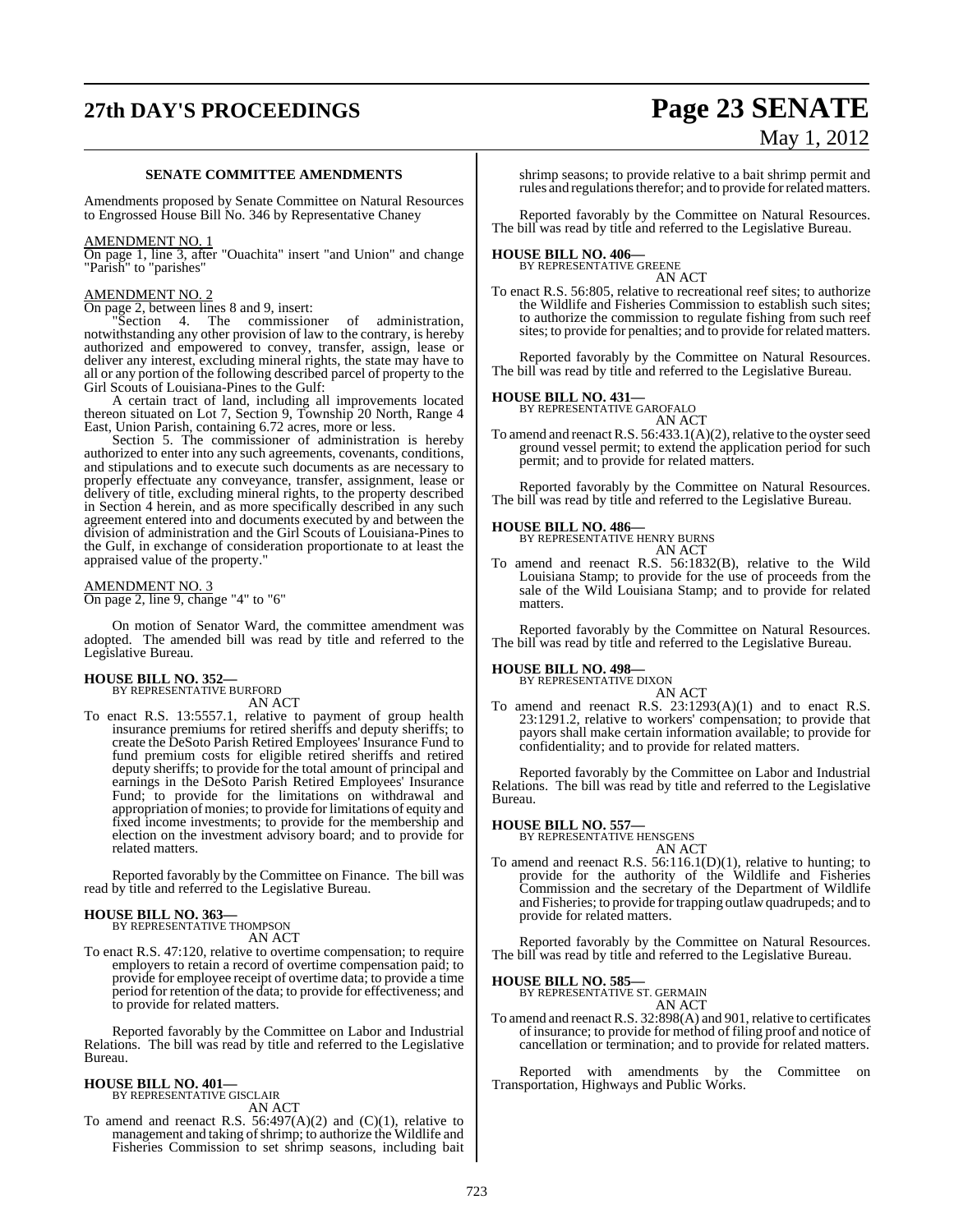# **27th DAY'S PROCEEDINGS Page 23 SENATE**

# May 1, 2012

#### **SENATE COMMITTEE AMENDMENTS**

Amendments proposed by Senate Committee on Natural Resources to Engrossed House Bill No. 346 by Representative Chaney

#### AMENDMENT NO. 1

On page 1, line 3, after "Ouachita" insert "and Union" and change "Parish" to "parishes"

#### AMENDMENT NO. 2

On page 2, between lines 8 and 9, insert:

Section 4. The commissioner of administration, notwithstanding any other provision of law to the contrary, is hereby authorized and empowered to convey, transfer, assign, lease or deliver any interest, excluding mineral rights, the state may have to all or any portion of the following described parcel of property to the Girl Scouts of Louisiana-Pines to the Gulf:

A certain tract of land, including all improvements located thereon situated on Lot 7, Section 9, Township 20 North, Range 4 East, Union Parish, containing 6.72 acres, more or less.

Section 5. The commissioner of administration is hereby authorized to enter into any such agreements, covenants, conditions, and stipulations and to execute such documents as are necessary to properly effectuate any conveyance, transfer, assignment, lease or delivery of title, excluding mineral rights, to the property described in Section 4 herein, and as more specifically described in any such agreement entered into and documents executed by and between the division of administration and the Girl Scouts of Louisiana-Pines to the Gulf, in exchange of consideration proportionate to at least the appraised value of the property."

#### AMENDMENT NO. 3 On page 2, line 9, change "4" to "6"

On motion of Senator Ward, the committee amendment was adopted. The amended bill was read by title and referred to the Legislative Bureau.

## **HOUSE BILL NO. 352—** BY REPRESENTATIVE BURFORD

AN ACT

To enact R.S. 13:5557.1, relative to payment of group health insurance premiums for retired sheriffs and deputy sheriffs; to create the DeSoto Parish Retired Employees' Insurance Fund to fund premium costs for eligible retired sheriffs and retired deputy sheriffs; to provide for the total amount of principal and earnings in the DeSoto Parish Retired Employees' Insurance Fund; to provide for the limitations on withdrawal and appropriation of monies; to provide for limitations of equity and fixed income investments; to provide for the membership and election on the investment advisory board; and to provide for related matters.

Reported favorably by the Committee on Finance. The bill was read by title and referred to the Legislative Bureau.

#### **HOUSE BILL NO. 363—**

BY REPRESENTATIVE THOMPSON AN ACT

To enact R.S. 47:120, relative to overtime compensation; to require employers to retain a record of overtime compensation paid; to provide for employee receipt of overtime data; to provide a time period for retention of the data; to provide for effectiveness; and to provide for related matters.

Reported favorably by the Committee on Labor and Industrial Relations. The bill was read by title and referred to the Legislative Bureau.

#### **HOUSE BILL NO. 401—**

BY REPRESENTATIVE GISCLAIR AN ACT

To amend and reenact R.S.  $56:497(A)(2)$  and  $(C)(1)$ , relative to management and taking of shrimp; to authorize the Wildlife and Fisheries Commission to set shrimp seasons, including bait

shrimp seasons; to provide relative to a bait shrimp permit and rules and regulations therefor; and to provide for related matters.

Reported favorably by the Committee on Natural Resources. The bill was read by title and referred to the Legislative Bureau.

# **HOUSE BILL NO. 406—** BY REPRESENTATIVE GREENE

AN ACT

To enact R.S. 56:805, relative to recreational reef sites; to authorize the Wildlife and Fisheries Commission to establish such sites; to authorize the commission to regulate fishing from such reef sites; to provide for penalties; and to provide for related matters.

Reported favorably by the Committee on Natural Resources. The bill was read by title and referred to the Legislative Bureau.

#### **HOUSE BILL NO. 431—**



To amend and reenact R.S.  $56:433.1(A)(2)$ , relative to the oyster seed ground vessel permit; to extend the application period for such permit; and to provide for related matters.

Reported favorably by the Committee on Natural Resources. The bill was read by title and referred to the Legislative Bureau.

**HOUSE BILL NO. 486—** BY REPRESENTATIVE HENRY BURNS AN ACT

To amend and reenact R.S. 56:1832(B), relative to the Wild Louisiana Stamp; to provide for the use of proceeds from the sale of the Wild Louisiana Stamp; and to provide for related matters.

Reported favorably by the Committee on Natural Resources. The bill was read by title and referred to the Legislative Bureau.

#### **HOUSE BILL NO. 498—**

BY REPRESENTATIVE DIXON AN ACT

To amend and reenact R.S. 23:1293(A)(1) and to enact R.S. 23:1291.2, relative to workers' compensation; to provide that payors shall make certain information available; to provide for confidentiality; and to provide for related matters.

Reported favorably by the Committee on Labor and Industrial Relations. The bill was read by title and referred to the Legislative Bureau.

#### **HOUSE BILL NO. 557—**

BY REPRESENTATIVE HENSGENS

- AN ACT
- To amend and reenact R.S. 56:116.1(D)(1), relative to hunting; to provide for the authority of the Wildlife and Fisheries Commission and the secretary of the Department of Wildlife and Fisheries; to provide fortrapping outlaw quadrupeds; and to provide for related matters.

Reported favorably by the Committee on Natural Resources. The bill was read by title and referred to the Legislative Bureau.

**HOUSE BILL NO. 585—**

#### BY REPRESENTATIVE ST. GERMAIN AN ACT

To amend and reenactR.S. 32:898(A) and 901, relative to certificates of insurance; to provide for method of filing proof and notice of cancellation or termination; and to provide for related matters.

Reported with amendments by the Committee on Transportation, Highways and Public Works.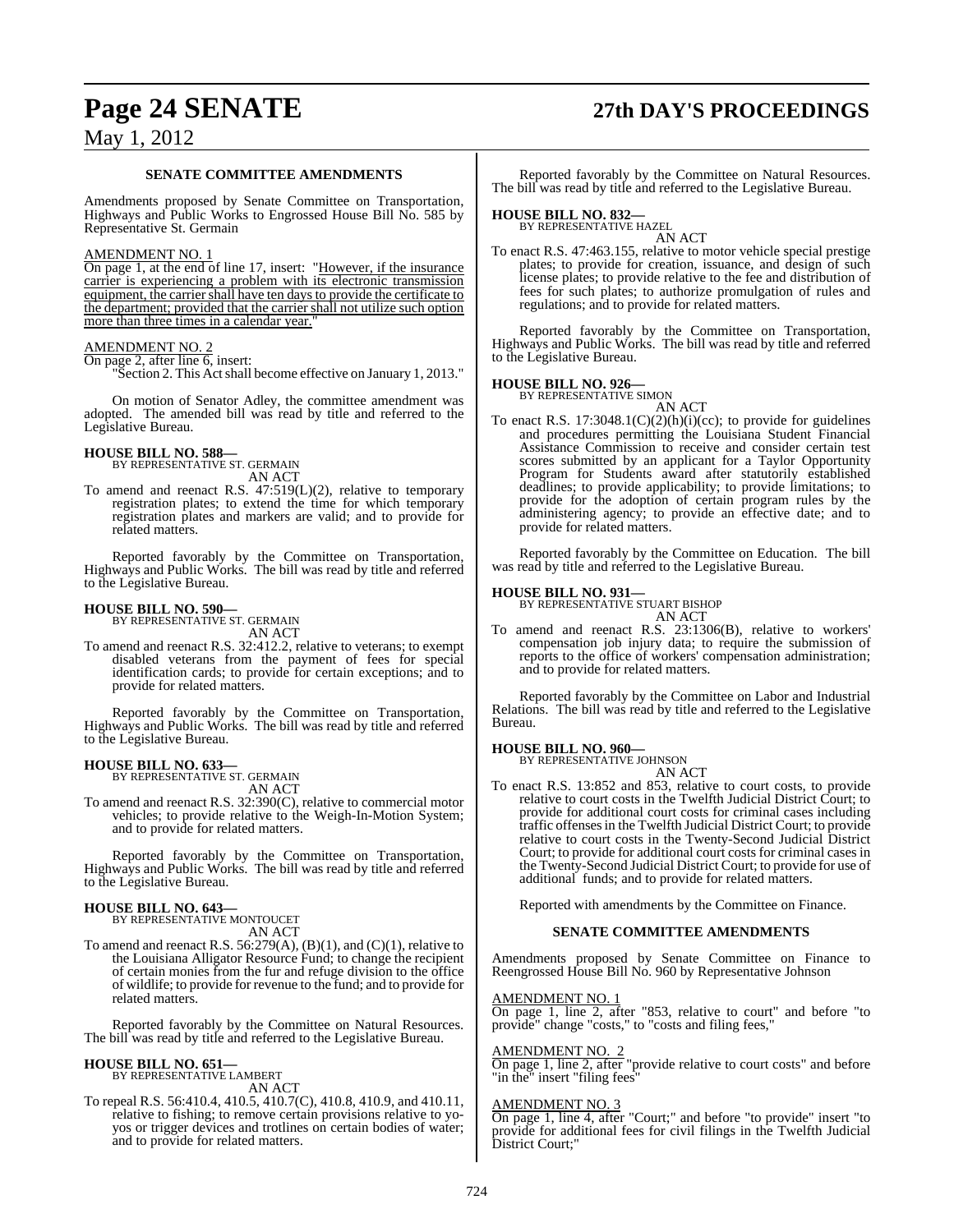## **Page 24 SENATE 27th DAY'S PROCEEDINGS**

## May 1, 2012

#### **SENATE COMMITTEE AMENDMENTS**

Amendments proposed by Senate Committee on Transportation, Highways and Public Works to Engrossed House Bill No. 585 by Representative St. Germain

#### AMENDMENT NO. 1

On page 1, at the end of line 17, insert: "However, if the insurance" carrier is experiencing a problem with its electronic transmission equipment, the carrier shall have ten days to provide the certificate to the department; provided that the carrier shall not utilize such option more than three times in a calendar year.

#### AMENDMENT NO. 2

On page 2, after line 6, insert:

"Section 2. This Actshall become effective on January 1, 2013."

On motion of Senator Adley, the committee amendment was adopted. The amended bill was read by title and referred to the Legislative Bureau.

## **HOUSE BILL NO. 588—**

BY REPRESENTATIVE ST. GERMAIN AN ACT

To amend and reenact R.S. 47:519(L)(2), relative to temporary registration plates; to extend the time for which temporary registration plates and markers are valid; and to provide for related matters.

Reported favorably by the Committee on Transportation, Highways and Public Works. The bill was read by title and referred to the Legislative Bureau.

## **HOUSE BILL NO. 590—** BY REPRESENTATIVE ST. GERMAIN

AN ACT

To amend and reenact R.S. 32:412.2, relative to veterans; to exempt disabled veterans from the payment of fees for special identification cards; to provide for certain exceptions; and to provide for related matters.

Reported favorably by the Committee on Transportation, Highways and Public Works. The bill was read by title and referred to the Legislative Bureau.

## **HOUSE BILL NO. 633—** BY REPRESENTATIVE ST. GERMAIN

AN ACT

To amend and reenact R.S. 32:390(C), relative to commercial motor vehicles; to provide relative to the Weigh-In-Motion System; and to provide for related matters.

Reported favorably by the Committee on Transportation, Highways and Public Works. The bill was read by title and referred to the Legislative Bureau.

**HOUSE BILL NO. 643—** BY REPRESENTATIVE MONTOUCET AN ACT

To amend and reenact R.S.  $56:279(A), (B)(1)$ , and  $(C)(1)$ , relative to the Louisiana Alligator Resource Fund; to change the recipient of certain monies from the fur and refuge division to the office of wildlife; to provide for revenue to the fund; and to provide for related matters.

Reported favorably by the Committee on Natural Resources. The bill was read by title and referred to the Legislative Bureau.

## **HOUSE BILL NO. 651—** BY REPRESENTATIVE LAMBERT

AN ACT

To repeal R.S. 56:410.4, 410.5, 410.7(C), 410.8, 410.9, and 410.11, relative to fishing; to remove certain provisions relative to yoyos or trigger devices and trotlines on certain bodies of water; and to provide for related matters.

Reported favorably by the Committee on Natural Resources. The bill was read by title and referred to the Legislative Bureau.

## **HOUSE BILL NO. 832—** BY REPRESENTATIVE HAZEL

AN ACT To enact R.S. 47:463.155, relative to motor vehicle special prestige plates; to provide for creation, issuance, and design of such license plates; to provide relative to the fee and distribution of fees for such plates; to authorize promulgation of rules and regulations; and to provide for related matters.

Reported favorably by the Committee on Transportation, Highways and Public Works. The bill was read by title and referred to the Legislative Bureau.

## **HOUSE BILL NO. 926—** BY REPRESENTATIVE SIMON

AN ACT

To enact R.S. 17:3048.1(C)(2)(h)(i)(cc); to provide for guidelines and procedures permitting the Louisiana Student Financial Assistance Commission to receive and consider certain test scores submitted by an applicant for a Taylor Opportunity Program for Students award after statutorily established deadlines; to provide applicability; to provide limitations; to provide for the adoption of certain program rules by the administering agency; to provide an effective date; and to provide for related matters.

Reported favorably by the Committee on Education. The bill was read by title and referred to the Legislative Bureau.

## **HOUSE BILL NO. 931—** BY REPRESENTATIVE STUART BISHOP

AN ACT To amend and reenact R.S. 23:1306(B), relative to workers' compensation job injury data; to require the submission of reports to the office of workers' compensation administration; and to provide for related matters.

Reported favorably by the Committee on Labor and Industrial Relations. The bill was read by title and referred to the Legislative Bureau.

## **HOUSE BILL NO. 960—** BY REPRESENTATIVE JOHNSON

- AN ACT
- To enact R.S. 13:852 and 853, relative to court costs, to provide relative to court costs in the Twelfth Judicial District Court; to provide for additional court costs for criminal cases including traffic offensesin the Twelfth Judicial District Court; to provide relative to court costs in the Twenty-Second Judicial District Court; to provide for additional court costs for criminal cases in the Twenty-Second Judicial District Court; to provide for use of additional funds; and to provide for related matters.

Reported with amendments by the Committee on Finance.

#### **SENATE COMMITTEE AMENDMENTS**

Amendments proposed by Senate Committee on Finance to Reengrossed House Bill No. 960 by Representative Johnson

#### AMENDMENT NO. 1

On page 1, line 2, after "853, relative to court" and before "to provide" change "costs," to "costs and filing fees,"

#### AMENDMENT NO. 2

On page 1, line 2, after "provide relative to court costs" and before "in the" insert "filing fees"

#### AMENDMENT NO. 3

On page 1, line 4, after "Court;" and before "to provide" insert "to provide for additional fees for civil filings in the Twelfth Judicial District Court;"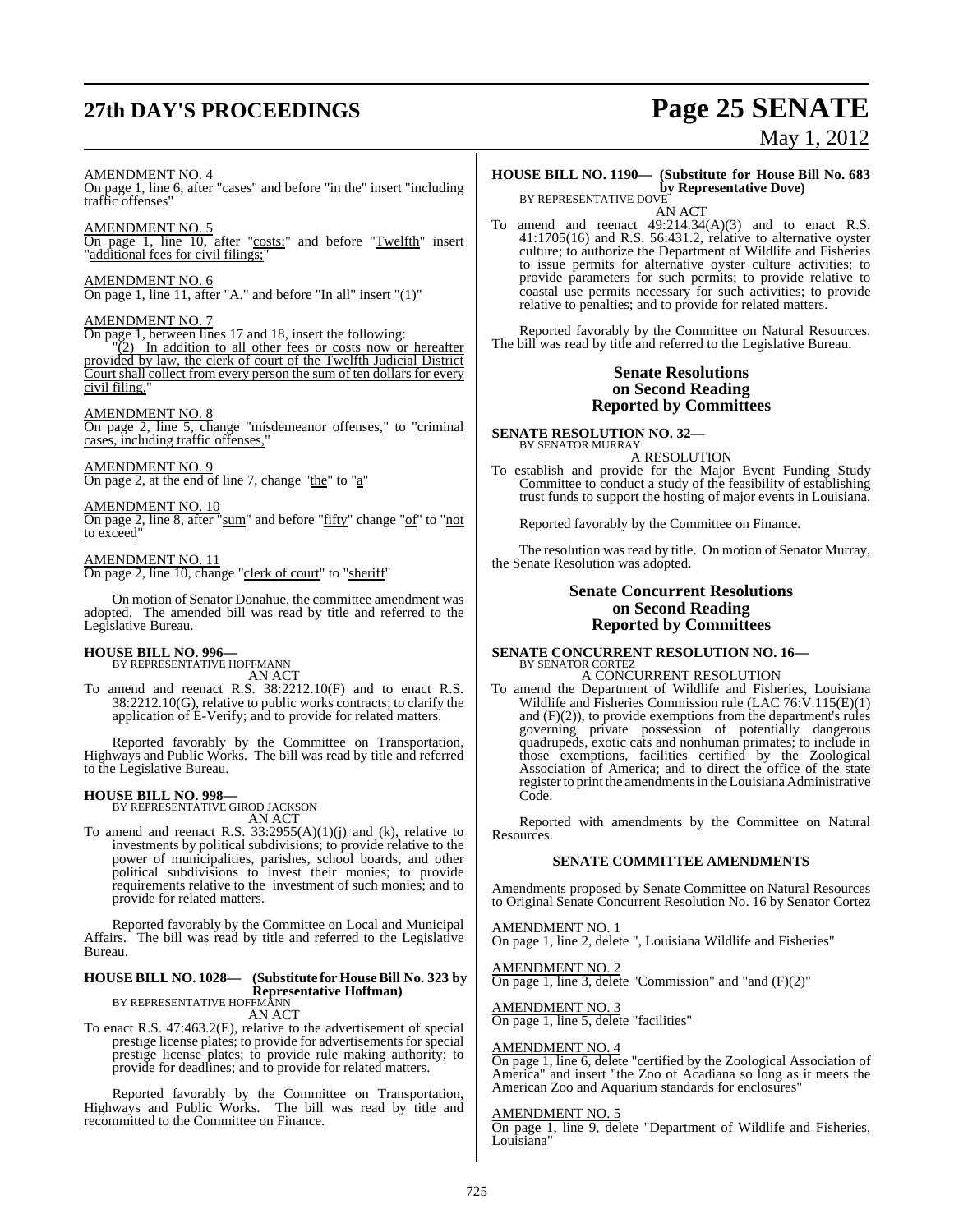# **27th DAY'S PROCEEDINGS Page 25 SENATE**

# May 1, 2012

#### AMENDMENT NO. 4

On page 1, line 6, after "cases" and before "in the" insert "including traffic offenses"

#### AMENDMENT NO. 5

On page 1, line 10, after "costs;" and before "Twelfth" insert 'additional fees for civil filings;

#### AMENDMENT NO. 6

On page 1, line 11, after " $\underline{A}$ ." and before "In all" insert " $(1)$ "

#### AMENDMENT NO. 7

On page 1, between lines 17 and 18, insert the following:

 $(2)$  In addition to all other fees or costs now or hereafter provided by law, the clerk of court of the Twelfth Judicial District Court shall collect from every person the sum of ten dollars for every civil filing.

#### AMENDMENT NO. 8

On page 2, line 5, change "misdemeanor offenses," to "criminal cases, including traffic offenses,"

#### AMENDMENT NO. 9

On page 2, at the end of line 7, change "the" to "a"

AMENDMENT NO. 10 On page 2, line 8, after "sum" and before "fifty" change "of" to "not to exceed"

#### AMENDMENT NO. 11

On page 2, line 10, change "clerk of court" to "sheriff"

On motion of Senator Donahue, the committee amendment was adopted. The amended bill was read by title and referred to the Legislative Bureau.

#### **HOUSE BILL NO. 996—**

BY REPRESENTATIVE HOFFMANN AN ACT

To amend and reenact R.S. 38:2212.10(F) and to enact R.S. 38:2212.10(G), relative to public works contracts; to clarify the application of E-Verify; and to provide for related matters.

Reported favorably by the Committee on Transportation, Highways and Public Works. The bill was read by title and referred to the Legislative Bureau.

#### **HOUSE BILL NO. 998—**

BY REPRESENTATIVE GIROD JACKSON AN ACT

To amend and reenact R.S.  $33:2955(A)(1)(j)$  and (k), relative to investments by political subdivisions; to provide relative to the power of municipalities, parishes, school boards, and other political subdivisions to invest their monies; to provide requirements relative to the investment of such monies; and to provide for related matters.

Reported favorably by the Committee on Local and Municipal Affairs. The bill was read by title and referred to the Legislative Bureau.

#### **HOUSE BILL NO. 1028— (Substitute for HouseBill No. 323 by Representative Hoffman)** BY REPRESENTATIVE HOFFMANN

AN ACT

To enact R.S. 47:463.2(E), relative to the advertisement of special prestige license plates; to provide for advertisements for special prestige license plates; to provide rule making authority; to provide for deadlines; and to provide for related matters.

Reported favorably by the Committee on Transportation, Highways and Public Works. The bill was read by title and recommitted to the Committee on Finance.

## **HOUSE BILL NO. 1190— (Substitute for House Bill No. 683 by Representative Dove)**<br>BY REPRESENTATIVE DOVE

AN ACT

To amend and reenact 49:214.34(A)(3) and to enact R.S. 41:1705(16) and R.S. 56:431.2, relative to alternative oyster culture; to authorize the Department of Wildlife and Fisheries to issue permits for alternative oyster culture activities; to provide parameters for such permits; to provide relative to coastal use permits necessary for such activities; to provide relative to penalties; and to provide for related matters.

Reported favorably by the Committee on Natural Resources. The bill was read by title and referred to the Legislative Bureau.

#### **Senate Resolutions on Second Reading Reported by Committees**

**SENATE RESOLUTION NO. 32—** BY SENATOR MURRAY

A RESOLUTION

To establish and provide for the Major Event Funding Study Committee to conduct a study of the feasibility of establishing trust funds to support the hosting of major events in Louisiana.

Reported favorably by the Committee on Finance.

The resolution was read by title. On motion of Senator Murray, the Senate Resolution was adopted.

#### **Senate Concurrent Resolutions on Second Reading Reported by Committees**

#### **SENATE CONCURRENT RESOLUTION NO. 16—** BY SENATOR CORTEZ A CONCURRENT RESOLUTION

To amend the Department of Wildlife and Fisheries, Louisiana Wildlife and Fisheries Commission rule (LAC 76:V.115(E)(1) and (F)(2)), to provide exemptions from the department's rules governing private possession of potentially dangerous quadrupeds, exotic cats and nonhuman primates; to include in those exemptions, facilities certified by the Zoological Association of America; and to direct the office of the state register to print the amendments in the Louisiana Administrative Code.

Reported with amendments by the Committee on Natural Resources.

#### **SENATE COMMITTEE AMENDMENTS**

Amendments proposed by Senate Committee on Natural Resources to Original Senate Concurrent Resolution No. 16 by Senator Cortez

AMENDMENT NO. 1 On page 1, line 2, delete ", Louisiana Wildlife and Fisheries"

AMENDMENT NO. 2 On page 1, line 3, delete "Commission" and "and  $(F)(2)$ "

AMENDMENT NO. 3 On page 1, line 5, delete "facilities"

#### AMENDMENT NO. 4

On page 1, line 6, delete "certified by the Zoological Association of America" and insert "the Zoo of Acadiana so long as it meets the American Zoo and Aquarium standards for enclosures"

#### AMENDMENT NO. 5

On page 1, line 9, delete "Department of Wildlife and Fisheries, Louisiana'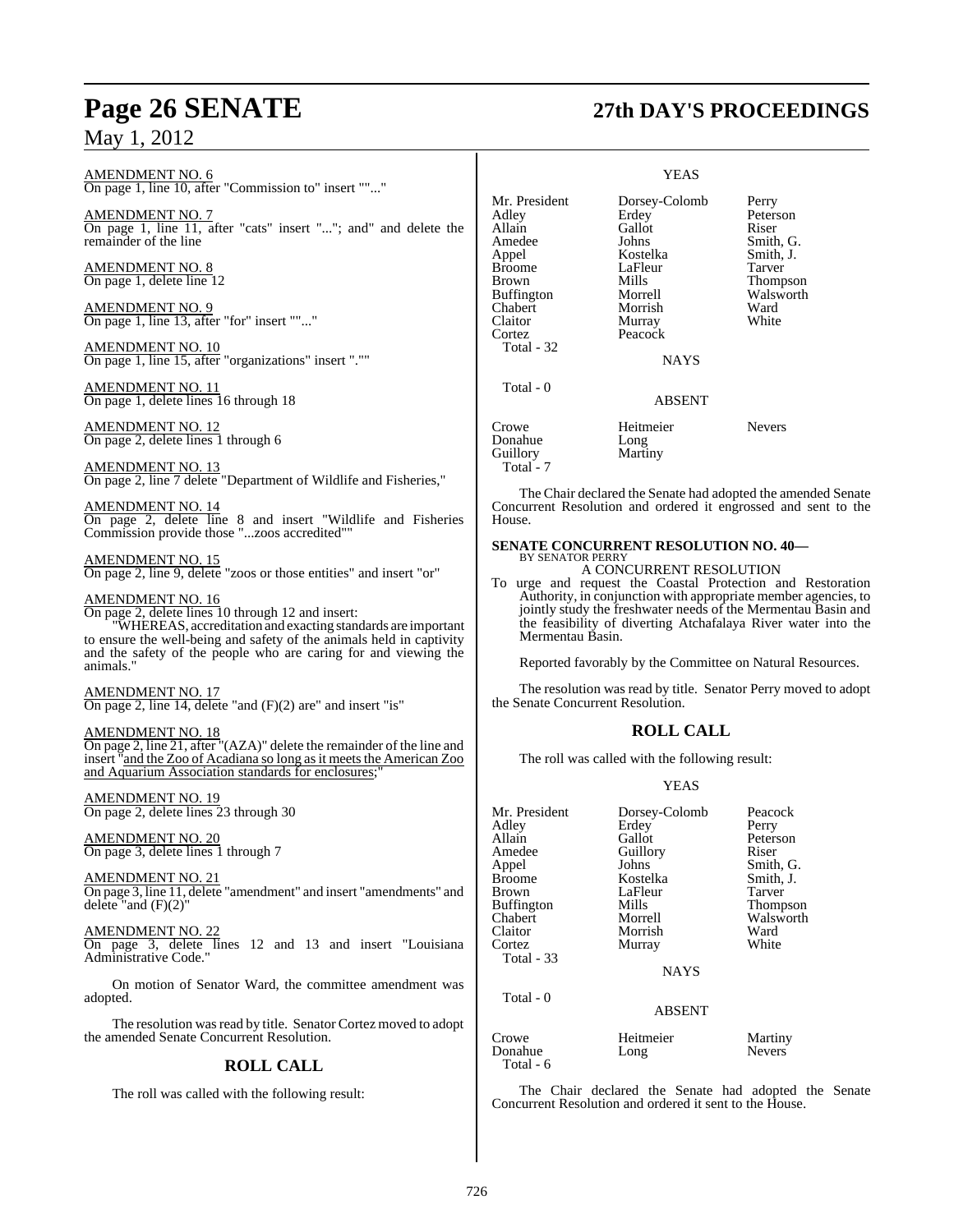AMENDMENT NO. 6 On page 1, line 10, after "Commission to" insert ""..."

AMENDMENT NO. 7 On page 1, line 11, after "cats" insert "..."; and" and delete the remainder of the line

AMENDMENT NO. 8 On page 1, delete line 12

AMENDMENT NO. 9 On page 1, line 13, after "for" insert ""..."

AMENDMENT NO. 10 On page 1, line 15, after "organizations" insert ".""

AMENDMENT NO. 11 On page 1, delete lines 16 through 18

AMENDMENT NO. 12 On page 2, delete lines 1 through 6

AMENDMENT NO. 13 On page 2, line 7 delete "Department of Wildlife and Fisheries,"

AMENDMENT NO. 14 On page 2, delete line 8 and insert "Wildlife and Fisheries Commission provide those "...zoos accredited""

AMENDMENT NO. 15 On page 2, line 9, delete "zoos or those entities" and insert "or"

#### AMENDMENT NO. 16

On page 2, delete lines 10 through 12 and insert: "WHEREAS, accreditation and exacting standards are important to ensure the well-being and safety of the animals held in captivity and the safety of the people who are caring for and viewing the animals."

AMENDMENT NO. 17 On page 2, line 14, delete "and (F)(2) are" and insert "is"

AMENDMENT NO. 18 On page 2, line 21, after "(AZA)" delete the remainder of the line and insert "and the Zoo of Acadiana so long as it meets the American Zoo and Aquarium Association standards for enclosures;

AMENDMENT NO. 19 On page 2, delete lines 23 through 30

AMENDMENT NO. 20 On page 3, delete lines 1 through 7

AMENDMENT NO. 21 On page 3, line 11, delete "amendment" and insert "amendments" and delete "and  $(F)(2)$ "

AMENDMENT NO. 22 On page 3, delete lines 12 and 13 and insert "Louisiana Administrative Code."

On motion of Senator Ward, the committee amendment was adopted.

The resolution was read by title. Senator Cortez moved to adopt the amended Senate Concurrent Resolution.

## **ROLL CALL**

The roll was called with the following result:

# **Page 26 SENATE 27th DAY'S PROCEEDINGS**

#### YEAS

| Mr. President<br>Adlev | Dorsey-Colomb<br>Erdey | Perry<br>Peterson |
|------------------------|------------------------|-------------------|
| Allain                 | Gallot                 | Riser             |
| Amedee                 | Johns                  | Smith, G.         |
| Appel                  | Kostelka               | Smith, J.         |
| Broome                 | LaFleur                | Tarver            |
| Brown                  | Mills                  | Thompson          |
| Buffington             | Morrell                | Walsworth         |
| Chabert                | Morrish                | Ward              |
| Claitor                | Murray                 | White             |
| Cortez                 | Peacock                |                   |
| Total - 32             |                        |                   |
|                        | <b>NAYS</b>            |                   |
| Total - 0              |                        |                   |
|                        | <b>ABSENT</b>          |                   |
| Crowe                  | Heitmeier              | <b>Nevers</b>     |
| Donahue                | Long                   |                   |
| Guillory               | Martiny                |                   |
| Total - 7              |                        |                   |

The Chair declared the Senate had adopted the amended Senate Concurrent Resolution and ordered it engrossed and sent to the House.

#### **SENATE CONCURRENT RESOLUTION NO. 40—** BY SENATOR PERRY

A CONCURRENT RESOLUTION

To urge and request the Coastal Protection and Restoration Authority, in conjunction with appropriate member agencies, to jointly study the freshwater needs of the Mermentau Basin and the feasibility of diverting Atchafalaya River water into the Mermentau Basin.

Reported favorably by the Committee on Natural Resources.

The resolution was read by title. Senator Perry moved to adopt the Senate Concurrent Resolution.

## **ROLL CALL**

The roll was called with the following result:

#### YEAS

| Mr. President<br>Adley<br>Allain<br>Amedee<br>Appel<br><b>Broome</b><br>Brown<br><b>Buffington</b><br>Chabert<br>Claitor | Dorsey-Colomb<br>Erdey<br>Gallot<br>Guillory<br>Johns<br>Kostelka<br>LaFleur<br>Mills<br>Morrell<br>Morrish<br>Murray | Peacock<br>Perry<br>Peterson<br>Riser<br>Smith, G.<br>Smith, J.<br>Tarver<br><b>Thompson</b><br>Walsworth<br>Ward<br>White |
|--------------------------------------------------------------------------------------------------------------------------|-----------------------------------------------------------------------------------------------------------------------|----------------------------------------------------------------------------------------------------------------------------|
| Total - 33                                                                                                               | <b>NAYS</b>                                                                                                           |                                                                                                                            |
| Total - 0                                                                                                                | <b>ABSENT</b>                                                                                                         |                                                                                                                            |
| Crowe<br>Donahue                                                                                                         | Heitmeier<br>Long                                                                                                     | Martiny<br><b>Nevers</b>                                                                                                   |

The Chair declared the Senate had adopted the Senate Concurrent Resolution and ordered it sent to the House.

Total - 6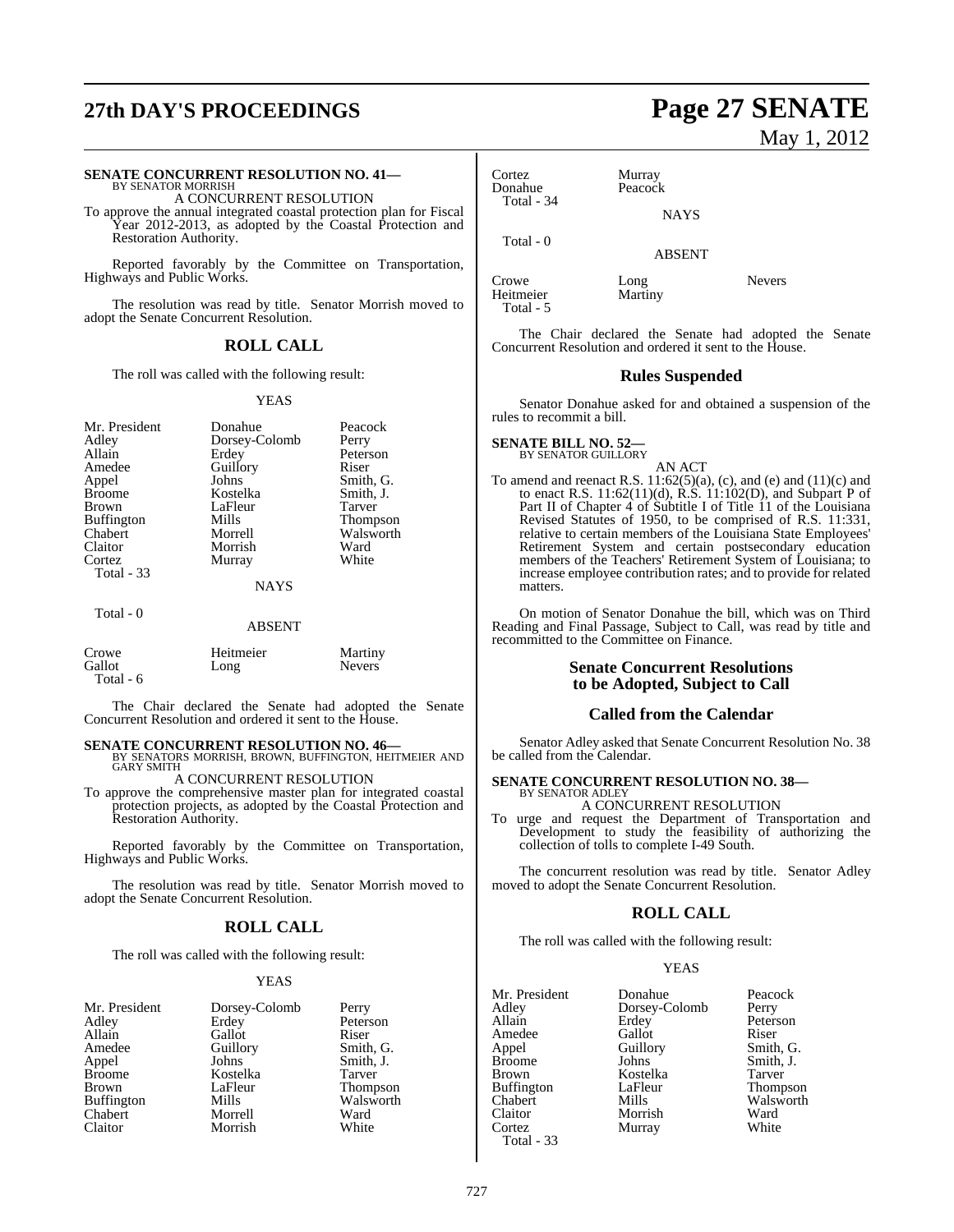# **27th DAY'S PROCEEDINGS Page 27 SENATE**

#### **SENATE CONCURRENT RESOLUTION NO. 41—**

BY SENATOR MORRISH A CONCURRENT RESOLUTION

To approve the annual integrated coastal protection plan for Fiscal Year 2012-2013, as adopted by the Coastal Protection and Restoration Authority.

Reported favorably by the Committee on Transportation, Highways and Public Works.

The resolution was read by title. Senator Morrish moved to adopt the Senate Concurrent Resolution.

#### **ROLL CALL**

The roll was called with the following result:

#### YEAS

| Mr. President     | Donahue       | Peacock   |
|-------------------|---------------|-----------|
| Adley             | Dorsey-Colomb | Perry     |
|                   |               |           |
| Allain            | Erdey         | Peterson  |
| Amedee            | Guillory      | Riser     |
| Appel             | Johns         | Smith, G. |
| <b>Broome</b>     | Kostelka      | Smith, J. |
| <b>Brown</b>      | LaFleur       | Tarver    |
| <b>Buffington</b> | Mills         | Thompson  |
| Chabert           | Morrell       | Walsworth |
| Claitor           | Morrish       | Ward      |
| Cortez            | Murray        | White     |
| Total - 33        |               |           |
|                   | <b>NAYS</b>   |           |
| Total - 0         |               |           |

#### **ABSENT**

| Crowe     | Heitmeier | Martiny       |
|-----------|-----------|---------------|
| Gallot    | Long      | <b>Nevers</b> |
| Total - 6 |           |               |

The Chair declared the Senate had adopted the Senate Concurrent Resolution and ordered it sent to the House.

**SENATE CONCURRENT RESOLUTION NO. 46—<br>BY SENATORS MORRISH, BROWN, BUFFINGTON, HEITMEIER AND GARY SMITH** 

A CONCURRENT RESOLUTION

To approve the comprehensive master plan for integrated coastal protection projects, as adopted by the Coastal Protection and Restoration Authority.

Reported favorably by the Committee on Transportation, Highways and Public Works.

The resolution was read by title. Senator Morrish moved to adopt the Senate Concurrent Resolution.

## **ROLL CALL**

The roll was called with the following result:

#### YEAS

| Mr. President     | Dorsey-Colomb | Perry         |
|-------------------|---------------|---------------|
| Adley             | Erdey         | Peterson      |
| Allain            | Gallot        | Riser         |
| Amedee            | Guillory      | Smith, G.     |
| Appel             | Johns         | Smith, J.     |
| <b>Broome</b>     | Kostelka      | <b>Tarver</b> |
| <b>Brown</b>      | LaFleur       | Thompson      |
| <b>Buffington</b> | Mills         | Walsworth     |
| Chabert           | Morrell       | Ward          |
| Claitor           | Morrish       | White         |
|                   |               |               |

# May 1, 2012

Cortez Murray<br>Donahue Peacock Donahue Total - 34

Total - 0

ABSENT

NAYS

Crowe Long Devers<br>
Heitmeier Martiny Heitmeier Total - 5

The Chair declared the Senate had adopted the Senate Concurrent Resolution and ordered it sent to the House.

#### **Rules Suspended**

Senator Donahue asked for and obtained a suspension of the rules to recommit a bill.

#### **SENATE BILL NO. 52—** BY SENATOR GUILLORY

AN ACT

To amend and reenact R.S.  $11:62(5)(a)$ , (c), and (e) and (11)(c) and to enact R.S. 11:62(11)(d), R.S. 11:102(D), and Subpart P of Part II of Chapter 4 of Subtitle I of Title 11 of the Louisiana Revised Statutes of 1950, to be comprised of R.S. 11:331, relative to certain members of the Louisiana State Employees' Retirement System and certain postsecondary education members of the Teachers' Retirement System of Louisiana; to increase employee contribution rates; and to provide for related matters.

On motion of Senator Donahue the bill, which was on Third Reading and Final Passage, Subject to Call, was read by title and recommitted to the Committee on Finance.

#### **Senate Concurrent Resolutions to be Adopted, Subject to Call**

#### **Called from the Calendar**

Senator Adley asked that Senate Concurrent Resolution No. 38 be called from the Calendar.

#### **SENATE CONCURRENT RESOLUTION NO. 38—** BY SENATOR ADLEY

A CONCURRENT RESOLUTION

To urge and request the Department of Transportation and Development to study the feasibility of authorizing the collection of tolls to complete I-49 South.

The concurrent resolution was read by title. Senator Adley moved to adopt the Senate Concurrent Resolution.

#### **ROLL CALL**

The roll was called with the following result:

#### YEAS

| Mr. President     | Donahue       | Peacock   |
|-------------------|---------------|-----------|
| Adley             | Dorsey-Colomb | Perry     |
| Allain            | Erdey         | Peterson  |
| Amedee            | Gallot        | Riser     |
| Appel             | Guillory      | Smith, G. |
| <b>Broome</b>     | Johns         | Smith, J. |
| <b>Brown</b>      | Kostelka      | Tarver    |
| <b>Buffington</b> | LaFleur       | Thompson  |
| Chabert           | Mills         | Walsworth |
| Claitor           | Morrish       | Ward      |
| Cortez            | Murray        | White     |
| Total - 33        |               |           |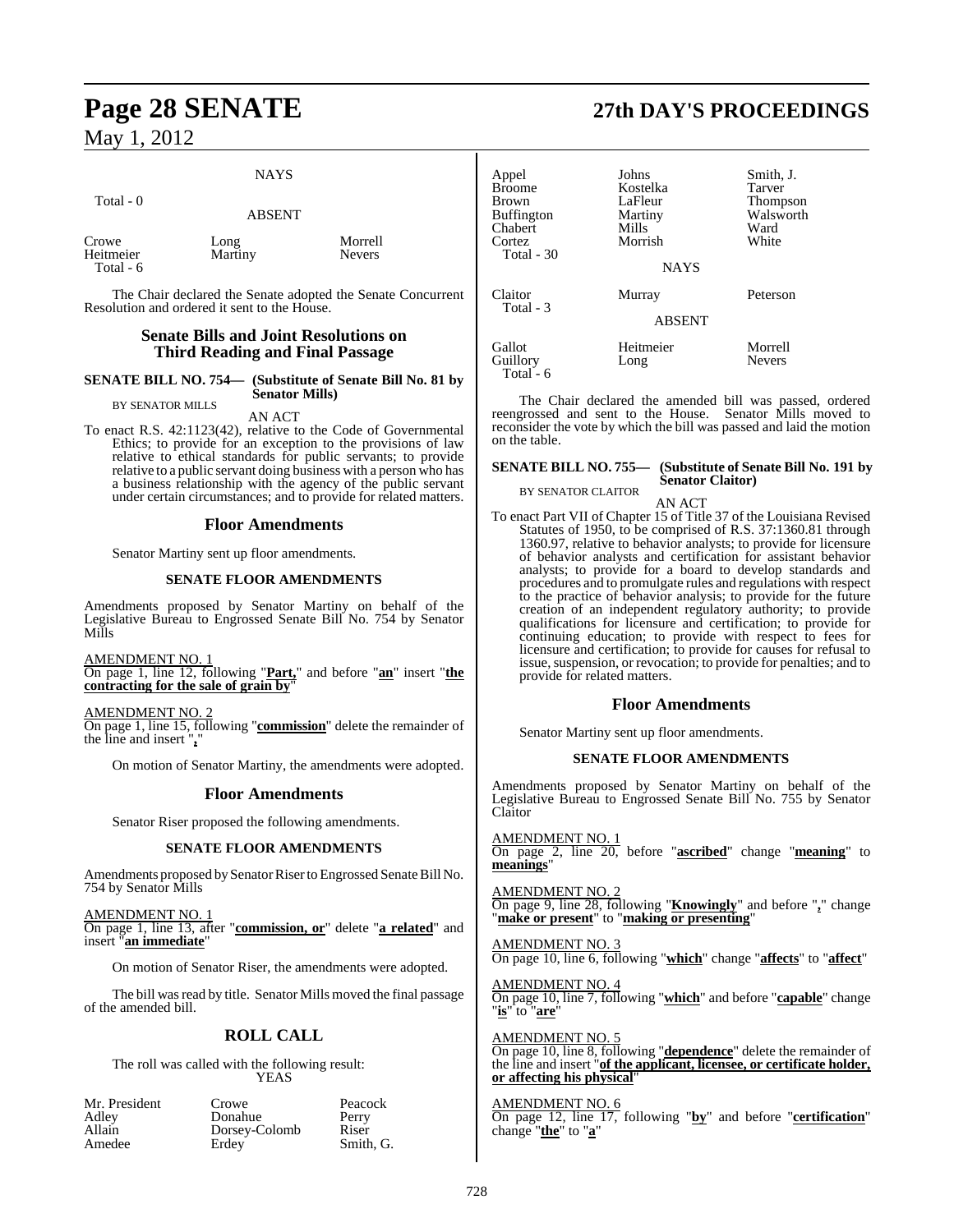## NAYS

| Total - 0                       | <b>ABSENT</b>   |                          |
|---------------------------------|-----------------|--------------------------|
| Crowe<br>Heitmeier<br>Total - 6 | Long<br>Martiny | Morrell<br><b>Nevers</b> |

The Chair declared the Senate adopted the Senate Concurrent Resolution and ordered it sent to the House.

### **Senate Bills and Joint Resolutions on Third Reading and Final Passage**

#### **SENATE BILL NO. 754— (Substitute of Senate Bill No. 81 by Senator Mills)** BY SENATOR MILLS

## AN ACT

To enact R.S. 42:1123(42), relative to the Code of Governmental Ethics; to provide for an exception to the provisions of law relative to ethical standards for public servants; to provide relative to a public servant doing business with a person who has a business relationship with the agency of the public servant under certain circumstances; and to provide for related matters.

#### **Floor Amendments**

Senator Martiny sent up floor amendments.

#### **SENATE FLOOR AMENDMENTS**

Amendments proposed by Senator Martiny on behalf of the Legislative Bureau to Engrossed Senate Bill No. 754 by Senator Mills

AMENDMENT NO. 1 On page 1, line 12, following "**Part,**" and before "**an**" insert "**the contracting for the sale of grain by**"

AMENDMENT NO. 2 On page 1, line 15, following "**commission**" delete the remainder of the line and insert "**,**"

On motion of Senator Martiny, the amendments were adopted.

#### **Floor Amendments**

Senator Riser proposed the following amendments.

#### **SENATE FLOOR AMENDMENTS**

Amendments proposed by Senator Riser to Engrossed Senate Bill No. 754 by Senator Mills

#### AMENDMENT NO. 1

On page 1, line 13, after "**commission, or**" delete "**a related**" and insert "**an immediate**"

On motion of Senator Riser, the amendments were adopted.

The bill was read by title. Senator Mills moved the final passage of the amended bill.

## **ROLL CALL**

The roll was called with the following result: **YEAS** 

| Mr. President | Crowe         | Peacock   |
|---------------|---------------|-----------|
| Adley         | Donahue       | Perry     |
| Allain        | Dorsey-Colomb | Riser     |
| Amedee        | Erdey         | Smith. G. |

## **Page 28 SENATE 27th DAY'S PROCEEDINGS**

| Appel<br><b>Broome</b><br><b>Brown</b><br><b>Buffington</b><br>Chabert<br>Cortez<br>Total $-30$ | Johns<br>Kostelka<br>LaFleur<br>Martiny<br>Mills<br>Morrish | Smith, J.<br>Tarver<br><b>Thompson</b><br>Walsworth<br>Ward<br>White |
|-------------------------------------------------------------------------------------------------|-------------------------------------------------------------|----------------------------------------------------------------------|
|                                                                                                 | <b>NAYS</b>                                                 |                                                                      |
| Claitor<br>Total - 3                                                                            | Murray                                                      | Peterson                                                             |
|                                                                                                 | <b>ABSENT</b>                                               |                                                                      |
| Gallot<br>Guillory<br>Total - 6                                                                 | Heitmeier<br>Long                                           | Morrell<br><b>Nevers</b>                                             |

The Chair declared the amended bill was passed, ordered reengrossed and sent to the House. Senator Mills moved to reconsider the vote by which the bill was passed and laid the motion on the table.

#### **SENATE BILL NO. 755— (Substitute of Senate Bill No. 191 by Senator Claitor)** BY SENATOR CLAITOR

AN ACT

To enact Part VII of Chapter 15 of Title 37 of the Louisiana Revised Statutes of 1950, to be comprised of R.S. 37:1360.81 through 1360.97, relative to behavior analysts; to provide for licensure of behavior analysts and certification for assistant behavior analysts; to provide for a board to develop standards and procedures and to promulgate rules and regulations with respect to the practice of behavior analysis; to provide for the future creation of an independent regulatory authority; to provide qualifications for licensure and certification; to provide for continuing education; to provide with respect to fees for licensure and certification; to provide for causes for refusal to issue, suspension, or revocation; to provide for penalties; and to provide for related matters.

### **Floor Amendments**

Senator Martiny sent up floor amendments.

#### **SENATE FLOOR AMENDMENTS**

Amendments proposed by Senator Martiny on behalf of the Legislative Bureau to Engrossed Senate Bill No. 755 by Senator Claitor

AMENDMENT NO. 1 On page 2, line 20, before "**ascribed**" change "**meaning**" to **meanings**"

AMENDMENT NO. 2 On page 9, line 28, following "**Knowingly**" and before "**,**" change "**make or present**" to "**making or presenting**"

AMENDMENT NO. 3 On page 10, line 6, following "**which**" change "**affects**" to "**affect**"

AMENDMENT NO. 4 On page 10, line 7, following "**which**" and before "**capable**" change "**is**" to "**are**"

#### AMENDMENT NO. 5

On page 10, line 8, following "**dependence**" delete the remainder of the line and insert "**of the applicant, licensee, or certificate holder, or affecting his physical**"

#### AMENDMENT NO. 6

On page 12, line 17, following "**by**" and before "**certification**" change "**the**" to "**a**"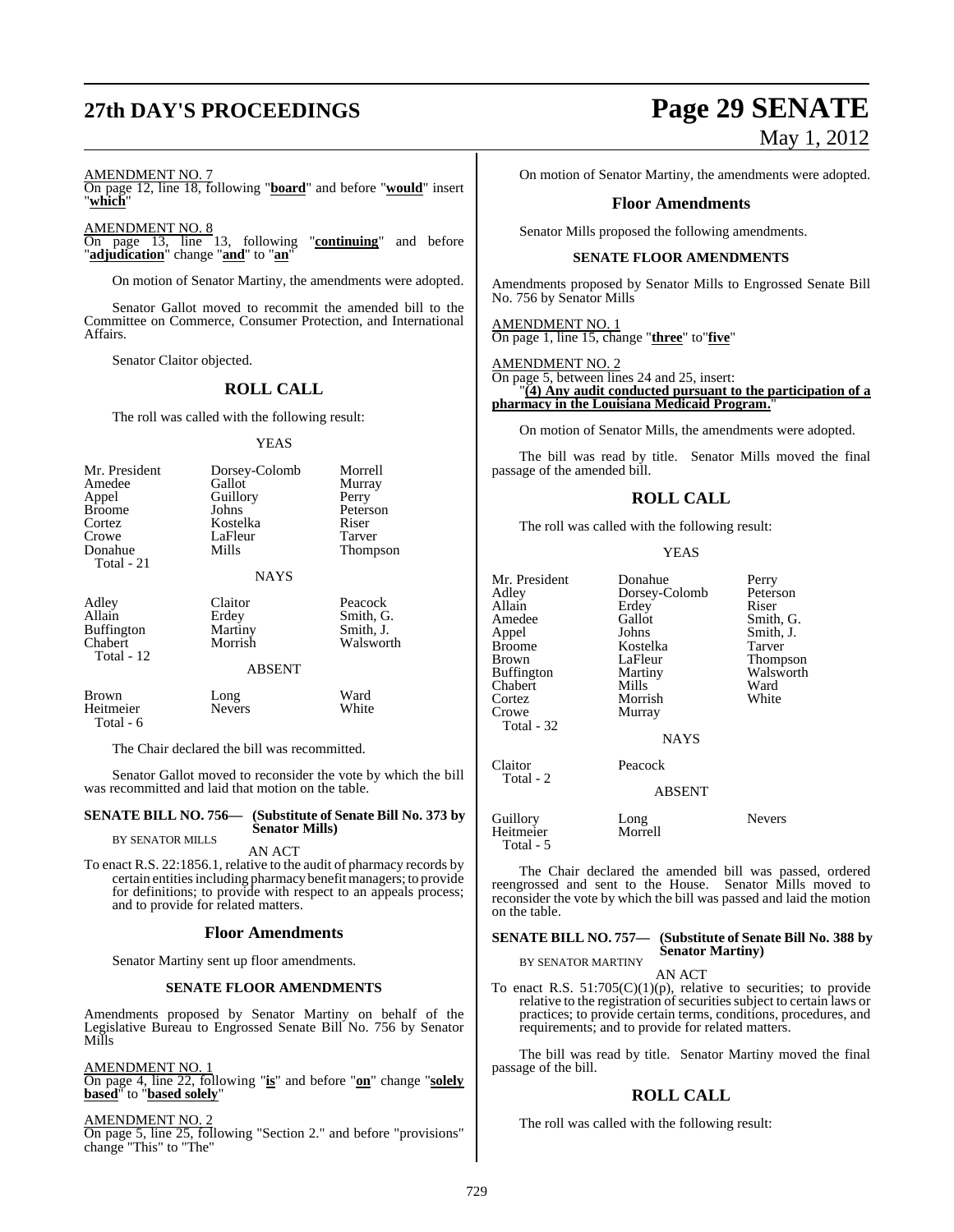# **27th DAY'S PROCEEDINGS Page 29 SENATE**

#### AMENDMENT NO. 7

On page 12, line 18, following "**board**" and before "**would**" insert "**which**"

AMENDMENT NO. 8

On page 13, line 13, following "**continuing**" and before "**adjudication**" change "**and**" to "**an**"

On motion of Senator Martiny, the amendments were adopted.

Senator Gallot moved to recommit the amended bill to the Committee on Commerce, Consumer Protection, and International Affairs.

Senator Claitor objected.

#### **ROLL CALL**

The roll was called with the following result:

#### YEAS

| Mr. President<br>Amedee<br>Appel<br><b>Broome</b><br>Cortez<br>Crowe<br>Donahue<br>Total - 21 | Dorsey-Colomb<br>Gallot<br>Guillory<br>Johns<br>Kostelka<br>LaFleur<br>Mills<br><b>NAYS</b> | Morrell<br>Murray<br>Perry<br>Peterson<br>Riser<br>Tarver<br>Thompson |
|-----------------------------------------------------------------------------------------------|---------------------------------------------------------------------------------------------|-----------------------------------------------------------------------|
| Adley<br>Allain<br><b>Buffington</b><br>Chabert<br>Total - 12                                 | Claitor<br>Erdey<br>Martiny<br>Morrish<br><b>ABSENT</b>                                     | Peacock<br>Smith, G.<br>Smith, J.<br>Walsworth                        |
| Brown<br>Heitmeier                                                                            | Long<br>Nevers                                                                              | Ward<br>White                                                         |

The Chair declared the bill was recommitted.

Senator Gallot moved to reconsider the vote by which the bill was recommitted and laid that motion on the table.

#### **SENATE BILL NO. 756— (Substitute of Senate Bill No. 373 by Senator Mills)** BY SENATOR MILLS

AN ACT

To enact R.S. 22:1856.1, relative to the audit of pharmacy records by certain entities including pharmacy benefit managers; to provide for definitions; to provide with respect to an appeals process; and to provide for related matters.

#### **Floor Amendments**

Senator Martiny sent up floor amendments.

#### **SENATE FLOOR AMENDMENTS**

Amendments proposed by Senator Martiny on behalf of the Legislative Bureau to Engrossed Senate Bill No. 756 by Senator Mills

#### AMENDMENT NO. 1

Total - 6

On page 4, line 22, following "**is**" and before "**on**" change "**solely based**" to "**based solely**"

#### AMENDMENT NO. 2

On page 5, line 25, following "Section 2." and before "provisions" change "This" to "The"

# May 1, 2012

On motion of Senator Martiny, the amendments were adopted.

#### **Floor Amendments**

Senator Mills proposed the following amendments.

#### **SENATE FLOOR AMENDMENTS**

Amendments proposed by Senator Mills to Engrossed Senate Bill No. 756 by Senator Mills

AMENDMENT NO. 1 On page 1, line 15, change "**three**" to"**five**"

#### AMENDMENT NO. 2 On page 5, between lines 24 and 25, insert: "**(4) Any audit conducted pursuant to the participation of a**

## **pharmacy in the Louisiana Medicaid Program.**"

On motion of Senator Mills, the amendments were adopted.

The bill was read by title. Senator Mills moved the final passage of the amended bill.

## **ROLL CALL**

The roll was called with the following result:

#### YEAS

Mr. President Donahue Perry<br>Adley Dorsey-Colomb Peters Allain Erdey<br>Amedee Gallot Amedee Gallot Smith, G.<br>Appel Johns Smith, J. Appel Johns Smith, J. Broome Kostelka<br>Brown LaFleur Buffington Martiny Walsworth<br>Chabert Mills Ward Chabert Mills Ward<br>Cortez Morrish White Cortez Morrish<br>Crowe Murray Total - 32 Claitor Peacock Total - 2

Murray

Dorsey-Colomb Peterson<br>Erdey Riser LaFleur Thompson<br>Martiny Walsworth

ABSENT

**NAYS** 

Guillory Long Nevers Heitmeier Total - 5

The Chair declared the amended bill was passed, ordered reengrossed and sent to the House. Senator Mills moved to reconsider the vote by which the bill was passed and laid the motion on the table.

#### **SENATE BILL NO. 757— (Substitute of Senate Bill No. 388 by Senator Martiny)**

BY SENATOR MARTINY AN ACT

To enact R.S.  $51:705(C)(1)(p)$ , relative to securities; to provide relative to the registration of securities subject to certain laws or practices; to provide certain terms, conditions, procedures, and requirements; and to provide for related matters.

The bill was read by title. Senator Martiny moved the final passage of the bill.

## **ROLL CALL**

The roll was called with the following result: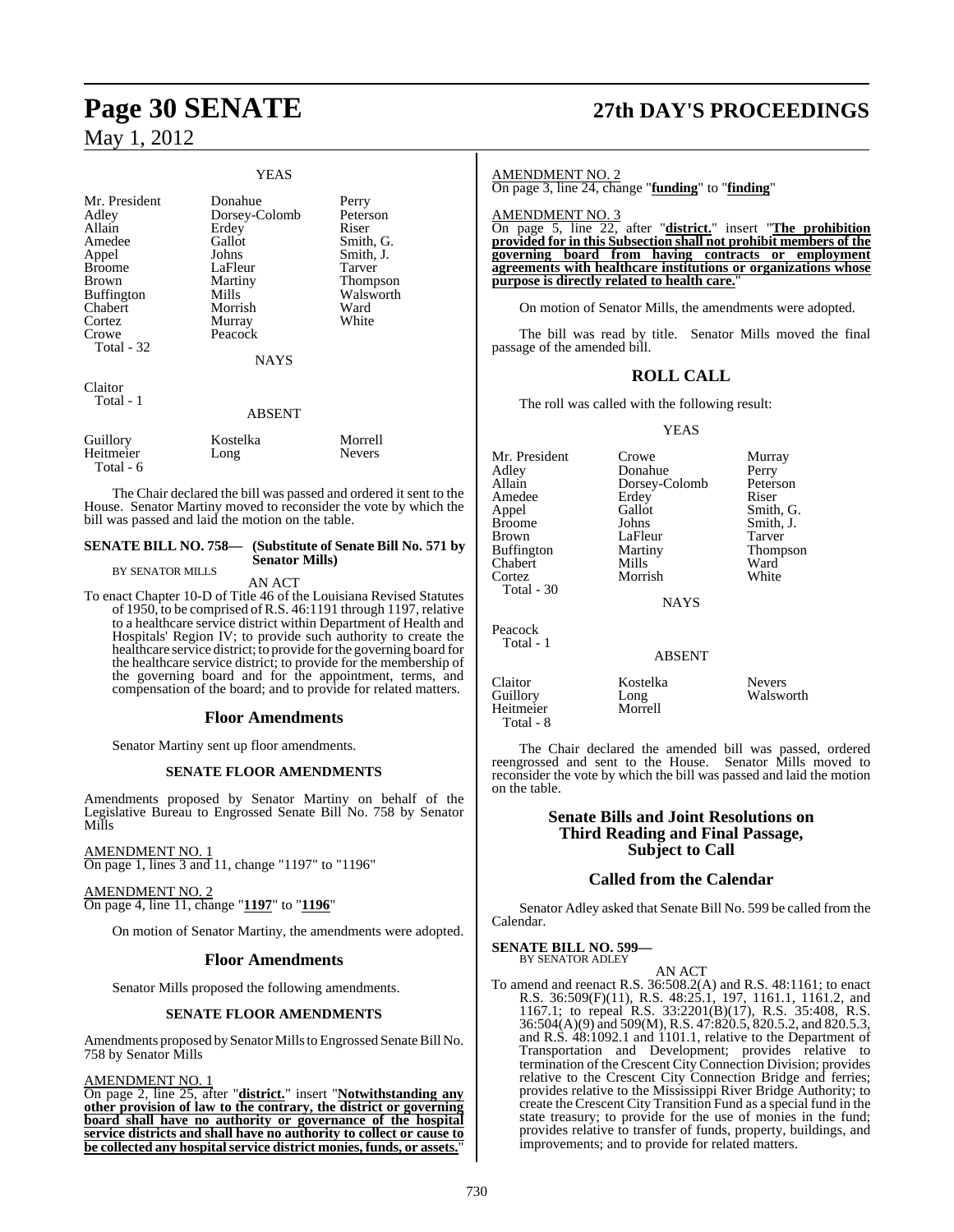Total - 6

|                                                                                                                                         | <b>YEAS</b>                                                                                                                        |                                                                                                          |
|-----------------------------------------------------------------------------------------------------------------------------------------|------------------------------------------------------------------------------------------------------------------------------------|----------------------------------------------------------------------------------------------------------|
| Mr. President<br>Adley<br>Allain<br>Amedee<br>Appel<br>Broome<br>Brown<br>Buffington<br>Chabert<br>Cortez<br>Crowe<br><b>Total - 32</b> | Donahue<br>Dorsey-Colomb<br>Erdey<br>Gallot<br>Johns<br>LaFleur<br>Martiny<br>Mills<br>Morrish<br>Murray<br>Peacock<br><b>NAYS</b> | Perry<br>Peterson<br>Riser<br>Smith, G.<br>Smith, J.<br>Tarver<br>Thompson<br>Walsworth<br>Ward<br>White |
| Claitor<br>Total - 1                                                                                                                    | <b>ABSENT</b>                                                                                                                      |                                                                                                          |
| Guillory<br>Heitmeier                                                                                                                   | Kostelka<br>Long                                                                                                                   | Morrell<br><b>Nevers</b>                                                                                 |

The Chair declared the bill was passed and ordered it sent to the House. Senator Martiny moved to reconsider the vote by which the bill was passed and laid the motion on the table.

#### **SENATE BILL NO. 758— (Substitute of Senate Bill No. 571 by Senator Mills)** BY SENATOR MILLS

#### AN ACT

To enact Chapter 10-D of Title 46 of the Louisiana Revised Statutes of 1950, to be comprised ofR.S. 46:1191 through 1197, relative to a healthcare service district within Department of Health and Hospitals' Region IV; to provide such authority to create the healthcare service district; to provide forthe governing board for the healthcare service district; to provide for the membership of the governing board and for the appointment, terms, and compensation of the board; and to provide for related matters.

#### **Floor Amendments**

Senator Martiny sent up floor amendments.

#### **SENATE FLOOR AMENDMENTS**

Amendments proposed by Senator Martiny on behalf of the Legislative Bureau to Engrossed Senate Bill No. 758 by Senator Mills

AMENDMENT NO. 1 On page 1, lines 3 and 11, change "1197" to "1196"

AMENDMENT NO. 2 On page 4, line 11, change "**1197**" to "**1196**"

On motion of Senator Martiny, the amendments were adopted.

#### **Floor Amendments**

Senator Mills proposed the following amendments.

#### **SENATE FLOOR AMENDMENTS**

Amendments proposed by Senator Mills to Engrossed Senate Bill No. 758 by Senator Mills

AMENDMENT NO. 1

On page 2, line 25, after "**district.**" insert "**Notwithstanding any other provision of law to the contrary, the district or governing board shall have no authority or governance of the hospital service districts and shall have no authority to collect or cause to be collected any hospitalservice district monies, funds, or assets.**"

## **Page 30 SENATE 27th DAY'S PROCEEDINGS**

#### AMENDMENT NO. 2

On page 3, line 24, change "**funding**" to "**finding**"

AMENDMENT NO. 3

On page 5, line 22, after "**district.**" insert "**The prohibition provided for in this Subsection shall not prohibit members of the governing board from having contracts or employment agreements with healthcare institutions or organizations whose purpose is directly related to health care.**"

On motion of Senator Mills, the amendments were adopted.

The bill was read by title. Senator Mills moved the final passage of the amended bill.

#### **ROLL CALL**

The roll was called with the following result:

YEAS

Adley **Donahue** Perry<br>Allain Dorsey-Colomb Peterson Amedee Erdey<br>Appel Gallot Appel Gallot Smith, G.<br>Broome Johns Smith, J. Broome Johns Smith, J.<br>Brown LaFleur Tarver Buffington Martiny Thom<br>
Chabert Mills Ward Chabert Mills Ward<br>
Cortez Morrish White Cortez

Mr. President Crowe Murray **Dorsey-Colomb** Peters<br>Erdev Riser LaFleur Tarver<br>
Martiny Thompson

**NAYS** 

Peacock Total - 1

Total - 30

ABSENT

Claitor Kostelka Nevers Guillory Long Walsworth Heitmeier Total - 8

The Chair declared the amended bill was passed, ordered reengrossed and sent to the House. Senator Mills moved to reconsider the vote by which the bill was passed and laid the motion on the table.

### **Senate Bills and Joint Resolutions on Third Reading and Final Passage, Subject to Call**

#### **Called from the Calendar**

Senator Adley asked that Senate Bill No. 599 be called from the Calendar.

**SENATE BILL NO. 599—** BY SENATOR ADLEY

AN ACT

To amend and reenact R.S. 36:508.2(A) and R.S. 48:1161; to enact R.S. 36:509(F)(11), R.S. 48:25.1, 197, 1161.1, 1161.2, and 1167.1; to repeal R.S. 33:2201(B)(17), R.S. 35:408, R.S. 36:504(A)(9) and 509(M), R.S. 47:820.5, 820.5.2, and 820.5.3, and R.S. 48:1092.1 and 1101.1, relative to the Department of Transportation and Development; provides relative to termination of the Crescent City Connection Division; provides relative to the Crescent City Connection Bridge and ferries; provides relative to the Mississippi River Bridge Authority; to create the Crescent City Transition Fund as a special fund in the state treasury; to provide for the use of monies in the fund; provides relative to transfer of funds, property, buildings, and improvements; and to provide for related matters.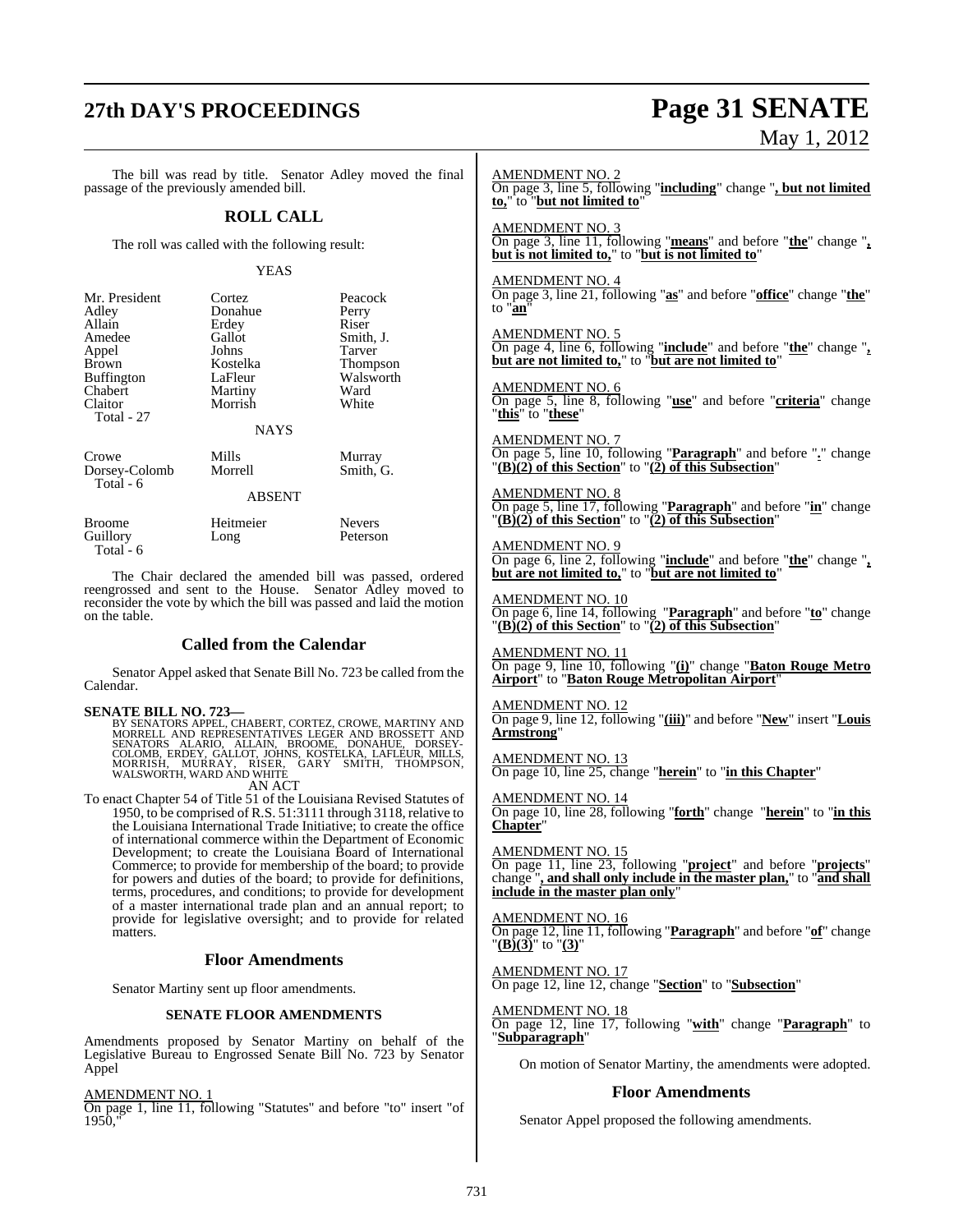## **27th DAY'S PROCEEDINGS Page 31 SENATE**

# May 1, 2012

The bill was read by title. Senator Adley moved the final passage of the previously amended bill. **ROLL CALL** The roll was called with the following result: YEAS Mr. President Cortez Peacock<br>Adley Donahue Perry Donahue Perry<br>Erdey Riser Allain Erdey<br>Amedee Gallot Gallot Smith, J.<br>Johns Tarver Appel Johns Tarver<br>Brown Kostelka Thomp Brown Kostelka Thompson<br>Buffington LaFleur Walsworth Buffington LaFleur Walsworth<br>
Chabert Martiny Ward Chabert Martiny Ward<br>Claitor Morrish White Morrish Total - 27 NAYS Crowe Mills Murray Dorsey-Colomb Morrell Smith, G. Total - 6 ABSENT Broome Heitmeier Nevers<br>
Guillory Long Peterson Guillory Long Total - 6 The Chair declared the amended bill was passed, ordered reengrossed and sent to the House. Senator Adley moved to reconsider the vote by which the bill was passed and laid the motion on the table. **Called from the Calendar** Senator Appel asked that Senate Bill No. 723 be called from the Calendar.  $\begin{tabular}{lcl} \bf SENATE~BILL~NO. 723--\\ &\rm BY~SENATORS APPEL. CHABERT. CORTEZ. CROWE, MARTINY AND MORRELL AND REPRESENTATIVES LEGER AND BROSSETT AND SENATORS ALARIO, ALLAIN, BROME, DONAHUE, DORSEY-COLOMB, ERDEF, GALLOT, JOHNS, KOSTELKA, LAFLEUR, MILIS, MOLSWORTH, WARD AND WHTE \end{tabular}$ AN ACT To enact Chapter 54 of Title 51 of the Louisiana Revised Statutes of 1950, to be comprised of R.S. 51:3111 through 3118, relative to the Louisiana International Trade Initiative; to create the office of international commerce within the Department of Economic Development; to create the Louisiana Board of International Commerce; to provide for membership of the board; to provide for powers and duties of the board; to provide for definitions, terms, procedures, and conditions; to provide for development of a master international trade plan and an annual report; to provide for legislative oversight; and to provide for related matters. **Floor Amendments** Senator Martiny sent up floor amendments. **SENATE FLOOR AMENDMENTS** Amendments proposed by Senator Martiny on behalf of the Legislative Bureau to Engrossed Senate Bill No. 723 by Senator Appel AMENDMENT NO. 1 On page 1, line 11, following "Statutes" and before "to" insert "of  $1950$ . AMENDMENT NO. 2 On page 3, line 5, following "**including**" change "**, but not limited to,**" to "**but not limited to**" AMENDMENT NO. 3 On page 3, line 11, following "**means**" and before "**the**" change "**, but is not limited to,**" to "**but is not limited to**" AMENDMENT NO. 4 On page 3, line 21, following "**as**" and before "**office**" change "**the**" to "**an**" AMENDMENT NO. 5 On page 4, line 6, following "**include**" and before "**the**" change "**, but are not limited to,**" to "**but are not limited to**" AMENDMENT NO. 6 On page 5, line 8, following "**use**" and before "**criteria**" change "**this**" to "**these**" AMENDMENT NO. 7 On page 5, line 10, following "**Paragraph**" and before "**.**" change "**(B)(2) of this Section**" to "**(2) of this Subsection**" AMENDMENT NO. 8 On page 5, line 17, following "**Paragraph**" and before "**in**" change "**(B)(2) of this Section**" to "**(2) of this Subsection**" AMENDMENT NO. 9 On page 6, line 2, following "**include**" and before "**the**" change "**, but are not limited to,**" to "**but are not limited to**" AMENDMENT NO. 10 On page 6, line 14, following "**Paragraph**" and before "**to**" change "**(B)(2) of this Section**" to "**(2) of this Subsection**" AMENDMENT NO. 11 On page 9, line 10, following "**(i)**" change "**Baton Rouge Metro Airport**" to "**Baton Rouge Metropolitan Airport**" AMENDMENT NO. 12 On page 9, line 12, following "**(iii)**" and before "**New**" insert "**Louis Armstrong**" AMENDMENT NO. 13 On page 10, line 25, change "**herein**" to "**in this Chapter**" AMENDMENT NO. 14 On page 10, line 28, following "**forth**" change "**herein**" to "**in this Chapter**" AMENDMENT NO. 15 On page 11, line 23, following "**project**" and before "**projects**" change "**, and shall only include in the master plan,**" to "**and shall include in the master plan only**" AMENDMENT NO. 16 On page 12, line 11, following "**Paragraph**" and before "**of**" change "**(B)(3)**" to "**(3)**" AMENDMENT NO. 17 On page 12, line 12, change "**Section**" to "**Subsection**" AMENDMENT NO. 18 On page 12, line 17, following "**with**" change "**Paragraph**" to "**Subparagraph**" On motion of Senator Martiny, the amendments were adopted. **Floor Amendments** Senator Appel proposed the following amendments.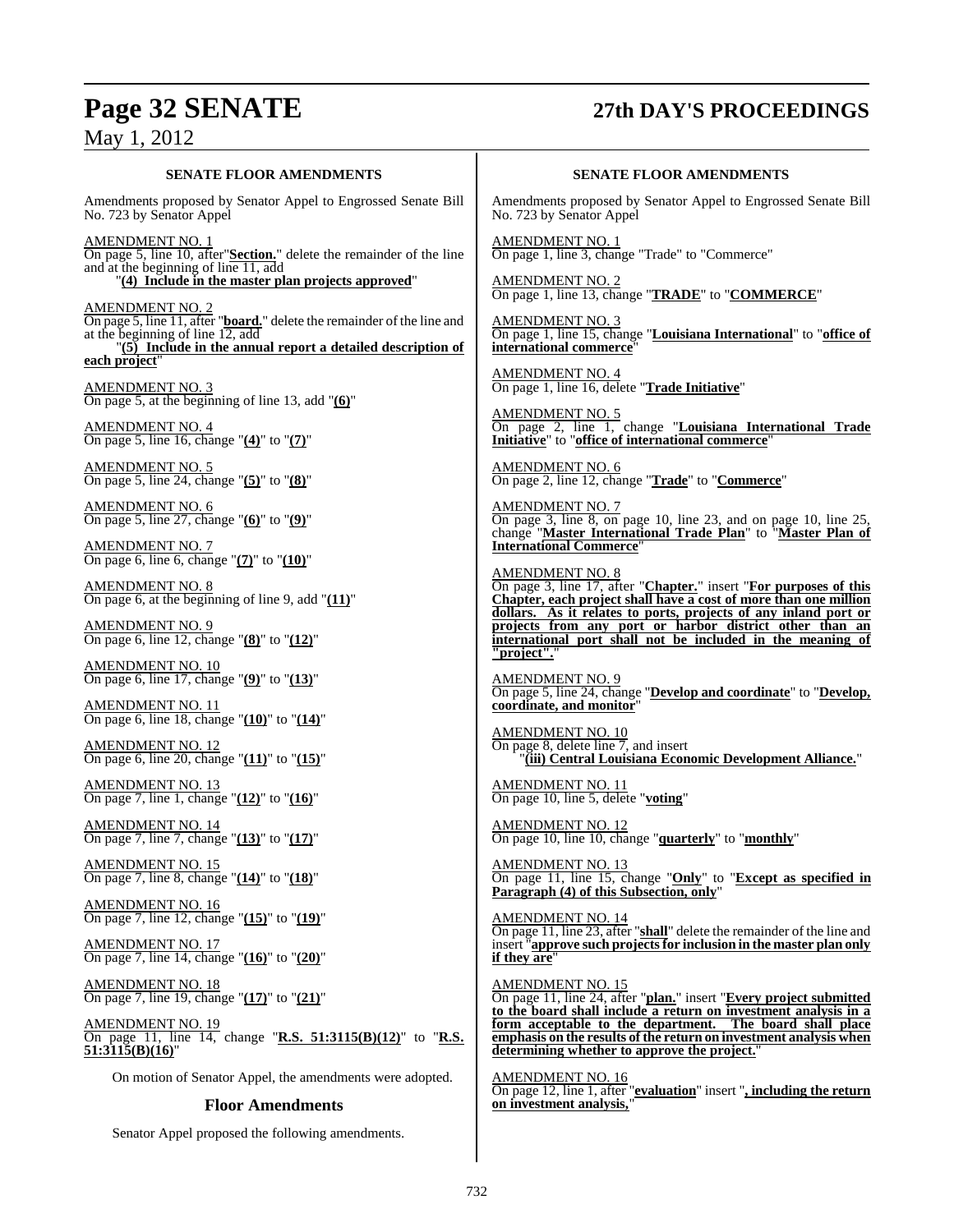# **Page 32 SENATE 27th DAY'S PROCEEDINGS**

**SENATE FLOOR AMENDMENTS** Amendments proposed by Senator Appel to Engrossed Senate Bill No. 723 by Senator Appel AMENDMENT NO. 1 On page 5, line 10, after"**Section.**" delete the remainder of the line and at the beginning of line 11, add "**(4) Include in the master plan projects approved**" AMENDMENT NO. 2 On page 5, line 11, after "**board.**" delete the remainder of the line and at the beginning of line 12, add "**(5) Include in the annual report a detailed description of each project**" AMENDMENT NO. 3 On page 5, at the beginning of line 13, add "**(6)**" AMENDMENT NO. 4 On page 5, line 16, change "**(4)**" to "**(7)**" AMENDMENT NO. 5 On page 5, line 24, change "**(5)**" to "**(8)**" AMENDMENT NO. 6 On page 5, line 27, change "**(6)**" to "**(9)**" AMENDMENT NO. 7 On page 6, line 6, change "**(7)**" to "**(10)**" AMENDMENT NO. 8 On page 6, at the beginning of line 9, add "**(11)**" AMENDMENT NO. 9 On page 6, line 12, change "**(8)**" to "**(12)**" AMENDMENT NO. 10 On page 6, line 17, change "**(9)**" to "**(13)**" AMENDMENT NO. 11 On page 6, line 18, change "**(10)**" to "**(14)**" AMENDMENT NO. 12 On page 6, line 20, change "**(11)**" to "**(15)**" AMENDMENT NO. 13 On page 7, line 1, change "**(12)**" to "**(16)**" AMENDMENT NO. 14 On page 7, line 7, change "**(13)**" to "**(17)**" AMENDMENT NO. 15 On page 7, line 8, change "**(14)**" to "**(18)**" AMENDMENT NO. 16 On page 7, line 12, change "**(15)**" to "**(19)**" AMENDMENT NO. 17 On page 7, line 14, change "**(16)**" to "**(20)**" AMENDMENT NO. 18 On page 7, line 19, change "**(17)**" to "**(21)**"

AMENDMENT NO. 19 On page 11, line 14, change "**R.S. 51:3115(B)(12)**" to "**R.S. 51:3115(B)(16)**"

On motion of Senator Appel, the amendments were adopted.

### **Floor Amendments**

Senator Appel proposed the following amendments.

#### **SENATE FLOOR AMENDMENTS**

Amendments proposed by Senator Appel to Engrossed Senate Bill No. 723 by Senator Appel

AMENDMENT NO. 1 On page 1, line 3, change "Trade" to "Commerce"

AMENDMENT NO. 2 On page 1, line 13, change "**TRADE**" to "**COMMERCE**"

AMENDMENT NO. 3 On page 1, line 15, change "**Louisiana International**" to "**office of international commerce**"

AMENDMENT NO. 4 On page 1, line 16, delete "**Trade Initiative**"

AMENDMENT NO. 5 On page 2, line 1, change "**Louisiana International Trade Initiative**" to "**office of international commerce**"

AMENDMENT NO. 6 On page 2, line 12, change "**Trade**" to "**Commerce**"

AMENDMENT NO. 7 On page 3, line 8, on page 10, line 23, and on page 10, line 25, change "**Master International Trade Plan**" to "**Master Plan of International Commerce**"

#### AMENDMENT NO. 8

On page 3, line 17, after "**Chapter.**" insert "**For purposes of this Chapter, each project shall have a cost of more than one million dollars. As it relates to ports, projects of any inland port or projects from any port or harbor district other than an international port shall not be included in the meaning of "project".**"

AMENDMENT NO. 9 On page 5, line 24, change "**Develop and coordinate**" to "**Develop, coordinate, and monitor**"

AMENDMENT NO. 10 On page 8, delete line 7, and insert "**(iii) Central Louisiana Economic Development Alliance.**"

AMENDMENT NO. 11 On page 10, line 5, delete "**voting**"

AMENDMENT NO. 12 On page 10, line 10, change "**quarterly**" to "**monthly**"

AMENDMENT NO. 13 On page 11, line 15, change "**Only**" to "**Except as specified in Paragraph (4) of this Subsection, only**"

AMENDMENT NO. 14 On page 11, line 23, after "**shall**" delete the remainder of the line and insert "**approve such projectsfor inclusion in the master plan only if they are** 

AMENDMENT NO. 15 On page 11, line 24, after "**plan.**" insert "**Every project submitted to the board shall include a return on investment analysis in a form acceptable to the department. The board shall place emphasis on the results of the return on investment analysis when determining whether to approve the project.**"

AMENDMENT NO. 16 On page 12, line 1, after "**evaluation**" insert "**, including the return on investment analysis,**"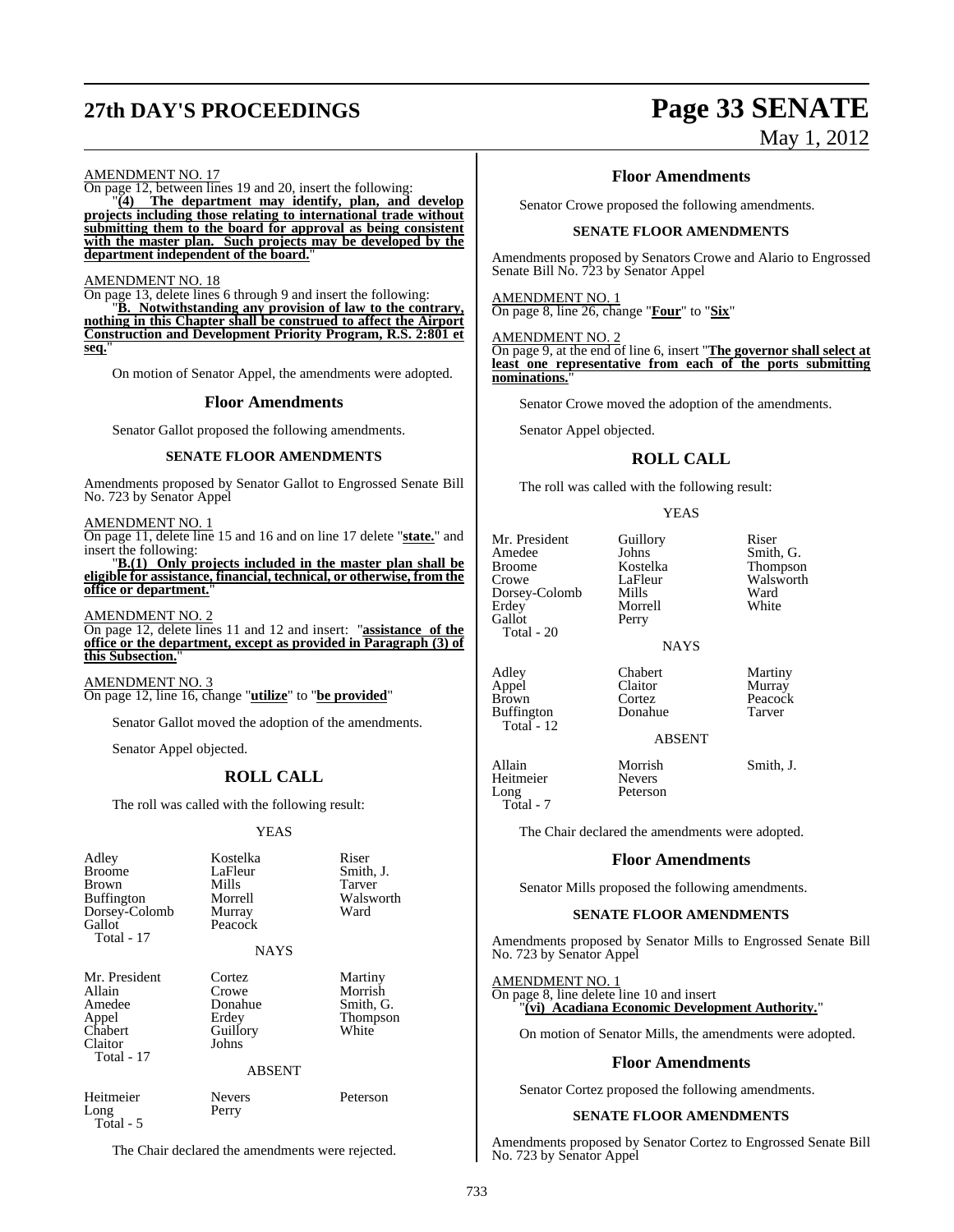# **27th DAY'S PROCEEDINGS Page 33 SENATE**

# May 1, 2012

AMENDMENT NO. 17

On page 12, between lines 19 and 20, insert the following: "**(4) The department may identify, plan, and develop**

**projects including those relating to international trade without submitting them to the board for approval as being consistent with the master plan. Such projects may be developed by the department independent of the board.**"

#### AMENDMENT NO. 18

On page 13, delete lines 6 through 9 and insert the following:

"**B. Notwithstanding any provision of law to the contrary, nothing in this Chapter shall be construed to affect the Airport Construction and Development Priority Program, R.S. 2:801 et seq.**"

On motion of Senator Appel, the amendments were adopted.

#### **Floor Amendments**

Senator Gallot proposed the following amendments.

#### **SENATE FLOOR AMENDMENTS**

Amendments proposed by Senator Gallot to Engrossed Senate Bill No. 723 by Senator Appel

AMENDMENT NO. 1

On page 11, delete line 15 and 16 and on line 17 delete "**state.**" and insert the following:

"**B.(1) Only projects included in the master plan shall be eligible for assistance, financial, technical, or otherwise, from the office or department.**"

AMENDMENT NO. 2

On page 12, delete lines 11 and 12 and insert: "**assistance of the office or the department, except as provided in Paragraph (3) of this Subsection.**"

AMENDMENT NO. 3 On page 12, line 16, change "**utilize**" to "**be provided**"

Senator Gallot moved the adoption of the amendments.

Senator Appel objected.

## **ROLL CALL**

The roll was called with the following result:

#### YEAS

| Adley<br><b>Broome</b><br>Brown<br><b>Buffington</b><br>Dorsey-Colomb<br>Gallot<br>Total - 17 | Kostelka<br>LaFleur<br>Mills<br>Morrell<br>Murray<br>Peacock | Riser<br>Smith, J.<br>Tarver<br>Walsworth<br>Ward    |
|-----------------------------------------------------------------------------------------------|--------------------------------------------------------------|------------------------------------------------------|
|                                                                                               | <b>NAYS</b>                                                  |                                                      |
| Mr. President<br>Allain<br>Amedee<br>Appel<br>Chabert<br>Claitor<br>Total - 17                | Cortez<br>Crowe<br>Donahue<br>Erdey<br>Guillory<br>Johns     | Martiny<br>Morrish<br>Smith, G.<br>Thompson<br>White |
|                                                                                               | <b>ABSENT</b>                                                |                                                      |
| Heitmeier<br>Long                                                                             | <b>Nevers</b><br>Perry                                       | Peterson                                             |

Total - 5

The Chair declared the amendments were rejected.

#### **Floor Amendments**

Senator Crowe proposed the following amendments.

#### **SENATE FLOOR AMENDMENTS**

Amendments proposed by Senators Crowe and Alario to Engrossed Senate Bill No. 723 by Senator Appel

#### AMENDMENT NO. 1

On page 8, line 26, change "**Four**" to "**Six**"

## AMEND<u>MENT NO. 2</u>

On page 9, at the end of line 6, insert "**The governor shall select at least one representative from each of the ports submitting nominations.**"

Senator Crowe moved the adoption of the amendments.

Senator Appel objected.

## **ROLL CALL**

The roll was called with the following result:

Morrell<br>Perry

YEAS

Mr. President Guillory Riser<br>Amedee Johns Smith Amedee Johns Smith, G.<br>Broome Kostelka Thompson Broome Kostelka Thompson Dorsey-Colomb Mills Ward<br>Erdey Morrell White Gallot Total - 20

Buffington Total - 12 LaFleur Walsworth<br>
Mills Ward

NAYS

Adley Chabert Martiny<br>Appel Claitor Murray Appel Claitor<br>Brown Cortez

Cortez Peacock<br>
Donahue Tarver

## ABSENT

Allain Morrish Smith, J.<br>Heitmeier Nevers Heitmeier<br>Long Total - 7

Peterson

The Chair declared the amendments were adopted.

#### **Floor Amendments**

Senator Mills proposed the following amendments.

#### **SENATE FLOOR AMENDMENTS**

Amendments proposed by Senator Mills to Engrossed Senate Bill No. 723 by Senator Appel

AMENDMENT NO. 1

On page 8, line delete line 10 and insert "**(vi) Acadiana Economic Development Authority.**"

On motion of Senator Mills, the amendments were adopted.

#### **Floor Amendments**

Senator Cortez proposed the following amendments.

#### **SENATE FLOOR AMENDMENTS**

Amendments proposed by Senator Cortez to Engrossed Senate Bill No. 723 by Senator Appel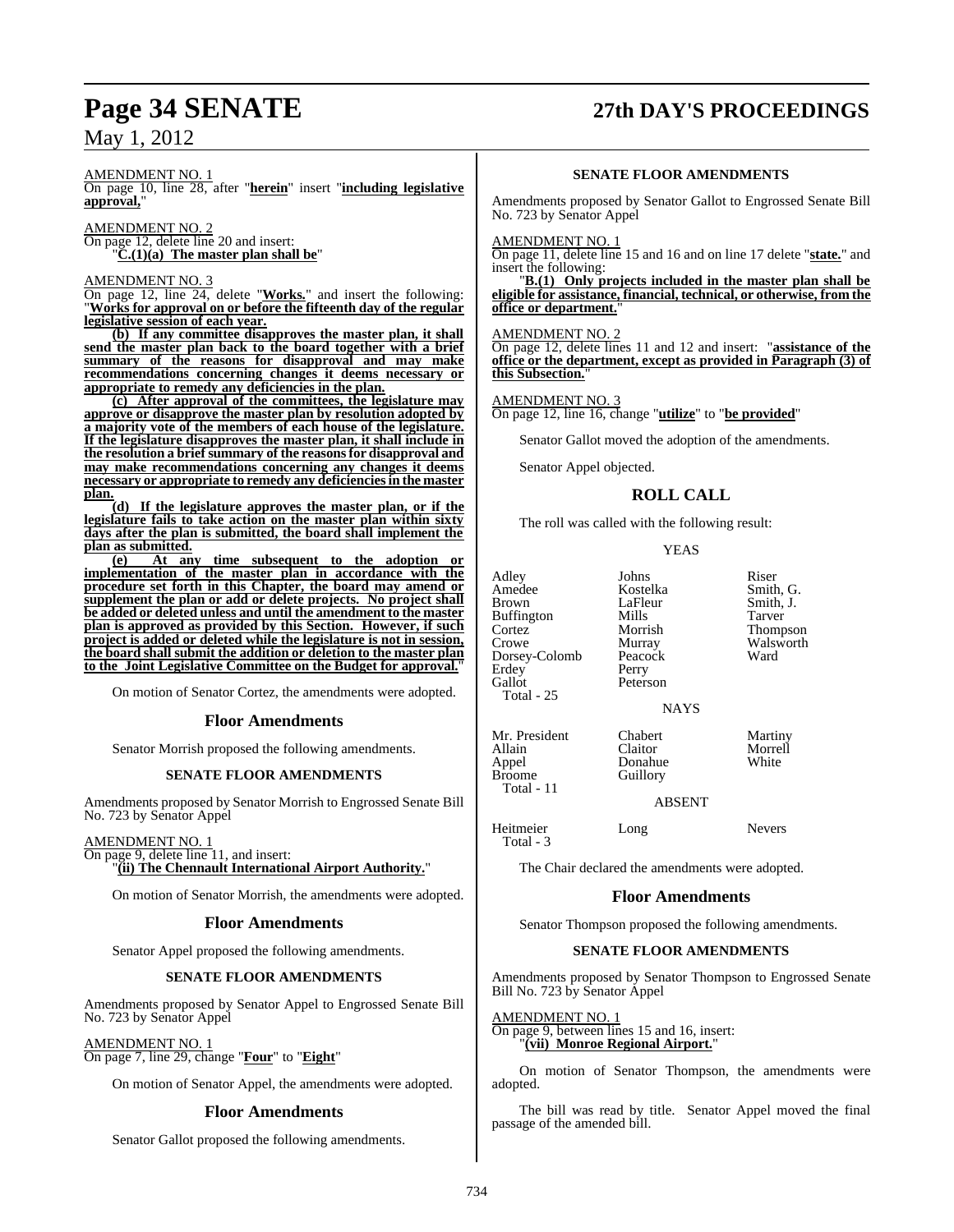# **Page 34 SENATE 27th DAY'S PROCEEDINGS**

AMENDMENT NO. 1

On page 10, line 28, after "**herein**" insert "**including legislative approval,**"

AMENDMENT NO. 2 On page 12, delete line 20 and insert: "**C.(1)(a) The master plan shall be**"

AMENDMENT NO. 3

On page 12, line 24, delete "**Works.**" and insert the following: "**Works for approval on or before the fifteenth day of the regular legislative session of each year.**

**(b) If any committee disapproves the master plan, it shall send the master plan back to the board together with a brief summary of the reasons for disapproval and may make recommendations concerning changes it deems necessary or appropriate to remedy any deficiencies in the plan.**

**(c) After approval of the committees, the legislature may approve or disapprove the master plan by resolution adopted by a majority vote of the members of each house of the legislature. If the legislature disapproves the master plan, it shall include in the resolution a briefsummary of the reasonsfor disapproval and may make recommendations concerning any changes it deems necessary or appropriate to remedy any deficienciesin the master plan.**

**(d) If the legislature approves the master plan, or if the legislature fails to take action on the master plan within sixty days after the plan is submitted, the board shall implement the** plan as submitted.<br>(e) At an

**(e) At any time subsequent to the adoption or implementation of the master plan in accordance with the procedure set forth in this Chapter, the board may amend or supplement the plan or add or delete projects. No project shall be added or deleted unless and until the amendment to the master plan is approved as provided by this Section. However, if such project is added or deleted while the legislature is not in session, the board shall submit the addition or deletion to the master plan to the Joint Legislative Committee on the Budget for approval.**"

On motion of Senator Cortez, the amendments were adopted.

#### **Floor Amendments**

Senator Morrish proposed the following amendments.

#### **SENATE FLOOR AMENDMENTS**

Amendments proposed by Senator Morrish to Engrossed Senate Bill No. 723 by Senator Appel

#### AMENDMENT NO. 1

On page 9, delete line 11, and insert: "**(ii) The Chennault International Airport Authority.**"

On motion of Senator Morrish, the amendments were adopted.

#### **Floor Amendments**

Senator Appel proposed the following amendments.

#### **SENATE FLOOR AMENDMENTS**

Amendments proposed by Senator Appel to Engrossed Senate Bill No. 723 by Senator Appel

AMENDMENT NO. 1

On page 7, line 29, change "**Four**" to "**Eight**"

On motion of Senator Appel, the amendments were adopted.

### **Floor Amendments**

Senator Gallot proposed the following amendments.

#### **SENATE FLOOR AMENDMENTS**

Amendments proposed by Senator Gallot to Engrossed Senate Bill No. 723 by Senator Appel

#### AMENDMENT NO. 1

On page 11, delete line 15 and 16 and on line 17 delete "**state.**" and insert the following:

"**B.(1) Only projects included in the master plan shall be eligible for assistance, financial, technical, or otherwise, from the office or department.**"

#### AMENDMENT NO. 2

On page 12, delete lines 11 and 12 and insert: "**assistance of the office or the department, except as provided in Paragraph (3) of this Subsection.**"

#### AMENDMENT NO. 3

On page 12, line 16, change "**utilize**" to "**be provided**"

Senator Gallot moved the adoption of the amendments.

Senator Appel objected.

#### **ROLL CALL**

The roll was called with the following result:

#### YEAS

Adley Johns Riser Amedee Kostelka Smith, G. Buffington Mills<br>Cortez Morrish Cortez Morrish Thompson Dorsey-Colomb Peaco<br>Erdey Perry Erdey<br>Gallot Total - 25

LaFleur Smith, J.<br>Mills Tarver Murray Walsworth<br>Peacock Ward Peterson

Donahue<br>Guillory

#### NAYS

Mr. President Chabert Martiny<br>
Allain Claitor Morrell Allain Claitor Morre<br>
Appel Donahue White Broome Total - 11

#### ABSENT

Heitmeier Long Nevers Total - 3

The Chair declared the amendments were adopted.

#### **Floor Amendments**

Senator Thompson proposed the following amendments.

#### **SENATE FLOOR AMENDMENTS**

Amendments proposed by Senator Thompson to Engrossed Senate Bill No. 723 by Senator Appel

AMENDMENT NO. 1

On page 9, between lines 15 and 16, insert: "**(vii) Monroe Regional Airport.**"

On motion of Senator Thompson, the amendments were adopted.

The bill was read by title. Senator Appel moved the final passage of the amended bill.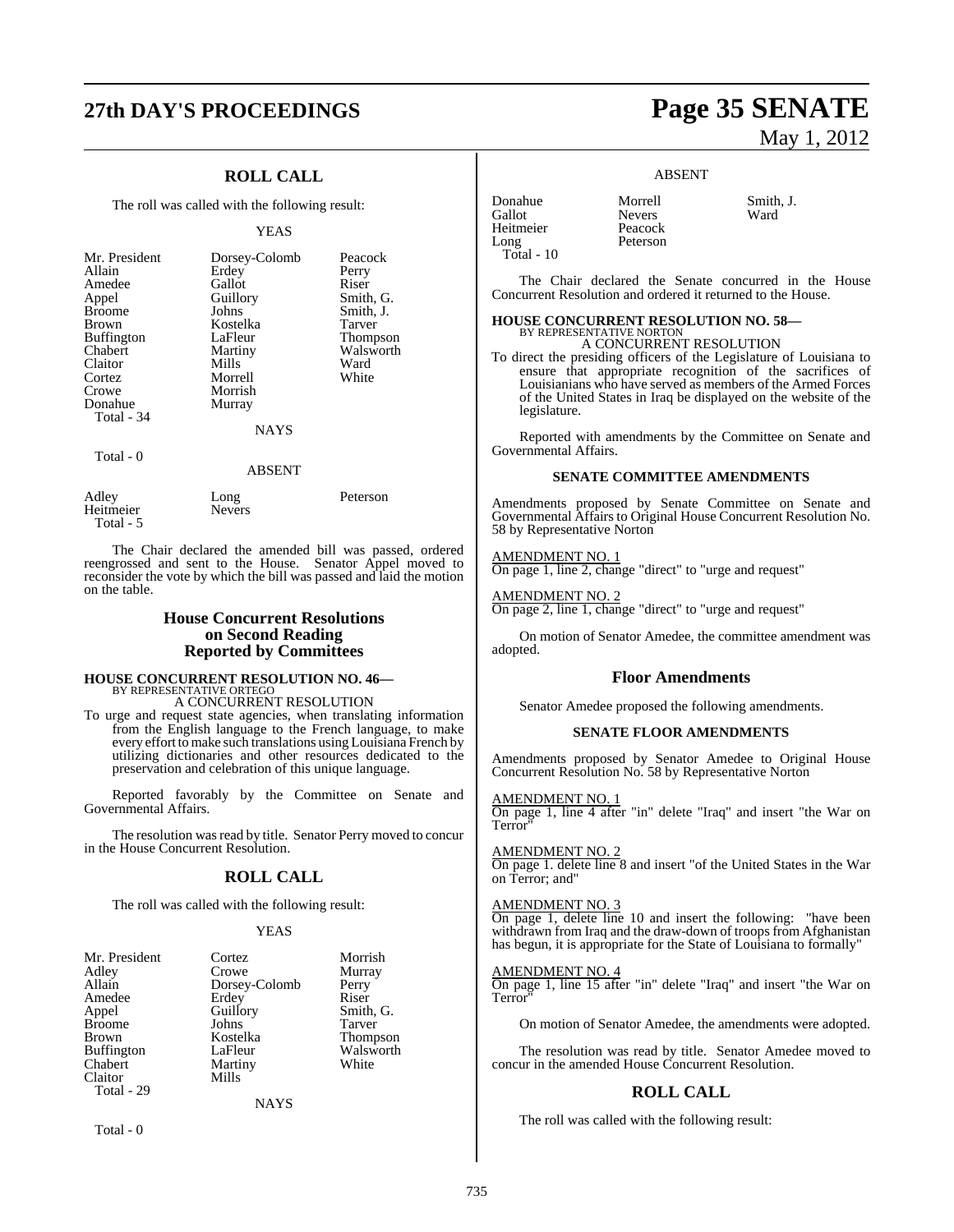## **27th DAY'S PROCEEDINGS Page 35 SENATE**

## **ROLL CALL**

The roll was called with the following result:

#### YEAS

| Mr. President<br>Allain<br>Amedee<br>Appel<br><b>Broome</b><br><b>Brown</b><br><b>Buffington</b><br>Chabert<br>Claitor<br>Cortez<br>Crowe<br>Donahue<br>Total - 34 | Dorsey-Colomb<br>Erdey<br>Gallot<br>Guillory<br>Johns<br>Kostelka<br>LaFleur<br>Martiny<br>Mills<br>Morrell<br>Morrish<br>Murray<br><b>NAYS</b> | Peacock<br>Perry<br>Riser<br>Smith, G.<br>Smith, J.<br><b>Tarver</b><br><b>Thompson</b><br>Walsworth<br>Ward<br>White |
|--------------------------------------------------------------------------------------------------------------------------------------------------------------------|-------------------------------------------------------------------------------------------------------------------------------------------------|-----------------------------------------------------------------------------------------------------------------------|
|                                                                                                                                                                    |                                                                                                                                                 |                                                                                                                       |
| Total - 0                                                                                                                                                          | ABSENT                                                                                                                                          |                                                                                                                       |

| Adley<br>Heitmeier<br>Total - 5 | Long<br><b>Nevers</b> | Peterson |
|---------------------------------|-----------------------|----------|
|                                 |                       |          |

The Chair declared the amended bill was passed, ordered reengrossed and sent to the House. Senator Appel moved to reconsider the vote by which the bill was passed and laid the motion on the table.

#### **House Concurrent Resolutions on Second Reading Reported by Committees**

## **HOUSE CONCURRENT RESOLUTION NO. 46—** BY REPRESENTATIVE ORTEGO A CONCURRENT RESOLUTION

To urge and request state agencies, when translating information from the English language to the French language, to make

every effort tomake such translations using Louisiana French by utilizing dictionaries and other resources dedicated to the preservation and celebration of this unique language.

Reported favorably by the Committee on Senate and Governmental Affairs.

The resolution was read by title. Senator Perry moved to concur in the House Concurrent Resolution.

## **ROLL CALL**

The roll was called with the following result:

#### **YEAS**

| Mr. President | Cortez          | Morrish       |
|---------------|-----------------|---------------|
| Adley         | Crowe           | Murray        |
| Allain        | Dorsey-Colomb   | Perry         |
| Amedee        | Erdey           | Riser         |
| Appel         | Guillory        | Smith, C      |
| <b>Broome</b> | Johns           | Tarver        |
| Brown         | Kostelka        | <b>Thomps</b> |
| Buffington    | LaFleur         | Walswo        |
| Chabert       | Martiny         | White         |
| Claitor       | Mills           |               |
| Total - 29    |                 |               |
|               | <b>ATA SZCI</b> |               |

rowe Murray<br>Morsey-Colomb Perry Porsey-Colomb Perry<br>
Perry Riser Appel Guillory Smith, G. Expedience Thompson<br>Brown Kostelland Thompson<br>Alsworth **Tartiny**  $\overline{\text{fills}}$ 

Walsworth<br>White

NAYS

Total - 0

# May 1, 2012

#### ABSENT

| Donahue      | Morrell       | Smith, J. |
|--------------|---------------|-----------|
| Gallot       | <b>Nevers</b> | Ward      |
| Heitmeier    | Peacock       |           |
| Long         | Peterson      |           |
| Total - $10$ |               |           |
|              |               |           |

The Chair declared the Senate concurred in the House Concurrent Resolution and ordered it returned to the House.

## **HOUSE CONCURRENT RESOLUTION NO. 58—** BY REPRESENTATIVE NORTON

A CONCURRENT RESOLUTION

To direct the presiding officers of the Legislature of Louisiana to ensure that appropriate recognition of the sacrifices of Louisianians who have served as members of the Armed Forces of the United States in Iraq be displayed on the website of the legislature.

Reported with amendments by the Committee on Senate and Governmental Affairs.

#### **SENATE COMMITTEE AMENDMENTS**

Amendments proposed by Senate Committee on Senate and Governmental Affairs to Original House Concurrent Resolution No. 58 by Representative Norton

#### AMENDMENT NO. 1

On page 1, line 2, change "direct" to "urge and request"

AMENDMENT NO. 2 On page 2, line 1, change "direct" to "urge and request"

On motion of Senator Amedee, the committee amendment was adopted.

#### **Floor Amendments**

Senator Amedee proposed the following amendments.

#### **SENATE FLOOR AMENDMENTS**

Amendments proposed by Senator Amedee to Original House Concurrent Resolution No. 58 by Representative Norton

AMENDMENT NO. 1

On page 1, line 4 after "in" delete "Iraq" and insert "the War on Terror<sup>'</sup>

#### AMENDMENT NO. 2

On page 1. delete line 8 and insert "of the United States in the War on Terror; and"

#### AMENDMENT NO. 3

On page 1, delete line 10 and insert the following: "have been withdrawn from Iraq and the draw-down of troops from Afghanistan has begun, it is appropriate for the State of Louisiana to formally"

#### AMENDMENT NO. 4

On page 1, line 15 after "in" delete "Iraq" and insert "the War on Terror

On motion of Senator Amedee, the amendments were adopted.

The resolution was read by title. Senator Amedee moved to concur in the amended House Concurrent Resolution.

#### **ROLL CALL**

The roll was called with the following result: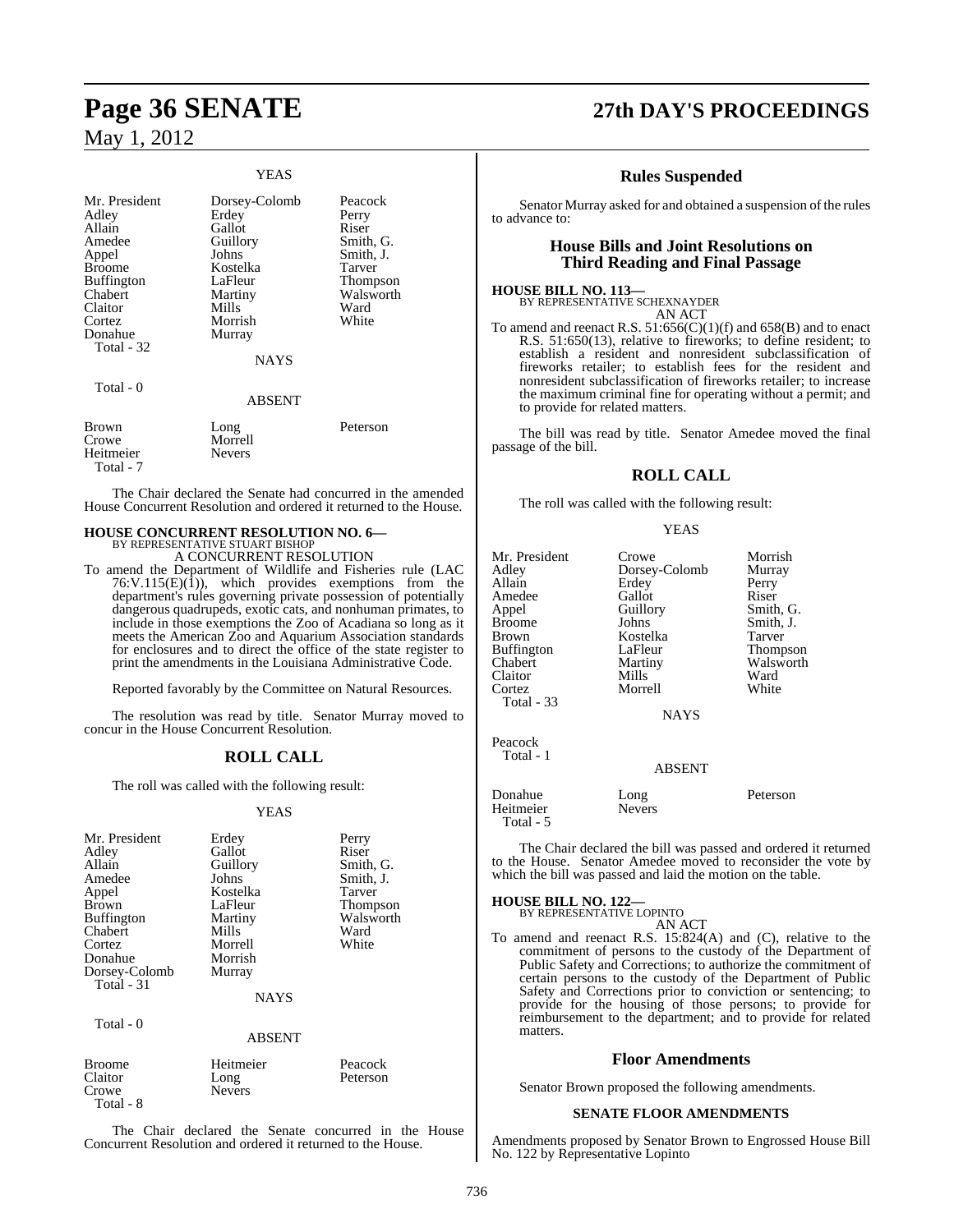#### YEAS

| Mr. President<br>Adley<br>Allain<br>Amedee<br>Appel<br><b>Broome</b><br><b>Buffington</b><br>Chabert<br>Claitor<br>Cortez<br>Donahue<br>Total - 32 | Dorsey-Colomb<br>Erdey<br>Gallot<br>Guillory<br>Johns<br>Kostelka<br>LaFleur<br>Martiny<br>Mills<br>Morrish<br>Murray | Peacock<br>Perry<br>Riser<br>Smith, G.<br>Smith, J.<br>Tarver<br>Thompson<br>Walsworth<br>Ward<br>White |
|----------------------------------------------------------------------------------------------------------------------------------------------------|-----------------------------------------------------------------------------------------------------------------------|---------------------------------------------------------------------------------------------------------|
|                                                                                                                                                    | <b>NAYS</b>                                                                                                           |                                                                                                         |
| Total - 0                                                                                                                                          | <b>ABSENT</b>                                                                                                         |                                                                                                         |
| Brown<br>Crowe<br>Heitmeier<br>Total - 7                                                                                                           | Long<br>Morrell<br><b>Nevers</b>                                                                                      | Peterson                                                                                                |

The Chair declared the Senate had concurred in the amended House Concurrent Resolution and ordered it returned to the House.

## **HOUSE CONCURRENT RESOLUTION NO. 6—** BY REPRESENTATIVE STUART BISHOP A CONCURRENT RESOLUTION

To amend the Department of Wildlife and Fisheries rule (LAC  $76:V.115(E)(1)$ , which provides exemptions from the

department's rules governing private possession of potentially dangerous quadrupeds, exotic cats, and nonhuman primates, to include in those exemptions the Zoo of Acadiana so long as it meets the American Zoo and Aquarium Association standards for enclosures and to direct the office of the state register to print the amendments in the Louisiana Administrative Code.

Reported favorably by the Committee on Natural Resources.

The resolution was read by title. Senator Murray moved to concur in the House Concurrent Resolution.

### **ROLL CALL**

The roll was called with the following result:

#### YEAS

| Mr. President<br>Adley<br>Allain<br>Amedee<br>Appel<br><b>Brown</b><br><b>Buffington</b><br>Chabert<br>Cortez<br>Donahue<br>Dorsey-Colomb<br>Total - 31 | Erdey<br>Gallot<br>Guillory<br>Johns<br>Kostelka<br>LaFleur<br>Martiny<br>Mills<br>Morrell<br>Morrish<br>Murray<br><b>NAYS</b> | Perry<br>Riser<br>Smith, G.<br>Smith, J.<br>Tarver<br>Thompson<br>Walsworth<br>Ward<br>White |
|---------------------------------------------------------------------------------------------------------------------------------------------------------|--------------------------------------------------------------------------------------------------------------------------------|----------------------------------------------------------------------------------------------|
| Total - 0                                                                                                                                               | <b>ABSENT</b>                                                                                                                  |                                                                                              |
| <b>Broome</b><br>Claitor<br>Crowe                                                                                                                       | Heitmeier<br>Long<br><b>Nevers</b>                                                                                             | Peacock<br>Peterson                                                                          |

The Chair declared the Senate concurred in the House Concurrent Resolution and ordered it returned to the House.

Total - 8

## **Page 36 SENATE 27th DAY'S PROCEEDINGS**

#### **Rules Suspended**

Senator Murray asked for and obtained a suspension of the rules to advance to:

### **House Bills and Joint Resolutions on Third Reading and Final Passage**

#### **HOUSE BILL NO. 113—**

BY REPRESENTATIVE SCHEXNAYDER AN ACT

To amend and reenact R.S.  $51:656(C)(1)(f)$  and  $658(B)$  and to enact R.S. 51:650(13), relative to fireworks; to define resident; to establish a resident and nonresident subclassification of fireworks retailer; to establish fees for the resident and nonresident subclassification of fireworks retailer; to increase the maximum criminal fine for operating without a permit; and to provide for related matters.

The bill was read by title. Senator Amedee moved the final passage of the bill.

#### **ROLL CALL**

The roll was called with the following result:

#### YEAS

| Mr. President | Crowe         | Morrish   |
|---------------|---------------|-----------|
| Adley         | Dorsey-Colomb | Murray    |
| Allain        | Erdey         |           |
|               |               | Perry     |
| Amedee        | Gallot        | Riser     |
| Appel         | Guillory      | Smith, G. |
| Broome        | Johns         | Smith, J. |
| Brown         | Kostelka      | Tarver    |
| Buffington    | LaFleur       | Thompson  |
| Chabert       | Martiny       | Walsworth |
| Claitor       | Mills         | Ward      |
| Cortez        | Morrell       | White     |
|               |               |           |
| Total - 33    |               |           |
|               | <b>NAYS</b>   |           |
|               |               |           |
| Peacock       |               |           |
| Total - 1     |               |           |
|               | <b>ABSENT</b> |           |
|               |               |           |
| Donahue       | Long          | Peterson  |
| Heitmeier     | <b>Nevers</b> |           |
| Total - 5     |               |           |

The Chair declared the bill was passed and ordered it returned to the House. Senator Amedee moved to reconsider the vote by which the bill was passed and laid the motion on the table.

## **HOUSE BILL NO. 122—** BY REPRESENTATIVE LOPINTO

AN ACT To amend and reenact R.S. 15:824(A) and (C), relative to the commitment of persons to the custody of the Department of Public Safety and Corrections; to authorize the commitment of certain persons to the custody of the Department of Public Safety and Corrections prior to conviction or sentencing; to provide for the housing of those persons; to provide for reimbursement to the department; and to provide for related matters.

#### **Floor Amendments**

Senator Brown proposed the following amendments.

#### **SENATE FLOOR AMENDMENTS**

Amendments proposed by Senator Brown to Engrossed House Bill No. 122 by Representative Lopinto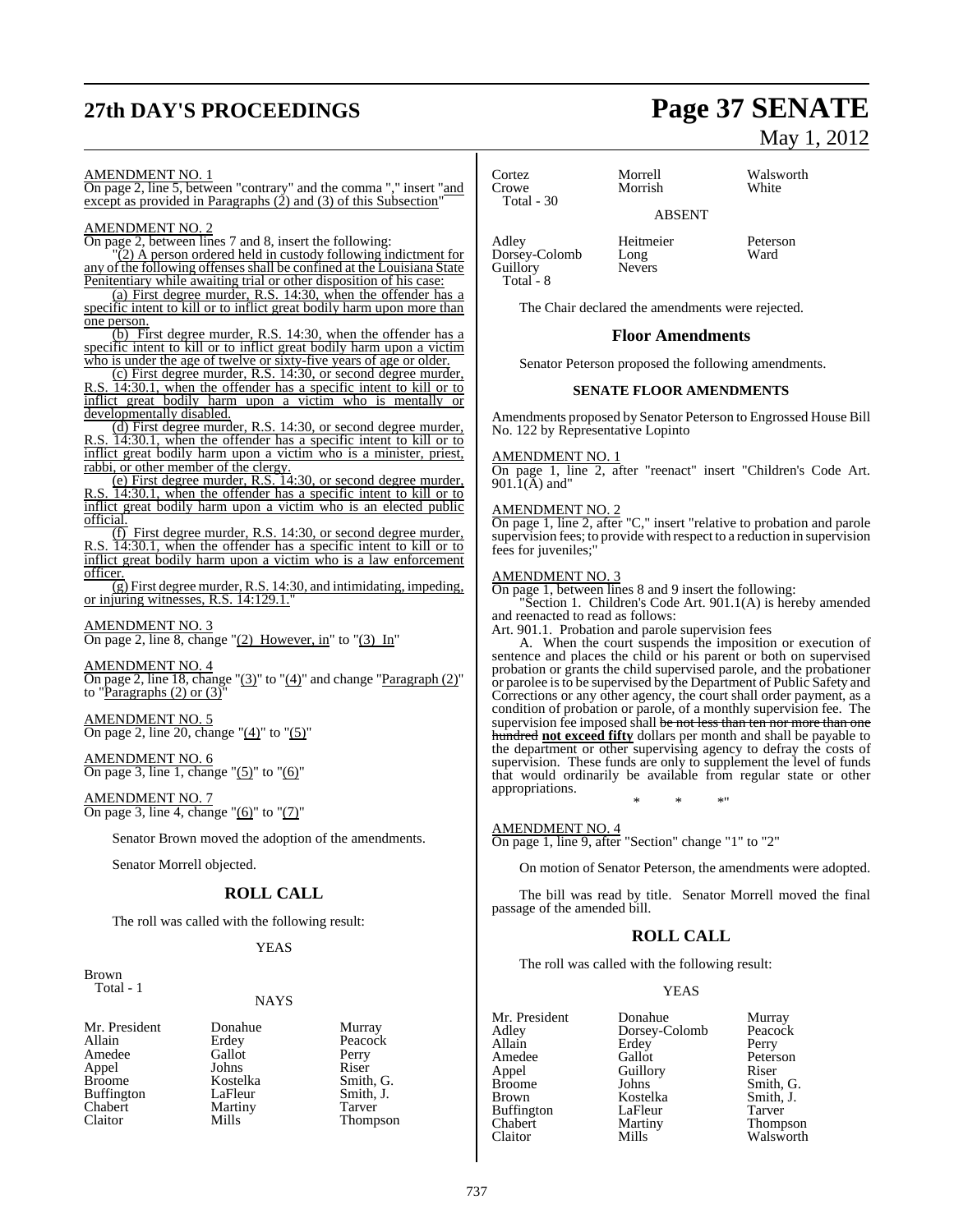# **27th DAY'S PROCEEDINGS Page 37 SENATE**

#### AMENDMENT NO. 1

On page 2, line 5, between "contrary" and the comma "," insert "and except as provided in Paragraphs (2) and (3) of this Subsection"

### AMENDMENT NO. 2

On page 2, between lines 7 and 8, insert the following:

 $(2)$  A person ordered held in custody following indictment for any of the following offenses shall be confined at the Louisiana State Penitentiary while awaiting trial or other disposition of his case:

(a) First degree murder, R.S. 14:30, when the offender has a specific intent to kill or to inflict great bodily harm upon more than one person.

(b) First degree murder, R.S. 14:30, when the offender has a specific intent to kill or to inflict great bodily harm upon a victim who is under the age of twelve or sixty-five years of age or older.

(c) First degree murder, R.S. 14:30, or second degree murder,  $\overline{14:30.1}$ , when the offender has a specific intent to kill or to inflict great bodily harm upon a victim who is mentally or developmentally disabled.

(d) First degree murder, R.S. 14:30, or second degree murder, R.S. 14:30.1, when the offender has a specific intent to kill or to inflict great bodily harm upon a victim who is a minister, priest, rabbi, or other member of the clergy.

(e) First degree murder, R.S. 14:30, or second degree murder, 14:30.1, when the offender has a specific intent to kill or to inflict great bodily harm upon a victim who is an elected public official.

(f) First degree murder, R.S. 14:30, or second degree murder, R.S. 14:30.1, when the offender has a specific intent to kill or to inflict great bodily harm upon a victim who is a law enforcement officer.

 $\overline{g}$ ) First degree murder, R.S. 14:30, and intimidating, impeding, or injuring witnesses, R.S. 14:129.1.

#### AMENDMENT NO. 3

On page 2, line 8, change " $(2)$  However, in" to " $(3)$  In"

## AMENDMENT NO. 4

On page 2, line 18, change "(3)" to "(4)" and change "Paragraph (2)" to "Paragraphs  $(2)$  or  $(3)$ "

AMENDMENT NO. 5 On page 2, line 20, change " $(4)$ " to " $(5)$ "

## AMENDMENT NO. 6

On page 3, line 1, change " $(5)$ " to " $(6)$ "

AMENDMENT NO. 7 On page 3, line 4, change " $(6)$ " to " $(7)$ "

Senator Brown moved the adoption of the amendments.

Senator Morrell objected.

## **ROLL CALL**

The roll was called with the following result:

#### YEAS

Brown

Total - 1

#### NAYS

Mr. President Donahue Murray<br>Allain Erdey Peacocl Amedee Gallot Perry<br>
Appel Johns Riser Appel Johns<br>Broome Kostelka Buffington LaFleur Smith,<br>
Chabert Martiny Tarver Chabert Martiny<br>Claitor Mills

Erdey Peacock<br>Gallot Perry Kostelka Smith, G.<br>LaFleur Smith, J.

Thompson

Cortez Morrell Walsworth Total - 30

Morrish

ABSENT

Adley Heitmeier Peterson<br>Dorsey-Colomb Long Ward Dorsey-Colomb Long<br>Guillory Nevers Guillory Total - 8

The Chair declared the amendments were rejected.

#### **Floor Amendments**

Senator Peterson proposed the following amendments.

#### **SENATE FLOOR AMENDMENTS**

Amendments proposed by Senator Peterson to Engrossed House Bill No. 122 by Representative Lopinto

#### AMENDMENT NO. 1

On page 1, line 2, after "reenact" insert "Children's Code Art. 901.1(A) and"

#### AMENDMENT NO. 2

On page 1, line 2, after "C," insert "relative to probation and parole supervision fees; to provide with respect to a reduction in supervision fees for juveniles;

#### AMENDMENT NO. 3

On page 1, between lines 8 and 9 insert the following:

"Section 1. Children's Code Art. 901.1(A) is hereby amended and reenacted to read as follows:

Art. 901.1. Probation and parole supervision fees

A. When the court suspends the imposition or execution of sentence and places the child or his parent or both on supervised probation or grants the child supervised parole, and the probationer or parolee is to be supervised by the Department of Public Safety and Corrections or any other agency, the court shall order payment, as a condition of probation or parole, of a monthly supervision fee. The supervision fee imposed shall be not less than ten nor more than one hundred **not exceed fifty** dollars per month and shall be payable to the department or other supervising agency to defray the costs of supervision. These funds are only to supplement the level of funds that would ordinarily be available from regular state or other appropriations. \* \* \*"

#### AMENDMENT NO. 4

On page 1, line 9, after "Section" change "1" to "2"

On motion of Senator Peterson, the amendments were adopted.

The bill was read by title. Senator Morrell moved the final passage of the amended bill.

### **ROLL CALL**

The roll was called with the following result:

#### YEAS

| Mr. President     | Donahue       | Murray    |
|-------------------|---------------|-----------|
| Adley             | Dorsey-Colomb | Peacock   |
| Allain            | Erdey         | Perry     |
| Amedee            | Gallot        | Peterson  |
| Appel             | Guillory      | Riser     |
| <b>Broome</b>     | Johns         | Smith, G. |
| Brown             | Kostelka      | Smith, J. |
| <b>Buffington</b> | LaFleur       | Tarver    |
| Chabert           | Martiny       | Thompson  |
| Claitor           | Mills         | Walsworth |

May 1, 2012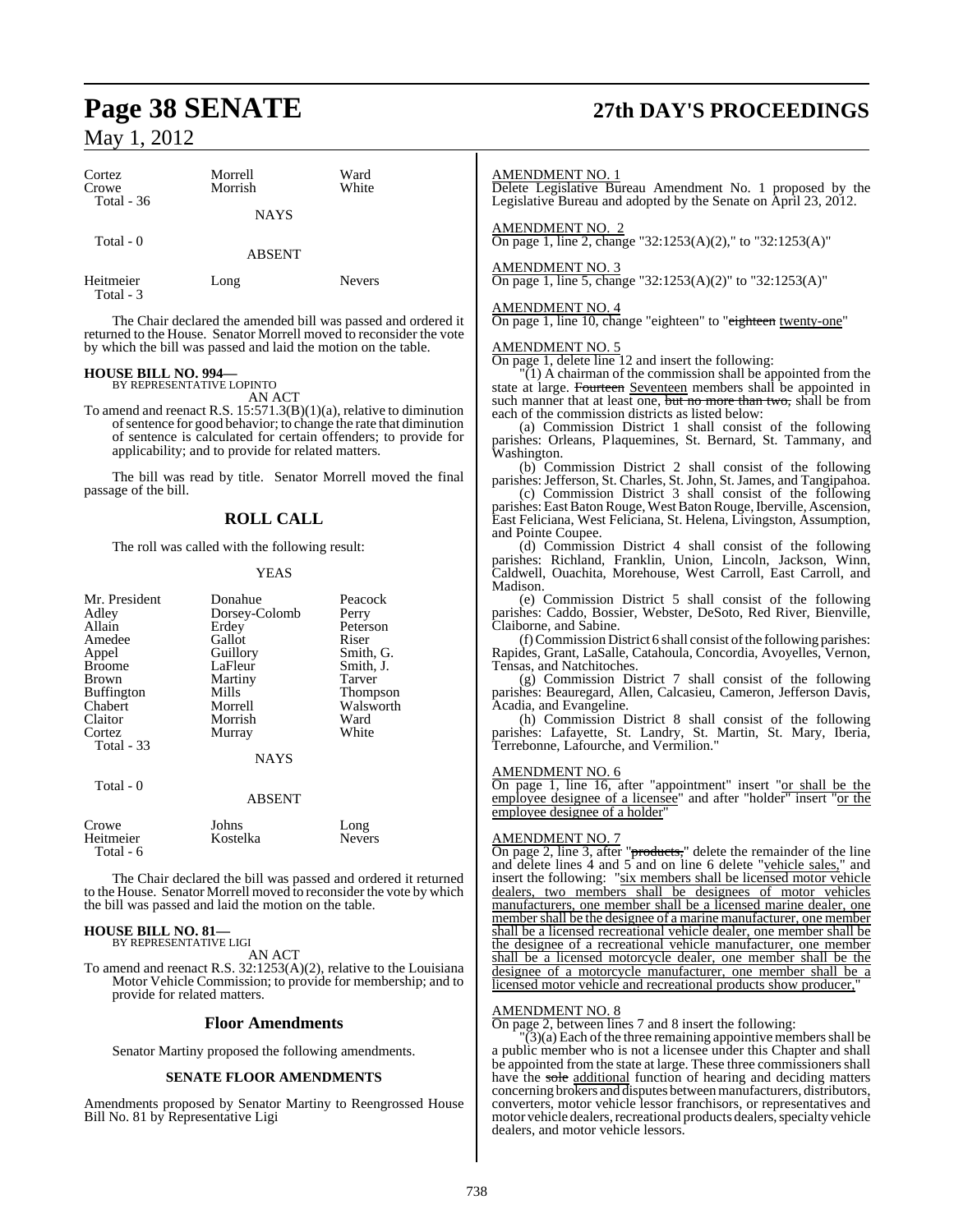| Cortez<br>Crowe<br><b>Total - 36</b> | Morrell<br>Morrish | Ward<br>White |
|--------------------------------------|--------------------|---------------|
|                                      | <b>NAYS</b>        |               |
| Total - 0                            | <b>ABSENT</b>      |               |
| Heitmeier<br>Total - 3               | Long               | <b>Nevers</b> |

The Chair declared the amended bill was passed and ordered it returned to the House. Senator Morrell moved to reconsider the vote by which the bill was passed and laid the motion on the table.

#### **HOUSE BILL NO. 994—** BY REPRESENTATIVE LOPINTO

AN ACT

To amend and reenact R.S. 15:571.3(B)(1)(a), relative to diminution ofsentence for good behavior; to change the rate that diminution of sentence is calculated for certain offenders; to provide for applicability; and to provide for related matters.

The bill was read by title. Senator Morrell moved the final passage of the bill.

## **ROLL CALL**

The roll was called with the following result:

#### YEAS

| Mr. President<br>Adley<br>Allain<br>Amedee<br>Appel<br><b>Broome</b><br>Brown<br><b>Buffington</b><br>Chabert | Donahue<br>Dorsey-Colomb<br>Erdey<br>Gallot<br>Guillory<br>LaFleur<br>Martiny<br>Mills<br>Morrell | Peacock<br>Perry<br>Peterson<br>Riser<br>Smith, G.<br>Smith, J.<br>Tarver<br><b>Thompson</b><br>Walsworth |
|---------------------------------------------------------------------------------------------------------------|---------------------------------------------------------------------------------------------------|-----------------------------------------------------------------------------------------------------------|
| Cortez<br>Total - 33                                                                                          | Murray<br><b>NAYS</b>                                                                             | White                                                                                                     |
| Total - 0                                                                                                     | <b>ABSENT</b>                                                                                     |                                                                                                           |

| Crowe     | Johns    | Long          |
|-----------|----------|---------------|
| Heitmeier | Kostelka | <b>Nevers</b> |
| Total - 6 |          |               |

The Chair declared the bill was passed and ordered it returned to the House. Senator Morrell moved to reconsider the vote by which the bill was passed and laid the motion on the table.

#### **HOUSE BILL NO. 81—** BY REPRESENTATIVE LIGI

AN ACT

To amend and reenact R.S.  $32:1253(A)(2)$ , relative to the Louisiana Motor Vehicle Commission; to provide for membership; and to provide for related matters.

#### **Floor Amendments**

Senator Martiny proposed the following amendments.

#### **SENATE FLOOR AMENDMENTS**

Amendments proposed by Senator Martiny to Reengrossed House Bill No. 81 by Representative Ligi

# **Page 38 SENATE 27th DAY'S PROCEEDINGS**

#### AMENDMENT NO. 1

Delete Legislative Bureau Amendment No. 1 proposed by the Legislative Bureau and adopted by the Senate on April 23, 2012.

AMENDMENT NO. 2

On page 1, line 2, change "32:1253(A)(2)," to "32:1253(A)"

#### AMENDMENT NO. 3

On page 1, line 5, change "32:1253(A)(2)" to "32:1253(A)"

#### AMENDMENT NO. 4

On page 1, line 10, change "eighteen" to "eighteen twenty-one"

AMENDMENT NO. 5 On page 1, delete line 12 and insert the following:

 $\Gamma(1)$  A chairman of the commission shall be appointed from the state at large. Fourteen Seventeen members shall be appointed in such manner that at least one, but no more than two, shall be from each of the commission districts as listed below:

(a) Commission District 1 shall consist of the following parishes: Orleans, Plaquemines, St. Bernard, St. Tammany, and Washington.

(b) Commission District 2 shall consist of the following parishes: Jefferson, St. Charles, St. John, St. James, and Tangipahoa.

(c) Commission District 3 shall consist of the following parishes: East Baton Rouge, West Baton Rouge, Iberville, Ascension, East Feliciana, West Feliciana, St. Helena, Livingston, Assumption, and Pointe Coupee.

(d) Commission District 4 shall consist of the following parishes: Richland, Franklin, Union, Lincoln, Jackson, Winn, Caldwell, Ouachita, Morehouse, West Carroll, East Carroll, and Madison.

(e) Commission District 5 shall consist of the following parishes: Caddo, Bossier, Webster, DeSoto, Red River, Bienville, Claiborne, and Sabine.

 $(f)$ Commission District 6 shall consist of the following parishes: Rapides, Grant, LaSalle, Catahoula, Concordia, Avoyelles, Vernon, Tensas, and Natchitoches.

(g) Commission District 7 shall consist of the following parishes: Beauregard, Allen, Calcasieu, Cameron, Jefferson Davis, Acadia, and Evangeline.

(h) Commission District 8 shall consist of the following parishes: Lafayette, St. Landry, St. Martin, St. Mary, Iberia, Terrebonne, Lafourche, and Vermilion."

#### AMENDMENT NO. 6

On page 1, line 16, after "appointment" insert "or shall be the employee designee of a licensee" and after "holder" insert "or the employee designee of a holder"

#### AMENDMENT NO. 7

 $\frac{\text{AMENDMEN1 WOL}}{\text{On page 2, line 3, after "products,"}$  delete the remainder of the line and delete lines  $\acute{4}$  and  $5$  and on line 6 delete "vehicle sales," and insert the following: "six members shall be licensed motor vehicle dealers, two members shall be designees of motor vehicles manufacturers, one member shall be a licensed marine dealer, one member shall be the designee of a marine manufacturer, one member shall be a licensed recreational vehicle dealer, one member shall be the designee of a recreational vehicle manufacturer, one member shall be a licensed motorcycle dealer, one member shall be the designee of a motorcycle manufacturer, one member shall be a licensed motor vehicle and recreational products show producer,

## AMENDMENT NO. 8

On page 2, between lines 7 and 8 insert the following:

 $\overline{3}$ (a) Each of the three remaining appointive members shall be a public member who is not a licensee under this Chapter and shall be appointed from the state at large. These three commissioners shall have the sole additional function of hearing and deciding matters concerning brokers and disputes between manufacturers, distributors, converters, motor vehicle lessor franchisors, or representatives and motor vehicle dealers, recreational products dealers, specialty vehicle dealers, and motor vehicle lessors.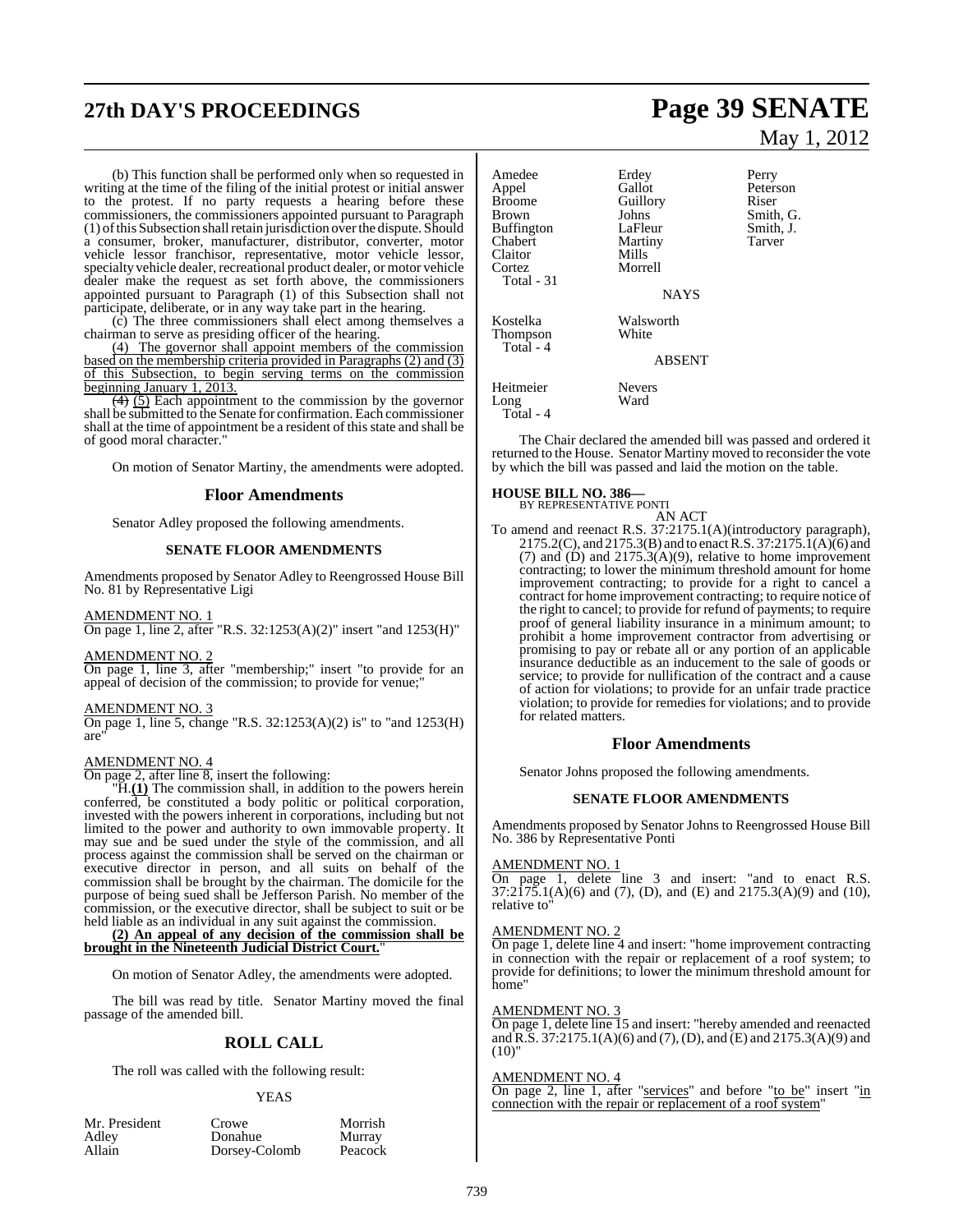# **27th DAY'S PROCEEDINGS Page 39 SENATE**

(b) This function shall be performed only when so requested in writing at the time of the filing of the initial protest or initial answer to the protest. If no party requests a hearing before these commissioners, the commissioners appointed pursuant to Paragraph (1) ofthis Subsection shall retain jurisdiction over the dispute. Should a consumer, broker, manufacturer, distributor, converter, motor vehicle lessor franchisor, representative, motor vehicle lessor, specialty vehicle dealer, recreational product dealer, or motor vehicle dealer make the request as set forth above, the commissioners appointed pursuant to Paragraph (1) of this Subsection shall not participate, deliberate, or in any way take part in the hearing.

(c) The three commissioners shall elect among themselves a chairman to serve as presiding officer of the hearing.

(4) The governor shall appoint members of the commission based on the membership criteria provided in Paragraphs (2) and (3) of this Subsection, to begin serving terms on the commission beginning January 1, 2013.

(4) (5) Each appointment to the commission by the governor shall be submitted to the Senate for confirmation. Each commissioner shall at the time of appointment be a resident of this state and shall be of good moral character."

On motion of Senator Martiny, the amendments were adopted.

#### **Floor Amendments**

Senator Adley proposed the following amendments.

#### **SENATE FLOOR AMENDMENTS**

Amendments proposed by Senator Adley to Reengrossed House Bill No. 81 by Representative Ligi

#### AMENDMENT NO. 1

On page 1, line 2, after "R.S. 32:1253(A)(2)" insert "and 1253(H)"

#### AMENDMENT NO. 2

On page 1, line 3, after "membership;" insert "to provide for an appeal of decision of the commission; to provide for venue;"

#### AMENDMENT NO. 3

On page 1, line 5, change "R.S. 32:1253(A)(2) is" to "and 1253(H) are"

#### AMENDMENT NO. 4

On page 2, after line 8, insert the following:

"H.**(1)** The commission shall, in addition to the powers herein conferred, be constituted a body politic or political corporation, invested with the powers inherent in corporations, including but not limited to the power and authority to own immovable property. It may sue and be sued under the style of the commission, and all process against the commission shall be served on the chairman or executive director in person, and all suits on behalf of the commission shall be brought by the chairman. The domicile for the purpose of being sued shall be Jefferson Parish. No member of the commission, or the executive director, shall be subject to suit or be held liable as an individual in any suit against the commission.

**(2) An appeal of any decision of the commission shall be brought in the Nineteenth Judicial District Court.**"

On motion of Senator Adley, the amendments were adopted.

The bill was read by title. Senator Martiny moved the final passage of the amended bill.

### **ROLL CALL**

The roll was called with the following result:

#### YEAS

| Mr. Preside |  |  |
|-------------|--|--|
| Adley       |  |  |
| Allain      |  |  |

nt Crowe Morrish<br>Donahue Murray Donahue Murray<br>Dorsey-Colomb Peacock Dorsey-Colomb

May 1, 2012

Amedee Erdey Perry<br>Appel Gallot Peters Appel Gallot Peterson<br>Broome Guillory Riser Broome Guillory<br>Brown Johns Johns Smith, G.<br>LaFleur Smith, J. Buffington LaFleur Smith,<br>
Chabert Martiny Tarver Chabert Martiny<br>Claitor Mills Claitor<br>Cortez Morrell Total - 31 NAYS Kostelka Walsworth<br>Thompson White Thompson Total - 4 ABSENT Heitmeier Nevers<br>Long Ward Long Total - 4

The Chair declared the amended bill was passed and ordered it returned to the House. Senator Martiny moved to reconsider the vote by which the bill was passed and laid the motion on the table.

#### **HOUSE BILL NO. 386—**

BY REPRESENTATIVE PONTI

AN ACT To amend and reenact R.S. 37:2175.1(A)(introductory paragraph),  $2175.2(C)$ , and  $2175.3(B)$  and to enact R.S. 37:2175.1(A)(6) and (7) and (D) and 2175.3(A)(9), relative to home improvement contracting; to lower the minimum threshold amount for home improvement contracting; to provide for a right to cancel a contract for home improvement contracting; to require notice of the right to cancel; to provide for refund of payments; to require proof of general liability insurance in a minimum amount; to prohibit a home improvement contractor from advertising or promising to pay or rebate all or any portion of an applicable insurance deductible as an inducement to the sale of goods or service; to provide for nullification of the contract and a cause of action for violations; to provide for an unfair trade practice violation; to provide for remedies for violations; and to provide for related matters.

#### **Floor Amendments**

Senator Johns proposed the following amendments.

#### **SENATE FLOOR AMENDMENTS**

Amendments proposed by Senator Johns to Reengrossed House Bill No. 386 by Representative Ponti

#### AMENDMENT NO. 1

On page 1, delete line 3 and insert: "and to enact R.S.  $37:2\overline{175}.1(A)(6)$  and  $(7)$ ,  $(D)$ , and  $(E)$  and  $2175.3(A)(9)$  and  $(10)$ , relative to"

#### AMENDMENT NO. 2

On page 1, delete line 4 and insert: "home improvement contracting in connection with the repair or replacement of a roof system; to provide for definitions; to lower the minimum threshold amount for home"

#### AMENDMENT NO. 3

On page 1, delete line 15 and insert: "hereby amended and reenacted and R.S. 37:2175.1(A)(6) and (7), (D), and (E) and 2175.3(A)(9) and  $(10)'$ 

#### AMENDMENT NO. 4

On page 2, line 1, after "services" and before "to be" insert "in connection with the repair or replacement of a roof system"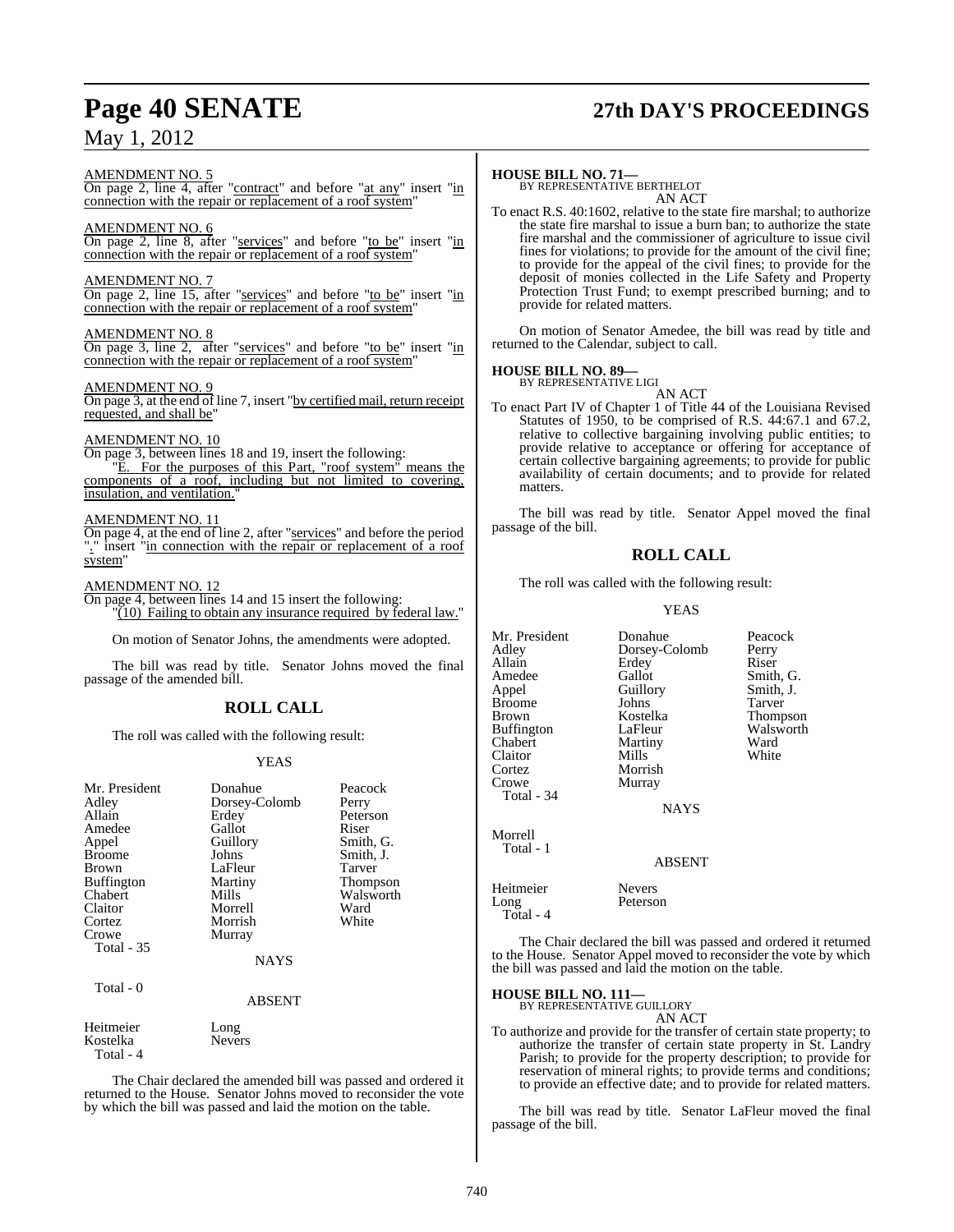# **Page 40 SENATE 27th DAY'S PROCEEDINGS**

#### AMENDMENT NO. 5

On page 2, line 4, after "contract" and before "at any" insert "in connection with the repair or replacement of a roof system"

### AMENDMENT NO. 6

On page 2, line 8, after "services" and before "to be" insert "in connection with the repair or replacement of a roof system"

#### AMENDMENT NO. 7

On page 2, line 15, after "services" and before "to be" insert "in connection with the repair or replacement of a roof system"

#### AMENDMENT NO. 8

On page 3, line 2, after "services" and before "to be" insert "in connection with the repair or replacement of a roof system"

#### AMENDMENT NO. 9

On page 3, at the end of line 7, insert "by certified mail, return receipt requested, and shall be"

#### AMENDMENT NO. 10

On page 3, between lines 18 and 19, insert the following: E. For the purposes of this Part, "roof system" means the components of a roof, including but not limited to covering, insulation, and ventilation.

#### AMENDMENT NO. 11

On page 4, at the end of line 2, after "services" and before the period "." insert "in connection with the repair or replacement of a roof system"

#### AMENDMENT NO. 12

On page 4, between lines 14 and 15 insert the following:  $\sqrt{10}$  Failing to obtain any insurance required by federal law."

On motion of Senator Johns, the amendments were adopted.

The bill was read by title. Senator Johns moved the final passage of the amended bill.

## **ROLL CALL**

The roll was called with the following result:

#### YEAS

| Mr. President     | Donahue       | Peacock         |
|-------------------|---------------|-----------------|
|                   |               |                 |
| Adley             | Dorsey-Colomb | Perry           |
| Allain            | Erdey         | Peterson        |
| Amedee            | Gallot        | Riser           |
| Appel             | Guillory      | Smith, G.       |
| <b>Broome</b>     | Johns         | Smith, J.       |
| <b>Brown</b>      | LaFleur       | Tarver          |
| <b>Buffington</b> | Martiny       | <b>Thompson</b> |
| Chabert           | Mills         | Walsworth       |
| Claitor           | Morrell       | Ward            |
| Cortez            | Morrish       | White           |
| Crowe             | Murray        |                 |
| <b>Total - 35</b> |               |                 |
|                   | <b>NAYS</b>   |                 |
| Total - 0         |               |                 |
|                   | ABSENT        |                 |

Heitmeier Long<br>Kostelka Nevers Kostelka Total - 4

The Chair declared the amended bill was passed and ordered it returned to the House. Senator Johns moved to reconsider the vote by which the bill was passed and laid the motion on the table.

**HOUSE BILL NO. 71—** BY REPRESENTATIVE BERTHELOT AN ACT

To enact R.S. 40:1602, relative to the state fire marshal; to authorize the state fire marshal to issue a burn ban; to authorize the state fire marshal and the commissioner of agriculture to issue civil fines for violations; to provide for the amount of the civil fine; to provide for the appeal of the civil fines; to provide for the deposit of monies collected in the Life Safety and Property Protection Trust Fund; to exempt prescribed burning; and to provide for related matters.

On motion of Senator Amedee, the bill was read by title and returned to the Calendar, subject to call.

#### **HOUSE BILL NO. 89—**

BY REPRESENTATIVE LIGI AN ACT

To enact Part IV of Chapter 1 of Title 44 of the Louisiana Revised Statutes of 1950, to be comprised of R.S. 44:67.1 and 67.2, relative to collective bargaining involving public entities; to provide relative to acceptance or offering for acceptance of certain collective bargaining agreements; to provide for public availability of certain documents; and to provide for related matters.

The bill was read by title. Senator Appel moved the final passage of the bill.

## **ROLL CALL**

The roll was called with the following result:

#### YEAS

Mr. President Donahue Peacock<br>Adlev Dorsey-Colomb Perry Dorsey-Colomb Allain Erdey Riser<br>
Amedee Gallot Smith Amedee Gallot Smith, G.<br>
Appel Guillory Smith, J. Guillory Smith, J.<br>Johns Tarver Broome Johns<br>Brown Kostelka Kostelka Thompson<br>LaFleur Walsworth Buffington LaFleur Walsworth<br>
Chabert Martiny Ward Martiny Ward<br>
Mills White Claitor<br>Cortez Cortez Morrish Murray Total - 34 NAYS Morrell Total - 1 ABSENT Heitmeier Nevers Long

| tmeier   | <b>Nevers</b> |
|----------|---------------|
| ıg       | Peterson      |
| otal - 4 |               |

The Chair declared the bill was passed and ordered it returned to the House. Senator Appel moved to reconsider the vote by which the bill was passed and laid the motion on the table.

## **HOUSE BILL NO. 111—** BY REPRESENTATIVE GUILLORY

 $T<sub>0</sub>$ 

AN ACT

To authorize and provide for the transfer of certain state property; to authorize the transfer of certain state property in St. Landry Parish; to provide for the property description; to provide for reservation of mineral rights; to provide terms and conditions; to provide an effective date; and to provide for related matters.

The bill was read by title. Senator LaFleur moved the final passage of the bill.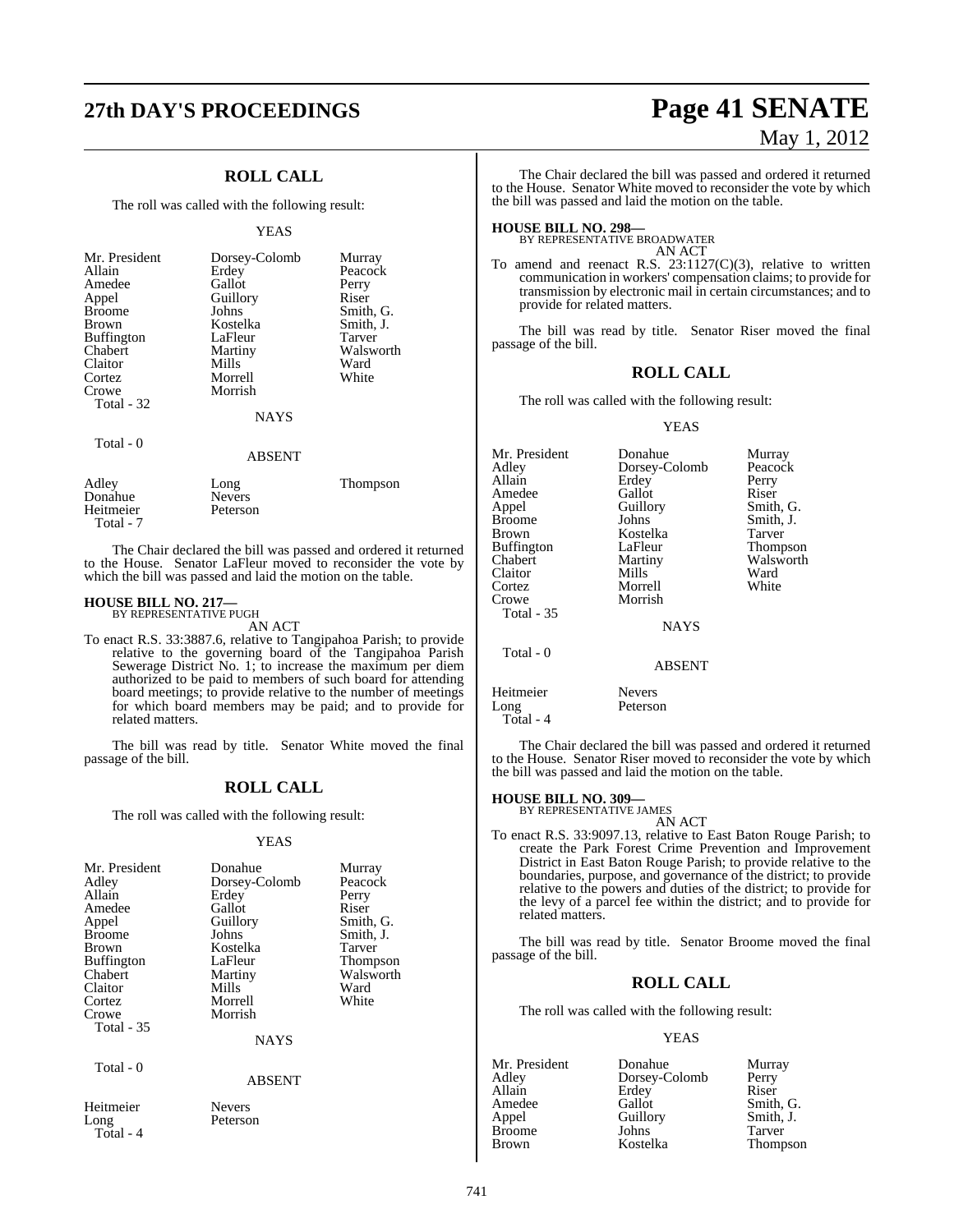## **ROLL CALL**

The roll was called with the following result:

#### YEAS

| Mr. President<br>Allain<br>Amedee<br>Appel<br><b>Broome</b><br><b>Brown</b><br><b>Buffington</b><br>Chabert<br>Claitor<br>Cortez<br>Crowe<br>Total - 32 | Dorsey-Colomb<br>Erdey<br>Gallot<br>Guillory<br>Johns<br>Kostelka<br>LaFleur<br>Martiny<br>Mills<br>Morrell<br>Morrish<br><b>NAYS</b> | Murray<br>Peacock<br>Perry<br>Riser<br>Smith, G.<br>Smith, J.<br><b>Tarver</b><br>Walsworth<br>Ward<br>White |
|---------------------------------------------------------------------------------------------------------------------------------------------------------|---------------------------------------------------------------------------------------------------------------------------------------|--------------------------------------------------------------------------------------------------------------|
| Total - 0                                                                                                                                               | <b>ABSENT</b>                                                                                                                         |                                                                                                              |
| $A$ dlay                                                                                                                                                | Ina                                                                                                                                   | Thompson                                                                                                     |

Adley Long Thompson Donahue Nevers<br>Heitmeier Peterson Heitmeier Total - 7

The Chair declared the bill was passed and ordered it returned to the House. Senator LaFleur moved to reconsider the vote by which the bill was passed and laid the motion on the table.

## **HOUSE BILL NO. 217—** BY REPRESENTATIVE PUGH

AN ACT

To enact R.S. 33:3887.6, relative to Tangipahoa Parish; to provide relative to the governing board of the Tangipahoa Parish Sewerage District No. 1; to increase the maximum per diem authorized to be paid to members of such board for attending board meetings; to provide relative to the number of meetings for which board members may be paid; and to provide for related matters.

The bill was read by title. Senator White moved the final passage of the bill.

#### **ROLL CALL**

The roll was called with the following result:

### YEAS

| Mr. President<br>Adley<br>Allain<br>Amedee<br>Appel<br><b>Broome</b><br><b>Brown</b><br><b>Buffington</b><br>Chabert<br>Claitor<br>Cortez<br>Crowe<br><b>Total</b> - 35 | Donahue<br>Dorsey-Colomb<br>Erdey<br>Gallot<br>Guillory<br>Johns<br>Kostelka<br>LaFleur<br>Martiny<br>Mills<br>Morrell<br>Morrish<br><b>NAYS</b> | Murray<br>Peacock<br>Perry<br>Riser<br>Smith, G.<br>Smith, J.<br><b>Tarver</b><br>Thompson<br>Walsworth<br>Ward<br>White |
|-------------------------------------------------------------------------------------------------------------------------------------------------------------------------|--------------------------------------------------------------------------------------------------------------------------------------------------|--------------------------------------------------------------------------------------------------------------------------|
| Total - 0                                                                                                                                                               | <b>ABSENT</b>                                                                                                                                    |                                                                                                                          |
| $- -$                                                                                                                                                                   |                                                                                                                                                  |                                                                                                                          |

Peterson

Heitmeier Nevers<br>Long Peterso Total - 4

**27th DAY'S PROCEEDINGS Page 41 SENATE** May 1, 2012

> The Chair declared the bill was passed and ordered it returned to the House. Senator White moved to reconsider the vote by which the bill was passed and laid the motion on the table.

**HOUSE BILL NO. 298—** BY REPRESENTATIVE BROADWATER AN ACT

To amend and reenact R.S. 23:1127(C)(3), relative to written communication in workers' compensation claims; to provide for transmission by electronic mail in certain circumstances; and to provide for related matters.

The bill was read by title. Senator Riser moved the final passage of the bill.

### **ROLL CALL**

The roll was called with the following result:

#### YEAS

| Mr. President     | Donahue       | Murray    |
|-------------------|---------------|-----------|
| Adley             | Dorsey-Colomb | Peacock   |
| Allain            | Erdey         | Perry     |
| Amedee            | Gallot        | Riser     |
| Appel             | Guillory      | Smith, G. |
| Broome            | Johns         | Smith, J. |
| Brown             | Kostelka      | Tarver    |
| Buffington        | LaFleur       | Thompson  |
| Chabert           | Martiny       | Walsworth |
| Claitor           | Mills         | Ward      |
| Cortez            | Morrell       | White     |
| Crowe             | Morrish       |           |
| <b>Total - 35</b> |               |           |
|                   | <b>NAYS</b>   |           |
| Total - 0         |               |           |
|                   | <b>ABSENT</b> |           |
| Heitmeier         | <b>Nevers</b> |           |

Long Peterson Total - 4

The Chair declared the bill was passed and ordered it returned to the House. Senator Riser moved to reconsider the vote by which the bill was passed and laid the motion on the table.

## **HOUSE BILL NO. 309—** BY REPRESENTATIVE JAMES

AN ACT To enact R.S. 33:9097.13, relative to East Baton Rouge Parish; to create the Park Forest Crime Prevention and Improvement District in East Baton Rouge Parish; to provide relative to the boundaries, purpose, and governance of the district; to provide relative to the powers and duties of the district; to provide for the levy of a parcel fee within the district; and to provide for related matters.

The bill was read by title. Senator Broome moved the final passage of the bill.

## **ROLL CALL**

The roll was called with the following result:

#### YEAS

| Mr. President | Donahue       | Murray    |
|---------------|---------------|-----------|
| Adley         | Dorsey-Colomb | Perry     |
| Allain        | Erdey         | Riser     |
| Amedee        | Gallot        | Smith, G. |
| Appel         | Guillory      | Smith, J. |
| <b>Broome</b> | Johns         | Tarver    |
| <b>Brown</b>  | Kostelka      | Thompson  |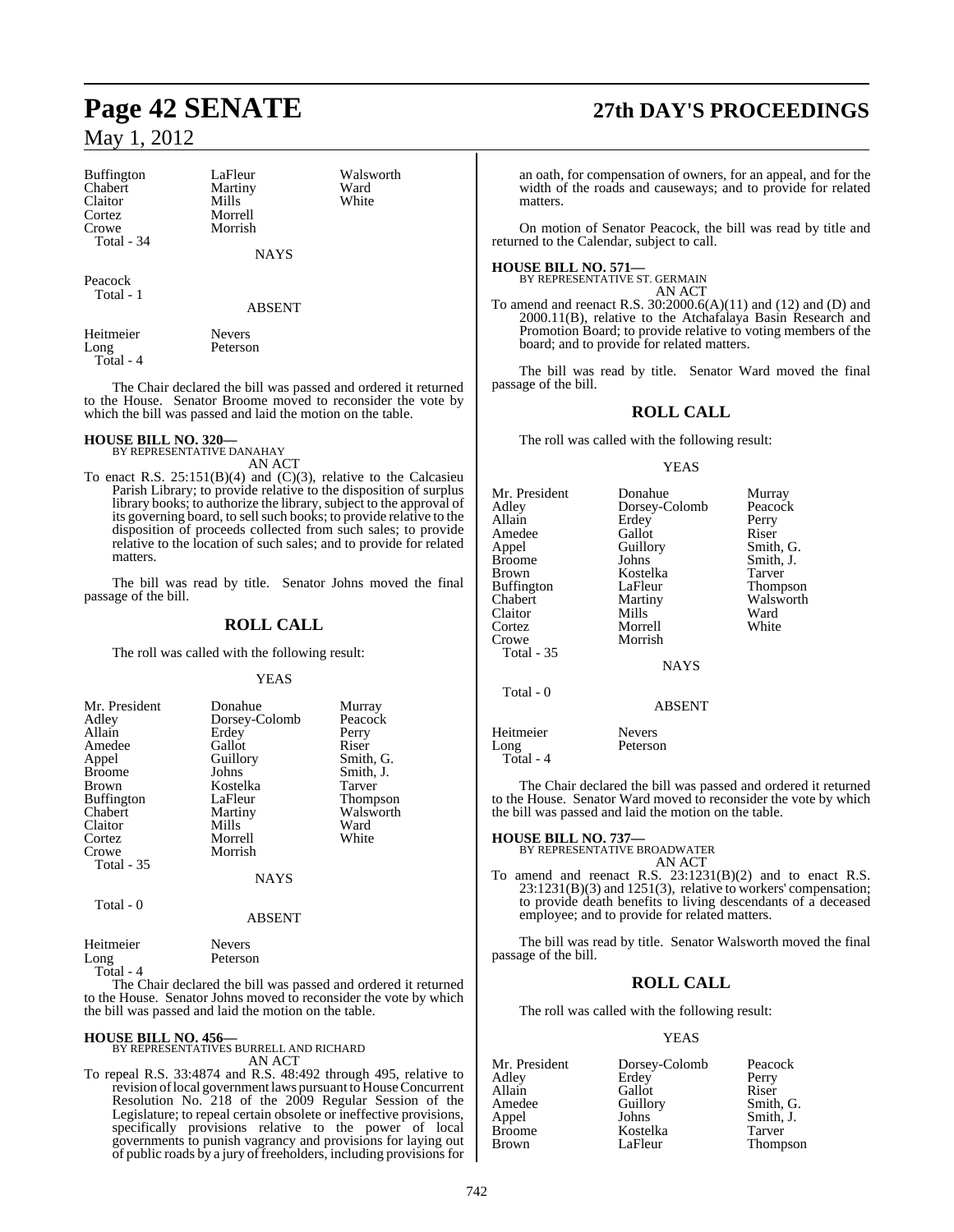| Buffington | LaFleur | Walsworth |
|------------|---------|-----------|
| Chabert    | Martiny | Ward      |
| Claitor    | Mills   | White     |
| Cortez     | Morrell |           |
| Crowe      | Morrish |           |
| Total - 34 |         |           |

Peacock Total - 1

ABSENT

**NAYS** 

| Heitmeier | <b>Nevers</b> |
|-----------|---------------|
| Long      | Peterson      |
| Total - 4 |               |

The Chair declared the bill was passed and ordered it returned to the House. Senator Broome moved to reconsider the vote by which the bill was passed and laid the motion on the table.

# **HOUSE BILL NO. 320—** BY REPRESENTATIVE DANAHAY

AN ACT

To enact R.S.  $25:151(B)(4)$  and  $(C)(3)$ , relative to the Calcasieu Parish Library; to provide relative to the disposition of surplus library books; to authorize the library, subject to the approval of its governing board, to sell such books; to provide relative to the disposition of proceeds collected from such sales; to provide relative to the location of such sales; and to provide for related matters.

The bill was read by title. Senator Johns moved the final passage of the bill.

### **ROLL CALL**

The roll was called with the following result:

#### YEAS

| Mr. President<br>Adley<br>Allain<br>Amedee<br>Appel<br><b>Broome</b><br><b>Brown</b><br><b>Buffington</b><br>Chabert<br>Claitor<br>Cortez<br>Crowe<br>Total - 35 | Donahue<br>Dorsey-Colomb<br>Erdey<br>Gallot<br>Guillory<br>Johns<br>Kostelka<br>LaFleur<br>Martiny<br>Mills<br>Morrell<br>Morrish<br><b>NAYS</b> | Murray<br>Peacock<br>Perry<br>Riser<br>Smith, G.<br>Smith, J.<br>Tarver<br><b>Thompson</b><br>Walsworth<br>Ward<br>White |
|------------------------------------------------------------------------------------------------------------------------------------------------------------------|--------------------------------------------------------------------------------------------------------------------------------------------------|--------------------------------------------------------------------------------------------------------------------------|
|                                                                                                                                                                  |                                                                                                                                                  |                                                                                                                          |
|                                                                                                                                                                  |                                                                                                                                                  |                                                                                                                          |

Total - 0

ABSENT

| Heitmeier | <b>Nevers</b> |
|-----------|---------------|
| Long      | Peterson      |

Total - 4

The Chair declared the bill was passed and ordered it returned to the House. Senator Johns moved to reconsider the vote by which the bill was passed and laid the motion on the table.

#### **HOUSE BILL NO. 456—**

BY REPRESENTATIVES BURRELL AND RICHARD AN ACT

To repeal R.S. 33:4874 and R.S. 48:492 through 495, relative to revision of local government laws pursuant to House Concurrent Resolution No. 218 of the 2009 Regular Session of the Legislature; to repeal certain obsolete or ineffective provisions, specifically provisions relative to the power of local governments to punish vagrancy and provisions for laying out of public roads by a jury of freeholders, including provisions for

# **Page 42 SENATE 27th DAY'S PROCEEDINGS**

an oath, for compensation of owners, for an appeal, and for the width of the roads and causeways; and to provide for related matters.

On motion of Senator Peacock, the bill was read by title and returned to the Calendar, subject to call.

#### **HOUSE BILL NO. 571—**

BY REPRESENTATIVE ST. GERMAIN AN ACT

To amend and reenact R.S. 30:2000.6(A)(11) and (12) and (D) and 2000.11(B), relative to the Atchafalaya Basin Research and Promotion Board; to provide relative to voting members of the board; and to provide for related matters.

The bill was read by title. Senator Ward moved the final passage of the bill.

## **ROLL CALL**

The roll was called with the following result:

#### YEAS

| Mr. President<br>Adley<br>Allain<br>Amedee<br>Appel<br>Broome<br>Brown<br>Buffington<br>Chabert<br>Claitor<br>Cortez<br>Crowe<br><b>Total - 35</b> | Donahue<br>Dorsey-Colomb<br>Erdey<br>Gallot<br>Guillory<br>Johns<br>Kostelka<br>LaFleur<br>Martiny<br>Mills<br>Morrell<br>Morrish<br><b>NAYS</b> | Murray<br>Peacock<br>Perry<br>Riser<br>Smith, G.<br>Smith, J.<br>Tarver<br>Thompson<br>Walsworth<br>Ward<br>White |
|----------------------------------------------------------------------------------------------------------------------------------------------------|--------------------------------------------------------------------------------------------------------------------------------------------------|-------------------------------------------------------------------------------------------------------------------|
| Total - 0                                                                                                                                          | <b>ABSENT</b>                                                                                                                                    |                                                                                                                   |
| Heitmeier<br>Long<br>Total - 4                                                                                                                     | <b>Nevers</b><br>Peterson                                                                                                                        |                                                                                                                   |

The Chair declared the bill was passed and ordered it returned to the House. Senator Ward moved to reconsider the vote by which the bill was passed and laid the motion on the table.

#### **HOUSE BILL NO. 737—**

BY REPRESENTATIVE BROADWATER AN ACT

To amend and reenact R.S. 23:1231(B)(2) and to enact R.S. 23:1231(B)(3) and 1251(3), relative to workers' compensation; to provide death benefits to living descendants of a deceased employee; and to provide for related matters.

The bill was read by title. Senator Walsworth moved the final passage of the bill.

### **ROLL CALL**

The roll was called with the following result:

#### YEAS

| Mr. President | Dorsey-Colomb | Peacock   |
|---------------|---------------|-----------|
| Adley         | Erdey         | Perry     |
| Allain        | Gallot        | Riser     |
| Amedee        | Guillory      | Smith, G. |
| Appel         | Johns         | Smith, J. |
| <b>Broome</b> | Kostelka      | Tarver    |
| <b>Brown</b>  | LaFleur       | Thompson  |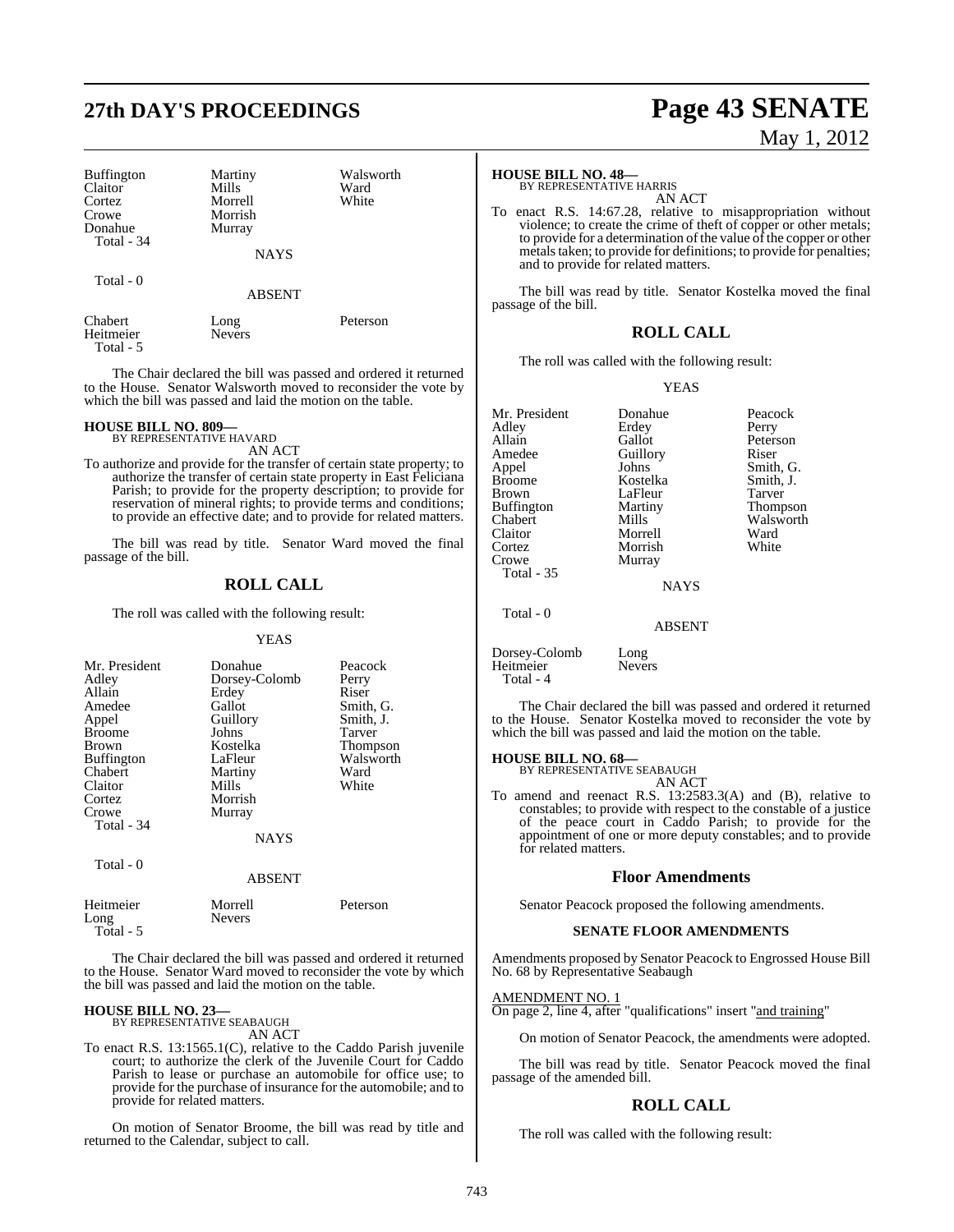# **27th DAY'S PROCEEDINGS Page 43 SENATE**

| <b>Buffington</b><br>Claitor<br>Cortez<br>Crowe<br>Donahue<br>Total - 34 | Martiny<br>Mills<br>Morrell<br>Morrish<br>Murray | Walsworth<br>Ward<br>White |
|--------------------------------------------------------------------------|--------------------------------------------------|----------------------------|
|                                                                          | <b>NAYS</b>                                      |                            |
| Total - 0                                                                | <b>ABSENT</b>                                    |                            |
| Chabert<br>Heitmeier<br>Total - 5                                        | Long<br><b>Nevers</b>                            | Peterson                   |

The Chair declared the bill was passed and ordered it returned to the House. Senator Walsworth moved to reconsider the vote by which the bill was passed and laid the motion on the table.

#### **HOUSE BILL NO. 809—**

BY REPRESENTATIVE HAVARD AN ACT

To authorize and provide for the transfer of certain state property; to authorize the transfer of certain state property in East Feliciana Parish; to provide for the property description; to provide for reservation of mineral rights; to provide terms and conditions; to provide an effective date; and to provide for related matters.

The bill was read by title. Senator Ward moved the final passage of the bill.

### **ROLL CALL**

The roll was called with the following result:

#### YEAS

| Mr. President<br>Adley<br>Allain<br>Amedee<br>Appel<br><b>Broome</b><br>Brown<br>Buffington<br>Chabert<br>Claitor<br>Cortez<br>Crowe<br>Total - 34 | Donahue<br>Dorsey-Colomb<br>Erdey<br>Gallot<br>Guillory<br>Johns<br>Kostelka<br>LaFleur<br>Martiny<br>Mills<br>Morrish<br>Murray<br><b>NAYS</b> | Peacock<br>Perry<br>Riser<br>Smith, G.<br>Smith, J.<br>Tarver<br><b>Thompson</b><br>Walsworth<br>Ward<br>White |
|----------------------------------------------------------------------------------------------------------------------------------------------------|-------------------------------------------------------------------------------------------------------------------------------------------------|----------------------------------------------------------------------------------------------------------------|
| Total $-0$                                                                                                                                         | <b>ABSENT</b>                                                                                                                                   |                                                                                                                |
| Heitmeier                                                                                                                                          | Morrell                                                                                                                                         | Peterson                                                                                                       |

The Chair declared the bill was passed and ordered it returned to the House. Senator Ward moved to reconsider the vote by which the bill was passed and laid the motion on the table.

## **HOUSE BILL NO. 23—** BY REPRESENTATIVE SEABAUGH

Long Nevers

Total - 5

AN ACT

To enact R.S. 13:1565.1(C), relative to the Caddo Parish juvenile court; to authorize the clerk of the Juvenile Court for Caddo Parish to lease or purchase an automobile for office use; to provide for the purchase of insurance for the automobile; and to provide for related matters.

On motion of Senator Broome, the bill was read by title and returned to the Calendar, subject to call.

# May 1, 2012

### **HOUSE BILL NO. 48—**

BY REPRESENTATIVE HARRIS AN ACT

To enact R.S. 14:67.28, relative to misappropriation without violence; to create the crime of theft of copper or other metals; to provide for a determination of the value of the copper or other metals taken; to provide for definitions; to provide for penalties; and to provide for related matters.

The bill was read by title. Senator Kostelka moved the final passage of the bill.

### **ROLL CALL**

The roll was called with the following result:

#### YEAS

| Mr. President     | Donahue       | Peacock         |
|-------------------|---------------|-----------------|
| Adley             | Erdey         | Perry           |
| Allain            | Gallot        | Peterson        |
| Amedee            | Guillory      | Riser           |
| Appel             | Johns         | Smith, G.       |
| <b>Broome</b>     | Kostelka      | Smith, J.       |
| Brown             | LaFleur       | Tarver          |
| Buffington        | Martiny       | <b>Thompson</b> |
| Chabert           | Mills         | Walsworth       |
| Claitor           | Morrell       | Ward            |
| Cortez            | Morrish       | White           |
| Crowe             | Murray        |                 |
| <b>Total - 35</b> |               |                 |
|                   | <b>NAYS</b>   |                 |
| Total - 0         |               |                 |
|                   | <b>ABSENT</b> |                 |
|                   |               |                 |

Dorsey-Colomb Long Heitmeier Total - 4

The Chair declared the bill was passed and ordered it returned to the House. Senator Kostelka moved to reconsider the vote by which the bill was passed and laid the motion on the table.

#### **HOUSE BILL NO. 68—**

BY REPRESENTATIVE SEABAUGH AN ACT

To amend and reenact R.S. 13:2583.3(A) and (B), relative to constables; to provide with respect to the constable of a justice of the peace court in Caddo Parish; to provide for the appointment of one or more deputy constables; and to provide for related matters.

#### **Floor Amendments**

Senator Peacock proposed the following amendments.

#### **SENATE FLOOR AMENDMENTS**

Amendments proposed by Senator Peacock to Engrossed House Bill No. 68 by Representative Seabaugh

#### AMENDMENT NO. 1

On page 2, line 4, after "qualifications" insert "and training"

On motion of Senator Peacock, the amendments were adopted.

The bill was read by title. Senator Peacock moved the final passage of the amended bill.

#### **ROLL CALL**

The roll was called with the following result: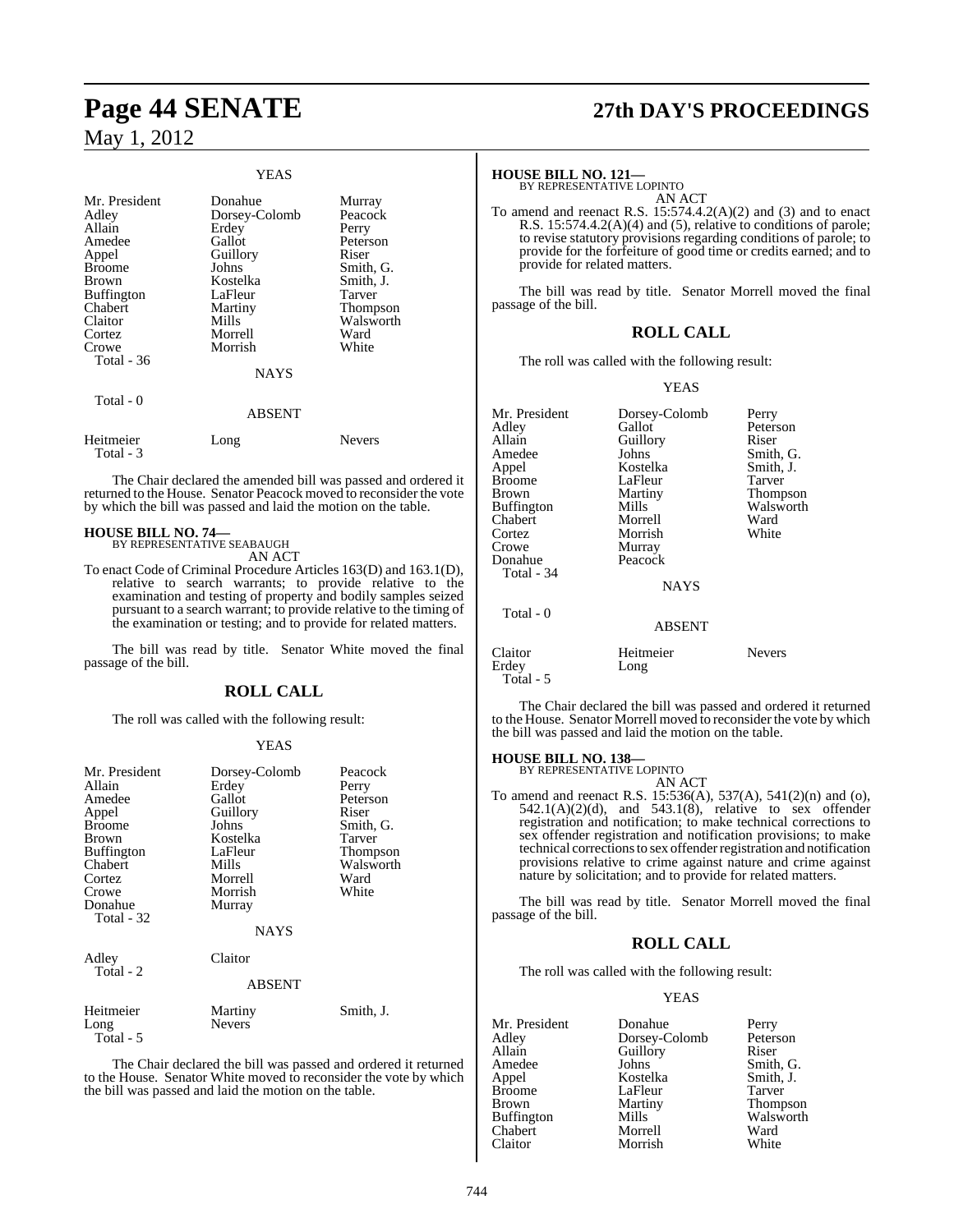#### YEAS Mr. President Donahue Murray<br>Adley Dorsey-Colomb Peacock Adley Dorsey-Colomb Peaco<br>Allain Erdey Perry Erdey<br>Gallot Amedee Gallot Peterson<br>
Appel Guillory Riser Guillory Riser<br>
Johns Smith G Broome Johns Smith, G.<br>Broome Johns Smith, G.<br>Brown Kostelka Smith, J. Brown Kostelka Smith,<br>Buffington LaFleur Tarver Buffington LaFleur<br>Chabert Martiny Chabert Martiny Thompson Walsworth<br>Ward Cortez Morrell Ward<br>Crowe Morrish White Morrish Total - 36 **NAYS**  Total - 0 ABSENT Heitmeier Long Nevers Total - 3

The Chair declared the amended bill was passed and ordered it returned to the House. Senator Peacock moved to reconsider the vote by which the bill was passed and laid the motion on the table.

## **HOUSE BILL NO. 74—** BY REPRESENTATIVE SEABAUGH

AN ACT

To enact Code of Criminal Procedure Articles 163(D) and 163.1(D), relative to search warrants; to provide relative to the examination and testing of property and bodily samples seized pursuant to a search warrant; to provide relative to the timing of the examination or testing; and to provide for related matters.

The bill was read by title. Senator White moved the final passage of the bill.

## **ROLL CALL**

The roll was called with the following result:

#### YEAS

| Mr. President<br>Allain<br>Amedee<br>Appel<br><b>Broome</b><br>Brown<br>Buffington<br>Chabert<br>Cortez<br>Crowe<br>Donahue<br>Total - 32 | Dorsey-Colomb<br>Erdey<br>Gallot<br>Guillory<br>Johns<br>Kostelka<br>LaFleur<br>Mills<br>Morrell<br>Morrish<br>Murray<br>NAYS | Peacock<br>Perry<br>Peterson<br>Riser<br>Smith, G.<br>Tarver<br>Thompson<br>Walsworth<br>Ward<br>White |
|-------------------------------------------------------------------------------------------------------------------------------------------|-------------------------------------------------------------------------------------------------------------------------------|--------------------------------------------------------------------------------------------------------|
| Adley<br>Total - 2                                                                                                                        | Claitor<br><b>ABSENT</b>                                                                                                      |                                                                                                        |
| Heitmeier<br>Long<br>Total - 5                                                                                                            | Martiny<br><b>Nevers</b>                                                                                                      | Smith, J.                                                                                              |

The Chair declared the bill was passed and ordered it returned to the House. Senator White moved to reconsider the vote by which the bill was passed and laid the motion on the table.

# **Page 44 SENATE 27th DAY'S PROCEEDINGS**

## **HOUSE BILL NO. 121—** BY REPRESENTATIVE LOPINTO

AN ACT

To amend and reenact R.S.  $15:574.4.2(A)(2)$  and  $(3)$  and to enact R.S. 15:574.4.2(A)(4) and (5), relative to conditions of parole; to revise statutory provisions regarding conditions of parole; to provide for the forfeiture of good time or credits earned; and to provide for related matters.

The bill was read by title. Senator Morrell moved the final passage of the bill.

### **ROLL CALL**

The roll was called with the following result:

#### YEAS

| Mr. President<br>Adley<br>Allain<br>Amedee<br>Appel<br><b>Broome</b><br>Brown<br><b>Buffington</b><br>Chabert<br>Cortez<br>Crowe<br>Donahue | Dorsey-Colomb<br>Gallot<br>Guillory<br>Johns<br>Kostelka<br>LaFleur<br>Martiny<br>Mills<br>Morrell<br>Morrish<br>Murray<br>Peacock | Perry<br>Peterson<br>Riser<br>Smith, G.<br>Smith, J.<br>Tarver<br>Thompson<br>Walsworth<br>Ward<br>White |
|---------------------------------------------------------------------------------------------------------------------------------------------|------------------------------------------------------------------------------------------------------------------------------------|----------------------------------------------------------------------------------------------------------|
| Total - 34                                                                                                                                  | <b>NAYS</b>                                                                                                                        |                                                                                                          |
| Total - 0                                                                                                                                   | <b>ABSENT</b>                                                                                                                      |                                                                                                          |
| Claitor<br>Erdey<br>Total - 5                                                                                                               | Heitmeier<br>Long                                                                                                                  | <b>Nevers</b>                                                                                            |

The Chair declared the bill was passed and ordered it returned to the House. Senator Morrell moved to reconsider the vote by which the bill was passed and laid the motion on the table.

#### **HOUSE BILL NO. 138—** BY REPRESENTATIVE LOPINTO

AN ACT

To amend and reenact R.S. 15:536(A), 537(A), 541(2)(n) and (o),  $542.1(A)(2)(d)$ , and  $543.1(8)$ , relative to sex offender registration and notification; to make technical corrections to sex offender registration and notification provisions; to make technical corrections to sex offender registration and notification provisions relative to crime against nature and crime against nature by solicitation; and to provide for related matters.

The bill was read by title. Senator Morrell moved the final passage of the bill.

## **ROLL CALL**

The roll was called with the following result:

#### YEAS

| Mr. President     | Donahue       | Perry           |
|-------------------|---------------|-----------------|
| Adley             | Dorsey-Colomb | Peterson        |
| Allain            | Guillory      | Riser           |
| Amedee            | Johns         | Smith, G.       |
| Appel             | Kostelka      | Smith, J.       |
| <b>Broome</b>     | LaFleur       | Tarver          |
| Brown             | Martiny       | <b>Thompson</b> |
| <b>Buffington</b> | Mills         | Walsworth       |
| Chabert           | Morrell       | Ward            |
| Claitor           | Morrish       | White           |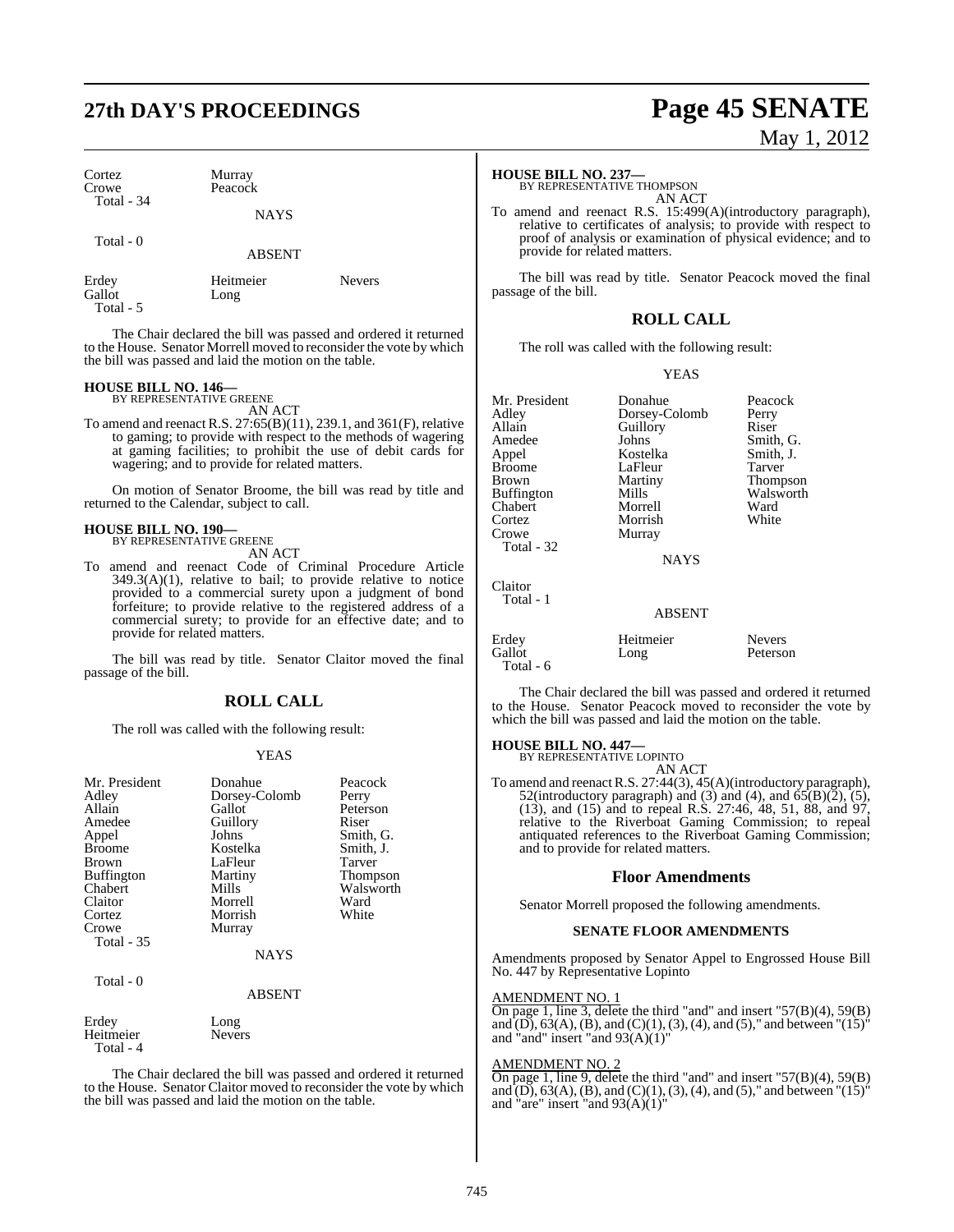# **27th DAY'S PROCEEDINGS Page 45 SENATE**

Cortez Murray<br>Crowe Peacocl Total - 34

**NAYS** 

Peacock

Total - 0

ABSENT

Gallot Total - 5

Erdey Heitmeier Nevers<br>Gallot Long

The Chair declared the bill was passed and ordered it returned to the House. Senator Morrell moved to reconsider the vote by which the bill was passed and laid the motion on the table.

## **HOUSE BILL NO. 146—** BY REPRESENTATIVE GREENE

AN ACT

To amend and reenact R.S. 27:65(B)(11), 239.1, and 361(F), relative to gaming; to provide with respect to the methods of wagering at gaming facilities; to prohibit the use of debit cards for wagering; and to provide for related matters.

On motion of Senator Broome, the bill was read by title and returned to the Calendar, subject to call.

#### **HOUSE BILL NO. 190—**

BY REPRESENTATIVE GREENE AN ACT

To amend and reenact Code of Criminal Procedure Article 349.3(A)(1), relative to bail; to provide relative to notice provided to a commercial surety upon a judgment of bond forfeiture; to provide relative to the registered address of a commercial surety; to provide for an effective date; and to provide for related matters.

The bill was read by title. Senator Claitor moved the final passage of the bill.

## **ROLL CALL**

The roll was called with the following result:

#### YEAS

| Mr. President<br>Adley<br>Allain<br>Amedee<br>Appel<br><b>Broome</b><br>Brown<br><b>Buffington</b><br>Chabert<br>Claitor<br>Cortez<br>Crowe | Donahue<br>Dorsey-Colomb<br>Gallot<br>Guillory<br>Johns<br>Kostelka<br>LaFleur<br>Martiny<br>Mills<br>Morrell<br>Morrish<br>Murray | Peacock<br>Perry<br>Peterson<br>Riser<br>Smith, G.<br>Smith, J.<br>Tarver<br>Thompson<br>Walsworth<br>Ward<br>White |
|---------------------------------------------------------------------------------------------------------------------------------------------|------------------------------------------------------------------------------------------------------------------------------------|---------------------------------------------------------------------------------------------------------------------|
| Total - 35                                                                                                                                  | <b>NAYS</b>                                                                                                                        |                                                                                                                     |
| Total - 0                                                                                                                                   | <b>ABSENT</b>                                                                                                                      |                                                                                                                     |
| Erdey<br>Heitmeier<br>Total - 4                                                                                                             | Long<br><b>Nevers</b>                                                                                                              |                                                                                                                     |

The Chair declared the bill was passed and ordered it returned to the House. Senator Claitor moved to reconsider the vote by which the bill was passed and laid the motion on the table.

# May 1, 2012

#### **HOUSE BILL NO. 237—**

BY REPRESENTATIVE THOMPSON AN ACT

To amend and reenact R.S. 15:499(A)(introductory paragraph), relative to certificates of analysis; to provide with respect to proof of analysis or examination of physical evidence; and to provide for related matters.

The bill was read by title. Senator Peacock moved the final passage of the bill.

### **ROLL CALL**

The roll was called with the following result:

Mr. President Donahue Peacock

YEAS

| Adley             | Dorsey-Colomb | Perry         |
|-------------------|---------------|---------------|
| Allain            | Guillory      | Riser         |
| Amedee            | Johns         | Smith, G.     |
| Appel             | Kostelka      | Smith, J.     |
| <b>Broome</b>     | LaFleur       | Tarver        |
| Brown             | Martiny       | Thompson      |
| <b>Buffington</b> | Mills         | Walsworth     |
| Chabert           | Morrell       | Ward          |
| Cortez            | Morrish       | White         |
| Crowe             | Murray        |               |
| Total - 32        |               |               |
|                   | <b>NAYS</b>   |               |
| Claitor           |               |               |
| Total - 1         |               |               |
|                   | <b>ABSENT</b> |               |
| Erdey             | Heitmeier     | <b>Nevers</b> |
| Gallot            | Long          | Peterson      |
| Total - 6         |               |               |

The Chair declared the bill was passed and ordered it returned to the House. Senator Peacock moved to reconsider the vote by which the bill was passed and laid the motion on the table.

## **HOUSE BILL NO. 447—** BY REPRESENTATIVE LOPINTO

AN ACT

To amend and reenact R.S. 27:44(3), 45(A)(introductory paragraph), 52(introductory paragraph) and (3) and (4), and  $\overline{65(B)(2)}$ , (5), (13), and (15) and to repeal R.S. 27:46, 48, 51, 88, and 97, relative to the Riverboat Gaming Commission; to repeal antiquated references to the Riverboat Gaming Commission; and to provide for related matters.

#### **Floor Amendments**

Senator Morrell proposed the following amendments.

#### **SENATE FLOOR AMENDMENTS**

Amendments proposed by Senator Appel to Engrossed House Bill No. 447 by Representative Lopinto

#### AMENDMENT NO. 1

On page 1, line 3, delete the third "and" and insert "57(B)(4), 59(B) and  $(D)$ , 63(A), (B), and (C)(1), (3), (4), and (5)," and between "(15)" and "and" insert "and  $93(A)(1)$ "

#### AMENDMENT NO. 2

On page 1, line 9, delete the third "and" and insert "57(B)(4), 59(B) and  $(D)$ , 63(A), (B), and (C)(1), (3), (4), and (5)," and between "(15)" and "are" insert "and  $93(A)(1)$ "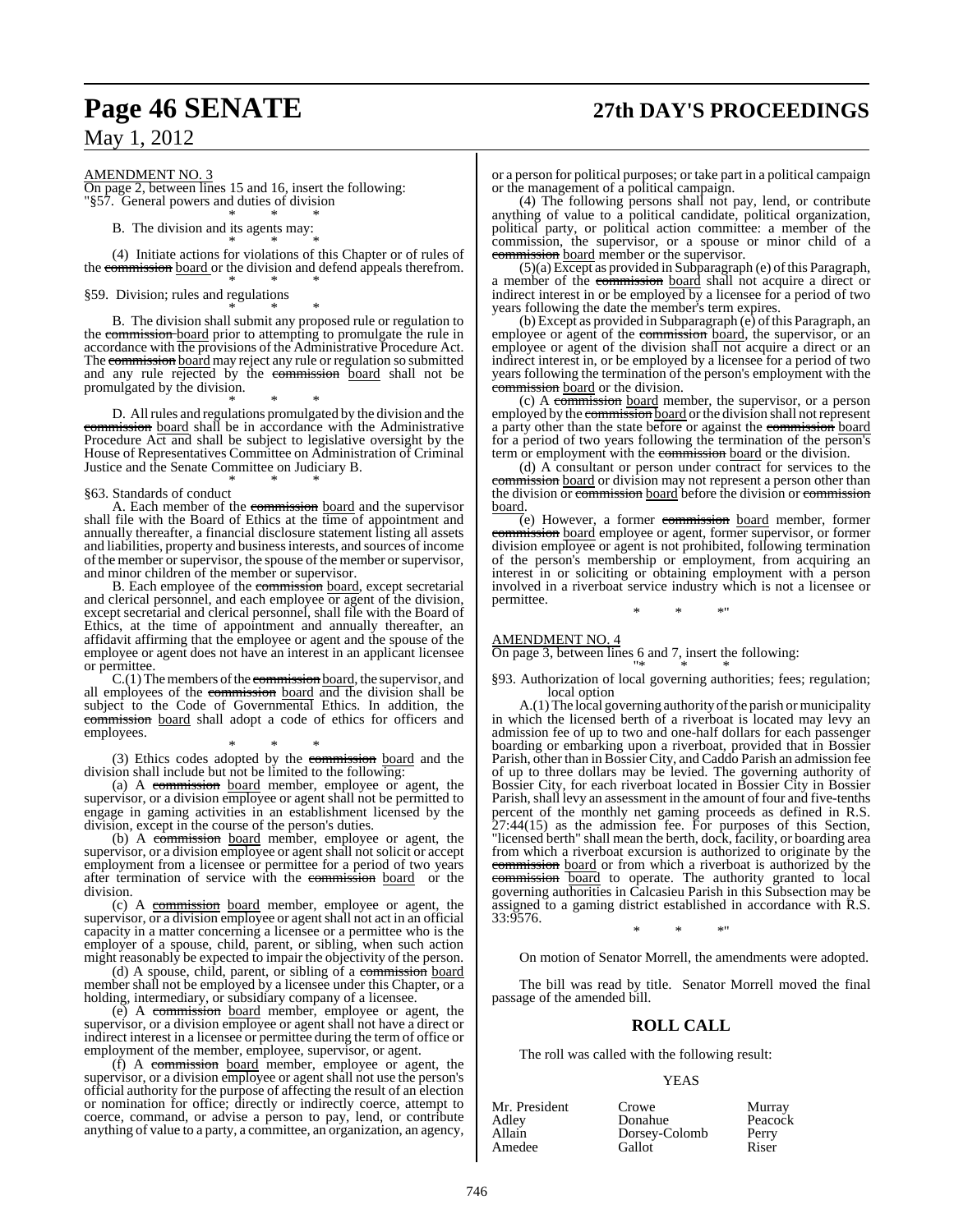# **Page 46 SENATE 27th DAY'S PROCEEDINGS**

May 1, 2012

AMENDMENT NO. 3

On page 2, between lines 15 and 16, insert the following: "§57. General powers and duties of division

\* \* \* B. The division and its agents may:

\* \* \*

(4) Initiate actions for violations of this Chapter or of rules of the commission board or the division and defend appeals therefrom. \* \* \*

§59. Division; rules and regulations

\* \* \* B. The division shall submit any proposed rule or regulation to the commission board prior to attempting to promulgate the rule in accordance with the provisions of the Administrative Procedure Act. The commission board may reject any rule or regulation so submitted and any rule rejected by the commission board shall not be promulgated by the division.

\* \* \* D. All rules and regulations promulgated by the division and the commission board shall be in accordance with the Administrative Procedure Act and shall be subject to legislative oversight by the House of Representatives Committee on Administration of Criminal Justice and the Senate Committee on Judiciary B. \* \* \*

#### §63. Standards of conduct

A. Each member of the commission board and the supervisor shall file with the Board of Ethics at the time of appointment and annually thereafter, a financial disclosure statement listing all assets and liabilities, property and businessinterests, and sources of income of the member or supervisor, the spouse of the member or supervisor, and minor children of the member or supervisor.

B. Each employee of the commission board, except secretarial and clerical personnel, and each employee  $\overline{or}$  agent of the division, except secretarial and clerical personnel, shall file with the Board of Ethics, at the time of appointment and annually thereafter, an affidavit affirming that the employee or agent and the spouse of the employee or agent does not have an interest in an applicant licensee or permittee.

 $C(1)$  The members of the commission board, the supervisor, and all employees of the commission board and the division shall be subject to the Code of Governmental Ethics. In addition, the commission board shall adopt a code of ethics for officers and employees.

\* \* \* (3) Ethics codes adopted by the commission board and the division shall include but not be limited to the following:

(a) A commission board member, employee or agent, the supervisor, or a division employee or agent shall not be permitted to engage in gaming activities in an establishment licensed by the division, except in the course of the person's duties.

(b) A commission board member, employee or agent, the supervisor, or a division employee or agent shall not solicit or accept employment from a licensee or permittee for a period of two years after termination of service with the commission board or the division.

(c) A commission board member, employee or agent, the supervisor, or a division employee or agent shall not act in an official capacity in a matter concerning a licensee or a permittee who is the employer of a spouse, child, parent, or sibling, when such action might reasonably be expected to impair the objectivity of the person.

(d) A spouse, child, parent, or sibling of a commission board member shall not be employed by a licensee under this Chapter, or a holding, intermediary, or subsidiary company of a licensee.

(e) A commission board member, employee or agent, the supervisor, or a division employee or agent shall not have a direct or indirect interest in a licensee or permittee during the term of office or employment of the member, employee, supervisor, or agent.

(f) A commission board member, employee or agent, the supervisor, or a division employee or agent shall not use the person's official authority for the purpose of affecting the result of an election or nomination for office; directly or indirectly coerce, attempt to coerce, command, or advise a person to pay, lend, or contribute anything of value to a party, a committee, an organization, an agency,

or a person for political purposes; or take part in a political campaign or the management of a political campaign.

(4) The following persons shall not pay, lend, or contribute anything of value to a political candidate, political organization, political party, or political action committee: a member of the commission, the supervisor, or a spouse or minor child of a commission board member or the supervisor.

 $(5)(a)$  Except as provided in Subparagraph (e) of this Paragraph, a member of the commission board shall not acquire a direct or indirect interest in or be employed by a licensee for a period of two years following the date the member's term expires.

(b) Except as provided in Subparagraph (e) ofthis Paragraph, an employee or agent of the commission board, the supervisor, or an employee or agent of the division shall not acquire a direct or an indirect interest in, or be employed by a licensee for a period of two years following the termination of the person's employment with the commission board or the division.

(c) A commission board member, the supervisor, or a person employed by the commission board or the division shall not represent a party other than the state before or against the commission board for a period of two years following the termination of the person's term or employment with the commission board or the division.

(d) A consultant or person under contract for services to the commission board or division may not represent a person other than the division or commission board before the division or commission board.

 $\overline{e}$  However, a former commission board member, former commission board employee or agent, former supervisor, or former division employee or agent is not prohibited, following termination of the person's membership or employment, from acquiring an interest in or soliciting or obtaining employment with a person involved in a riverboat service industry which is not a licensee or permittee.

\* \* \*"

#### AMENDMENT NO. 4

On page 3, between lines 6 and 7, insert the following: "\* \* \*

§93. Authorization of local governing authorities; fees; regulation; local option

A.(1) The local governing authority of the parish or municipality in which the licensed berth of a riverboat is located may levy an admission fee of up to two and one-half dollars for each passenger boarding or embarking upon a riverboat, provided that in Bossier Parish, other than in Bossier City, and Caddo Parish an admission fee of up to three dollars may be levied. The governing authority of Bossier City, for each riverboat located in Bossier City in Bossier Parish, shall levy an assessment in the amount of four and five-tenths percent of the monthly net gaming proceeds as defined in R.S. 27:44(15) as the admission fee. For purposes of this Section, "licensed berth" shall mean the berth, dock, facility, or boarding area from which a riverboat excursion is authorized to originate by the commission board or from which a riverboat is authorized by the commission board to operate. The authority granted to local governing authorities in Calcasieu Parish in this Subsection may be assigned to a gaming district established in accordance with R.S. 33:9576.

\* \* \*"

On motion of Senator Morrell, the amendments were adopted.

The bill was read by title. Senator Morrell moved the final passage of the amended bill.

### **ROLL CALL**

The roll was called with the following result:

Donahue

#### YEAS

Amedee Gallot Riser

Crowe Murray<br>
Donahue Peacock **Dorsey-Colomb** Perry<br>Gallot Riser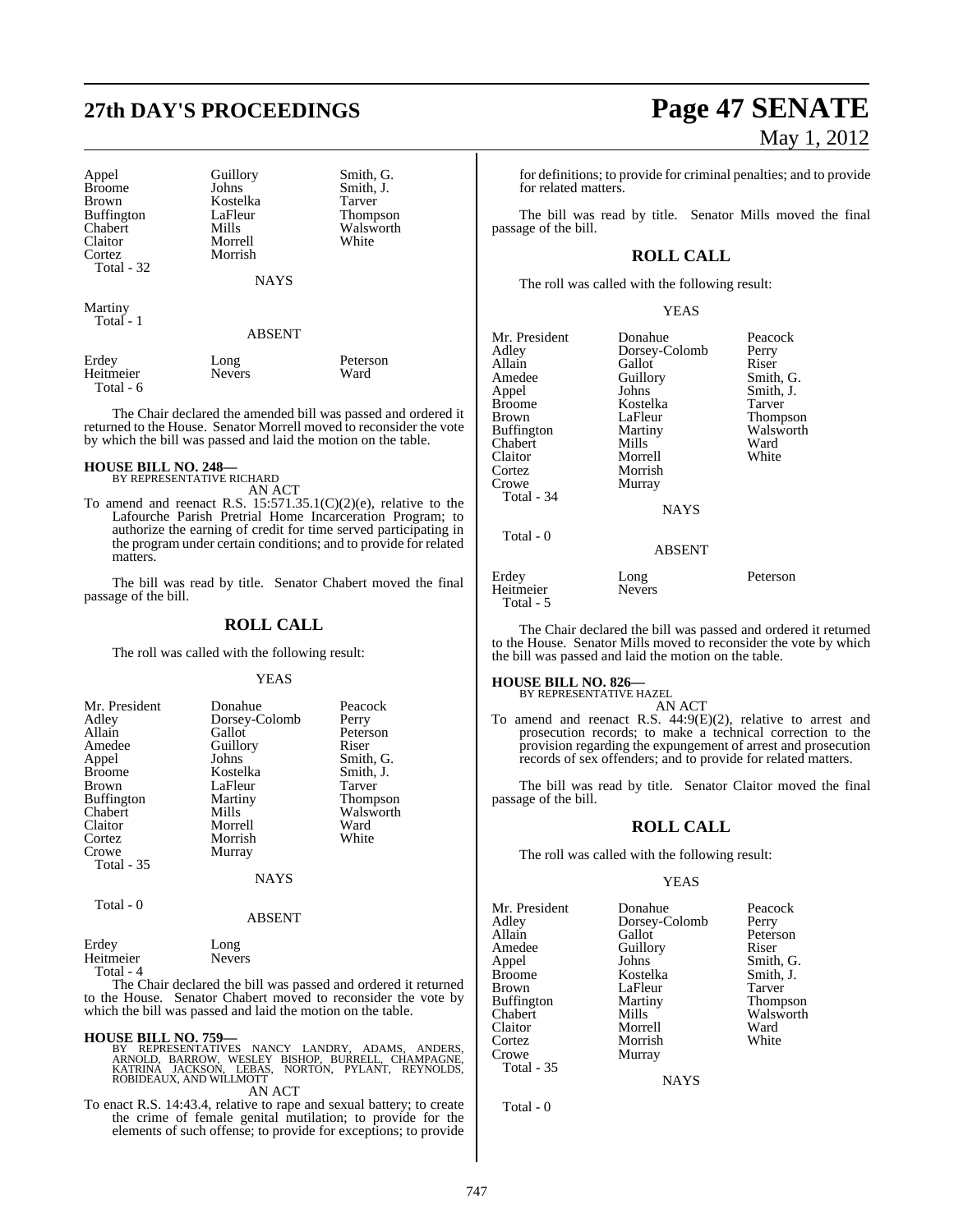# **27th DAY'S PROCEEDINGS Page 47 SENATE**

| Appel         |
|---------------|
|               |
| <b>Broome</b> |
| Brown         |
| Buffington    |
| Chabert       |
| Claitor       |
| Cortez        |
| Total<br>37   |

Guillory Smith, G.<br>
Johns Smith, J. Kostelka<br>LaFleur LaFleur Thompson<br>Mills Walsworth **Morrell** Morrish

Smith, J.<br>Tarver

Walsworth<br>White

**NAYS** 

Martiny Total - 1

#### ABSENT

| Erdey     | Long          | Peterson |
|-----------|---------------|----------|
| Heitmeier | <b>Nevers</b> | Ward     |
| Total - 6 |               |          |

The Chair declared the amended bill was passed and ordered it returned to the House. Senator Morrell moved to reconsider the vote by which the bill was passed and laid the motion on the table.

## **HOUSE BILL NO. 248—** BY REPRESENTATIVE RICHARD

AN ACT

To amend and reenact R.S.  $15:571.35.1(C)(2)(e)$ , relative to the Lafourche Parish Pretrial Home Incarceration Program; to authorize the earning of credit for time served participating in the program under certain conditions; and to provide for related matters.

The bill was read by title. Senator Chabert moved the final passage of the bill.

#### **ROLL CALL**

The roll was called with the following result:

#### YEAS

| Mr. President<br>Adley<br>Allain<br>Amedee<br>Appel<br><b>Broome</b><br><b>Brown</b><br><b>Buffington</b><br>Chabert<br>Claitor<br>Cortez<br>Crowe | Donahue<br>Dorsey-Colomb<br>Gallot<br>Guillory<br>Johns<br>Kostelka<br>LaFleur<br>Martiny<br>Mills<br>Morrell<br>Morrish<br>Murray | Peacock<br>Perry<br>Peterson<br>Riser<br>Smith, G.<br>Smith, J.<br><b>Tarver</b><br><b>Thompson</b><br>Walsworth<br>Ward<br>White |
|----------------------------------------------------------------------------------------------------------------------------------------------------|------------------------------------------------------------------------------------------------------------------------------------|-----------------------------------------------------------------------------------------------------------------------------------|
| <b>Total - 35</b>                                                                                                                                  | <b>NAYS</b>                                                                                                                        |                                                                                                                                   |

Total - 0

ABSENT

## Erdey Long

| <b>Liuv</b> | <b>LUILE</b>  |
|-------------|---------------|
| Heitmeier   | <b>Nevers</b> |
| Total - 4   |               |

The Chair declared the bill was passed and ordered it returned to the House. Senator Chabert moved to reconsider the vote by which the bill was passed and laid the motion on the table.

**HOUSE BILL NO. 759—**<br>BY REPRESENTATIVES NANCY LANDRY, ADAMS, ANDERS,<br>ARNOLD, BARROW, WESLEY BISHOP, BURRELL, CHAMPAGNE,<br>KATRINA JACKSON, LEBAS, NORTON, PYLANT, REYNOLDS,<br>ROBIDEAUX, AND WILLMOTT AN ACT

To enact R.S. 14:43.4, relative to rape and sexual battery; to create the crime of female genital mutilation; to provide for the elements of such offense; to provide for exceptions; to provide

# May 1, 2012

for definitions; to provide for criminal penalties; and to provide for related matters.

The bill was read by title. Senator Mills moved the final passage of the bill.

## **ROLL CALL**

The roll was called with the following result:

#### YEAS

| Mr. President<br>Adley<br>Allain<br>Amedee<br>Appel<br><b>Broome</b><br>Brown<br><b>Buffington</b><br>Chabert<br>Claitor<br>Cortez<br>Crowe<br>Total - 34 | Donahue<br>Dorsey-Colomb<br>Gallot<br>Guillory<br>Johns<br>Kostelka<br>LaFleur<br>Martiny<br>Mills<br>Morrell<br>Morrish<br>Murray<br><b>NAYS</b> | Peacock<br>Perry<br>Riser<br>Smith, G.<br>Smith, J.<br>Tarver<br>Thompson<br>Walsworth<br>Ward<br>White |
|-----------------------------------------------------------------------------------------------------------------------------------------------------------|---------------------------------------------------------------------------------------------------------------------------------------------------|---------------------------------------------------------------------------------------------------------|
| Total - 0                                                                                                                                                 | <b>ABSENT</b>                                                                                                                                     |                                                                                                         |
| Erdey<br>Heitmeier<br>Total - 5                                                                                                                           | Long<br><b>Nevers</b>                                                                                                                             | Peterson                                                                                                |

The Chair declared the bill was passed and ordered it returned to the House. Senator Mills moved to reconsider the vote by which the bill was passed and laid the motion on the table.

#### **HOUSE BILL NO. 826—**

BY REPRESENTATIVE HAZEL AN ACT

To amend and reenact R.S. 44:9(E)(2), relative to arrest and prosecution records; to make a technical correction to the provision regarding the expungement of arrest and prosecution records of sex offenders; and to provide for related matters.

The bill was read by title. Senator Claitor moved the final passage of the bill.

#### **ROLL CALL**

The roll was called with the following result:

#### YEAS

Mr. President Donahue Peacock<br>Adley Dorsey-Colomb Perry Adley Dorsey-Colomb<br>Allain Gallot Allain Gallot Peterson<br>
Amedee Guillory Riser Amedee Guillory<br>Appel Johns Appel Johns Smith, G.<br>Broome Kostelka Smith, J. Brown LaFleur Tarver<br>
Buffington Martiny Thompson Buffington Marti<br>Chabert Mills Chabert Mills Walsworth<br>Claitor Morrell Ward Claitor Morrell Ward Cortez Morrish<br>Crowe Murray Total - 35

Total - 0

Kostelka

**NAYS** 

Murray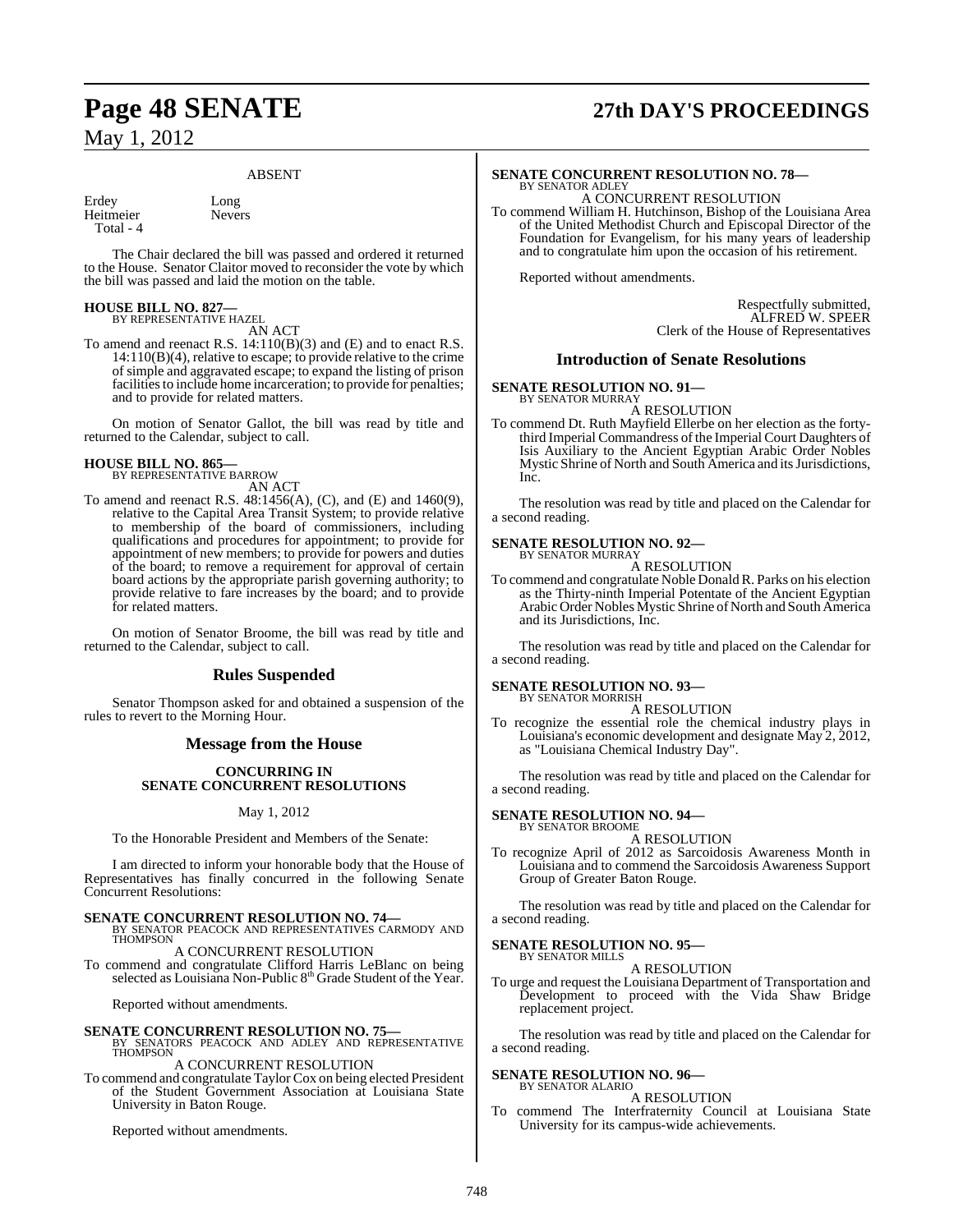#### ABSENT

Erdey Long<br>Heitmeier Nevers Heitmeier Total - 4

The Chair declared the bill was passed and ordered it returned to the House. Senator Claitor moved to reconsider the vote by which the bill was passed and laid the motion on the table.

#### **HOUSE BILL NO. 827—** BY REPRESENTATIVE HAZEL

AN ACT

To amend and reenact R.S. 14:110(B)(3) and (E) and to enact R.S. 14:110(B)(4), relative to escape; to provide relative to the crime of simple and aggravated escape; to expand the listing of prison facilities to include home incarceration; to provide for penalties; and to provide for related matters.

On motion of Senator Gallot, the bill was read by title and returned to the Calendar, subject to call.

#### **HOUSE BILL NO. 865—** BY REPRESENTATIVE BARROW

AN ACT

To amend and reenact R.S. 48:1456(A), (C), and (E) and 1460(9), relative to the Capital Area Transit System; to provide relative to membership of the board of commissioners, including qualifications and procedures for appointment; to provide for appointment of new members; to provide for powers and duties of the board; to remove a requirement for approval of certain board actions by the appropriate parish governing authority; to provide relative to fare increases by the board; and to provide for related matters.

On motion of Senator Broome, the bill was read by title and returned to the Calendar, subject to call.

## **Rules Suspended**

Senator Thompson asked for and obtained a suspension of the rules to revert to the Morning Hour.

### **Message from the House**

#### **CONCURRING IN SENATE CONCURRENT RESOLUTIONS**

#### May 1, 2012

To the Honorable President and Members of the Senate:

I am directed to inform your honorable body that the House of Representatives has finally concurred in the following Senate Concurrent Resolutions:

**SENATE CONCURRENT RESOLUTION NO. 74—** BY SENATOR PEACOCK AND REPRESENTATIVES CARMODY AND **THOMPSON** 

A CONCURRENT RESOLUTION To commend and congratulate Clifford Harris LeBlanc on being selected as Louisiana Non-Public 8<sup>th</sup> Grade Student of the Year.

Reported without amendments.

**SENATE CONCURRENT RESOLUTION NO. 75—<br>
BY SENATORS PEACOCK AND ADLEY AND REPRESENTATIVE<br>
THOMPSON** 

## A CONCURRENT RESOLUTION

To commend and congratulate Taylor Cox on being elected President of the Student Government Association at Louisiana State University in Baton Rouge.

Reported without amendments.

# **Page 48 SENATE 27th DAY'S PROCEEDINGS**

#### **SENATE CONCURRENT RESOLUTION NO. 78—** BY SENATOR ADLEY

A CONCURRENT RESOLUTION

To commend William H. Hutchinson, Bishop of the Louisiana Area of the United Methodist Church and Episcopal Director of the Foundation for Evangelism, for his many years of leadership and to congratulate him upon the occasion of his retirement.

Reported without amendments.

Respectfully submitted, ALFRED W. SPEER Clerk of the House of Representatives

#### **Introduction of Senate Resolutions**

**SENATE RESOLUTION NO. 91—** BY SENATOR MURRAY

A RESOLUTION

To commend Dt. Ruth Mayfield Ellerbe on her election as the fortythird Imperial Commandress of the Imperial Court Daughters of Isis Auxiliary to the Ancient Egyptian Arabic Order Nobles Mystic Shrine of North and South America and its Jurisdictions, Inc.

The resolution was read by title and placed on the Calendar for a second reading.

#### **SENATE RESOLUTION NO. 92—** BY SENATOR MURRAY

A RESOLUTION

To commend and congratulate Noble DonaldR. Parks on his election as the Thirty-ninth Imperial Potentate of the Ancient Egyptian Arabic Order Nobles Mystic Shrine of North and South America and its Jurisdictions, Inc.

The resolution was read by title and placed on the Calendar for a second reading.

#### **SENATE RESOLUTION NO. 93—** BY SENATOR MORRISH

A RESOLUTION

To recognize the essential role the chemical industry plays in Louisiana's economic development and designate May 2, 2012, as "Louisiana Chemical Industry Day".

The resolution was read by title and placed on the Calendar for a second reading.

#### **SENATE RESOLUTION NO. 94—** BY SENATOR BROOME

A RESOLUTION

To recognize April of 2012 as Sarcoidosis Awareness Month in Louisiana and to commend the Sarcoidosis Awareness Support Group of Greater Baton Rouge.

The resolution was read by title and placed on the Calendar for a second reading.

#### **SENATE RESOLUTION NO. 95—** BY SENATOR MILLS

A RESOLUTION

To urge and request the Louisiana Department of Transportation and Development to proceed with the Vida Shaw Bridge replacement project.

The resolution was read by title and placed on the Calendar for a second reading.

#### **SENATE RESOLUTION NO. 96—** BY SENATOR ALARIO

A RESOLUTION

commend The Interfraternity Council at Louisiana State University for its campus-wide achievements.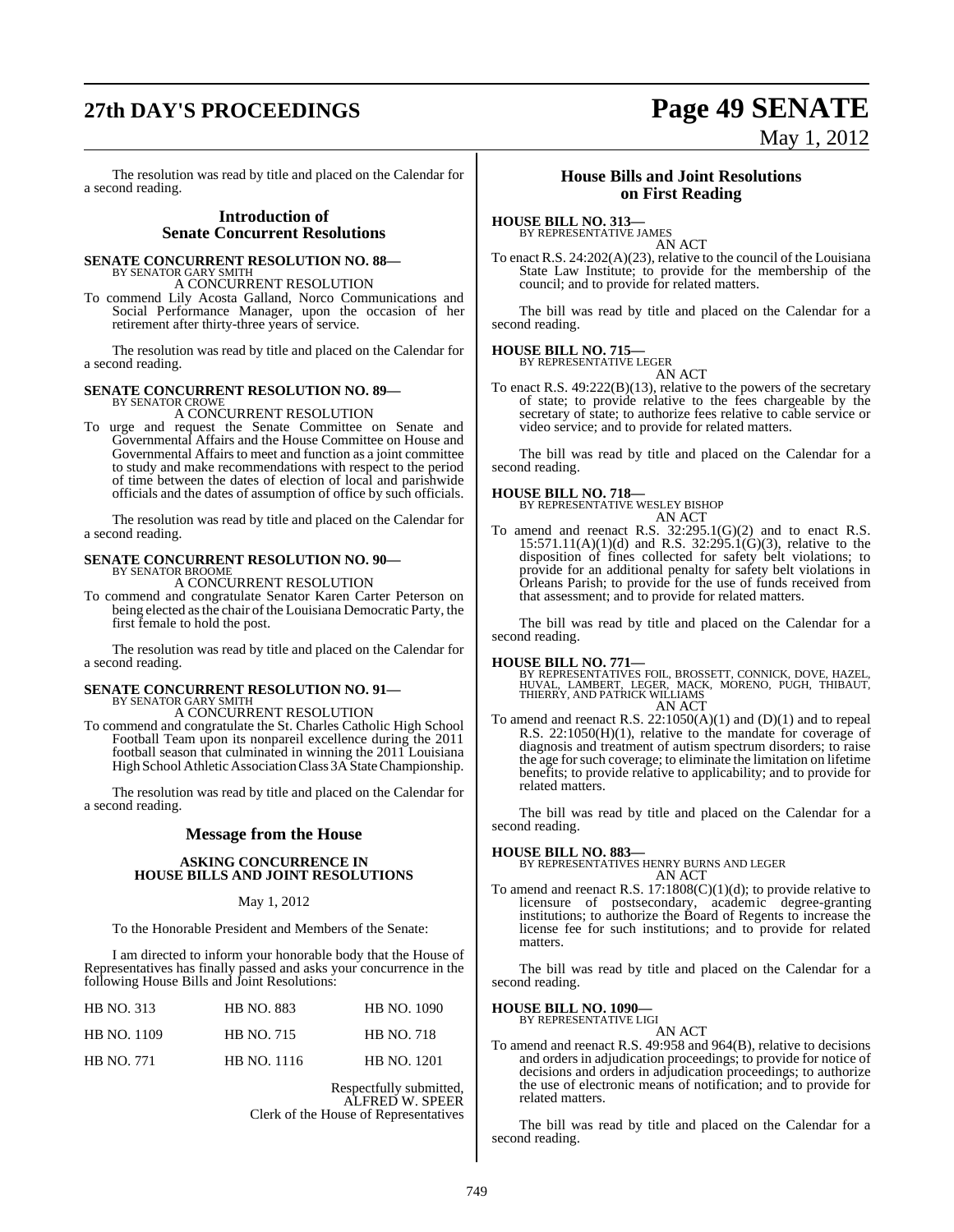# **27th DAY'S PROCEEDINGS Page 49 SENATE**

May 1, 2012

The resolution was read by title and placed on the Calendar for a second reading.

#### **Introduction of Senate Concurrent Resolutions**

## **SENATE CONCURRENT RESOLUTION NO. 88—**

BY SENATOR GARY SMITH A CONCURRENT RESOLUTION

To commend Lily Acosta Galland, Norco Communications and Social Performance Manager, upon the occasion of her retirement after thirty-three years of service.

The resolution was read by title and placed on the Calendar for a second reading.

#### **SENATE CONCURRENT RESOLUTION NO. 89—**

BY SENATOR CROWE A CONCURRENT RESOLUTION

To urge and request the Senate Committee on Senate and Governmental Affairs and the House Committee on House and Governmental Affairs to meet and function as a joint committee to study and make recommendations with respect to the period of time between the dates of election of local and parishwide officials and the dates of assumption of office by such officials.

The resolution was read by title and placed on the Calendar for a second reading.

#### **SENATE CONCURRENT RESOLUTION NO. 90—** BY SENATOR BROOME

A CONCURRENT RESOLUTION

To commend and congratulate Senator Karen Carter Peterson on being elected as the chair of the Louisiana Democratic Party, the first female to hold the post.

The resolution was read by title and placed on the Calendar for a second reading.

#### **SENATE CONCURRENT RESOLUTION NO. 91—** BY SENATOR GARY SMITH

A CONCURRENT RESOLUTION

To commend and congratulate the St. Charles Catholic High School Football Team upon its nonpareil excellence during the 2011 football season that culminated in winning the 2011 Louisiana High School Athletic Association Class 3A State Championship.

The resolution was read by title and placed on the Calendar for a second reading.

### **Message from the House**

#### **ASKING CONCURRENCE IN HOUSE BILLS AND JOINT RESOLUTIONS**

#### May 1, 2012

To the Honorable President and Members of the Senate:

I am directed to inform your honorable body that the House of Representatives has finally passed and asks your concurrence in the following House Bills and Joint Resolutions:

| HB NO. 313        | <b>HB NO. 883</b> | HB NO. 1090        |
|-------------------|-------------------|--------------------|
| HB NO. 1109       | <b>HB NO. 715</b> | <b>HB NO. 718</b>  |
| <b>HB NO. 771</b> | HB NO. 1116       | <b>HB NO. 1201</b> |

Respectfully submitted, ALFRED W. SPEER Clerk of the House of Representatives

#### **House Bills and Joint Resolutions on First Reading**

**HOUSE BILL NO. 313—**

BY REPRESENTATIVE JAMES AN ACT

To enact R.S. 24:202(A)(23), relative to the council of the Louisiana State Law Institute; to provide for the membership of the council; and to provide for related matters.

The bill was read by title and placed on the Calendar for a second reading.

## **HOUSE BILL NO. 715—** BY REPRESENTATIVE LEGER

AN ACT

To enact R.S. 49:222(B)(13), relative to the powers of the secretary of state; to provide relative to the fees chargeable by the secretary of state; to authorize fees relative to cable service or video service; and to provide for related matters.

The bill was read by title and placed on the Calendar for a second reading.

## **HOUSE BILL NO. 718—** BY REPRESENTATIVE WESLEY BISHOP

AN ACT

To amend and reenact R.S. 32:295.1(G)(2) and to enact R.S.  $15:571.11(A)(1)(d)$  and R.S.  $32:295.1(G)(3)$ , relative to the disposition of fines collected for safety belt violations; to provide for an additional penalty for safety belt violations in Orleans Parish; to provide for the use of funds received from that assessment; and to provide for related matters.

The bill was read by title and placed on the Calendar for a second reading.

**HOUSE BILL NO. 771—**<br>BY REPRESENTATIVES FOIL, BROSSETT, CONNICK, DOVE, HAZEL,<br>HUVAL, LAMBERT, LEGER, MACK, MORENO, PUGH, THIBAUT,<br>THIERRY, AND PATRICK WILLIAMS AN ACT

To amend and reenact R.S.  $22:1050(A)(1)$  and  $(D)(1)$  and to repeal R.S. 22:1050(H)(1), relative to the mandate for coverage of diagnosis and treatment of autism spectrum disorders; to raise the age forsuch coverage; to eliminate the limitation on lifetime benefits; to provide relative to applicability; and to provide for related matters.

The bill was read by title and placed on the Calendar for a second reading.

#### **HOUSE BILL NO. 883—**

BY REPRESENTATIVES HENRY BURNS AND LEGER AN ACT

To amend and reenact R.S.  $17:1808(C)(1)(d)$ ; to provide relative to licensure of postsecondary, academic degree-granting institutions; to authorize the Board of Regents to increase the license fee for such institutions; and to provide for related matters.

The bill was read by title and placed on the Calendar for a second reading.

## **HOUSE BILL NO. 1090—** BY REPRESENTATIVE LIGI

AN ACT

To amend and reenact R.S. 49:958 and 964(B), relative to decisions and orders in adjudication proceedings; to provide for notice of decisions and orders in adjudication proceedings; to authorize the use of electronic means of notification; and to provide for related matters.

The bill was read by title and placed on the Calendar for a second reading.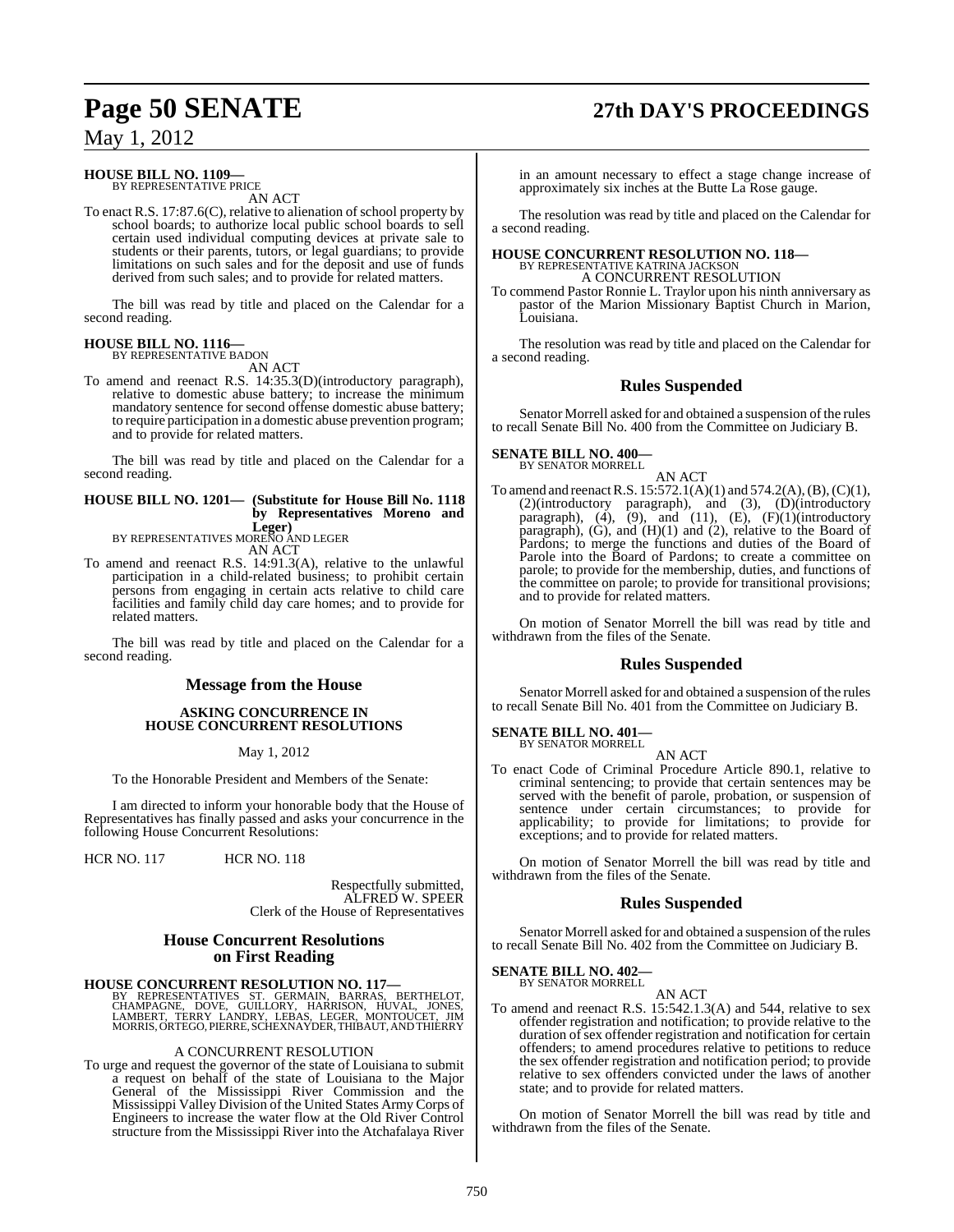# **Page 50 SENATE 27th DAY'S PROCEEDINGS**

May 1, 2012

#### **HOUSE BILL NO. 1109—** BY REPRESENTATIVE PRICE

AN ACT

To enact R.S. 17:87.6(C), relative to alienation of school property by school boards; to authorize local public school boards to sell certain used individual computing devices at private sale to students or their parents, tutors, or legal guardians; to provide limitations on such sales and for the deposit and use of funds derived from such sales; and to provide for related matters.

The bill was read by title and placed on the Calendar for a second reading.

#### **HOUSE BILL NO. 1116—** BY REPRESENTATIVE BADON

AN ACT

To amend and reenact R.S. 14:35.3(D)(introductory paragraph), relative to domestic abuse battery; to increase the minimum mandatory sentence for second offense domestic abuse battery; to require participation in a domestic abuse prevention program; and to provide for related matters.

The bill was read by title and placed on the Calendar for a second reading.

## **HOUSE BILL NO. 1201— (Substitute for House Bill No. 1118 by Representatives Moreno and**

**Leger)** BY REPRESENTATIVES MORENO AND LEGER AN ACT

To amend and reenact R.S. 14:91.3(A), relative to the unlawful participation in a child-related business; to prohibit certain persons from engaging in certain acts relative to child care facilities and family child day care homes; and to provide for related matters.

The bill was read by title and placed on the Calendar for a second reading.

## **Message from the House**

#### **ASKING CONCURRENCE IN HOUSE CONCURRENT RESOLUTIONS**

May 1, 2012

To the Honorable President and Members of the Senate:

I am directed to inform your honorable body that the House of Representatives has finally passed and asks your concurrence in the following House Concurrent Resolutions:

HCR NO. 117 HCR NO. 118

Respectfully submitted, ALFRED W. SPEER Clerk of the House of Representatives

## **House Concurrent Resolutions on First Reading**

### **HOUSE CONCURRENT RESOLUTION NO. 117—**

BY REPRESENTATIVES ST. GERMAIN, BARRAS, BERTHELOT,<br>CHAMPAGNE, DOVE, GUILLORY, HARRISON, HUVAL, JONES,<br>LAMBERT, TERRY LANDRY, LEBAS, LEGER, MONTOUCET, JIM<br>MORRIS,ORTEGO,PIERRE,SCHEXNAYDER,THIBAUT,ANDTHIERRY

#### A CONCURRENT RESOLUTION

To urge and request the governor of the state of Louisiana to submit a request on behalf of the state of Louisiana to the Major General of the Mississippi River Commission and the Mississippi Valley Division of the United States ArmyCorps of Engineers to increase the water flow at the Old River Control structure from the Mississippi River into the Atchafalaya River

in an amount necessary to effect a stage change increase of approximately six inches at the Butte La Rose gauge.

The resolution was read by title and placed on the Calendar for a second reading.

# **HOUSE CONCURRENT RESOLUTION NO. 118—** BY REPRESENTATIVE KATRINA JACKSON

A CONCURRENT RESOLUTION

To commend Pastor Ronnie L. Traylor upon his ninth anniversary as pastor of the Marion Missionary Baptist Church in Marion, Louisiana.

The resolution was read by title and placed on the Calendar for a second reading.

### **Rules Suspended**

Senator Morrell asked for and obtained a suspension of the rules to recall Senate Bill No. 400 from the Committee on Judiciary B.

#### **SENATE BILL NO. 400—** BY SENATOR MORRELL

AN ACT

To amend and reenactR.S. 15:572.1(A)(1) and 574.2(A),(B),(C)(1), (2)(introductory paragraph), and (3), (D)(introductory paragraph),  $(4)$ ,  $(9)$ , and  $(11)$ ,  $(E)$ ,  $(F)(1)$ (introductory paragraph), (G), and (H)(1) and (2), relative to the Board of Pardons; to merge the functions and duties of the Board of Parole into the Board of Pardons; to create a committee on parole; to provide for the membership, duties, and functions of the committee on parole; to provide for transitional provisions; and to provide for related matters.

On motion of Senator Morrell the bill was read by title and withdrawn from the files of the Senate.

### **Rules Suspended**

Senator Morrell asked for and obtained a suspension of the rules to recall Senate Bill No. 401 from the Committee on Judiciary B.

# **SENATE BILL NO. 401—** BY SENATOR MORRELL

AN ACT

To enact Code of Criminal Procedure Article 890.1, relative to criminal sentencing; to provide that certain sentences may be served with the benefit of parole, probation, or suspension of sentence under certain circumstances; to provide for applicability; to provide for limitations; to provide for exceptions; and to provide for related matters.

On motion of Senator Morrell the bill was read by title and withdrawn from the files of the Senate.

### **Rules Suspended**

Senator Morrell asked for and obtained a suspension of the rules to recall Senate Bill No. 402 from the Committee on Judiciary B.

## **SENATE BILL NO. 402—** BY SENATOR MORRELL

AN ACT

To amend and reenact R.S. 15:542.1.3(A) and 544, relative to sex offender registration and notification; to provide relative to the duration of sex offender registration and notification for certain offenders; to amend procedures relative to petitions to reduce the sex offender registration and notification period; to provide relative to sex offenders convicted under the laws of another state; and to provide for related matters.

On motion of Senator Morrell the bill was read by title and withdrawn from the files of the Senate.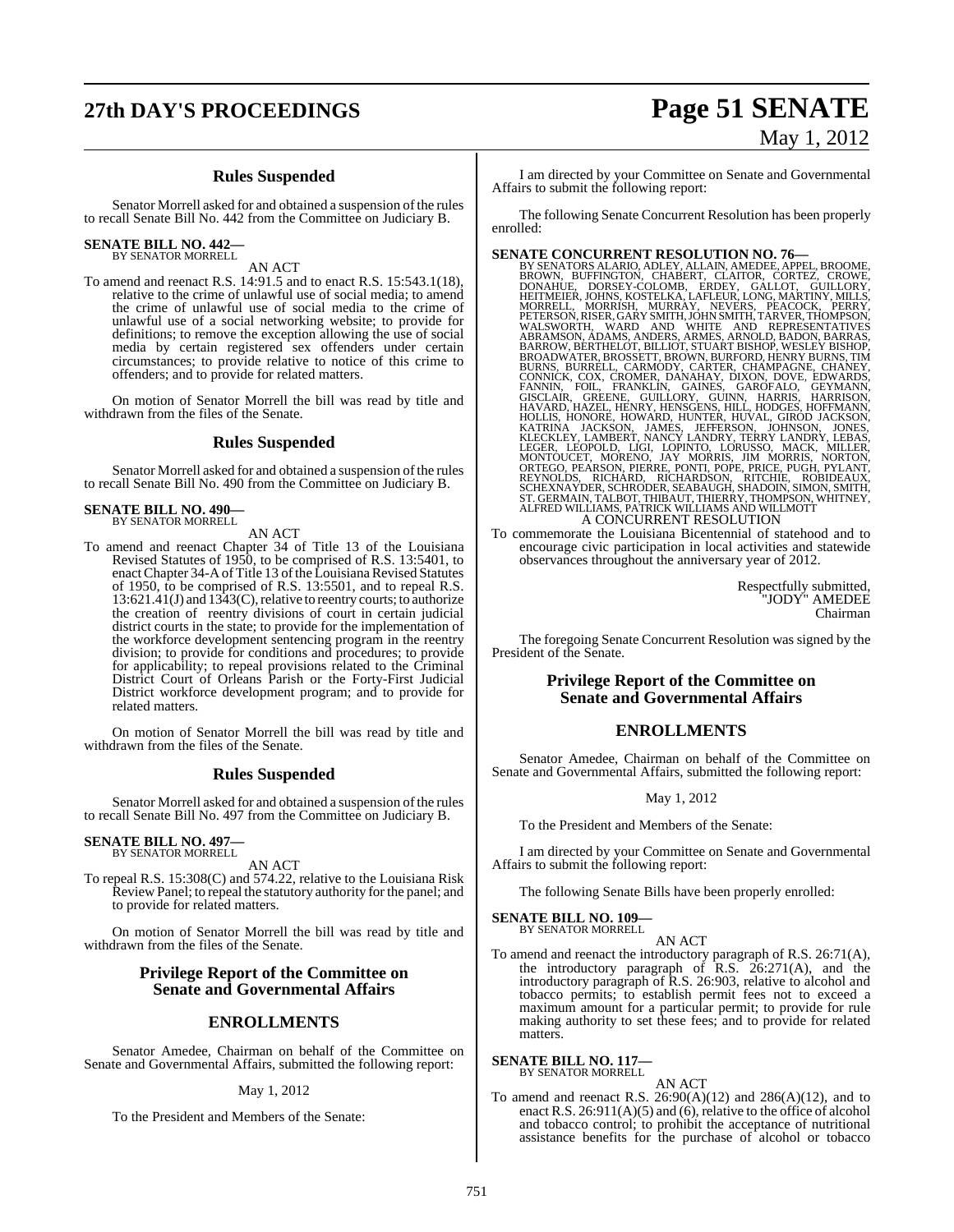# **27th DAY'S PROCEEDINGS Page 51 SENATE** May 1, 2012

### **Rules Suspended**

Senator Morrell asked for and obtained a suspension of the rules to recall Senate Bill No. 442 from the Committee on Judiciary B.

#### **SENATE BILL NO. 442—**

BY SENATOR MORRELL

AN ACT

To amend and reenact R.S. 14:91.5 and to enact R.S. 15:543.1(18), relative to the crime of unlawful use of social media; to amend the crime of unlawful use of social media to the crime of unlawful use of a social networking website; to provide for definitions; to remove the exception allowing the use of social media by certain registered sex offenders under certain circumstances; to provide relative to notice of this crime to offenders; and to provide for related matters.

On motion of Senator Morrell the bill was read by title and withdrawn from the files of the Senate.

#### **Rules Suspended**

Senator Morrell asked for and obtained a suspension of the rules to recall Senate Bill No. 490 from the Committee on Judiciary B.

## **SENATE BILL NO. 490—** BY SENATOR MORRELL

AN ACT

To amend and reenact Chapter 34 of Title 13 of the Louisiana Revised Statutes of 1950, to be comprised of R.S. 13:5401, to enact Chapter 34-A of Title 13 of the Louisiana Revised Statutes of 1950, to be comprised of R.S. 13:5501, and to repeal R.S. 13:621.41(J) and 1343(C), relative to reentry courts; to authorize the creation of reentry divisions of court in certain judicial district courts in the state; to provide for the implementation of the workforce development sentencing program in the reentry division; to provide for conditions and procedures; to provide for applicability; to repeal provisions related to the Criminal District Court of Orleans Parish or the Forty-First Judicial District workforce development program; and to provide for related matters.

On motion of Senator Morrell the bill was read by title and withdrawn from the files of the Senate.

#### **Rules Suspended**

Senator Morrell asked for and obtained a suspension of the rules to recall Senate Bill No. 497 from the Committee on Judiciary B.

#### **SENATE BILL NO. 497—** BY SENATOR MORRELL

AN ACT

To repeal R.S. 15:308(C) and 574.22, relative to the Louisiana Risk Review Panel; to repeal the statutory authority for the panel; and to provide for related matters.

On motion of Senator Morrell the bill was read by title and withdrawn from the files of the Senate.

#### **Privilege Report of the Committee on Senate and Governmental Affairs**

#### **ENROLLMENTS**

Senator Amedee, Chairman on behalf of the Committee on Senate and Governmental Affairs, submitted the following report:

#### May 1, 2012

To the President and Members of the Senate:

I am directed by your Committee on Senate and Governmental Affairs to submit the following report:

The following Senate Concurrent Resolution has been properly enrolled:

**SENATE CONCURRENT RESOLUTION NO. 76—**<br>BY SENATORS ALARIO, ALLAIN, AMAIDDER, APPEL, BROWNE, BROWN, BUFFINGTON, CHABERT, CLAITOR, CORTEZ, CROWE, DONNEHUE, DORSEY-COLOMB, ERDEY, GALLOT, GUILLORY, THEITMEIRS MORRELL, MORRISH,

To commemorate the Louisiana Bicentennial of statehood and to encourage civic participation in local activities and statewide observances throughout the anniversary year of 2012.

> Respectfully submitted, "JODY" AMEDEE Chairman

The foregoing Senate Concurrent Resolution was signed by the President of the Senate.

#### **Privilege Report of the Committee on Senate and Governmental Affairs**

## **ENROLLMENTS**

Senator Amedee, Chairman on behalf of the Committee on Senate and Governmental Affairs, submitted the following report:

#### May 1, 2012

To the President and Members of the Senate:

I am directed by your Committee on Senate and Governmental Affairs to submit the following report:

The following Senate Bills have been properly enrolled:

#### **SENATE BILL NO. 109—** BY SENATOR MORRELL

AN ACT

To amend and reenact the introductory paragraph of R.S. 26:71(A), the introductory paragraph of  $R.S. 26:271(A)$ , and the introductory paragraph of R.S. 26:903, relative to alcohol and tobacco permits; to establish permit fees not to exceed a maximum amount for a particular permit; to provide for rule making authority to set these fees; and to provide for related matters.

**SENATE BILL NO. 117—** BY SENATOR MORRELL

AN ACT

To amend and reenact R.S. 26:90(A)(12) and 286(A)(12), and to enact R.S. 26:911(A)(5) and (6), relative to the office of alcohol and tobacco control; to prohibit the acceptance of nutritional assistance benefits for the purchase of alcohol or tobacco